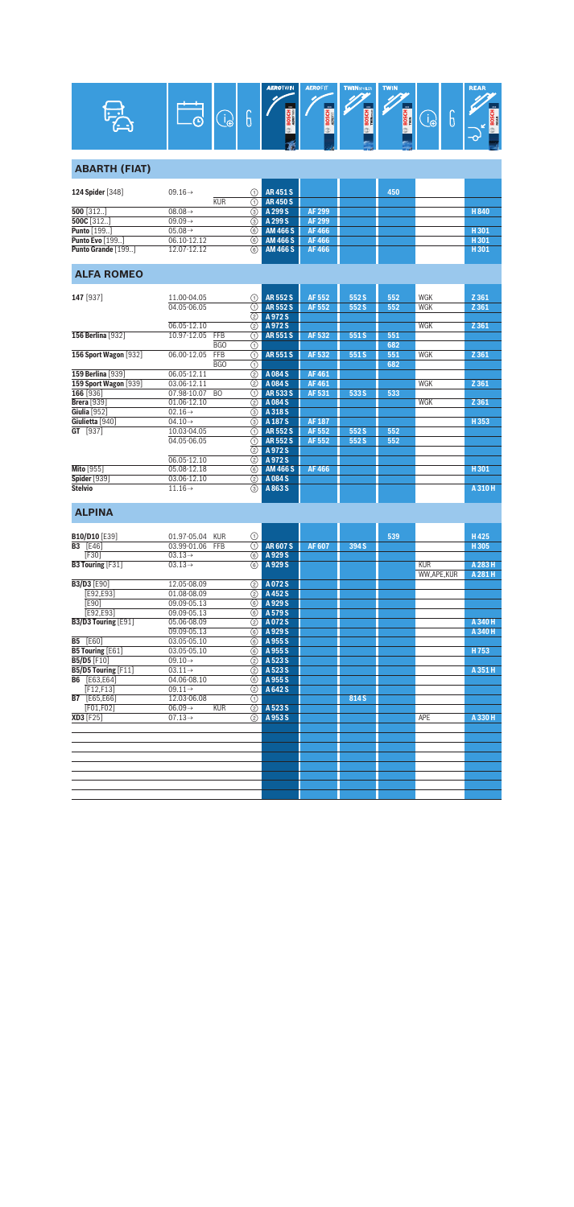

## **ABARTH (FIAT)**

| 124 Spider [348]   | $09.16 \rightarrow$ |       | AR451S          |        | 450 |       |
|--------------------|---------------------|-------|-----------------|--------|-----|-------|
|                    | <b>KUR</b>          |       | <b>AR450S</b>   |        |     |       |
| $500$ [312]        | $08.08 \rightarrow$ | (3) I | A 299 S         | AF 299 |     | H 840 |
| 500C $[312]$       | $09.09 \rightarrow$ | $(3)$ | A 299 S         | AF 299 |     |       |
| <b>Punto</b> [199] | $05.08 \rightarrow$ | രി 1  | AM 466 S        | AF 466 |     | H 301 |
| Punto Evo [199]    | 06.10-12.12         | (6)   | AM 466 S        | AF 466 |     | H 301 |
| Punto Grande [199] | 12.07-12.12         | 6)    | <b>AM 466 S</b> | AF466  |     | H 301 |

## **ALFA ROMEO**

| 147 [937]             | 11.00-04.05                   | ⋒             | <b>AR552S</b>   | AF 552       | 552 S | 552 | WGK | Z 361   |
|-----------------------|-------------------------------|---------------|-----------------|--------------|-------|-----|-----|---------|
|                       | 04.05-06.05                   | ⋒             | <b>AR552S</b>   | AF 552       | 552S  | 552 | WGK | Z 361   |
|                       |                               | ②             | A9725           |              |       |     |     |         |
|                       | 06.05-12.10                   | $\circled{2}$ | A972S           |              |       |     | WGK | Z 361   |
| 156 Berlina [932]     | 10.97-12.05<br><b>FFB</b>     | ⋒             | <b>AR551S</b>   | AF 532       | 551 S | 551 |     |         |
|                       | BGO                           | ⊕             |                 |              |       | 682 |     |         |
| 156 Sport Wagon [932] | 06.00-12.05<br><b>FFB</b>     | ⋒             | <b>AR551S</b>   | AF 532       | 551 S | 551 | WGK | Z 361   |
|                       | BGO                           | ⋒             |                 |              |       | 682 |     |         |
| 159 Berlina [939]     | 06.05-12.11                   | $\circledS$   | A084S           | <b>AF461</b> |       |     |     |         |
| 159 Sport Wagon [939] | 03.06-12.11                   | ②             | A084 S          | AF461        |       |     | WGK | Z 361   |
| 166 [936]             | 07.98-10.07<br>B <sub>O</sub> | ⋒             | <b>AR5335</b>   | AF 531       | 533 S | 533 |     |         |
| Brera [939]           | 01.06-12.10                   | ②             | A084S           |              |       |     | WGK | Z 361   |
| Giulia [952]          | $02.16 \rightarrow$           | ③             | A 318 S         |              |       |     |     |         |
| Giulietta [940]       | $04.10 \rightarrow$           | ③             | A 187 S         | AF 187       |       |     |     | H353    |
| GT [937]              | 10.03-04.05                   | ⋒             | <b>AR552S</b>   | AF 552       | 552 S | 552 |     |         |
|                       | 04.05-06.05                   | ⋒             | <b>AR552S</b>   | AF 552       | 552 S | 552 |     |         |
|                       |                               | (2)           | A972S           |              |       |     |     |         |
|                       | 06.05-12.10                   | ②             | A972S           |              |       |     |     |         |
| <b>Mito</b> [955]     | 05.08-12.18                   | 6             | <b>AM 466 S</b> | AF 466       |       |     |     | H301    |
| <b>Spider</b> [939]   | 03.06-12.10                   | ②             | A084 S          |              |       |     |     |         |
| <b>Stelvio</b>        | $11.16\rightarrow$            | 3             | A863 S          |              |       |     |     | A 310 H |

## **ALPINA**

|           | <b>B10/D10 [E39]</b>    | 01.97-05.04<br><b>KUR</b>         | ⋒                       |               |              |       | 539 |            | H425    |
|-----------|-------------------------|-----------------------------------|-------------------------|---------------|--------------|-------|-----|------------|---------|
| <b>B3</b> | [E46]                   | 03.99-01.06<br>FFB                | ന                       | <b>AR607S</b> | <b>AF607</b> | 394 S |     |            | H305    |
|           | [F30]                   | $03.13 \rightarrow$               | $\overline{6}$          | A 929 S       |              |       |     |            |         |
|           | <b>B3 Touring [F31]</b> | $03.13 \rightarrow$               | 6                       | A 929 S       |              |       |     | <b>KUR</b> | A 283 H |
|           |                         |                                   |                         |               |              |       |     | WW,APE,KUR | A 281 H |
|           | <b>B3/D3 [E90]</b>      | 12.05-08.09                       | ②                       | A072S         |              |       |     |            |         |
|           | [E92,E93]               | 01.08-08.09                       | (2)                     | A 452 S       |              |       |     |            |         |
|           | <b>[E90]</b>            | 09.09-05.13                       | 6                       | A 929 S       |              |       |     |            |         |
|           | [E92,E93]               | 09.09-05.13                       | 6                       | A 579 S       |              |       |     |            |         |
|           | B3/D3 Touring [E91]     | 05.06-08.09                       | (2)                     | A072S         |              |       |     |            | A 340 H |
|           |                         | 09.09-05.13                       | 6                       | A 929 S       |              |       |     |            | A 340 H |
| <b>B5</b> | [E60]                   | 03.05-05.10                       | 6                       | A 955 S       |              |       |     |            |         |
|           | <b>B5 Touring [E61]</b> | 03.05-05.10                       | 6                       | A 955 S       |              |       |     |            | H753    |
|           | <b>B5/D5</b> [F10]      | $09.10 \rightarrow$               | (2)                     | A 523 S       |              |       |     |            |         |
|           | B5/D5 Touring [F11]     | $03.11 \rightarrow$               | $\overline{(2)}$        | A 523 S       |              |       |     |            | A 351 H |
| <b>B6</b> | [E63,E64]               | 04.06-08.10                       | (6)                     | A 955 S       |              |       |     |            |         |
|           | F12,F13                 | $09.11 \rightarrow$               | $\circled{2}$           | A 642 S       |              |       |     |            |         |
|           | <b>B7</b> [E65,E66]     | 12.03-06.08                       | ⋒                       |               |              | 814 S |     |            |         |
|           | [F01,F02]               | <b>KUR</b><br>$06.09 \rightarrow$ | $\overline{(\text{2})}$ | A 523 S       |              |       |     |            |         |
|           | XD3 [F25]               | $07.13 \rightarrow$               | (2)                     | A 953 S       |              |       |     | APE        | A 330 H |
|           |                         |                                   |                         |               |              |       |     |            |         |
|           |                         |                                   |                         |               |              |       |     |            |         |
|           |                         |                                   |                         |               |              |       |     |            |         |
|           |                         |                                   |                         |               |              |       |     |            |         |
|           |                         |                                   |                         |               |              |       |     |            |         |
|           |                         |                                   |                         |               |              |       |     |            |         |
|           |                         |                                   |                         |               |              |       |     |            |         |
|           |                         |                                   |                         |               |              |       |     |            |         |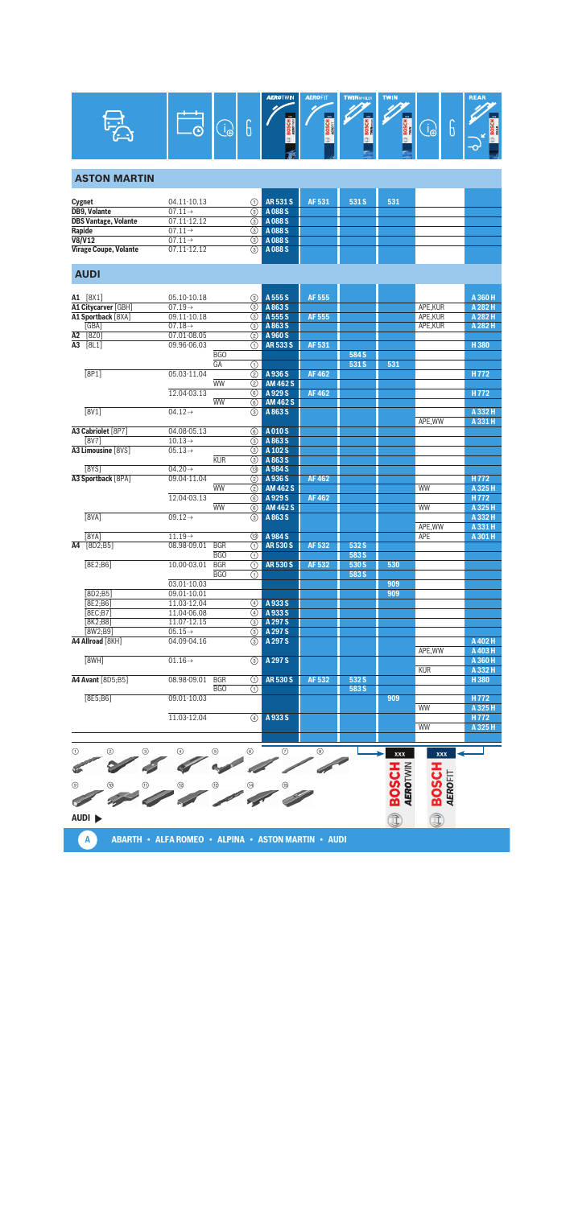

#### **ASTON MARTIN**

| Cygnet                       | 04.11-10.13         |      | <b>1</b> AR 531 S | AF 531 | 531 S | 531 |  |
|------------------------------|---------------------|------|-------------------|--------|-------|-----|--|
| <b>DB9, Volante</b>          | $07.11 \rightarrow$ | 3)   | A 088 S           |        |       |     |  |
| <b>DBS Vantage, Volante</b>  | 07.11-12.12         | 3)   | A088 <sub>S</sub> |        |       |     |  |
| Rapide                       | $07.11 \rightarrow$ | டு   | A088 <sub>S</sub> |        |       |     |  |
| V8/V12                       | $07.11 \rightarrow$ | 3)   | A088 <sub>S</sub> |        |       |     |  |
| <b>Virage Coupe, Volante</b> | 07.11-12.12         | രി I | A 088 S           |        |       |     |  |

#### **AUDI**

|    | A1 [8X1]            | 05.10-10.18         | 3                                           | A 555 S         | AF 555        |       |     |            | A 360 H            |
|----|---------------------|---------------------|---------------------------------------------|-----------------|---------------|-------|-----|------------|--------------------|
|    | A1 Citycarver [GBH] | $07.19 \rightarrow$ | $\overline{(\mathbf{3})}$                   | A 863 S         |               |       |     | APE, KUR   | A 282 H            |
|    | A1 Sportback [8XA]  | 09.11-10.18         | 3                                           | A 555 S         | <b>AF 555</b> |       |     | APE, KUR   | A 282 H            |
|    | [GBA]               | $07.18 \rightarrow$ | $\circled{3}$                               | A 863 S         |               |       |     | APE, KUR   | A 282 H            |
| A2 | [820]               | 07.01-08.05         | (2)                                         | A 960 S         |               |       |     |            |                    |
|    | A3 [8L1]            | 09.96-06.03         | ⋒                                           | <b>AR533S</b>   | AF 531        |       |     |            | H380               |
|    |                     |                     | <b>BGO</b>                                  |                 |               | 584 S |     |            |                    |
|    |                     |                     | GA<br>$\overline{(\text{f})}$               |                 |               | 531 S | 531 |            |                    |
|    | [8P1]               | 05.03-11.04         | (2)                                         | A 936 S         | <b>AF462</b>  |       |     |            | H772               |
|    |                     |                     | <b>WW</b><br>(2)                            | <b>AM 462 S</b> |               |       |     |            |                    |
|    |                     | 12.04-03.13         | 6                                           | A 929 S         | <b>AF462</b>  |       |     |            | H772               |
|    |                     |                     | <b>WW</b><br>6                              | <b>AM 462 S</b> |               |       |     |            |                    |
|    | [8V1]               | $04.12 \rightarrow$ | 3                                           | A863S           |               |       |     |            | A 332 H            |
|    |                     |                     |                                             |                 |               |       |     | APE.WW     | A 331 H            |
|    | A3 Cabriolet [8P7]  | 04.08-05.13         | 6                                           | A010S           |               |       |     |            |                    |
|    | [8V7]               | $10.13 \rightarrow$ | ③                                           | A 863 S         |               |       |     |            |                    |
|    | A3 Limousine [8VS]  | $05.13 \rightarrow$ | 3                                           | A 102 S         |               |       |     |            |                    |
|    |                     |                     | <b>KUR</b><br>$\overline{(\mathbf{3})}$     | A 863 S         |               |       |     |            |                    |
|    | [8YS]               | $04.20 \rightarrow$ | (13)                                        | A 984 S         |               |       |     |            |                    |
|    | A3 Sportback [8PA]  | 09.04-11.04         | $\overline{(2)}$                            | A 936 S         | <b>AF462</b>  |       |     |            | H772               |
|    |                     |                     | <b>WW</b><br>(2)                            | <b>AM 462 S</b> |               |       |     | WW         | A 325 H            |
|    |                     | 12.04-03.13         | 6                                           | A 929 S         | <b>AF462</b>  |       |     |            | H772               |
|    |                     |                     | <b>WW</b><br>6                              | <b>AM 462 S</b> |               |       |     | <b>WW</b>  | A 325 H            |
|    | $\overline{[8VA]}$  | $09.12 \rightarrow$ | $\circled{3}$                               | A 863 S         |               |       |     | APE, WW    | A 332 H<br>A 331 H |
|    | [8YA]               | $11.19\rightarrow$  |                                             | A 984 S         |               |       |     | <b>APE</b> |                    |
|    | A4 [8D2:B5]         | 08.98-09.01         | 13<br><b>BGR</b><br>$\overline{(\text{f})}$ | <b>AR530S</b>   | AF 532        | 532 S |     |            | A 301 H            |
|    |                     |                     | B <sub>G</sub> O                            |                 |               | 583 S |     |            |                    |
|    | [8E2; B6]           | 10.00-03.01         | ⋒<br><b>BGR</b><br>(T)                      | <b>AR530S</b>   | AF 532        | 530 S | 530 |            |                    |
|    |                     |                     | <b>BGO</b><br>⋒                             |                 |               | 583 S |     |            |                    |
|    |                     | 03.01-10.03         |                                             |                 |               |       | 909 |            |                    |
|    | [8D2;B5]            | 09.01-10.01         |                                             |                 |               |       | 909 |            |                    |
|    | [8E2;B6]            | 11.03-12.04         | 4                                           | A 933 S         |               |       |     |            |                    |
|    | <b>[8EC:B7]</b>     | 11.04-06.08         | $\circled{4}$                               | A 933 S         |               |       |     |            |                    |
|    | [8K2; B8]           | 11.07-12.15         | (3)                                         | A 297 S         |               |       |     |            |                    |
|    | [8W2:B9]            | $05.15 \rightarrow$ | $\circled{3}$                               | A 297 S         |               |       |     |            |                    |
|    | A4 Allroad [8KH]    | 04.09-04.16         | $\circledS$                                 | A 297 S         |               |       |     |            | A 402 H            |
|    |                     |                     |                                             |                 |               |       |     | APE, WW    | A 403 H            |
|    | [8WH]               | $01.16 \rightarrow$ | $\circled{3}$                               | A 297 S         |               |       |     |            | A 360 H            |
|    |                     |                     |                                             |                 |               |       |     | <b>KUR</b> | A 332 H            |
|    | A4 Avant [8D5:B5]   | 08.98-09.01         | <b>BGR</b><br>⋒                             | <b>AR530S</b>   | AF 532        | 532 S |     |            | H380               |
|    |                     |                     | <b>BGO</b><br>⋒                             |                 |               | 583 S |     |            |                    |
|    | [8E5; B6]           | 09.01-10.03         |                                             |                 |               |       | 909 |            | H772               |
|    |                     |                     |                                             |                 |               |       |     | <b>WW</b>  | A 325 H            |
|    |                     | 11.03-12.04         | $\circled{4}$                               | A933S           |               |       |     |            | H772               |
|    |                     |                     |                                             |                 |               |       |     | WW         | A 325 H            |
|    |                     |                     |                                             |                 |               |       |     |            |                    |
|    |                     |                     |                                             |                 |               |       |     |            |                    |

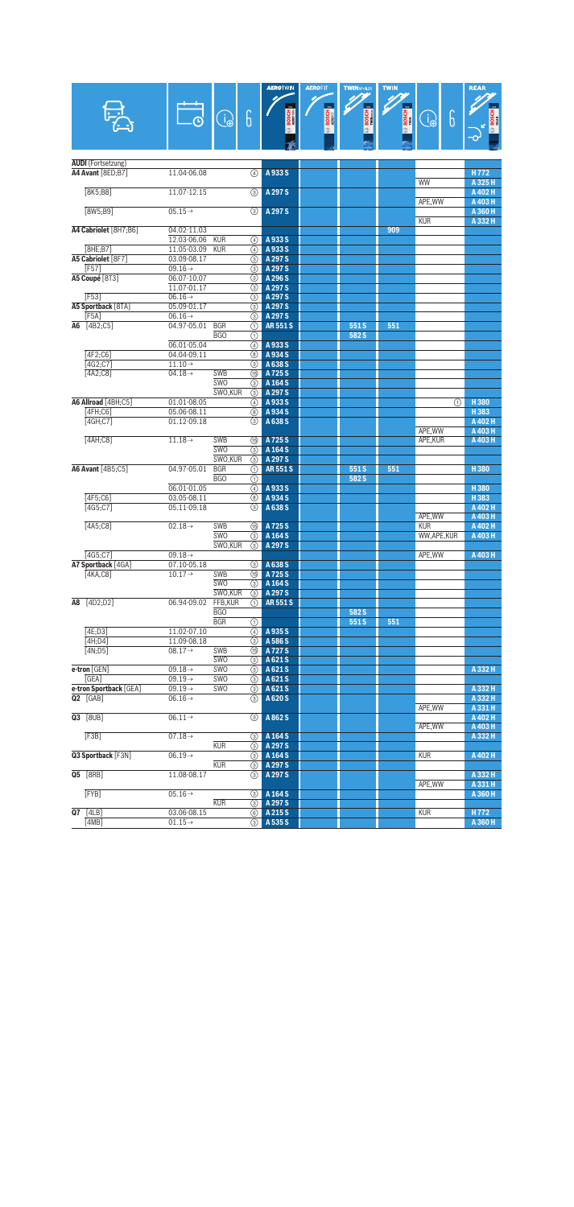|                                 |                                            |                     |                    | <b>AEROTWIN</b>          | <b>AEROFIT</b> | <b>TWINSPOLER</b> | <b>TWIN</b>  |                       | <b>REAR</b>        |
|---------------------------------|--------------------------------------------|---------------------|--------------------|--------------------------|----------------|-------------------|--------------|-----------------------|--------------------|
|                                 |                                            |                     |                    |                          |                |                   |              |                       |                    |
|                                 |                                            | Ò                   | 6                  |                          | <b>BOSCH</b>   | BOSCH<br>Military | <b>BOSCH</b> | 6<br>G                | <b>BOS</b>         |
|                                 |                                            |                     |                    |                          |                |                   |              |                       |                    |
|                                 |                                            |                     |                    |                          |                |                   |              |                       |                    |
| <b>AUDI</b> (Fortsetzung)       |                                            |                     |                    |                          |                |                   |              |                       |                    |
| A4 Avant [8ED;B7]               | 11.04-06.08                                |                     | ④                  | A933S                    |                |                   |              | WW                    | H772<br>A 325 H    |
| [8K5; B8]                       | 11.07-12.15                                |                     | $\circled{3}$      | A 297 S                  |                |                   |              |                       | A 402 H            |
|                                 |                                            |                     |                    |                          |                |                   |              | APE, WW               | A 403 H            |
| [8W5; B9]                       | $05.15 \rightarrow$                        |                     | $\circled{3}$      | A 297 S                  |                |                   |              |                       | A 360 H            |
| A4 Cabriolet [8H7;B6]           | 04.02-11.03                                |                     |                    |                          |                |                   | 909          | <b>KUR</b>            | A 332 H            |
|                                 | 12.03-06.06                                | <b>KUR</b>          | 4                  | A933S                    |                |                   |              |                       |                    |
| <b>8HE:B71</b>                  | 11.05-03.09                                | <b>KUR</b>          | 4                  | A 933 S                  |                |                   |              |                       |                    |
| A5 Cabriolet [8F7]              | 03.09-08.17                                |                     | (3)                | A 297 S                  |                |                   |              |                       |                    |
| [F57]                           | 09.16 $\rightarrow$                        |                     | ③                  | A 297 S                  |                |                   |              |                       |                    |
| A5 Coupé [8T3]                  | 06.07-10.07<br>11.07-01.17                 |                     | 3<br>(3)           | A 296 S<br>A 297 S       |                |                   |              |                       |                    |
| <b>FF531</b>                    | $06.16 \rightarrow$                        |                     | 3                  | A 297 S                  |                |                   |              |                       |                    |
| A5 Sportback [8TA]              | 05.09-01.17                                |                     | ③                  | A 297 S                  |                |                   |              |                       |                    |
| [F5A]                           | $06.16 \rightarrow$                        |                     | ③                  | A 297 S                  |                |                   |              |                       |                    |
| A6 [4B2;C5]                     | 04.97-05.01                                | <b>BGR</b>          | ⋒                  | <b>AR551S</b>            |                | 551S              | 551          |                       |                    |
|                                 |                                            | BGO                 | ⋒                  |                          |                | 582 S             |              |                       |                    |
|                                 | 06.01-05.04                                |                     | $\overline{a}$     | A 933 S                  |                |                   |              |                       |                    |
| [4F2:C6]<br>[4G2;C7]            | 04.04-09.11<br>$11.10 \rightarrow$         |                     | 8<br>3             | A 934 S<br>A 638 S       |                |                   |              |                       |                    |
| [AA2;C8]                        | $04.18 \rightarrow$                        | <b>SWB</b>          | (15)               | A725S                    |                |                   |              |                       |                    |
|                                 |                                            | SWO                 | 3                  | A 164 S                  |                |                   |              |                       |                    |
|                                 |                                            | SWO.KUR             | $\circled{3}$      | A 297 S                  |                |                   |              |                       |                    |
| A6 Allroad [4BH;C5]             | 01.01-08.05                                |                     | ④                  | A 933 S                  |                |                   |              | ⋒                     | H380               |
| [4FH; C6]                       | 05.06-08.11                                |                     | 8                  | A 934 S                  |                |                   |              |                       | H383               |
| [4GH;C7]                        | 01.12-09.18                                |                     | ③                  | A 638 S                  |                |                   |              |                       | A 402 H            |
| [4AH;C8]                        | $11.18 \rightarrow$                        | <b>SWB</b>          |                    | A 725 S                  |                |                   |              | APE, WW<br>APE, KUR   | A 403 H<br>A 403 H |
|                                 |                                            | <b>SWO</b>          | (15)<br>③          | A 164 S                  |                |                   |              |                       |                    |
|                                 |                                            | SWO.KUR             | 3                  | A 297 S                  |                |                   |              |                       |                    |
| A6 Avant [4B5;C5]               | 04.97-05.01                                | <b>BGR</b>          | ⊕                  | <b>AR551S</b>            |                | 551S              | 551          |                       | H380               |
|                                 |                                            | BGO                 | ⋒                  |                          |                | 582 S             |              |                       |                    |
|                                 | 06.01-01.05                                |                     | 4                  | A 933 S                  |                |                   |              |                       | H380               |
| $[4F5;C6]$                      | 03.05-08.11                                |                     | 8                  | A 934 S                  |                |                   |              |                       | H383               |
| $[4G5;C7]$                      | 05.11-09.18                                |                     | $\circled{3}$      | A 638 S                  |                |                   |              |                       | A 402 H            |
| $[4A5;C8]$                      | $02.18 \rightarrow$                        | <b>SWB</b>          | <b>ී</b>           | A 725 S                  |                |                   |              | APE, WW<br><b>KUR</b> | A 403 H<br>A 402 H |
|                                 |                                            | SWO                 | ⊚                  | A 164 S                  |                |                   |              | WW,APE,KUR            | A 403 H            |
|                                 |                                            | SWO,KUR             | $\circled{3}$      | A 297 S                  |                |                   |              |                       |                    |
| [4G5:C7]                        | $09.18 \rightarrow$                        |                     |                    |                          |                |                   |              | APE, WW               | A 403 H            |
| A7 Sportback [4GA]              | 07.10-05.18                                |                     | 3                  | A 638 S                  |                |                   |              |                       |                    |
| [4KA, CB]                       | $10.17 \rightarrow$                        | SWB                 | ௫                  | A725S                    |                |                   |              |                       |                    |
|                                 |                                            | <b>SWO</b>          | ⊚                  | A 164 S                  |                |                   |              |                       |                    |
| A8 [4D2;D2]                     | 06.94-09.02                                | SWO, KUR<br>FFB,KUR | (3)<br>(1)         | A 297 S<br><b>AR551S</b> |                |                   |              |                       |                    |
|                                 |                                            | BGO                 |                    |                          |                | 582 S             |              |                       |                    |
|                                 |                                            | <b>BGR</b>          | ⋒                  |                          |                | 551S              | 551          |                       |                    |
| [4E;D3]                         | 11.02-07.10                                |                     | ④                  | A 935 S                  |                |                   |              |                       |                    |
| [4H;D4]                         | 11.09-08.18                                |                     | 3                  | A 586 S                  |                |                   |              |                       |                    |
| [4N;D5]                         | $08.17 \rightarrow$                        | SWB                 | (15)               | A727 S                   |                |                   |              |                       |                    |
|                                 |                                            | <b>SWO</b>          | $\circled{3}$      | A 621 S                  |                |                   |              |                       |                    |
| e-tron [GEN]                    | 09.18 $\rightarrow$                        | SWO                 | 3                  | A621S                    |                |                   |              |                       | A 332 H            |
| [GEA]<br>e-tron Sportback [GEA] | $09.19 \rightarrow$<br>$09.19 \rightarrow$ | SWO<br>SWO          | 3<br>3             | A 621 S<br>A621S         |                |                   |              |                       | A 332 H            |
| <b>Q2</b> [GAB]                 | $06.16 \rightarrow$                        |                     | $\circled{3}$      | A 620 S                  |                |                   |              |                       | A 332 H            |
|                                 |                                            |                     |                    |                          |                |                   |              | APE, WW               | A 331 H            |
| Q3 [8UB]                        | $06.11 \rightarrow$                        |                     | $\circled{3}$      | A 862 S                  |                |                   |              |                       | A 402 H            |
|                                 |                                            |                     |                    |                          |                |                   |              | APE, WW               | A 403 H            |
| [F3B]                           | $07.18 \rightarrow$                        |                     | $\circled{3}$      | A 164 S                  |                |                   |              |                       | A 332 H            |
|                                 |                                            | <b>KUR</b>          | $\circled{3}$      | A 297 S                  |                |                   |              |                       |                    |
| Q3 Sportback [F3N]              | $06.19 \rightarrow$                        | <b>KUR</b>          | 3                  | A 164 S<br>A 297 S       |                |                   |              | <b>KUR</b>            | A 402 H            |
| Q5 [8RB]                        | 11.08-08.17                                |                     | ⊚<br>$\circled{3}$ | A 297 S                  |                |                   |              |                       | A 332 H            |
|                                 |                                            |                     |                    |                          |                |                   |              | APE, WW               | A 331 H            |
| $[$ FYB $]$                     | $05.16 \rightarrow$                        |                     | (3)                | A 164 S                  |                |                   |              |                       | A 360 H            |
|                                 |                                            | <b>KUR</b>          | 3                  | A 297 S                  |                |                   |              |                       |                    |
| $Q7$ [4LB]                      | 03.06-08.15                                |                     | (6)                | A 215 S                  |                |                   |              | <b>KUR</b>            | H772               |
| [4MB]                           | $01.15 \rightarrow$                        |                     | 3                  | A 535 S                  |                |                   |              |                       | A 360 H            |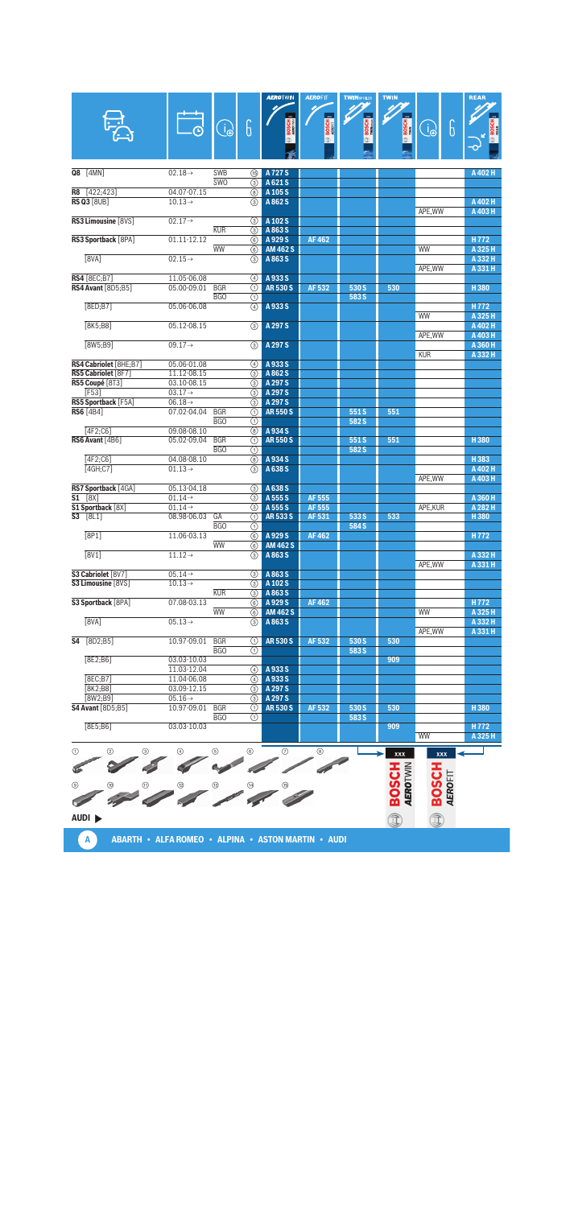|                                        |                                    |                     |                                | <b>AEROTWIN</b>             | <b>AEROFIT</b> | <b>TWINSPOLER</b> | <b>TWIN</b>                     |                                | <b>REAR</b>        |
|----------------------------------------|------------------------------------|---------------------|--------------------------------|-----------------------------|----------------|-------------------|---------------------------------|--------------------------------|--------------------|
|                                        |                                    |                     |                                |                             |                |                   |                                 |                                |                    |
|                                        |                                    | $\bigoplus_{i=1}^n$ | G                              |                             | <b>BOSCH</b>   | <b>BOSCH</b>      | <b>BOSCH</b>                    | 6<br>$\bigoplus$               |                    |
|                                        |                                    |                     |                                |                             | ff)            |                   |                                 |                                |                    |
|                                        |                                    |                     |                                |                             |                |                   |                                 |                                |                    |
| Q8<br>[4MN]                            | $02.18 \rightarrow$                | <b>SWB</b>          | <b>ී</b>                       | A 727 S                     |                |                   |                                 |                                | A 402 H            |
|                                        |                                    | SWO                 | 3                              | A 621 S                     |                |                   |                                 |                                |                    |
| [422; 423]<br>R8                       | 04.07-07.15                        |                     | (8)                            | A 105 S                     |                |                   |                                 |                                |                    |
| <b>RS Q3 [8UB]</b>                     | $10.13 \rightarrow$                |                     | ③                              | A 862 S                     |                |                   |                                 | APE, WW                        | A 402 H<br>A 403 H |
| RS3 Limousine [8VS]                    | $02.17 \rightarrow$                |                     | ③                              | A 102 S                     |                |                   |                                 |                                |                    |
| RS3 Sportback [8PA]                    | 01.11-12.12                        | <b>KUR</b>          | ③                              | A863S<br>A 929 S            | <b>AF462</b>   |                   |                                 |                                | H772               |
|                                        |                                    | <b>WW</b>           | 6<br>6                         | <b>AM 462 S</b>             |                |                   |                                 | <b>WW</b>                      | A 325 H            |
| [8VA]                                  | $02.15 \rightarrow$                |                     | ③                              | A 863 S                     |                |                   |                                 |                                | A 332 H            |
| <b>RS4</b> [8EC;B7]                    | 11.05-06.08                        |                     | 4                              | A 933 S                     |                |                   |                                 | APE, WW                        | A 331 H            |
| <b>RS4 Avant [8D5;B5]</b>              | 05.00-09.01                        | <b>BGR</b>          | ⋒                              | <b>AR530S</b>               | AF 532         | 530 S             | 530                             |                                | H380               |
|                                        |                                    | B <sub>G</sub> O    | ⋒                              |                             |                | 583 S             |                                 |                                |                    |
| [8ED; B7]                              | 05.06-06.08                        |                     | 4                              | A933S                       |                |                   |                                 | WW                             | H772<br>A 325 H    |
| <b>T8K5:B81</b>                        | 05.12-08.15                        |                     | 3                              | A 297 S                     |                |                   |                                 |                                | A 402 H            |
| [8W5;B9]                               | $09.17 \rightarrow$                |                     |                                | A 297 S                     |                |                   |                                 | APE, WW                        | A 403 H            |
|                                        |                                    |                     | 3                              |                             |                |                   |                                 | <b>KUR</b>                     | A 360 H<br>A 332 H |
| RS4 Cabriolet [8HE;B7]                 | 05.06-01.08                        |                     | A)                             | A933S                       |                |                   |                                 |                                |                    |
| RS5 Cabriolet [8F7]<br>RS5 Coupé [8T3] | 11.12-08.15<br>03.10-08.15         |                     | ③<br>3                         | A 862 S<br>A 297 S          |                |                   |                                 |                                |                    |
| F53                                    | $03.17 \rightarrow$                |                     | 3                              | A 297 S                     |                |                   |                                 |                                |                    |
| RS5 Sportback [F5A]                    | $06.18 \rightarrow$                |                     | $\circled{3}$                  | A 297 S                     |                |                   |                                 |                                |                    |
| <b>RS6</b> [4B4]                       | 07.02-04.04                        | <b>BGR</b><br>BGO   | ⋒<br>⋒                         | <b>AR550S</b>               |                | 551S<br>582 S     | 551                             |                                |                    |
| [4F2;C6]                               | 09.08-08.10                        |                     | ⊛                              | A 934 S                     |                |                   |                                 |                                |                    |
| RS6 Avant [4B6]                        | 05.02-09.04                        | <b>BGR</b>          | ⋒                              | <b>AR550S</b>               |                | 551S              | 551                             |                                | H380               |
| [4F2;C6]                               | 04.08-08.10                        | BGO                 | ⋒<br>$\overline{(\mathbf{8})}$ | A 934 S                     |                | 582 S             |                                 |                                | H383               |
| [4GH;C7]                               | $01.13 \rightarrow$                |                     | ③                              | A 638 S                     |                |                   |                                 |                                | A 402 H            |
| RS7 Sportback [4GA]                    | 05.13-04.18                        |                     | ③                              | A 638 S                     |                |                   |                                 | APE, WW                        | A 403 H            |
| [8X]<br>S1                             | $01.14 \rightarrow$                |                     | 3                              | A 555 S                     | AF 555         |                   |                                 |                                | A 360 H            |
| S1 Sportback [8X]                      | $01.14 \rightarrow$                |                     | ③                              | A 555 S                     | AF 555         |                   |                                 | APE, KUR                       | A 282 H            |
| <b>S3</b> [8L1]                        | 08.98-06.03                        | GA<br>BGO           | ⋒<br>⋒                         | <b>AR533S</b>               | AF 531         | 533 S<br>584 S    | 533                             |                                | H380               |
| [8P1]                                  | 11.06-03.13                        |                     | 6                              | A 929 S                     | <b>AF462</b>   |                   |                                 |                                | H772               |
| [8V1]                                  | $11.12 \rightarrow$                | <b>WW</b>           | 6<br>③                         | <b>AM 462 S</b><br>A 863 S  |                |                   |                                 |                                | A 332 H            |
|                                        |                                    |                     |                                |                             |                |                   |                                 | APE, WW                        | A 331 H            |
| S3 Cabriolet [8V7]                     | $05.14 \rightarrow$                |                     | ③                              | A863S                       |                |                   |                                 |                                |                    |
| S3 Limousine [8VS]                     | $10.13 \rightarrow$                | <b>KUR</b>          | 3                              | A 102 S<br><b>3</b> A 863 S |                |                   |                                 |                                |                    |
| S3 Sportback [8PA]                     | 07.08-03.13                        |                     | (6)                            | A 929 S                     | AF 462         |                   |                                 |                                | H <sub>772</sub>   |
|                                        |                                    | WW                  | 6                              | <b>AM 462 S</b>             |                |                   |                                 | WW                             | A 325 H            |
| [8VA]                                  | $05.13\rightarrow$                 |                     | ③                              | A 863 S                     |                |                   |                                 | APE, WW                        | A 332 H<br>A 331 H |
| <b>S4</b> [8D2;B5]                     | 10.97-09.01                        | <b>BGR</b>          | ⋒                              | <b>AR530S</b>               | AF 532         | 530 S             | 530                             |                                |                    |
| [8E2; B6]                              | 03.03-10.03                        | <b>BGO</b>          | ⋒                              |                             |                | 583 S             | 909                             |                                |                    |
|                                        | 11.03-12.04                        |                     | $\left(4\right)$               | A 933 S                     |                |                   |                                 |                                |                    |
| [8EC; B7]                              | 11.04-06.08                        |                     | 4                              | A933S                       |                |                   |                                 |                                |                    |
| [8K2; B8]<br>$[8W2; B9]$               | 03.09-12.15<br>$05.16 \rightarrow$ |                     | ③<br>③                         | A 297 S<br>A 297 S          |                |                   |                                 |                                |                    |
| <b>S4 Avant</b> [8D5;B5]               | 10.97-09.01                        | <b>BGR</b>          | ⊕                              | <b>AR530S</b>               | AF 532         | 530 S             | 530                             |                                | H380               |
|                                        |                                    | <b>BGO</b>          | ⊕                              |                             |                | 583 S             |                                 |                                |                    |
| [8E5; B6]                              | 03.03-10.03                        |                     |                                |                             |                |                   | 909                             | <b>WW</b>                      | H772<br>A 325 H    |
| ⊕<br>➁<br>⊚                            |                                    | $\circledS$         | ◉                              | ℗                           | ◉              |                   |                                 |                                |                    |
|                                        |                                    |                     |                                |                             |                |                   | xxx                             | xxx                            |                    |
|                                        |                                    |                     |                                |                             |                |                   |                                 |                                |                    |
| ◉<br>(10)<br>⊕                         |                                    |                     |                                |                             |                |                   | <b>AEROTWIN</b><br><b>HCSOB</b> | <b>HDSOB</b><br><b>AEROFIT</b> |                    |
|                                        |                                    |                     | 200                            |                             |                |                   |                                 |                                |                    |
|                                        |                                    |                     |                                |                             |                |                   |                                 |                                |                    |
| AUDI <sup>&gt;</sup>                   |                                    |                     |                                |                             |                |                   | Î                               | Î                              |                    |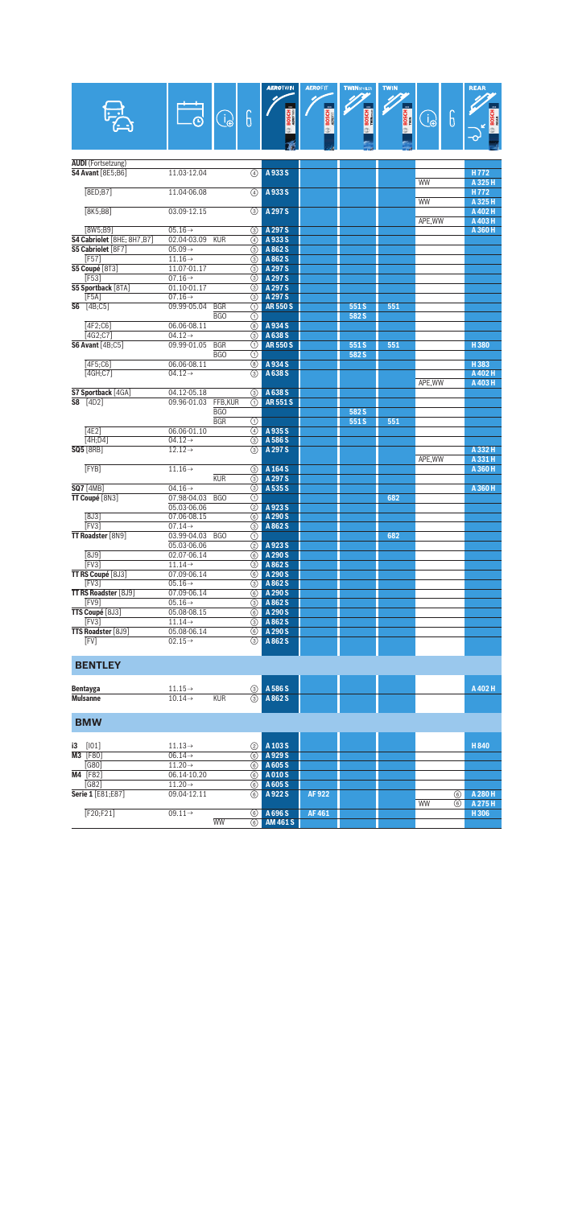|                                                       |                                            |                     |                     | <b>AEROTWIN</b>    | <b>AEROFIT</b> | <b>TWINSPOLER</b> | <b>TWIN</b>  |                  |   | <b>REAR</b>        |
|-------------------------------------------------------|--------------------------------------------|---------------------|---------------------|--------------------|----------------|-------------------|--------------|------------------|---|--------------------|
|                                                       |                                            | $\bigoplus_{i=1}^n$ | 6                   |                    | <b>BOSCH</b>   | <b>BOSCH</b>      | <b>BOSCH</b> | 6<br>$\bigoplus$ |   |                    |
|                                                       |                                            |                     |                     |                    |                |                   |              |                  |   |                    |
| <b>AUDI</b> (Fortsetzung)<br><b>S4 Avant</b> [8E5;B6] | 11.03-12.04                                |                     | ④                   | A933S              |                |                   |              |                  |   | H <sub>772</sub>   |
| [8ED; B7]                                             | 11.04-06.08                                |                     | ④                   | A933S              |                |                   |              | WW               |   | A 325 H<br>H772    |
| <b>F8K5:B81</b>                                       | 03.09-12.15                                |                     | ③                   | A 297 S            |                |                   |              | <b>WW</b>        |   | A 325 H<br>A 402 H |
| [8W5;B9]                                              | $05.16 \rightarrow$                        |                     | 3                   | A 297 S            |                |                   |              | APE, WW          |   | A 403 H<br>A 360 H |
| S4 Cabriolet [8HE; 8H7,B7]                            | 02.04-03.09                                | <b>KUR</b>          | 4                   | A 933 S            |                |                   |              |                  |   |                    |
| S5 Cabriolet [8F7]                                    | $05.09 \rightarrow$                        |                     | ③                   | A 862 S            |                |                   |              |                  |   |                    |
| [F57]                                                 | $11.16 \rightarrow$                        |                     | ③                   | A 862 S            |                |                   |              |                  |   |                    |
| S5 Coupé [8T3]                                        | 11.07-01.17                                |                     | ⊚                   | A 297 S            |                |                   |              |                  |   |                    |
| [F53]<br>S5 Sportback [8TA]                           | $07.16 \rightarrow$<br>01.10-01.17         |                     | ③<br>③              | A 297 S<br>A 297 S |                |                   |              |                  |   |                    |
| [F5A]                                                 | $07.16 \rightarrow$                        |                     | ③                   | A 297 S            |                |                   |              |                  |   |                    |
| <b>S6</b> [4B;C5]                                     | 09.99-05.04                                | <b>BGR</b>          | ⋒                   | <b>AR550S</b>      |                | 551S              | 551          |                  |   |                    |
|                                                       |                                            | BGO                 | ⋒                   |                    |                | 582 S             |              |                  |   |                    |
| [4F2:CG]                                              | 06.06-08.11                                |                     | (8)                 | A 934 S            |                |                   |              |                  |   |                    |
| [4G2;C7]                                              | $04.12 \rightarrow$                        |                     | ⊚                   | A 638 S            |                |                   |              |                  |   |                    |
| <b>S6 Avant</b> [4B;C5]                               | 09.99-01.05                                | <b>BGR</b>          | ⋒                   | <b>AR550S</b>      |                | 551S              | 551          |                  |   | H380               |
|                                                       |                                            | BGO                 | ⊕                   |                    |                | 582 S             |              |                  |   |                    |
| $[4F5;C6]$                                            | 06.06-08.11                                |                     | 8                   | A934S              |                |                   |              |                  |   | H383               |
| [4GH;C7]                                              | $04.12 \rightarrow$                        |                     | ③                   | A 638 S            |                |                   |              |                  |   | A 402 H            |
|                                                       |                                            |                     |                     |                    |                |                   |              | APE.WW           |   | A 403 H            |
| S7 Sportback [4GA]                                    | 04.12-05.18                                |                     | $\circled{3}$       | A 638 S            |                |                   |              |                  |   |                    |
| $S8$ [4D2]                                            | 09.96-01.03                                | FFB,KUR             | ⋒                   | <b>AR551S</b>      |                |                   |              |                  |   |                    |
|                                                       |                                            | BGO                 |                     |                    |                | 582 S             |              |                  |   |                    |
| [4E2]                                                 | 06.06-01.10                                | <b>BGR</b>          | ⋒<br>$\overline{a}$ | A 935 S            |                | 551S              | 551          |                  |   |                    |
| [4H;D4]                                               | $04.12 \rightarrow$                        |                     | ⊚                   | A 586 S            |                |                   |              |                  |   |                    |
| <b>SQ5</b> [8RB]                                      | $12.12 \rightarrow$                        |                     | $\circled{3}$       | A 297 S            |                |                   |              |                  |   | A 332 H            |
|                                                       |                                            |                     |                     |                    |                |                   |              | APE, WW          |   | A 331 H            |
| [FYB]                                                 | $11.16\rightarrow$                         |                     | ③                   | A 164 S            |                |                   |              |                  |   | A 360 H            |
|                                                       |                                            | <b>KUR</b>          | ③                   | A 297 S            |                |                   |              |                  |   |                    |
| <b>SQ7</b> [4MB]                                      | $04.16 \rightarrow$                        |                     | ⊚                   | A 535 S            |                |                   |              |                  |   | A 360 H            |
| TT Coupé [8N3]                                        | 07.98-04.03                                | BGO                 | ⋒                   |                    |                |                   | 682          |                  |   |                    |
|                                                       | 05.03-06.06                                |                     | (2)                 | A923S              |                |                   |              |                  |   |                    |
| [8J3]                                                 | 07.06-08.15                                |                     | 6                   | A 290 S            |                |                   |              |                  |   |                    |
| [FV3]                                                 | $07.14 \rightarrow$                        |                     | ③                   | A 862 S            |                |                   |              |                  |   |                    |
| TT Roadster [8N9]                                     | 03.99-04.03                                | BGO                 | ⋒                   |                    |                |                   | 682          |                  |   |                    |
|                                                       | 05.03-06.06                                |                     | $\overline{(2)}$    | A923S              |                |                   |              |                  |   |                    |
| [8J9]                                                 | 02.07-06.14                                |                     | 6                   | A 290 S            |                |                   |              |                  |   |                    |
| <b>[FV3]</b>                                          | $11.14 \rightarrow$                        |                     | ③                   | A 862 S            |                |                   |              |                  |   |                    |
| TT RS Coupé [8J3]<br>FV3                              | 07.09-06.14<br>$05.16 \rightarrow$         |                     | 6)<br>③             | A 290 S<br>A 862 S |                |                   |              |                  |   |                    |
| TT RS Roadster [8J9]                                  | 07.09-06.14                                |                     | (6)                 | A 290 S            |                |                   |              |                  |   |                    |
| [FV9]                                                 | $05.16 \rightarrow$                        |                     | 3                   | A 862 S            |                |                   |              |                  |   |                    |
| TTS Coupé [8J3]                                       | 05.08-08.15                                |                     | 6)                  | A 290 S            |                |                   |              |                  |   |                    |
| $[$ FV3 $]$                                           | $11.14\rightarrow$                         |                     | 3                   | A 862 S            |                |                   |              |                  |   |                    |
| TTS Roadster [8J9]                                    | 05.08-06.14                                |                     | $\circled{6}$       | A 290 S            |                |                   |              |                  |   |                    |
| [FV]                                                  | $02.15 \rightarrow$                        |                     | 3                   | A 862 S            |                |                   |              |                  |   |                    |
|                                                       |                                            |                     |                     |                    |                |                   |              |                  |   |                    |
| <b>BENTLEY</b>                                        |                                            |                     |                     |                    |                |                   |              |                  |   |                    |
| Bentayga                                              | $11.15\rightarrow$                         |                     | $\circled{3}$       | A 586 S            |                |                   |              |                  |   | A 402 H            |
| <b>Mulsanne</b>                                       | $10.14 \rightarrow$                        | <b>KUR</b>          | 3                   | A 862 S            |                |                   |              |                  |   |                    |
| <b>BMW</b>                                            |                                            |                     |                     |                    |                |                   |              |                  |   |                    |
|                                                       |                                            |                     |                     |                    |                |                   |              |                  |   |                    |
| $i3$ [101]<br>M3 [F80]                                | $11.13 \rightarrow$<br>$06.14 \rightarrow$ |                     | (2)<br>6            | A 103 S<br>A 929 S |                |                   |              |                  |   | H840               |
| [G80]                                                 | $11.20 \rightarrow$                        |                     | 6                   | A 605 S            |                |                   |              |                  |   |                    |
| M4 [F82]                                              | 06.14-10.20                                |                     | 6                   | A010S              |                |                   |              |                  |   |                    |
| [G82]                                                 | $11.20 \rightarrow$                        |                     | $\circled{6}$       | A 605 S            |                |                   |              |                  |   |                    |
| Serie 1 [E81;E87]                                     | 09.04-12.11                                |                     | ⊛                   | A922S              | AF922          |                   |              |                  | ⊛ | A 280 H            |
| [F20;F21]                                             | $09.11 \rightarrow$                        |                     | 6                   | A 696 S            | <b>AF461</b>   |                   |              | WW               | 6 | A 275 H<br>H306    |

WW 6 **AM 461 S**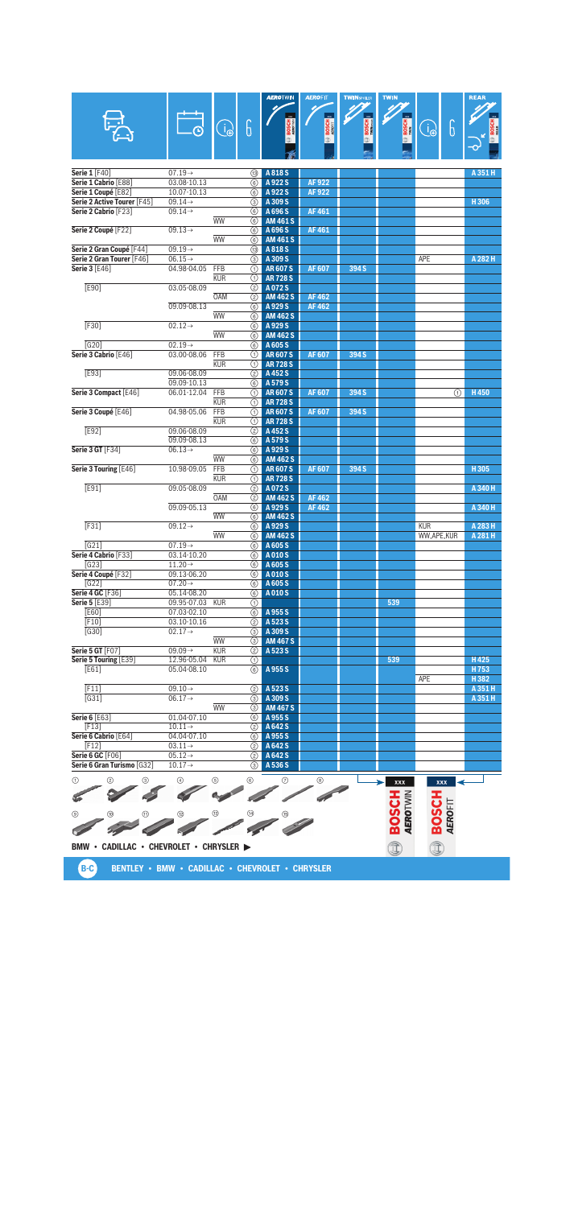|                                                   |                                            |                     |                    | <b>AEROTWIN</b>                | <b>AEROFIT</b>               | <b>TWINSPOLER</b> | <b>TWIN</b>              |                                | <b>REAR</b>     |
|---------------------------------------------------|--------------------------------------------|---------------------|--------------------|--------------------------------|------------------------------|-------------------|--------------------------|--------------------------------|-----------------|
|                                                   |                                            |                     |                    |                                |                              |                   |                          |                                |                 |
|                                                   |                                            | $\bigoplus_{i=1}^n$ | 6                  |                                | <b>BOSCH</b>                 | BOSCH<br>Wilheson | <b>BOSCH</b>             | 6<br>ြု                        |                 |
|                                                   |                                            |                     |                    |                                |                              |                   |                          |                                |                 |
|                                                   |                                            |                     |                    |                                |                              |                   |                          |                                |                 |
|                                                   |                                            |                     |                    |                                |                              |                   |                          |                                |                 |
| Serie 1 [F40]<br>Serie 1 Cabrio [E88]             | $07.19 \rightarrow$<br>03.08-10.13         |                     | (13)<br>6          | A 818 S<br>A 922 S             | <b>AF922</b>                 |                   |                          |                                | A 351 H         |
| Serie 1 Coupé [E82]                               | 10.07-10.13                                |                     | 6                  | A 922 S                        | <b>AF922</b>                 |                   |                          |                                |                 |
| Serie 2 Active Tourer [F45]                       | $09.14 \rightarrow$                        |                     | 3                  | A 309 S                        |                              |                   |                          |                                | H306            |
| Serie 2 Cabrio [F23]                              | $09.14 \rightarrow$                        | <b>WW</b>           | 6                  | A 696 S                        | <b>AF461</b>                 |                   |                          |                                |                 |
| Serie 2 Coupé [F22]                               | $09.13 \rightarrow$                        |                     | 6<br>⊛             | <b>AM 461 S</b><br>A 696 S     | <b>AF461</b>                 |                   |                          |                                |                 |
|                                                   |                                            | <b>WW</b>           | 6                  | <b>AM 461 S</b>                |                              |                   |                          |                                |                 |
| Serie 2 Gran Coupé [F44]                          | $09.19 \rightarrow$                        |                     | (13)               | A 818 S                        |                              |                   |                          |                                |                 |
| Serie 2 Gran Tourer [F46]<br><b>Serie 3 [E46]</b> | $06.15 \rightarrow$<br>04.98-04.05         | <b>FFB</b>          | 3<br>⋒             | A 309 S<br><b>AR607S</b>       | <b>AF607</b>                 | 394 S             |                          | APE                            | A 282 H         |
|                                                   |                                            | <b>KUR</b>          | ⋒                  | <b>AR728S</b>                  |                              |                   |                          |                                |                 |
| E90]                                              | 03.05-08.09                                |                     | (2)                | A072S                          |                              |                   |                          |                                |                 |
|                                                   | 09.09-08.13                                | <b>OAM</b>          | ②<br>6             | <b>AM 462 S</b><br>A 929 S     | <b>AF462</b><br><b>AF462</b> |                   |                          |                                |                 |
|                                                   |                                            | <b>WW</b>           | 6                  | <b>AM 462 S</b>                |                              |                   |                          |                                |                 |
| F30                                               | $02.12 \rightarrow$                        |                     | ⊛                  | A929S                          |                              |                   |                          |                                |                 |
|                                                   |                                            | <b>WW</b>           | 6                  | <b>AM 462 S</b>                |                              |                   |                          |                                |                 |
| G20<br>Serie 3 Cabrio [E46]                       | $02.19 \rightarrow$<br>03.00-08.06         | FFB                 | ⊛<br>⋒             | A 605 S<br><b>AR607S</b>       | <b>AF607</b>                 | 394 S             |                          |                                |                 |
|                                                   |                                            | <b>KUR</b>          | ⋒                  | <b>AR728S</b>                  |                              |                   |                          |                                |                 |
| E93]                                              | 09.06-08.09                                |                     | (2)                | A 452 S                        |                              |                   |                          |                                |                 |
| Serie 3 Compact [E46]                             | 09.09-10.13<br>06.01-12.04                 | FFB                 | 6<br>⋒             | A 579 S<br><b>AR607S</b>       | <b>AF607</b>                 | 394 S             |                          | G)                             | H450            |
|                                                   |                                            | <b>KUR</b>          | ⋒                  | <b>AR728S</b>                  |                              |                   |                          |                                |                 |
| Serie 3 Coupé [E46]                               | 04.98-05.06                                | FFB                 | ⋒                  | <b>AR607S</b>                  | <b>AF607</b>                 | 394 S             |                          |                                |                 |
|                                                   |                                            | <b>KUR</b>          | ⋒                  | <b>AR728S</b>                  |                              |                   |                          |                                |                 |
| F <sub>592</sub>                                  | 09.06-08.09<br>09.09-08.13                 |                     | (2)<br>⊛           | A452S<br>A 579 S               |                              |                   |                          |                                |                 |
| <b>Serie 3 GT [F34]</b>                           | $06.13\rightarrow$                         |                     | 6                  | A 929 S                        |                              |                   |                          |                                |                 |
|                                                   |                                            | <b>WW</b>           | $\circled{6}$      | <b>AM 462 S</b>                |                              |                   |                          |                                |                 |
| Serie 3 Touring [E46]                             | 10.98-09.05                                | FFB<br><b>KUR</b>   | ⋒<br>∩             | <b>AR607S</b><br><b>AR728S</b> | AF 607                       | 394 S             |                          |                                | H305            |
| E91]                                              | 09.05-08.09                                |                     | (2)                | A072S                          |                              |                   |                          |                                | A 340 H         |
|                                                   |                                            | <b>OAM</b>          | (2)                | <b>AM 462 S</b>                | <b>AF462</b>                 |                   |                          |                                |                 |
|                                                   | 09.09-05.13                                | <b>WW</b>           | 6<br>6             | A 929 S<br><b>AM 462 S</b>     | <b>AF462</b>                 |                   |                          |                                | A 340 H         |
| F <sub>311</sub>                                  | $09.12 \rightarrow$                        |                     | $\circled6$        | A 929 S                        |                              |                   |                          | <b>KUR</b>                     | A 283 H         |
|                                                   |                                            | <b>WW</b>           | 6                  | <b>AM 462 S</b>                |                              |                   |                          | WW,APE,KUR                     | A 281 H         |
| [G21]                                             | $07.19 \rightarrow$                        |                     | (6)                | A 605 S                        |                              |                   |                          |                                |                 |
| Serie 4 Cabrio [F33]<br>[G23]                     | 03.14-10.20<br>$11.20 \rightarrow$         |                     | ⊛<br>6             | A010S<br>A 605 S               |                              |                   |                          |                                |                 |
| Serie 4 Coupé [F32]                               | 09.13-06.20                                |                     | $\circled{6}$      | A010S                          |                              |                   |                          |                                |                 |
| [G22]                                             | $07.20 \rightarrow$                        |                     | 6                  | A 605 S                        |                              |                   |                          |                                |                 |
| <b>Serie 4 GC [F36]</b><br><b>Serie 5 [E39]</b>   | 05.14-08.20<br>09.95-07.03 KUR             |                     | 6<br>⊕             | A 010 S                        |                              |                   | 539                      |                                |                 |
| <b>[E60]</b>                                      | 07.03-02.10                                |                     | 6                  | A 955 S                        |                              |                   |                          |                                |                 |
| [F10]                                             | 03.10-10.16                                |                     | (2)                | A 523 S                        |                              |                   |                          |                                |                 |
| $[G30]$                                           | $02.17 \rightarrow$                        | <b>WW</b>           | 3<br>⊚             | A 309 S<br><b>AM 467 S</b>     |                              |                   |                          |                                |                 |
| <b>Serie 5 GT [F07]</b>                           | $09.09 \rightarrow$                        | <b>KUR</b>          | $\circled{2}$      | A 523 S                        |                              |                   |                          |                                |                 |
| Serie 5 Touring [E39]                             | 12.96-05.04                                | <b>KUR</b>          | (1)                |                                |                              |                   | 539                      |                                | H425            |
| [E61]                                             | 05.04-08.10                                |                     | 6                  | A955S                          |                              |                   |                          |                                | H753            |
| [F11]                                             | $09.10 \rightarrow$                        |                     | (2)                | A 523 S                        |                              |                   |                          | APE                            | H382<br>A 351 H |
| $\overline{[G31]}$                                | $06.17 \rightarrow$                        |                     | 3                  | A 309 S                        |                              |                   |                          |                                | A 351 H         |
|                                                   |                                            | <b>WW</b>           | $\circled{3}$      | <b>AM 467 S</b>                |                              |                   |                          |                                |                 |
| <b>Serie 6 [E63]</b><br>[F13]                     | 01.04-07.10<br>$10.11 \rightarrow$         |                     | (6)<br>(2)         | A 955 S<br>A 642 S             |                              |                   |                          |                                |                 |
| Serie 6 Cabrio [E64]                              | 04.04-07.10                                |                     | (6)                | A 955 S                        |                              |                   |                          |                                |                 |
| F12                                               | $03.11 \rightarrow$                        |                     | (2)                | A 642 S                        |                              |                   |                          |                                |                 |
| Serie 6 GC [F06]<br>Serie 6 Gran Turismo [G32]    | $05.12 \rightarrow$<br>$10.17 \rightarrow$ |                     | $\circled{2}$<br>3 | A 642 S<br>A 536 S             |                              |                   |                          |                                |                 |
|                                                   |                                            |                     |                    |                                |                              |                   |                          |                                |                 |
| ➁<br>⊚<br>⊕                                       |                                            | ⊕                   | ◉                  | ℗                              | ◉                            |                   | <b>XXX</b>               | <b>XXX</b>                     |                 |
|                                                   |                                            |                     |                    |                                |                              |                   | <b>BOSCH</b><br>AEROTWIN |                                |                 |
| നു<br>◉<br>⊕                                      |                                            | (13)                | ⑭                  |                                |                              |                   |                          | <b>BOSCH</b><br><b>AEROFIT</b> |                 |
|                                                   |                                            |                     |                    |                                |                              |                   |                          |                                |                 |
|                                                   |                                            |                     |                    |                                |                              |                   |                          |                                |                 |
| BMW • CADILLAC • CHEVROLET • CHRYSLER >           |                                            |                     |                    |                                |                              |                   | î                        | Î                              |                 |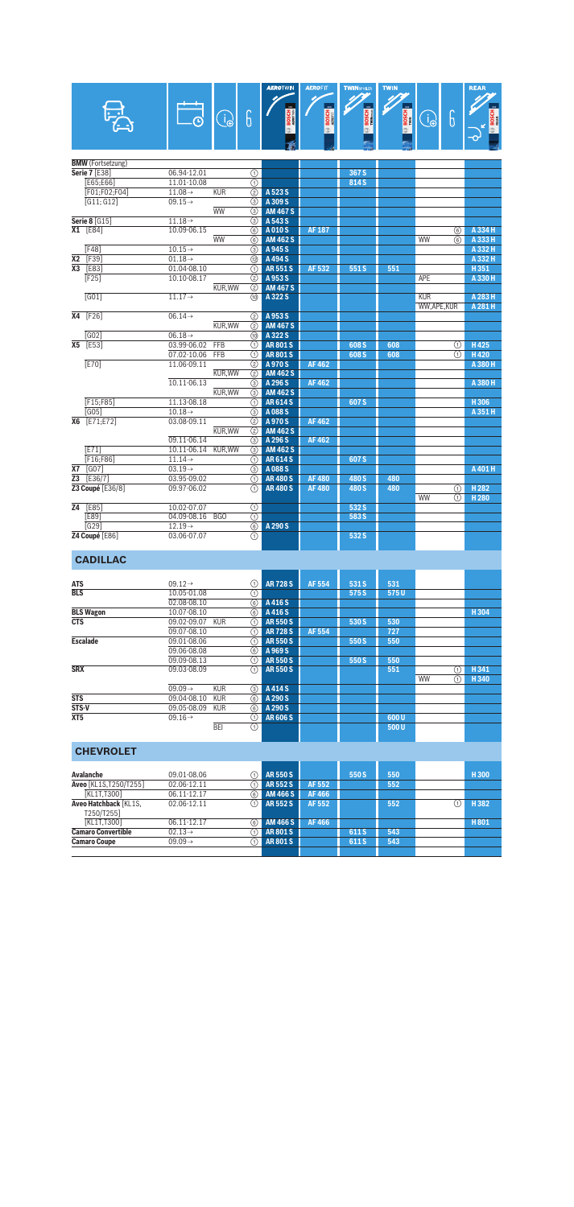|                 |                          |                     |                 |                              | AEROTWIN        | <b>AEROFIT</b> | <b>TWINSPOLER</b> | <b>TWIN</b>  |            |        | <b>REAR</b>        |
|-----------------|--------------------------|---------------------|-----------------|------------------------------|-----------------|----------------|-------------------|--------------|------------|--------|--------------------|
|                 |                          | $\Box$              | $\bigodot$      | 6                            | <b>BOSCH</b>    | <b>BOSCH</b>   | BOSCH E           | <b>BOSCH</b> | $\bigcirc$ | 6      |                    |
|                 |                          |                     |                 |                              | 令               | œ.             | œ                 |              |            |        | <b>BOSC</b>        |
|                 |                          |                     |                 |                              |                 |                |                   |              |            |        |                    |
|                 | <b>BMW</b> (Fortsetzung) |                     |                 |                              |                 |                |                   |              |            |        |                    |
|                 | <b>Serie 7 [E38]</b>     | 06.94-12.01         |                 | $^{\circ}$                   |                 |                | 367 <sub>S</sub>  |              |            |        |                    |
|                 | [E65;E66]                | 11.01-10.08         |                 | $\overline{(\text{f})}$      |                 |                | 814 S             |              |            |        |                    |
|                 | [F01:F02:F04]            | $11.08 \rightarrow$ | <b>KUR</b>      | $\overline{(2)}$             | A 523 S         |                |                   |              |            |        |                    |
|                 | $\overline{G11:G121}$    | $09.15 \rightarrow$ |                 | $\circled{3}$                | A 309 S         |                |                   |              |            |        |                    |
|                 |                          |                     | <b>WW</b>       | (3)                          | <b>AM 467 S</b> |                |                   |              |            |        |                    |
|                 | <b>Serie 8 [G15]</b>     | $11.18 \rightarrow$ |                 | $\overline{(\mathbf{3})}$    | A 543 S         |                |                   |              |            |        |                    |
|                 | $X1$ [E84]               | 10.09-06.15         |                 | $\overline{6}$               | A010S           | <b>AF 187</b>  |                   |              |            | 6      | A 334 H            |
|                 |                          |                     | <b>WW</b>       | 6                            | <b>AM 462 S</b> |                |                   |              | <b>WW</b>  | 6      | A 333 H            |
|                 | F48                      | $10.15 \rightarrow$ |                 | ③                            | A 945 S         |                |                   |              |            |        | A 332 H            |
| <b>X2</b>       | [F39]                    | $01.18 \rightarrow$ |                 | 12                           | A 494 S         |                |                   |              |            |        | A 332 H            |
| Х3              | <b>FE83</b>              | 01.04-08.10         |                 | ⋒                            | <b>AR551S</b>   | AF 532         | 551S              | 551          |            |        | H351               |
|                 | F25                      | 10.10-08.17         |                 | (2)                          | A 953 S         |                |                   |              | <b>APE</b> |        | A 330 H            |
|                 |                          |                     | <b>KUR.WW</b>   | $\circled{2}$                | <b>AM 467 S</b> |                |                   |              |            |        |                    |
|                 | G01                      | $11.17 \rightarrow$ |                 | @                            | A 322 S         |                |                   |              | <b>KUR</b> |        | A 283 H<br>A 281 H |
| X4              |                          | $06.14 \rightarrow$ |                 |                              | A 953 S         |                |                   |              | WW,APE,KUR |        |                    |
|                 | [F26]                    |                     | <b>KUR, WW</b>  | (2)                          | <b>AM 467 S</b> |                |                   |              |            |        |                    |
|                 | $\sqrt{G02}$             | $06.18 \rightarrow$ |                 | (2)<br>1                     | A 322 S         |                |                   |              |            |        |                    |
| X5              | [E53]                    | 03.99-06.02         | <b>FFB</b>      |                              | <b>AR801S</b>   |                | 608 S             | 608          |            |        | H425               |
|                 |                          | 07.02-10.06         | <b>FFB</b>      | ⊕<br>$\overline{(\text{f})}$ | <b>AR801S</b>   |                | 608 <sub>S</sub>  | 608          |            | ⊕<br>⋒ | H420               |
|                 | F <sub>201</sub>         | 11.06-09.11         |                 | $\overline{(2)}$             | A 970 S         | <b>AF462</b>   |                   |              |            |        | A 380 H            |
|                 |                          |                     | <b>KUR.WW</b>   | $\overline{(2)}$             | <b>AM 462 S</b> |                |                   |              |            |        |                    |
|                 |                          | 10.11-06.13         |                 | (3)                          | A 296 S         | <b>AF462</b>   |                   |              |            |        | A 380 H            |
|                 |                          |                     | KUR, WW         | $\overline{(\mathbf{3})}$    | <b>AM 462 S</b> |                |                   |              |            |        |                    |
|                 | [F15;F85]                | 11.13-08.18         |                 | $\overline{\circ}$           | <b>AR614S</b>   |                | 607 S             |              |            |        | H306               |
|                 | G051                     | $10.18 \rightarrow$ |                 | (3)                          | A 088 S         |                |                   |              |            |        | A 351 H            |
|                 | X6 [E71:E72]             | 03.08-09.11         |                 | $\overline{(\overline{2})}$  | A 970 S         | AF 462         |                   |              |            |        |                    |
|                 |                          |                     | <b>KUR.WW</b>   | $\circled{2}$                | <b>AM 462 S</b> |                |                   |              |            |        |                    |
|                 |                          | 09.11-06.14         |                 | (3)                          | A 296 S         | <b>AF462</b>   |                   |              |            |        |                    |
|                 | E71                      | 10.11-06.14         | <b>KUR, WW</b>  | $\overline{\circ}$           | <b>AM 462 S</b> |                |                   |              |            |        |                    |
|                 | F16;F86]                 | $11.14\rightarrow$  |                 | ⋒                            | <b>AR614S</b>   |                | 607 S             |              |            |        |                    |
| <b>X7</b>       | <b>[GO7]</b>             | $03.19 \rightarrow$ |                 | $\overline{(\mathbf{3})}$    | A 088 S         |                |                   |              |            |        | A 401 H            |
| Z3              | $[E36/7]$                | 03.95-09.02         |                 | $\circledR$                  | <b>AR480S</b>   | <b>AF480</b>   | 480 S             | 480          |            |        |                    |
|                 | Z3 Coupé [E36/8]         | 09.97-06.02         |                 | ⋒                            | <b>AR480S</b>   | <b>AF480</b>   | 480 S             | 480          |            | の      | H <sub>282</sub>   |
|                 |                          |                     |                 |                              |                 |                |                   |              | <b>WW</b>  | ⋒      | H <sub>280</sub>   |
| $\overline{24}$ | E85                      | 10.02-07.07         |                 | $\overline{(\text{f})}$      |                 |                | 532 S             |              |            |        |                    |
|                 | <b>FE89</b>              | 04.09-08.16         | B <sub>GO</sub> | $\overline{\circ}$           |                 |                | 583 S             |              |            |        |                    |
|                 | G291                     | $12.19\rightarrow$  |                 | $\overline{\circ}$           | A 290 S         |                |                   |              |            |        |                    |
|                 | Z4 Coupé [E86]           | 03.06-07.07         |                 | $\overline{\mathcal{L}}$     |                 |                | 532 S             |              |            |        |                    |

## **CADILLAC**

| <b>ATS</b>       | $09.12 \rightarrow$               | ➀              | <b>AR728S</b> | AF 554 | 531 S | 531  |    |   |      |
|------------------|-----------------------------------|----------------|---------------|--------|-------|------|----|---|------|
| <b>BLS</b>       | 10.05-01.08                       | ⊕              |               |        | 575 S | 575U |    |   |      |
|                  | 02.08-08.10                       | 6              | A416S         |        |       |      |    |   |      |
| <b>BLS Wagon</b> | 10.07-08.10                       | ⊛              | A416S         |        |       |      |    |   | H304 |
| <b>CTS</b>       | 09.02-09.07<br><b>KUR</b>         | ⋒              | <b>AR550S</b> |        | 530 S | 530  |    |   |      |
|                  | 09.07-08.10                       | ⋒              | <b>AR728S</b> | AF 554 |       | 727  |    |   |      |
| <b>Escalade</b>  | 09.01-08.06                       | ⋒              | <b>AR550S</b> |        | 550 S | 550  |    |   |      |
|                  | 09.06-08.08                       | 6              | A 969 S       |        |       |      |    |   |      |
|                  | 09.09-08.13                       | ⋒              | <b>AR550S</b> |        | 550 S | 550  |    |   |      |
| <b>SRX</b>       | 09.03-08.09                       | $\circledcirc$ | <b>AR550S</b> |        |       | 551  |    | ⋒ | H341 |
|                  |                                   |                |               |        |       |      | WW | ⋒ | H340 |
|                  | $09.09 \rightarrow$<br><b>KUR</b> | ③              | A414S         |        |       |      |    |   |      |
| STS              | 09.04-08.10<br><b>KUR</b>         | ⊛              | A 290 S       |        |       |      |    |   |      |
| STS-V            | 09.05-08.09<br><b>KUR</b>         | 6              | A 290 S       |        |       |      |    |   |      |
| XT <sub>5</sub>  | $09.16 \rightarrow$               | ⋒              | <b>AR606S</b> |        |       | 600U |    |   |      |
|                  | <b>BEI</b>                        | ⋒              |               |        |       | 500U |    |   |      |
|                  |                                   |                |               |        |       |      |    |   |      |

## **CHEVROLET**

| Avalanche                           | 09.01-08.06         |     | <b>AR550S</b>   |        | 550 S | 550 | H300 |
|-------------------------------------|---------------------|-----|-----------------|--------|-------|-----|------|
| Aveo [KL1S.T250/T255]               | 02.06-12.11         |     | AR 552 S        | AF 552 |       | 552 |      |
| [KL1T.T300]                         | 06.11-12.17         | 6)  | <b>AM 466 S</b> | AF 466 |       |     |      |
| Aveo Hatchback [KL1S.<br>T250/T2551 | 02.06-12.11         | (1) | AR 552 S        | AF 552 |       | 552 | H382 |
| [KL1T.T300]                         | 06.11-12.17         | 6)  | <b>AM 466 S</b> | AF 466 |       |     | H801 |
| <b>Camaro Convertible</b>           | $02.13\rightarrow$  |     | <b>AR801S</b>   |        | 611 S | 543 |      |
| <b>Camaro Coupe</b>                 | $09.09 \rightarrow$ | (1) | <b>AR801S</b>   |        | 611 S | 543 |      |
|                                     |                     |     |                 |        |       |     |      |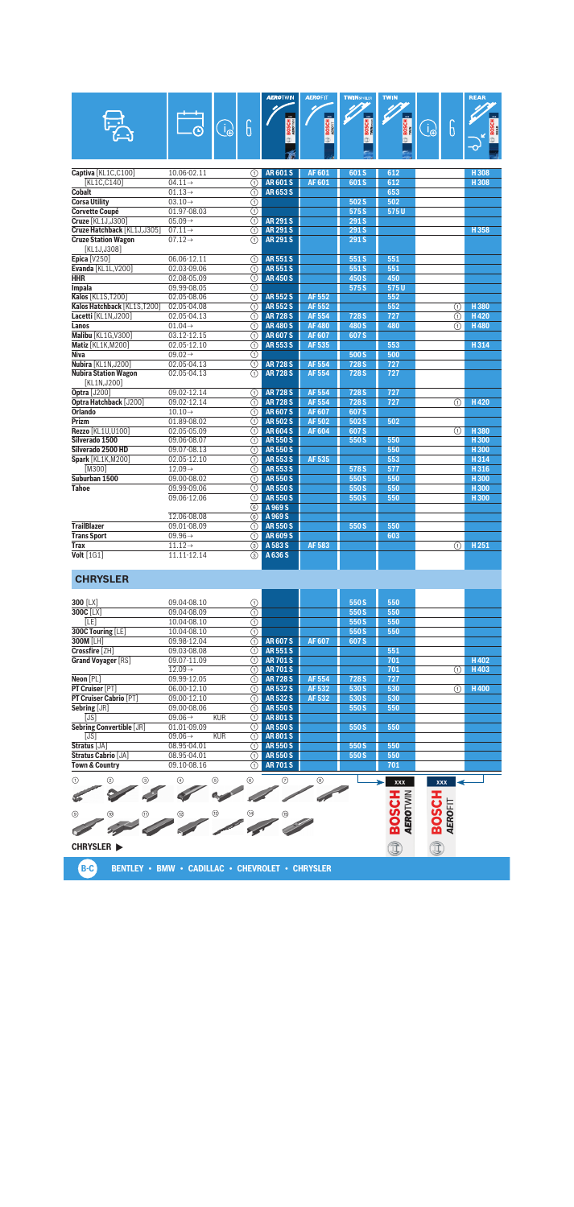|                             |                     |                                            | <b>AEROTWIN</b> | <b>AEROFIT</b> | <b>TWINSPOLER</b>        | <b>TWIN</b>  |   |                         | <b>REAR</b>      |
|-----------------------------|---------------------|--------------------------------------------|-----------------|----------------|--------------------------|--------------|---|-------------------------|------------------|
|                             |                     | 6<br>$\widehat{\mathbb{J}_{\mathfrak{E}}}$ | <b>BOSCH</b>    | <b>BOSCH</b>   | <u>m</u><br><b>BOSCH</b> | <b>BOSCH</b> | O | 6                       | <b>BOSCH</b>     |
|                             |                     |                                            |                 |                |                          | œ            |   |                         |                  |
|                             |                     |                                            |                 |                |                          |              |   |                         |                  |
|                             |                     |                                            |                 |                |                          |              |   |                         |                  |
| Captiva [KL1C,C100]         | 10.06-02.11         | ∩                                          | <b>AR601S</b>   | <b>AF601</b>   | 601 S                    | 612          |   |                         | H 308            |
| [KL1C,C140]                 | $04.11 \rightarrow$ | ⋒                                          | <b>AR601S</b>   | AF 601         | 601 S                    | 612          |   |                         | H308             |
| <b>Cobalt</b>               | $01.13 \rightarrow$ | ⋒                                          | <b>AR653S</b>   |                |                          | 653          |   |                         |                  |
| <b>Corsa Utility</b>        | $03.10 \rightarrow$ | $\overline{(\text{f})}$                    |                 |                | 502 S                    | 502          |   |                         |                  |
| <b>Corvette Coupé</b>       | 01.97-08.03         | ⋒                                          |                 |                | 575 S                    | 575U         |   |                         |                  |
| Cruze [KL1J.J300]           | $05.09 \rightarrow$ | $\overline{\circ}$                         | <b>AR291S</b>   |                | 291S                     |              |   |                         |                  |
| Cruze Hatchback [KL1J,J305] | $07.11 \rightarrow$ | $\overline{(\text{f})}$                    | <b>AR 291 S</b> |                | 291 <sub>S</sub>         |              |   |                         | H358             |
| <b>Cruze Station Wagon</b>  | $07.12 \rightarrow$ | $\overline{(\text{f})}$                    | <b>AR 291 S</b> |                | 291S                     |              |   |                         |                  |
| [KL1J,J308]                 |                     |                                            |                 |                |                          |              |   |                         |                  |
| Epica [V250]                | 06.06-12.11         | (T)                                        | <b>AR551S</b>   |                | 551S                     | 551          |   |                         |                  |
| Evanda [KL1L, V200]         | 02.03-09.06         | ⋒                                          | <b>AR551S</b>   |                | 551S                     | 551          |   |                         |                  |
| <b>HHR</b>                  | 02.08-05.09         | ⋒                                          | <b>AR450S</b>   |                | 450 S                    | 450          |   |                         |                  |
| <b>Impala</b>               | 09.99-08.05         | ⋒                                          |                 |                | 575 S                    | 575U         |   |                         |                  |
| Kalos [KL1S, T200]          | 02.05-08.06         | ⋒                                          | <b>AR552S</b>   | <b>AF 552</b>  |                          | 552          |   |                         |                  |
| Kalos Hatchback [KL1S,T200] | 02.05-04.08         | ⋒                                          | <b>AR552S</b>   | <b>AF552</b>   |                          | 552          |   | ⋒                       | H 380            |
| Lacetti [KL1N, J200]        | 02.05-04.13         | ⋒                                          | <b>AR728S</b>   | <b>AF 554</b>  | 728 S                    | 727          |   | $\overline{(\text{f})}$ | H420             |
| Lanos                       | $01.04 \rightarrow$ | ⋒                                          | <b>AR480S</b>   | <b>AF480</b>   | 480 S                    | 480          |   | ന                       | <b>H480</b>      |
| Malibu [KL1G, V300]         | 03.12-12.15         | ⋒                                          | <b>AR607S</b>   | <b>AF607</b>   | 607 <sub>S</sub>         |              |   |                         |                  |
| Matiz [KL1K, M200]          | 02.05-12.10         | ⋒                                          | <b>AR553S</b>   | AF 535         |                          | 553          |   |                         | H314             |
| <b>Niva</b>                 | $09.02 \rightarrow$ | ⋒                                          |                 |                | 500 S                    | 500          |   |                         |                  |
| Nubira [KL1N, J200]         | 02.05-04.13         | $\overline{\Omega}$                        | <b>AR728S</b>   | <b>AF 554</b>  | 728 <sub>S</sub>         | 727          |   |                         |                  |
| <b>Nubira Station Wagon</b> | 02.05-04.13         | $\overline{\mathbb{O}}$                    | <b>AR728S</b>   | <b>AF554</b>   | 728 <sub>S</sub>         | 727          |   |                         |                  |
| [KL1N,J200]                 |                     |                                            |                 |                |                          |              |   |                         |                  |
| <b>Optra [J200]</b>         | 09.02-12.14         | (T)                                        | <b>AR728S</b>   | <b>AF 554</b>  | 728 <sub>S</sub>         | 727          |   |                         |                  |
| Optra Hatchback [J200]      | 09.02-12.14         | $\overline{(\text{a})}$                    | <b>AR728S</b>   | <b>AF 554</b>  | 728 <sub>S</sub>         | 727          |   | ⋒                       | H420             |
| <b>Orlando</b>              | $10.10 \rightarrow$ | $\overline{(\text{a})}$                    | <b>AR607S</b>   | <b>AF607</b>   | 607 <sub>S</sub>         |              |   |                         |                  |
| Prizm                       | 01.89-08.02         | ∩                                          | <b>AR502S</b>   | <b>AF502</b>   | 502S                     | 502          |   |                         |                  |
| Rezzo [KL1U,U100]           | 02.05-05.09         | ⋒                                          | <b>AR604S</b>   | <b>AF604</b>   | 607 <sub>S</sub>         |              |   | ⋒                       | H380             |
| Silverado 1500              | 09.06-08.07         | ∩                                          | <b>AR550S</b>   |                | 550 S                    | 550          |   |                         | H300             |
| Silverado 2500 HD           | 09.07-08.13         | $\overline{(\text{a})}$                    | <b>AR550S</b>   |                |                          | 550          |   |                         | H <sub>300</sub> |
| <b>Spark</b> [KL1K, M200]   | 02.05-12.10         | $\overline{\circ}$                         | <b>AR553S</b>   | <b>AF535</b>   |                          | 553          |   |                         | H314             |
| [M300]                      | $12.09\rightarrow$  | ⋒                                          | <b>AR553S</b>   |                | 578 S                    | 577          |   |                         | H316             |
| Suburban 1500               | 09.00-08.02         | $\overline{(\text{f})}$                    | <b>AR550S</b>   |                | 550 S                    | 550          |   |                         | H <sub>300</sub> |
| <b>Tahoe</b>                | 09.99-09.06         | ⋒                                          | <b>AR550S</b>   |                | 550 S                    | 550          |   |                         | H <sub>300</sub> |
|                             | 09.06-12.06         | $\overline{(\text{f})}$                    | <b>AR550S</b>   |                | 550 S                    | 550          |   |                         | H <sub>300</sub> |
|                             |                     | 6                                          | A 969 S         |                |                          |              |   |                         |                  |
|                             | 12.06-08.08         | 6                                          | A 969 S         |                |                          |              |   |                         |                  |
| <b>TrailBlazer</b>          | 09.01-08.09         | ⋒                                          | <b>AR550S</b>   |                | 550 S                    | 550          |   |                         |                  |
| <b>Trans Sport</b>          | $09.96 \rightarrow$ | ⋒                                          | <b>AR609S</b>   |                |                          | 603          |   |                         |                  |
| <b>Trax</b>                 | $11.12 \rightarrow$ | ③                                          | A 583 S         | <b>AF583</b>   |                          |              |   | ⋒                       | H <sub>251</sub> |
| Volt [1G1]                  | 11.11-12.14         | ③                                          | A 636 S         |                |                          |              |   |                         |                  |

#### **CHRYSLER**

| 300 [LX]<br>550 S<br>550<br>09.04-08.10<br>⋒<br>⊕<br>300C [LX]<br>09.04-08.09<br>550 S<br>550 |      |
|-----------------------------------------------------------------------------------------------|------|
|                                                                                               |      |
|                                                                                               |      |
| ⊕<br>10.04-08.10<br>550 S<br>550<br>[LE]                                                      |      |
| 300C Touring [LE]<br>10.04-08.10<br>550<br>550 S<br>⋒                                         |      |
| <b>300M [LH]</b><br><b>AR607S</b><br><b>AF607</b><br>09.98-12.04<br>607 S<br>(1)              |      |
| Crossfire [ZH]<br>09.03-08.08<br><b>AR551S</b><br>551<br>(1)                                  |      |
| <b>Grand Voyager [RS]</b><br>09.07-11.09<br><b>AR701S</b><br>701<br>(1)                       | H402 |
| $12.09\rightarrow$<br><b>AR701S</b><br>701<br>(1)<br>(1)                                      | H403 |
| Neon [PL]<br><b>AR728S</b><br><b>AF554</b><br>09.99-12.05<br>728 S<br>727<br>(1)              |      |
| PT Cruiser [PT]<br><b>AR532S</b><br>AF 532<br>06.00-12.10<br>530 S<br>530<br>⋒<br>(1)         | H400 |
| <b>PT Cruiser Cabrio [PT]</b><br>09.00-12.10<br><b>AR532S</b><br>AF 532<br>530 S<br>530<br>⋒  |      |
| Sebring [JR]<br><b>AR550S</b><br>09.00-08.06<br>550 S<br>550<br>$\left( 1\right)$             |      |
| <b>KUR</b><br>[JS]<br>$09.06\rightarrow$<br><b>AR801S</b><br>$\left( 1\right)$                |      |
| <b>Sebring Convertible [JR]</b><br><b>AR550S</b><br>01.01-09.09<br>550 S<br>550<br>(1)        |      |
| [JS]<br><b>KUR</b><br><b>AR801S</b><br>$09.06\rightarrow$<br>(1)                              |      |
| Stratus [JA]<br><b>AR550S</b><br>08.95-04.01<br>550 S<br>550<br>$\left( 1\right)$             |      |
| <b>Stratus Cabrio [JA]</b><br><b>AR550S</b><br>08.95-04.01<br>550 S<br>550<br>(1)             |      |
| 09.10-08.16<br><b>AR701S</b><br><b>Town &amp; Country</b><br>701<br>(1)                       |      |

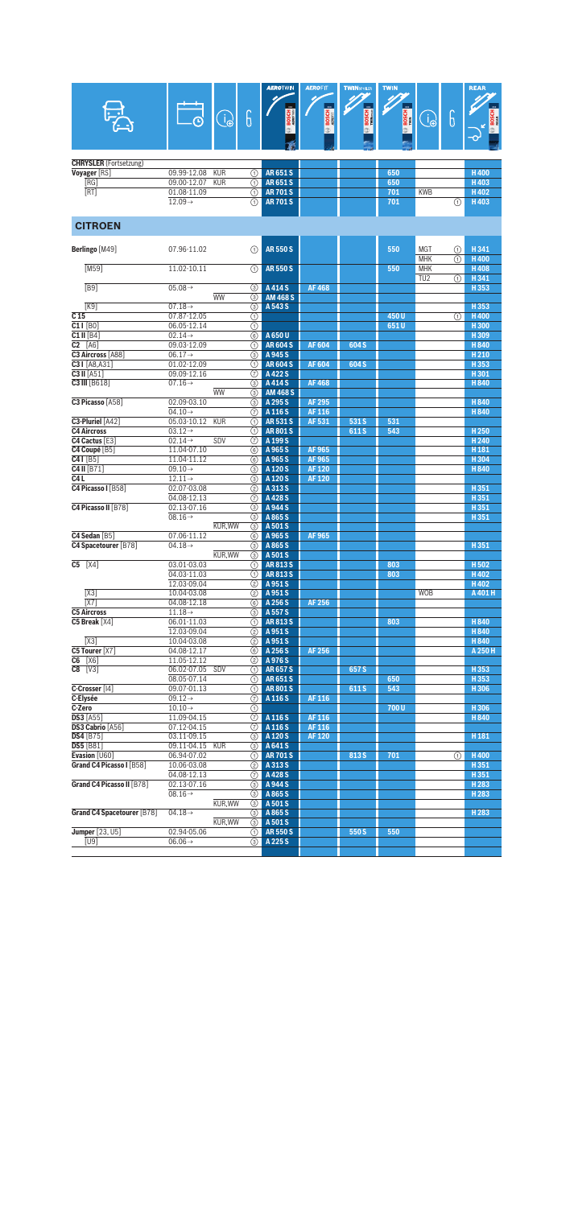|                                        |                                    |                     |                         | <b>AEROTWIN</b>                | <b>AEROFIT</b> | <b>TWINSPOILER</b> | <b>TWIN</b> |                 |   | <b>REAR</b>      |
|----------------------------------------|------------------------------------|---------------------|-------------------------|--------------------------------|----------------|--------------------|-------------|-----------------|---|------------------|
|                                        |                                    |                     |                         |                                |                |                    |             |                 |   |                  |
|                                        |                                    | $\bigoplus_{i=1}^n$ | 6                       |                                | <b>BOSCH</b>   | BOSCH              | BOSCH       | Ô               | 6 | <b>BOSC</b>      |
|                                        |                                    |                     |                         |                                |                | ⊕                  |             |                 |   |                  |
|                                        |                                    |                     |                         |                                |                |                    |             |                 |   |                  |
|                                        |                                    |                     |                         |                                |                |                    |             |                 |   |                  |
| <b>CHRYSLER</b> (Fortsetzung)          |                                    |                     |                         |                                |                |                    |             |                 |   |                  |
| Voyager [RS]                           | 09.99-12.08                        | <b>KUR</b>          | ⋒                       | <b>AR651S</b>                  |                |                    | 650         |                 |   | <b>H400</b>      |
| [RG]<br>[RT]                           | 09.00-12.07<br>01.08-11.09         | <b>KUR</b>          | ⊕<br>⋒                  | <b>AR651S</b><br><b>AR701S</b> |                |                    | 650<br>701  | <b>KWB</b>      |   | H403<br>H402     |
|                                        | $12.09 \rightarrow$                |                     | ⋒                       | <b>AR701S</b>                  |                |                    | 701         |                 | ⋒ | H403             |
|                                        |                                    |                     |                         |                                |                |                    |             |                 |   |                  |
| <b>CITROEN</b>                         |                                    |                     |                         |                                |                |                    |             |                 |   |                  |
|                                        |                                    |                     |                         |                                |                |                    |             |                 |   |                  |
| Berlingo [M49]                         | 07.96-11.02                        |                     | ∩                       | <b>AR550S</b>                  |                |                    | 550         | <b>MGT</b>      | ⊕ | H341             |
|                                        |                                    |                     |                         |                                |                |                    |             | <b>MHK</b>      | ⋒ | <b>H400</b>      |
| [M59]                                  | 11.02-10.11                        |                     | ⋒                       | <b>AR550S</b>                  |                |                    | 550         | <b>MHK</b>      |   | <b>H408</b>      |
|                                        |                                    |                     |                         |                                |                |                    |             | TU <sub>2</sub> | ⋒ | H341             |
| FB9                                    | $05.08 \rightarrow$                | <b>WW</b>           | 3<br>3                  | A 414 S<br><b>AM 468 S</b>     | <b>AF468</b>   |                    |             |                 |   | H353             |
| [K9]                                   | $07.18 \rightarrow$                |                     | $\circledcirc$          | A 543 S                        |                |                    |             |                 |   | H353             |
| C <sub>15</sub>                        | 07.87-12.05                        |                     | ⊕                       |                                |                |                    | 450U        |                 | ① | H400             |
| $C11$ [B0]                             | 06.05-12.14                        |                     | $\overline{(\text{f})}$ |                                |                |                    | 651U        |                 |   | H300             |
| $C1$ II [B4]                           | $02.14 \rightarrow$                |                     | 6                       | A 650 U                        |                |                    |             |                 |   | H309             |
| $\overline{C2}$ [A6]                   | 09.03-12.09                        |                     | ⋒                       | <b>AR604S</b>                  | <b>AF604</b>   | 604 S              |             |                 |   | H840             |
| C3 Aircross [A88]                      | $06.17 \rightarrow$                |                     | ⊚                       | A 945 S                        |                |                    |             |                 |   | H <sub>210</sub> |
| C31 [A8, A31]                          | 01.02-12.09                        |                     | ⊕                       | <b>AR604S</b>                  | <b>AF604</b>   | 604 S              |             |                 |   | H353             |
| $C3$ II [A51]<br>C3 III [B618]         | 09.09-12.16<br>$07.16 \rightarrow$ |                     | 7<br>⊚                  | A 422 S<br>A 414 S             | <b>AF468</b>   |                    |             |                 |   | H301<br>H840     |
|                                        |                                    | <b>WW</b>           | ③                       | <b>AM 468 S</b>                |                |                    |             |                 |   |                  |
| C3 Picasso [A58]                       | 02.09-03.10                        |                     | 3                       | A 295 S                        | <b>AF 295</b>  |                    |             |                 |   | H840             |
|                                        | $04.10 \rightarrow$                |                     | 7                       | A 116 S                        | AF 116         |                    |             |                 |   | H840             |
| C3-Pluriel [A42]                       | 05.03-10.12                        | <b>KUR</b>          | ⋒                       | <b>AR531S</b>                  | AF 531         | 531 S              | 531         |                 |   |                  |
| <b>C4 Aircross</b>                     | $03.12 \rightarrow$                |                     | ⋒                       | <b>AR801S</b>                  |                | 611 S              | 543         |                 |   | H <sub>250</sub> |
| C4 Cactus [E3]                         | $02.14 \rightarrow$                | SDV                 | 7                       | A 199 S                        |                |                    |             |                 |   | H <sub>240</sub> |
| C4 Coupé [B5]                          | 11.04-07.10                        |                     | 6                       | A 965 S                        | <b>AF965</b>   |                    |             |                 |   | H <sub>181</sub> |
| $C41$ [B5]                             | 11.04-11.12                        |                     | 6                       | A 965 S                        | AF 965         |                    |             |                 |   | H304             |
| C4 II [B71]                            | $09.10 \rightarrow$                |                     | ⊚                       | A 120 S                        | <b>AF120</b>   |                    |             |                 |   | H840             |
| C <sub>4</sub> L<br>C4 Picasso I [B58] | $12.11 \rightarrow$<br>02.07-03.08 |                     | 3                       | A 120 S<br>A 313 S             | <b>AF120</b>   |                    |             |                 |   | H351             |
|                                        | 04.08-12.13                        |                     | (2)<br>7                | A428S                          |                |                    |             |                 |   | H351             |
| C4 Picasso II [B78]                    | 02.13-07.16                        |                     | ③                       | A 944 S                        |                |                    |             |                 |   | H351             |
|                                        | $08.16 \rightarrow$                |                     | 3                       | A865S                          |                |                    |             |                 |   | H 351            |
|                                        |                                    | <b>KUR.WW</b>       | 3                       | A 501 S                        |                |                    |             |                 |   |                  |
| C4 Sedan [B5]                          | 07.06-11.12                        |                     | 6                       | A 965 S                        | AF 965         |                    |             |                 |   |                  |
| C4 Spacetourer [B78]                   | $04.18 \rightarrow$                |                     | 3                       | A 865 S                        |                |                    |             |                 |   | H351             |
|                                        |                                    | KUR, WW             | 3                       | A 501 S                        |                |                    |             |                 |   |                  |
| $C5$ [ $X4$ ]                          | 03.01-03.03                        |                     | ⋒                       | AR813S                         |                |                    | 803         |                 |   | H502             |
|                                        | 04.03-11.03                        |                     | ⋒                       | <b>AR813S</b>                  |                |                    | 803         |                 |   | H402             |
|                                        | 12.03-09.04                        |                     | ➁                       | A 951 S                        |                |                    |             |                 |   | H402             |
| [X3]<br>[X7]                           | 10.04-03.08<br>04.08-12.18         |                     |                         | 2 A 951 S<br>6 A 256 S         | AF 256         |                    |             | <b>WOB</b>      |   | A401H            |
| <b>C5 Aircross</b>                     | $11.18 \rightarrow$                |                     | (3)                     | A 557 S                        |                |                    |             |                 |   |                  |
| C5 Break [X4]                          | 06.01-11.03                        |                     | ∩                       | AR8135                         |                |                    | 803         |                 |   | H840             |
|                                        | 12.03-09.04                        |                     | (2)                     | A 951 S                        |                |                    |             |                 |   | H840             |
| [X3]                                   | 10.04-03.08                        |                     | ②                       | A 951 S                        |                |                    |             |                 |   | H840             |
| C5 Tourer [X7]                         | 04.08-12.17                        |                     | ⑥                       | A 256 S                        | AF 256         |                    |             |                 |   | A 250 H          |
| $C6$ [X6]                              | 11.05-12.12                        |                     | ☺                       | A 976 S                        |                |                    |             |                 |   |                  |
| $C8$ [V3]                              | 06.02-07.05 SDV                    |                     | (1)                     | AR 657 S                       |                | 657 S              |             |                 |   | H353             |
|                                        | 08.05-07.14                        |                     | ⊕                       | <b>AR651S</b>                  |                |                    | 650         |                 |   | H353             |
| C-Crosser [14]                         | 09.07-01.13                        |                     | ∩                       | <b>AR801S</b>                  |                | 611S               | 543         |                 |   | H306             |
| C-Elysée                               | $09.12 \rightarrow$                |                     | ℗                       | A 116 S                        | AF 116         |                    |             |                 |   |                  |
| C-Zero<br><b>DS3</b> [A55]             | $10.10 \rightarrow$<br>11.09-04.15 |                     | ⊕                       | A 116 S                        | AF 116         |                    | 700U        |                 |   | H306<br>H840     |
| DS3 Cabrio [A56]                       | 07.12-04.15                        |                     | $\odot$<br>⊙            | A 116 S                        | AF 116         |                    |             |                 |   |                  |
| <b>DS4</b> [B75]                       | 03.11-09.15                        |                     | 3                       | A 120 S                        | <b>AF120</b>   |                    |             |                 |   | H <sub>181</sub> |
| <b>DS5</b> [B81]                       | 09.11-04.15                        | <b>KUR</b>          | 3                       | A 641 S                        |                |                    |             |                 |   |                  |
| Evasion [U60]                          | 06.94-07.02                        |                     | ⊕                       | <b>AR701S</b>                  |                | 813 S              | 701         |                 | ⊕ | H400             |
| Grand C4 Picasso I [B58]               | 10.06-03.08                        |                     | ➁                       | A 313 S                        |                |                    |             |                 |   | H351             |
|                                        | 04.08-12.13                        |                     | ℗                       | A428S                          |                |                    |             |                 |   | H351             |
| Grand C4 Picasso II [B78]              | 02.13-07.16                        |                     |                         | <b>3</b> A 944 S               |                |                    |             |                 |   | H <sub>283</sub> |
|                                        | $08.16 \rightarrow$                |                     | ⊚                       | A 865 S                        |                |                    |             |                 |   | H 283            |
|                                        |                                    | KUR, WW             | (3)                     | A 501 S                        |                |                    |             |                 |   |                  |
| Grand C4 Spacetourer [B78]             | $04.18 \rightarrow$                | KUR, WW             | (3)<br>⊚                | A 865 S<br>A 501 S             |                |                    |             |                 |   | H <sub>283</sub> |
| Jumper [23, U5]                        | 02.94-05.06                        |                     | $\odot$                 | AR 550 S                       |                | 550 S              | 550         |                 |   |                  |
| $\overline{[U9]}$                      | $06.06 \rightarrow$                |                     | (3)                     | A 225 S                        |                |                    |             |                 |   |                  |
|                                        |                                    |                     |                         |                                |                |                    |             |                 |   |                  |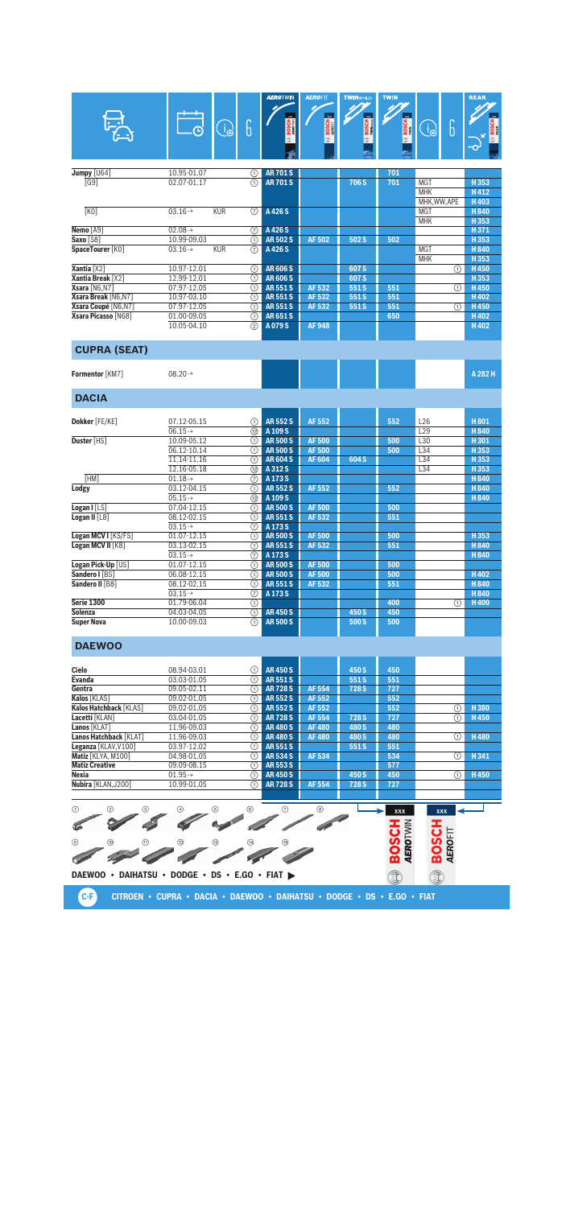|                                                |                                    |                                 |                    | <b>AEROTWIN</b>                  | <b>AEROFIT</b>          | <b>TWINSPOILER</b> | <b>TWIN</b>                     |                          |          | <b>REAR</b>         |
|------------------------------------------------|------------------------------------|---------------------------------|--------------------|----------------------------------|-------------------------|--------------------|---------------------------------|--------------------------|----------|---------------------|
|                                                |                                    |                                 |                    |                                  |                         |                    |                                 |                          |          |                     |
|                                                |                                    | $\widehat{\mathbb{d}_{\oplus}}$ | 6                  | <b>BOSCH</b>                     | <b>BOSCH</b>            | <b>BOSCH</b>       | <b>BOSCH</b>                    | B                        | 6        |                     |
|                                                |                                    |                                 |                    |                                  |                         |                    |                                 |                          |          |                     |
|                                                |                                    |                                 |                    |                                  |                         |                    |                                 |                          |          |                     |
| Jumpy [U64]<br>[G9]                            | 10.95-01.07<br>02.07-01.17         |                                 | ①<br>(1)           | <b>AR701S</b><br><b>AR701S</b>   |                         | 706 S              | 701<br>701                      | <b>MGT</b>               |          | H353                |
|                                                |                                    |                                 |                    |                                  |                         |                    |                                 | <b>MHK</b>               |          | H412                |
|                                                |                                    |                                 |                    |                                  |                         |                    |                                 | MHK, WW, APE             |          | H403                |
| K <sub>0</sub>                                 | $03.16 \rightarrow$                | <b>KUR</b>                      | $\circled7$        | A 426 S                          |                         |                    |                                 | <b>MGT</b><br><b>MHK</b> |          | H840<br>H353        |
| Nemo [A9]                                      | $02.08 \rightarrow$                |                                 | (7)                | A426S                            |                         |                    |                                 |                          |          | H371                |
| Saxo [S8]                                      | 10.99-09.03                        |                                 | (T)                | <b>AR502S</b>                    | <b>AF502</b>            | 502 S              | 502                             |                          |          | H353                |
| SpaceTourer [KO]                               | $03.16 \rightarrow$                | <b>KUR</b>                      | $\circled7$        | A 426 S                          |                         |                    |                                 | <b>MGT</b><br><b>MHK</b> |          | <b>H840</b><br>H353 |
| Xantia [X2]                                    | 10.97-12.01                        |                                 | ⋒                  | <b>AR606S</b>                    |                         | 607S               |                                 |                          | O        | H450                |
| <b>Xantia Break</b> [X2]                       | 12.99-12.01                        |                                 | (1)                | <b>AR606S</b>                    |                         | 607 S              |                                 |                          |          | H353                |
| Xsara [N6.N7]                                  | 07.97-12.05                        |                                 | (T)                | <b>AR551S</b>                    | AF 532                  | 551S               | 551                             |                          | ⋒        | H450                |
| Xsara Break [N6,N7]                            | 10.97-03.10                        |                                 | ∩                  | <b>AR551S</b>                    | AF 532                  | 551S               | 551                             |                          |          | H402                |
| Xsara Coupé [N6,N7]<br>Xsara Picasso [N68]     | 07.97-12.05<br>01.00-09.05         |                                 | の<br>⋒             | <b>AR551S</b><br><b>AR651S</b>   | AF 532                  | 551S               | 551<br>650                      |                          | ⋒        | H450<br>H402        |
|                                                | 10.05-04.10                        |                                 | (2)                | A079S                            | <b>AF948</b>            |                    |                                 |                          |          | H402                |
|                                                |                                    |                                 |                    |                                  |                         |                    |                                 |                          |          |                     |
| <b>CUPRA (SEAT)</b>                            |                                    |                                 |                    |                                  |                         |                    |                                 |                          |          |                     |
| Formentor [KM7]                                | $08.20 \rightarrow$                |                                 |                    |                                  |                         |                    |                                 |                          |          | A 282 H             |
| <b>DACIA</b>                                   |                                    |                                 |                    |                                  |                         |                    |                                 |                          |          |                     |
|                                                |                                    |                                 |                    |                                  |                         |                    |                                 |                          |          |                     |
| Dokker [FE/KE]                                 | 07.12-05.15<br>$06.15 \rightarrow$ |                                 | ∩<br>12            | <b>AR552S</b><br>A 109 S         | <b>AF552</b>            |                    | 552                             | L <sub>26</sub><br>L29   |          | H801<br>H840        |
| Duster [HS]                                    | 10.09-05.12                        |                                 | ⋒                  | <b>AR500S</b>                    | <b>AF500</b>            |                    | 500                             | L30                      |          | H301                |
|                                                | 06.12-10.14                        |                                 | ①                  | <b>AR500S</b>                    | <b>AF500</b>            |                    | 500                             | L34                      |          | H353                |
|                                                | 11.14-11.16                        |                                 | ⋒                  | <b>AR604S</b>                    | <b>AF604</b>            | 604 S              |                                 | L34                      |          | H353                |
| [HM]                                           | 12.16-05.18                        |                                 | 12                 | A 312 S                          |                         |                    |                                 | L34                      |          | H353                |
| Lodgy                                          | $01.18 \rightarrow$<br>03.12-04.15 |                                 | 7<br>⋒             | A 173 S<br><b>AR552S</b>         | <b>AF552</b>            |                    | 552                             |                          |          | H840<br>H840        |
|                                                | $05.15 \rightarrow$                |                                 | 12                 | A 109 S                          |                         |                    |                                 |                          |          | H840                |
| Logan $I$ [LS]                                 | 07.04-12.15                        |                                 | ⋒                  | <b>AR500S</b>                    | <b>AF500</b>            |                    | 500                             |                          |          |                     |
| Logan II $[L8]$                                | 08.12-02.15                        |                                 | ∩                  | <b>AR551S</b>                    | AF 532                  |                    | 551                             |                          |          |                     |
| Logan MCV I [KS/FS]                            | $03.15 \rightarrow$<br>01.07-12.15 |                                 | 7<br>⋒             | A 173 S<br><b>AR500S</b>         | <b>AF500</b>            |                    | 500                             |                          |          | H353                |
| Logan MCV II [K8]                              | 03.13-02.15                        |                                 | ⊕                  | <b>AR551S</b>                    | AF 532                  |                    | 551                             |                          |          | H840                |
|                                                | $03.15 \rightarrow$                |                                 | 7                  | A 173 S                          |                         |                    |                                 |                          |          | H 840               |
| Logan Pick-Up [US]                             | 01.07-12.15                        |                                 | ①                  | <b>AR500S</b>                    | <b>AF500</b>            |                    | 500                             |                          |          |                     |
| Sandero I [BS]<br>Sandero II [B8]              | 06.08-12.15<br>08.12-02.15         |                                 | ⋒<br>⋒             | <b>AR 500 S</b><br><b>AR551S</b> | <b>AF 500</b><br>AF 532 |                    | 500<br>551                      |                          |          | H402<br>H840        |
|                                                | $03.15 \rightarrow$                |                                 | 7                  | A 173 S                          |                         |                    |                                 |                          |          | H840                |
| <b>Serie 1300</b>                              | 01.79-06.04                        |                                 | $\overline{\odot}$ |                                  |                         |                    | 400                             |                          | $\odot$  | H400                |
| Solenza                                        | 04.03-04.05                        |                                 | ⋒                  | <b>AR450S</b>                    |                         | 450 S              | 450                             |                          |          |                     |
| <b>Super Nova</b>                              | 10.00-09.03                        |                                 | ∩                  | <b>AR500S</b>                    |                         | 500 S              | 500                             |                          |          |                     |
| <b>DAEWOO</b>                                  |                                    |                                 |                    |                                  |                         |                    |                                 |                          |          |                     |
| Cielo                                          | 08.94-03.01                        |                                 | (1)                | <b>AR450S</b>                    |                         | 450 S              | 450                             |                          |          |                     |
| <b>Evanda</b>                                  | 03.03-01.05                        |                                 | (T)                | <b>AR551S</b>                    |                         | 551S               | 551                             |                          |          |                     |
| Gentra                                         | 09.05-02.11                        |                                 | (1)                | <b>AR728S</b>                    | AF 554                  | 728 <sub>S</sub>   | 727                             |                          |          |                     |
| Kalos [KLAS]<br>Kalos Hatchback [KLAS]         | 09.02-01.05                        |                                 | ∩                  | <b>AR552S</b>                    | AF 552                  |                    | 552                             |                          |          |                     |
| Lacetti [KLAN]                                 | 09.02-01.05<br>03.04-01.05         |                                 | ⋒<br>⋒             | <b>AR 552 S</b><br><b>AR728S</b> | AF 552<br>AF 554        | 728 <sub>S</sub>   | 552<br>727                      |                          | (1)<br>⋒ | H380<br>H450        |
| Lanos [KLAT]                                   | 11.96-09.03                        |                                 | ⊕                  | <b>AR480S</b>                    | <b>AF480</b>            | 480 S              | 480                             |                          |          |                     |
| Lanos Hatchback [KLAT]                         | 11.96-09.03                        |                                 | ∩                  | <b>AR480S</b>                    | <b>AF480</b>            | 480 S              | 480                             |                          | ⋒        | H480                |
| Leganza [KLAV, V100]                           | 03.97-12.02                        |                                 | (1)                | <b>AR551S</b>                    |                         | 551S               | 551                             |                          |          |                     |
| Matiz [KLYA, M100]<br><b>Matiz Creative</b>    | 04.98-01.05<br>09.09-08.15         |                                 | ⊕<br>⋒             | <b>AR 534 S</b><br>AR 553 S      | AF 534                  |                    | 534<br>577                      |                          | ⋒        | H341                |
| <b>Nexia</b>                                   | $01.95 \rightarrow$                |                                 | ⊕                  | <b>AR450S</b>                    |                         | 450 S              | 450                             |                          | ①        | H450                |
| Nubira [KLAN, J200]                            | 10.99-01.05                        |                                 | ⋒                  | <b>AR728S</b>                    | AF 554                  | 728 S              | 727                             |                          |          |                     |
| ➁<br>⊚<br>⊕                                    |                                    | ⑤                               | ◉                  | ℗                                | ◉                       |                    | xxx                             | <b>XXX</b>               |          |                     |
|                                                |                                    |                                 |                    |                                  |                         |                    |                                 |                          |          |                     |
|                                                |                                    |                                 |                    |                                  |                         |                    | <b>HCSOB</b><br><b>AEROTWIN</b> | <b>BOSCH</b>             |          |                     |
| ◉<br>⑽                                         | (12)                               | (13)                            |                    |                                  |                         |                    |                                 |                          |          |                     |
|                                                |                                    |                                 |                    |                                  |                         |                    |                                 |                          | AEROFIT  |                     |
|                                                |                                    |                                 |                    |                                  |                         |                    |                                 |                          |          |                     |
| DAEWOO · DAIHATSU · DODGE · DS · E.GO · FIAT > |                                    |                                 |                    |                                  |                         |                    | Î                               | Î                        |          |                     |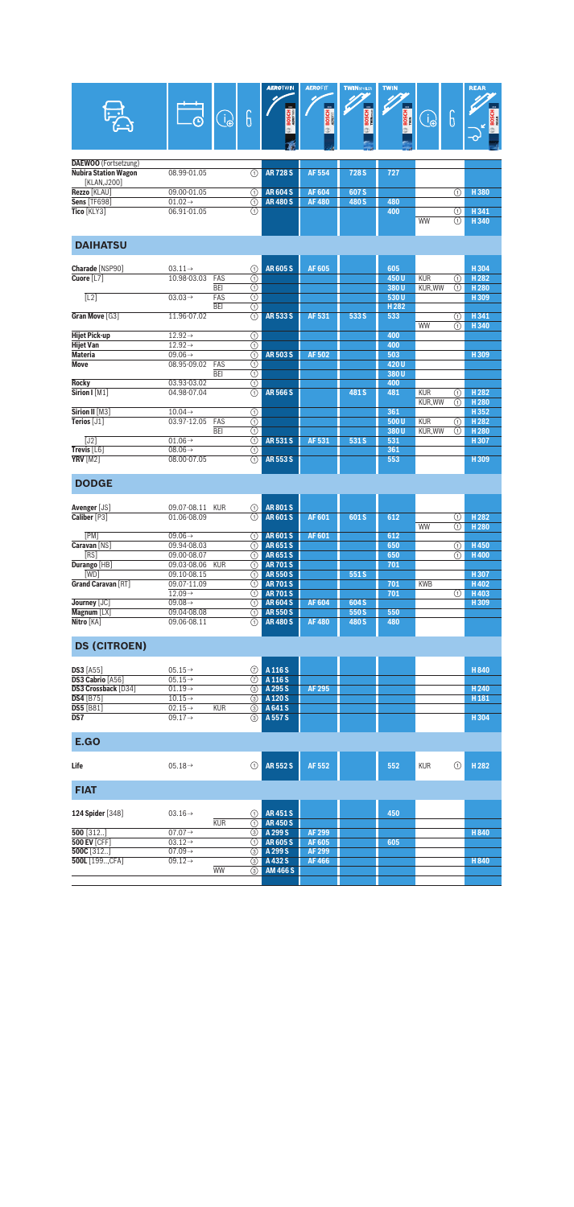| <u>—</u><br>Е               | ∩                   | J   | <b>AEROTWIN</b><br>$x\alpha$<br><b>BOSCH</b> | <b>AEROFIT</b><br>$x\alpha$<br><b>BOSCH</b> | <b>TWINSPOJLER</b><br>$\overline{\mathbf{m}}$<br><b>BOSCH</b> | <b>TWIN</b><br>$\overline{\mathbf{X}}$<br><b>BOSCH</b> | 'A | ◠<br>U | <b>REAR</b><br>$n\mathbf{x}$<br><b>BOSCH</b><br>$\overline{\mathbf{C}}$ |
|-----------------------------|---------------------|-----|----------------------------------------------|---------------------------------------------|---------------------------------------------------------------|--------------------------------------------------------|----|--------|-------------------------------------------------------------------------|
| <b>DAEWOO</b> (Fortsetzung) |                     |     |                                              |                                             |                                                               |                                                        |    |        |                                                                         |
| <b>Nubira Station Wagon</b> | 08.99-01.05         | (1) | <b>AR728S</b>                                | AF 554                                      | 728 S                                                         | 727                                                    |    |        |                                                                         |
| [KLAN, J200]                |                     |     |                                              |                                             |                                                               |                                                        |    |        |                                                                         |
| Rezzo [KLAU]                | 09.00-01.05         | ⋒   | <b>AR604S</b>                                | <b>AF604</b>                                | 607 S                                                         |                                                        |    | Ŧ      | H380                                                                    |
| <b>Sens [TF698]</b>         | $01.02 \rightarrow$ | (1) | <b>AR480S</b>                                | <b>AF480</b>                                | 480 S                                                         | 480                                                    |    |        |                                                                         |
| Tico [KLY3]                 | 06.91-01.05         | ⊕   |                                              |                                             |                                                               | 400                                                    |    |        | H341                                                                    |
|                             |                     |     |                                              |                                             |                                                               |                                                        |    |        |                                                                         |

<u>**11341**<br>WW ① H340</u>

| <b>DAIHATSI</b> |  |  |
|-----------------|--|--|
|                 |  |  |
|                 |  |  |

| Charade [NSP90]      | $03.11 \rightarrow$        | ∩ | <b>AR605S</b> | AF 605       |       | 605              |            |   | H304             |
|----------------------|----------------------------|---|---------------|--------------|-------|------------------|------------|---|------------------|
| Cuore [L7]           | 10.98-03.03<br>FAS         | ⊕ |               |              |       | 450U             | <b>KUR</b> | ⋒ | H <sub>282</sub> |
|                      | <b>BEI</b>                 | ➀ |               |              |       | 380U             | KUR.WW     | ⋒ | H <sub>280</sub> |
| [L2]                 | $03.03 \rightarrow$<br>FAS | ⊕ |               |              |       | 530U             |            |   | H309             |
|                      | <b>BEI</b>                 | ⋒ |               |              |       | H <sub>282</sub> |            |   |                  |
| Gran Move [G3]       | 11.96-07.02                | ⋒ | <b>AR5335</b> | <b>AF531</b> | 533 S | 533              |            | ∩ | H341             |
|                      |                            |   |               |              |       |                  | WW         | ∩ | H340             |
| <b>Hijet Pick-up</b> | $12.92 \rightarrow$        | ⊕ |               |              |       | 400              |            |   |                  |
| <b>Hijet Van</b>     | $12.92 \rightarrow$        | ➀ |               |              |       | 400              |            |   |                  |
| <b>Materia</b>       | $09.06\rightarrow$         | ⊕ | <b>AR503S</b> | AF 502       |       | 503              |            |   | H309             |
| <b>Move</b>          | 08.95-09.02<br>FAS         | ⊕ |               |              |       | 420U             |            |   |                  |
|                      | <b>BEI</b>                 | ⊚ |               |              |       | 380U             |            |   |                  |
| <b>Rocky</b>         | 03.93-03.02                | ⊕ |               |              |       | 400              |            |   |                  |
| Sirion I [M1]        | 04.98-07.04                | ⋒ | <b>AR566S</b> |              | 481 S | 481              | <b>KUR</b> | ⋒ | H <sub>282</sub> |
|                      |                            |   |               |              |       |                  | KUR.WW     | ⋒ | H <sub>280</sub> |
| Sirion II [M3]       | $10.04 \rightarrow$        | ⊕ |               |              |       | 361              |            |   | H352             |
| Terios [J1]          | FAS<br>03.97-12.05         | ➀ |               |              |       | 500U             | <b>KUR</b> | ∩ | H <sub>282</sub> |
|                      | <b>BEI</b>                 | ➀ |               |              |       | 380U             | KUR, WW    | ∩ | H <sub>280</sub> |
| [J2]                 | $01.06 \rightarrow$        | ⋒ | <b>AR531S</b> | AF 531       | 531 S | 531              |            |   | H307             |
| Trevis [L6]          | $08.06 \rightarrow$        | ⊕ |               |              |       | 361              |            |   |                  |
| <b>YRV</b> [M2]      | 08.00-07.05                | ⋒ | <b>AR553S</b> |              |       | 553              |            |   | H309             |
|                      |                            |   |               |              |       |                  |            |   |                  |

## **DODGE**

| <b>Avenger</b> [JS] | <b>KUR</b><br>09.07-08.11 | (1)      | <b>AR801S</b>   |              |       |     |            |     |                  |
|---------------------|---------------------------|----------|-----------------|--------------|-------|-----|------------|-----|------------------|
| Caliber [P3]        | 01.06-08.09               | (1)      | <b>AR601S</b>   | AF 601       | 601 S | 612 |            | 1)  | H <sub>282</sub> |
|                     |                           |          |                 |              |       |     | WW         | 11  | H <sub>280</sub> |
| <b>FPMT</b>         | $09.06\rightarrow$        | (1)      | <b>AR601S</b>   | AF 601       |       | 612 |            |     |                  |
| Caravan [NS]        | 09.94-08.03               | [1]      | AR651S          |              |       | 650 |            | 1)  | H450             |
| [RS]                | 09.00-08.07               | (1)      | AR651S          |              |       | 650 |            | (1) | H400             |
| Durango [HB]        | 09.03-08.06<br><b>KUR</b> |          | <b>AR701S</b>   |              |       | 701 |            |     |                  |
| [WD]                | 09.10-08.15               | (1)      | <b>AR550S</b>   |              | 551 S |     |            |     | H 307            |
| Grand Caravan [RT]  | 09.07-11.09               | (1)      | <b>AR701S</b>   |              |       | 701 | <b>KWB</b> |     | H402             |
|                     | $12.09\rightarrow$        | 〔1〕      | <b>AR701S</b>   |              |       | 701 |            | (1) | H403             |
| Journey [JC]        | $09.08 \rightarrow$       | (1)      | <b>AR604S</b>   | <b>AF604</b> | 604 S |     |            |     | H 309            |
| Magnum $[LX]$       | 09.04-08.08               | (1)      | <b>AR 550 S</b> |              | 550 S | 550 |            |     |                  |
| Nitro [KA]          | 09.06-08.11               | $^{(1)}$ | <b>AR480S</b>   | <b>AF480</b> | 480 S | 480 |            |     |                  |
|                     |                           |          |                 |              |       |     |            |     |                  |

#### **DS (CITROEN)**

| $DS3$ [A55]             | $05.15 \rightarrow$ |            | $\odot$ A 116 S  |        |  | H 840            |
|-------------------------|---------------------|------------|------------------|--------|--|------------------|
| <b>DS3 Cabrio [A56]</b> | $05.15 \rightarrow$ |            | $\circ$ A 116 S  |        |  |                  |
| DS3 Crossback [D34]     | $01.19\rightarrow$  |            | <b>3</b> A 295 S | AF 295 |  | H <sub>240</sub> |
| <b>DS4</b> [B75]        | $10.15 \rightarrow$ |            | <b>3</b> A 120 S |        |  | H <sub>181</sub> |
| <b>DS5 [B81]</b>        | $02.15 \rightarrow$ | <b>KUR</b> | <b>3</b> A 641 S |        |  |                  |
| $\overline{DS7}$        | $09.17 \rightarrow$ |            | <b>3</b> A 557 S |        |  | H 304            |
|                         |                     |            |                  |        |  |                  |

#### **E.GO**

| Life                | $05.18 \rightarrow$ |            | (1)           | <b>AR 552 S</b>                | AF 552 | 552 | <b>KUR</b> | (1) | H <sub>282</sub> |
|---------------------|---------------------|------------|---------------|--------------------------------|--------|-----|------------|-----|------------------|
| <b>FIAT</b>         |                     |            |               |                                |        |     |            |     |                  |
| 124 Spider [348]    | $03.16 \rightarrow$ | <b>KUR</b> | (1)<br>11     | <b>AR451S</b><br><b>AR450S</b> |        | 450 |            |     |                  |
| $500$ [312]         | $07.07 \rightarrow$ |            | ③             | A 299 S                        | AF 299 |     |            |     | H 840            |
| <b>500 EV [CFF]</b> | $03.12 \rightarrow$ |            | f 11          | <b>AR605S</b>                  | AF 605 | 605 |            |     |                  |
| 500C [312]          | $07.09 \rightarrow$ |            | (3)           | A 299 S                        | AF 299 |     |            |     |                  |
| 500L [199CFA]       | $09.12 \rightarrow$ |            | (3)           | A432 S                         | AF 466 |     |            |     | H840             |
|                     |                     | <b>WW</b>  | $\circled{3}$ | <b>AM 466 S</b>                |        |     |            |     |                  |
|                     |                     |            |               |                                |        |     |            |     |                  |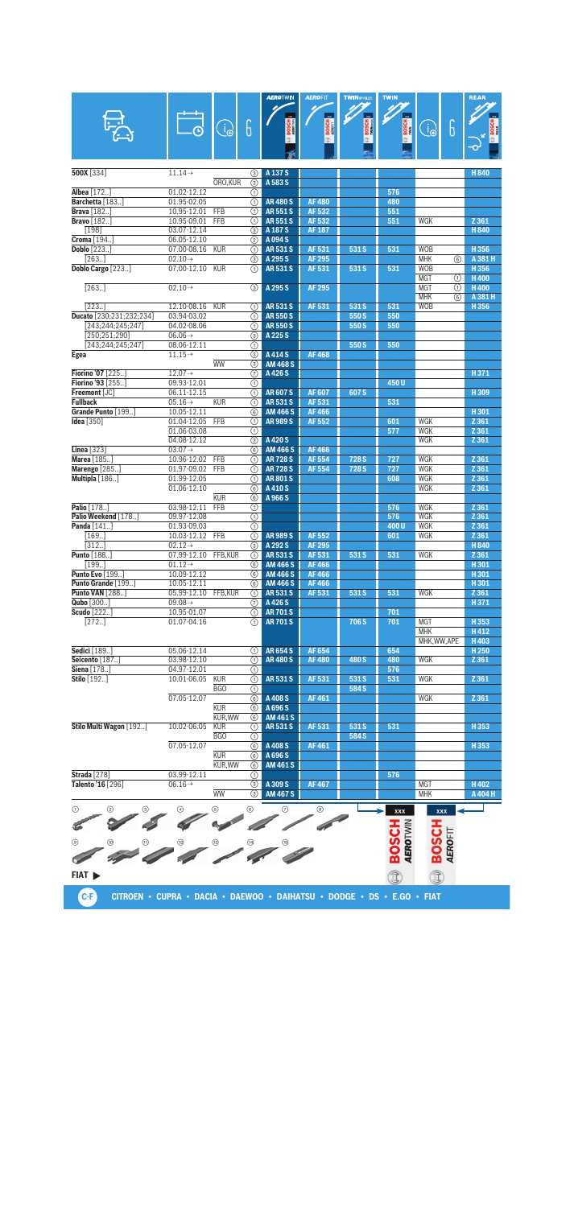|                                 |                     |                                 |               | <b>AEROTWIN</b> | <b>AEROFIT</b> | <b>TWINSPOLER</b> | <b>TWIN</b>              |                 | <b>REAR</b>      |
|---------------------------------|---------------------|---------------------------------|---------------|-----------------|----------------|-------------------|--------------------------|-----------------|------------------|
|                                 |                     |                                 |               |                 |                |                   |                          |                 |                  |
|                                 |                     |                                 |               | $\infty$        |                |                   |                          |                 |                  |
|                                 |                     | $\widehat{\mathbb{d}_{\oplus}}$ | 6             | <b>BOSCH</b>    | <b>BOSCH</b>   | <b>BOSCH</b>      | <b>BOSCH</b>             | 6<br>ြု         |                  |
|                                 |                     |                                 |               |                 |                |                   |                          |                 |                  |
|                                 |                     |                                 |               |                 |                |                   |                          |                 |                  |
|                                 |                     |                                 |               |                 |                |                   |                          |                 |                  |
| 500X [334]                      | $11.14\rightarrow$  |                                 | (3)           | A 137 S         |                |                   |                          |                 | <b>H840</b>      |
|                                 |                     | ORO, KUR                        | 3             | A 583 S         |                |                   |                          |                 |                  |
| <b>Albea</b> [172]              | 01.02-12.12         |                                 | ⋒             |                 |                |                   | 576                      |                 |                  |
| Barchetta [183.]                | 01.95-02.05         |                                 | ⋒             | <b>AR480S</b>   | <b>AF480</b>   |                   | 480                      |                 |                  |
| <b>Brava</b> [182]              | 10.95-12.01 FFB     |                                 | ⋒             | <b>AR551S</b>   | AF 532         |                   | 551                      |                 |                  |
| <b>Bravo</b> [182]              | $10.95 - 09.01$     | <b>FFB</b>                      | (1)           | <b>AR551S</b>   | AF 532         |                   | 551                      | <b>WGK</b>      | Z 361            |
| [198]                           | 03.07-12.14         |                                 | 3             | A 187 S         | <b>AF 187</b>  |                   |                          |                 | H840             |
| Croma [194]                     | 06.05-12.10         |                                 | (2)           | A094S           |                |                   |                          |                 |                  |
| <b>Doblo</b> $[223]$            | 07.00-08.16         | <b>KUR</b>                      | ⋒             | <b>AR531S</b>   | AF 531         | 531 S             | 531                      | <b>WOB</b>      | H356             |
| [263.]                          | $02.10 \rightarrow$ |                                 | 3             | A 295 S         | <b>AF 295</b>  |                   |                          | <b>MHK</b><br>6 | A 381 H          |
| Doblo Cargo [223]               | 07.00-12.10         | <b>KUR</b>                      | ⋒             | <b>AR531S</b>   | AF 531         | 531 S             | 531                      | <b>WOB</b>      | H356             |
|                                 |                     |                                 |               |                 |                |                   |                          | <b>MGT</b><br>O | H400             |
| [263.]                          | $02.10 \rightarrow$ |                                 | 3             | A 295 S         | <b>AF 295</b>  |                   |                          | <b>MGT</b><br>⋒ | H400             |
|                                 |                     |                                 |               |                 |                |                   |                          | <b>MHK</b><br>6 | A 381 H          |
| [223.]                          | 12.10-08.16         | <b>KUR</b>                      | ⋒             | <b>AR531S</b>   | AF 531         | 531 S             | 531                      | <b>WOB</b>      | H356             |
| Ducato [230;231;232;234]        | 03.94-03.02         |                                 | ⋒             | <b>AR550S</b>   |                | 550 S             | 550                      |                 |                  |
| [243;244;245;247]               | 04.02-08.06         |                                 | ⋒             | <b>AR550S</b>   |                | 550 S             | 550                      |                 |                  |
| [250; 251; 290]                 | $06.06 \rightarrow$ |                                 | 3             | A 225 S         |                |                   |                          |                 |                  |
| [243;244;245;247]               | 08.06-12.11         |                                 | ⋒             |                 |                | 550 S             | 550                      |                 |                  |
| Egea                            | $11.15 \rightarrow$ |                                 | $\circled{3}$ | A414S           | <b>AF468</b>   |                   |                          |                 |                  |
|                                 |                     | WW                              | ③             | <b>AM 468 S</b> |                |                   |                          |                 |                  |
| Fiorino '07 [225]               | $12.07 \rightarrow$ |                                 | 7             | A426S           |                |                   |                          |                 | H371             |
| Fiorino '93 [255]               | 09.93-12.01         |                                 | ⋒             |                 |                |                   | 450U                     |                 |                  |
| Freemont [JC]                   | 06.11-12.15         |                                 | ⋒             | <b>AR607S</b>   | <b>AF607</b>   | 607S              |                          |                 | H309             |
| <b>Fullback</b>                 | $05.16 \rightarrow$ | <b>KUR</b>                      | ⋒             | <b>AR531S</b>   | AF 531         |                   | 531                      |                 |                  |
| Grande Punto [199]              | 10.05-12.11         |                                 | 6             | <b>AM 466 S</b> | <b>AF466</b>   |                   |                          |                 | H301             |
| <b>Idea</b> [350]               | 01.04-12.05         | FFB                             | ⋒             | <b>AR989S</b>   | AF 552         |                   | 601                      | <b>WGK</b>      | Z 361            |
|                                 | 01.06-03.08         |                                 | ⋒             |                 |                |                   | 577                      | <b>WGK</b>      | Z 361            |
|                                 | 04.08-12.12         |                                 | 3             | A420S           |                |                   |                          | WGK             | Z 361            |
| Linea [323]                     | $03.07 \rightarrow$ |                                 | 6             | <b>AM 466 S</b> | <b>AF466</b>   |                   |                          |                 |                  |
| Marea [185]                     | 10.96-12.02         | FFB                             | (1)           | <b>AR728S</b>   | AF 554         | 728 <sub>S</sub>  | 727                      | <b>WGK</b>      | Z 361            |
| <b>Marengo</b> [285]            | 01.97-09.02         | <b>FFB</b>                      | ⋒             | <b>AR728S</b>   | <b>AF554</b>   | 728 <sub>S</sub>  | 727                      | <b>WGK</b>      | Z 361            |
| Multipla [186]                  | 01.99-12.05         |                                 | ⋒             | <b>AR801S</b>   |                |                   | 608                      | <b>WGK</b>      | Z 361            |
|                                 | 01.06-12.10         |                                 | 6             | A 410 S         |                |                   |                          | <b>WGK</b>      | Z 361            |
|                                 |                     | <b>KUR</b>                      | 6             | A 966 S         |                |                   |                          |                 |                  |
| Palio [178.]                    | 03.98-12.11         | FFB                             | ⋒             |                 |                |                   | 576                      | <b>WGK</b>      | Z 361            |
| Palio Weekend [178]             | 09.97-12.08         |                                 | ⋒             |                 |                |                   | 576                      | <b>WGK</b>      | Z 361            |
| Panda [141]                     | 01.93-09.03         |                                 | ⋒             |                 |                |                   | 400U                     | <b>WGK</b>      | Z 361            |
| $\overline{1}$ 69]              | 10.03-12.12         | FFB                             | ⋒             | <b>AR989S</b>   | <b>AF552</b>   |                   | 601                      | <b>WGK</b>      | Z 361            |
| [312.]                          | $02.12 \rightarrow$ |                                 | ③             | A 292 S         | <b>AF 295</b>  |                   |                          |                 | <b>H840</b>      |
| Punto [188]                     | 07.99-12.10         | FFB,KUR                         | ⋒             | <b>AR531S</b>   | AF 531         | 531 S             | 531                      | WGK             | Z 361            |
| [199.]                          | $01.12 \rightarrow$ |                                 | 6             | <b>AM 466 S</b> | <b>AF466</b>   |                   |                          |                 | H301             |
| <b>Punto Evo</b> [199]          | 10.09-12.12         |                                 | 6)            | <b>AM 466 S</b> | <b>AF466</b>   |                   |                          |                 | H301             |
| Punto Grande [199]              | 10.05-12.11         |                                 | 6             | <b>AM 466 S</b> | <b>AF466</b>   |                   |                          |                 | H301             |
| <b>Punto VAN</b> [288]          | 05.99-12.10         | FFB, KUR                        | $\odot$       | <b>AR531S</b>   | AF 531         | 531 S             | 531                      | WGK             | Z 361            |
| Qubo [300]                      | 09.08 $\rightarrow$ |                                 | ℗             | A 426 S         |                |                   |                          |                 | H371             |
| Scudo [222]                     | 10.95-01.07         |                                 | ⋒             | <b>AR701S</b>   |                |                   | 701                      |                 |                  |
| $[272.]$                        | 01.07-04.16         |                                 |               | <b>AR 701 S</b> |                | 706 S             | 701                      | <b>MGT</b>      | H353             |
|                                 |                     |                                 | (1)           |                 |                |                   |                          | <b>MHK</b>      |                  |
|                                 |                     |                                 |               |                 |                |                   |                          | MHK.WW.APE      | H412<br>H403     |
|                                 |                     |                                 |               |                 | <b>AF654</b>   |                   |                          |                 |                  |
| Sedici [189.]<br>Seicento [187] | 05.06-12.14         |                                 | (1)<br>⋒      | <b>AR654S</b>   | <b>AF480</b>   | 480 S             | 654<br>480               | <b>WGK</b>      | H <sub>250</sub> |
|                                 | 03.98-12.10         |                                 |               | <b>AR480S</b>   |                |                   |                          |                 | Z 361            |
| Siena [178]<br>Stilo [192]      | 04.97-12.01         |                                 | ⋒             |                 | AF 531         |                   | 576                      |                 |                  |
|                                 | 10.01-06.05         | <b>KUR</b><br>BGO               | ⋒<br>⋒        | <b>AR531S</b>   |                | 531 S<br>584 S    | 531                      | WGK             | Z 361            |
|                                 |                     |                                 |               |                 |                |                   |                          |                 |                  |
|                                 | 07.05-12.07         |                                 | 6             | A 408 S         | <b>AF461</b>   |                   |                          | WGK             | Z 361            |
|                                 |                     | <b>KUR</b>                      | 6             | A 696 S         |                |                   |                          |                 |                  |
|                                 |                     | <b>KUR, WW</b>                  | 6             | <b>AM 461 S</b> |                |                   |                          |                 |                  |
| Stilo Multi Wagon [192]         | 10.02-06.05         | <b>KUR</b>                      | ⊕             | AR 531 S        | AF 531         | 531 S             | 531                      |                 | H353             |
|                                 |                     | <b>BGO</b>                      | ⋒             |                 |                | 584 S             |                          |                 |                  |
|                                 | 07.05-12.07         |                                 | 6             | A 408 S         | <b>AF461</b>   |                   |                          |                 | H353             |
|                                 |                     | <b>KUR</b>                      | 6             | A 696 S         |                |                   |                          |                 |                  |
|                                 |                     | KUR, WW                         | 6             | <b>AM 461 S</b> |                |                   |                          |                 |                  |
| <b>Strada</b> [278]             | 03.99-12.11         |                                 | ⋒             |                 |                |                   | 576                      |                 |                  |
| Talento '16 [296]               | $06.16 \rightarrow$ |                                 | 3             | A 309 S         | <b>AF467</b>   |                   |                          | <b>MGT</b>      | H402             |
|                                 |                     | WW                              | (3)           | <b>AM 467 S</b> |                |                   |                          | <b>MHK</b>      | A 404 H          |
| ⊚<br>⊕<br>②                     | ④                   | 5                               | ◉             | ℗               | ◉              |                   |                          |                 |                  |
|                                 |                     |                                 |               |                 |                |                   | xxx                      | <b>XXX</b>      |                  |
|                                 |                     |                                 |               |                 |                |                   | <b>BOSCH</b><br>AEROTWIN | <b>BOSCH</b>    |                  |
|                                 |                     |                                 |               |                 |                |                   |                          |                 |                  |
| ◉                               |                     | $\circled{3}$                   |               |                 |                |                   |                          |                 |                  |
|                                 |                     |                                 |               |                 |                |                   |                          | <b>AEROFIT</b>  |                  |
|                                 |                     |                                 |               |                 |                |                   |                          |                 |                  |
| FIAT >                          |                     |                                 |               |                 |                |                   | Î                        | Î               |                  |
|                                 |                     |                                 |               |                 |                |                   |                          |                 |                  |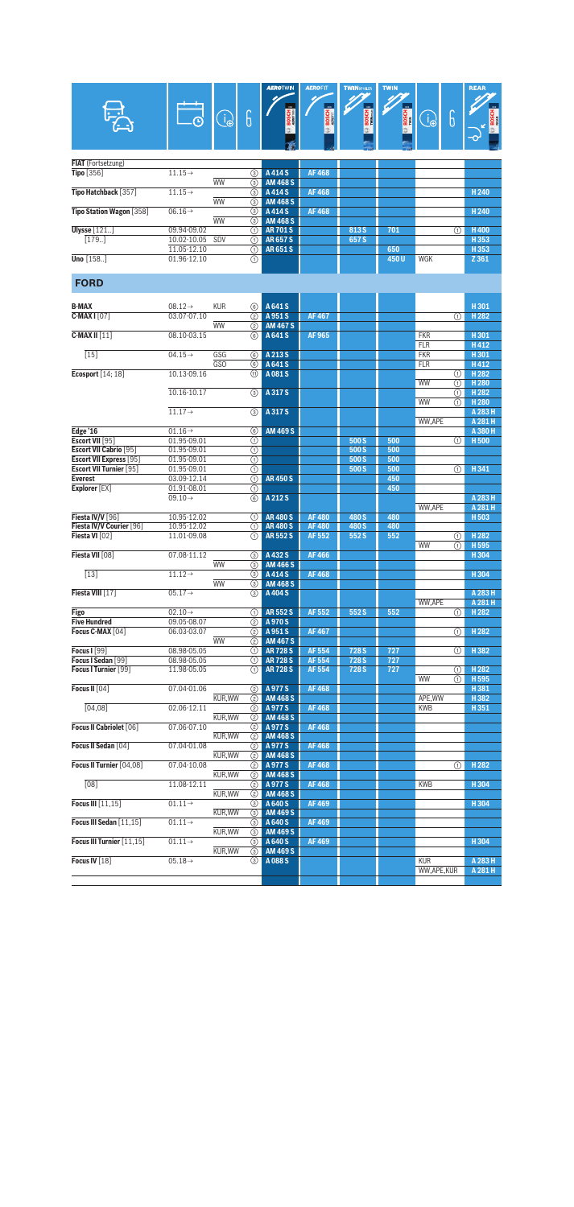|                                                  |                                    | $\bigcirc$ | 6                                             | <b>AEROTWIN</b><br>$\infty$<br><b>BOSCH</b> | <b>AEROFIT</b><br>BOSCH<br>AEROFIT | <b>TWINSPOLER</b><br><b>BOSCH</b> | <b>TWIN</b><br><b>BOSCH</b> | $\bigcirc$               | 6        | <b>REAR</b><br><b>BOSC</b>           |
|--------------------------------------------------|------------------------------------|------------|-----------------------------------------------|---------------------------------------------|------------------------------------|-----------------------------------|-----------------------------|--------------------------|----------|--------------------------------------|
| FIAT (Fortsetzung)                               |                                    |            |                                               |                                             |                                    |                                   |                             |                          |          |                                      |
| <b>Tipo</b> [356]                                | $11.15\rightarrow$                 | <b>WW</b>  | ⊚<br>③                                        | A414S<br><b>AM 468 S</b>                    | <b>AF468</b>                       |                                   |                             |                          |          |                                      |
| Tipo Hatchback [357]                             | $11.15\rightarrow$                 | <b>WW</b>  | ③<br>3                                        | A414S<br><b>AM 468 S</b>                    | <b>AF468</b>                       |                                   |                             |                          |          | H <sub>240</sub>                     |
| Tipo Station Wagon [358]                         | $06.16 \rightarrow$                | <b>WW</b>  | $\circled{3}$<br>③                            | A414S<br><b>AM 468 S</b>                    | <b>AF468</b>                       |                                   |                             |                          |          | H <sub>240</sub>                     |
| <b>Ulysse</b> [121                               | 09.94-09.02                        |            | ⋒                                             | <b>AR701S</b>                               |                                    | 813 S                             | 701                         |                          | ⋒        | H400                                 |
| [179.]                                           | 10.02-10.05<br>11.05-12.10         | SDV        | ⋒<br>の                                        | <b>AR657S</b><br><b>AR651S</b>              |                                    | 657 S                             | 650                         |                          |          | H353<br>H353                         |
| <b>Uno</b> $[158]$                               | 01.96-12.10                        |            | $\overline{\odot}$                            |                                             |                                    |                                   | 450U                        | <b>WGK</b>               |          | Z 361                                |
| <b>FORD</b>                                      |                                    |            |                                               |                                             |                                    |                                   |                             |                          |          |                                      |
| <b>B-MAX</b>                                     | $08.12 \rightarrow$                | <b>KUR</b> | 6                                             | A 641 S                                     |                                    |                                   |                             |                          |          | H301                                 |
| $C$ -MAX I $[07]$                                | 03.07-07.10                        |            | (2)                                           | A 951 S                                     | <b>AF467</b>                       |                                   |                             |                          | ⋒        | H <sub>282</sub>                     |
| $C-MAX II [11]$                                  | 08.10-03.15                        | <b>WW</b>  | ➁<br>6                                        | <b>AM 467 S</b><br>A 641 S                  | AF 965                             |                                   |                             | <b>FKR</b>               |          | H301                                 |
| [15]                                             | $04.15 \rightarrow$                | GSG        | 6                                             | A 213 S                                     |                                    |                                   |                             | <b>FLR</b><br><b>FKR</b> |          | H412<br>H301                         |
|                                                  |                                    | GSO        | 6                                             | A 641 S                                     |                                    |                                   |                             | <b>FLR</b>               |          | H412                                 |
| Ecosport $[14;18]$                               | 10.13-09.16                        |            | ⊕                                             | A081S                                       |                                    |                                   |                             | WW                       | ⊕<br>⋒   | H <sub>282</sub><br>H <sub>280</sub> |
|                                                  | 10.16-10.17                        |            | ⊚                                             | A 317 S                                     |                                    |                                   |                             | WW                       | ⋒<br>(1) | H <sub>282</sub><br>H <sub>280</sub> |
|                                                  | $11.17 \rightarrow$                |            | $\overline{\circ}$                            | A 317 S                                     |                                    |                                   |                             | WW,APE                   |          | A 283 H<br>A 281 H                   |
| Edge '16                                         | $01.16 \rightarrow$                |            | 6                                             | <b>AM 469 S</b>                             |                                    |                                   |                             |                          |          | A 380 H                              |
| Escort VII [95]<br><b>Escort VII Cabrio [95]</b> | 01.95-09.01<br>01.95-09.01         |            | ⊕<br>⊕                                        |                                             |                                    | 500 S<br>500 S                    | 500<br>500                  |                          | ⋒        | <b>H500</b>                          |
| <b>Escort VII Express</b> [95]                   | 01.95-09.01                        |            | $\overline{\textcircled{\scriptsize{1}}}$     |                                             |                                    | 500 S                             | 500                         |                          |          |                                      |
| <b>Escort VII Turnier [95]</b><br><b>Everest</b> | 01.95-09.01<br>03.09-12.14         |            | $\overline{\odot}$<br>$\overline{(\text{f})}$ | <b>AR450S</b>                               |                                    | 500 S                             | 500<br>450                  |                          | ⋒        | H341                                 |
| Explorer [EX]                                    | 01.91-08.01<br>$09.10 \rightarrow$ |            | ⋒<br>$\overline{6}$                           | A 212 S                                     |                                    |                                   | 450                         |                          |          | A 283 H                              |
|                                                  |                                    |            |                                               |                                             |                                    |                                   |                             | WW,APE                   |          | A 281 H                              |
| Fiesta IV/V [96]<br>Fiesta IV/V Courier [96]     | 10.95-12.02<br>10.95-12.02         |            | ⋒<br>⋒                                        | <b>AR480S</b><br><b>AR480S</b>              | <b>AF480</b><br><b>AF480</b>       | 480 S<br>480 S                    | 480<br>480                  |                          |          | H 503                                |
| Fiesta VI [02]                                   | 11.01-09.08                        |            | ⋒                                             | <b>AR552S</b>                               | AF 552                             | 552 S                             | 552                         | WW                       | ⋒<br>①   | H <sub>282</sub><br>H 595            |
| Fiesta VII [08]                                  | 07.08-11.12                        |            | ③                                             | A432S                                       | <b>AF466</b>                       |                                   |                             |                          |          | H304                                 |
| $[13]$                                           | $11.12 \rightarrow$                | <b>WW</b>  | 3<br>3                                        | <b>AM 466 S</b><br>A 414 S                  | <b>AF468</b>                       |                                   |                             |                          |          | H304                                 |
| Fiesta VIII [17]                                 | $05.17 \rightarrow$                | <b>WW</b>  | 3                                             | $\circ$ AM 468 S<br>A 404 S                 |                                    |                                   |                             |                          |          | A 283 H                              |
|                                                  |                                    |            |                                               |                                             |                                    |                                   |                             | <b>WW.APE</b>            |          | A 281 H                              |
| Figo<br><b>Five Hundred</b>                      | $02.10 \rightarrow$<br>09.05-08.07 |            | (1)<br>②                                      | <b>AR552S</b><br>A970S                      | AF 552                             | 552 S                             | 552                         |                          | ⊕        | H <sub>282</sub>                     |
| Focus C-MAX [04]                                 | 06.03-03.07                        | <b>WW</b>  | $\circled{2}$<br>(2)                          | A 951 S<br><b>AM 467 S</b>                  | AF 467                             |                                   |                             |                          | ⋒        | H <sub>282</sub>                     |
| <b>Focus I</b> [99]                              | 08.98-05.05                        |            | $\odot$                                       | <b>AR728S</b>                               | AF 554                             | 728 S                             | 727                         |                          | (1)      | H382                                 |
| Focus I Sedan [99]<br>Focus I Turnier [99]       | 08.98-05.05<br>11.98-05.05         |            | ∩<br>➀                                        | <b>AR 728 S</b><br><b>AR 728 S</b>          | AF 554<br>AF 554                   | 728 S<br>728 S                    | 727<br>727                  |                          | ⋒        | H <sub>282</sub>                     |
| Focus II [04]                                    | 07.04-01.06                        |            | (2)                                           | A 977 S                                     | <b>AF468</b>                       |                                   |                             | WW                       | ⋒        | H <sub>595</sub><br>H381             |
|                                                  |                                    | KUR, WW    | $\circled{2}$                                 | <b>AM 468 S</b>                             |                                    |                                   |                             | APE, WW                  |          | H382                                 |
| [04,08]                                          | 02.06-12.11                        | KUR, WW    | (2)<br>②                                      | A977S<br><b>AM 468 S</b>                    | <b>AF468</b>                       |                                   |                             | <b>KWB</b>               |          | H351                                 |
| Focus II Cabriolet [06]                          | 07.06-07.10                        | KUR, WW    | $\circledcirc$<br>☺                           | A977 <sub>S</sub><br><b>AM 468 S</b>        | <b>AF468</b>                       |                                   |                             |                          |          |                                      |
| Focus II Sedan [04]                              | 07.04-01.08                        |            | $\circled{2}$                                 | A 977 S                                     | AF 468                             |                                   |                             |                          |          |                                      |
| Focus II Turnier [04,08]                         | 07.04-10.08                        | KUR, WW    | $\circled{2}$<br>②                            | <b>AM 468 S</b><br>A 977 S                  | <b>AF468</b>                       |                                   |                             |                          | ⋒        | H <sub>282</sub>                     |
| $\overline{[08]}$                                | 11.08-12.11                        | KUR, WW    | ②  <br>☺                                      | <b>AM 468 S</b><br>A 977 S                  | AF 468                             |                                   |                             | <b>KWB</b>               |          | H304                                 |
| Focus III [11,15]                                | $01.11 \rightarrow$                | KUR, WW    | ②                                             | <b>AM 468 S</b><br>A 640 S                  | <b>AF469</b>                       |                                   |                             |                          |          | H304                                 |
|                                                  |                                    | KUR, WW    | (3)<br>(3)                                    | <b>AM 469 S</b>                             |                                    |                                   |                             |                          |          |                                      |
| Focus III Sedan [11,15]                          | $01.11 \rightarrow$                | KUR, WW    | (3)<br>(3)                                    | A 640 S<br><b>AM 469 S</b>                  | <b>AF469</b>                       |                                   |                             |                          |          |                                      |
| Focus III Turnier [11,15]                        | $01.11 \rightarrow$                | KUR, WW    | ⊚<br>⊚                                        | A 640 S<br><b>AM 469 S</b>                  | <b>AF469</b>                       |                                   |                             |                          |          | H304                                 |
| Focus IV [18]                                    | $05.18 \rightarrow$                |            | (3)                                           | A 088 S                                     |                                    |                                   |                             | <b>KUR</b>               |          | A 283 H                              |
|                                                  |                                    |            |                                               |                                             |                                    |                                   |                             | WW,APE,KUR               |          | A 281 H                              |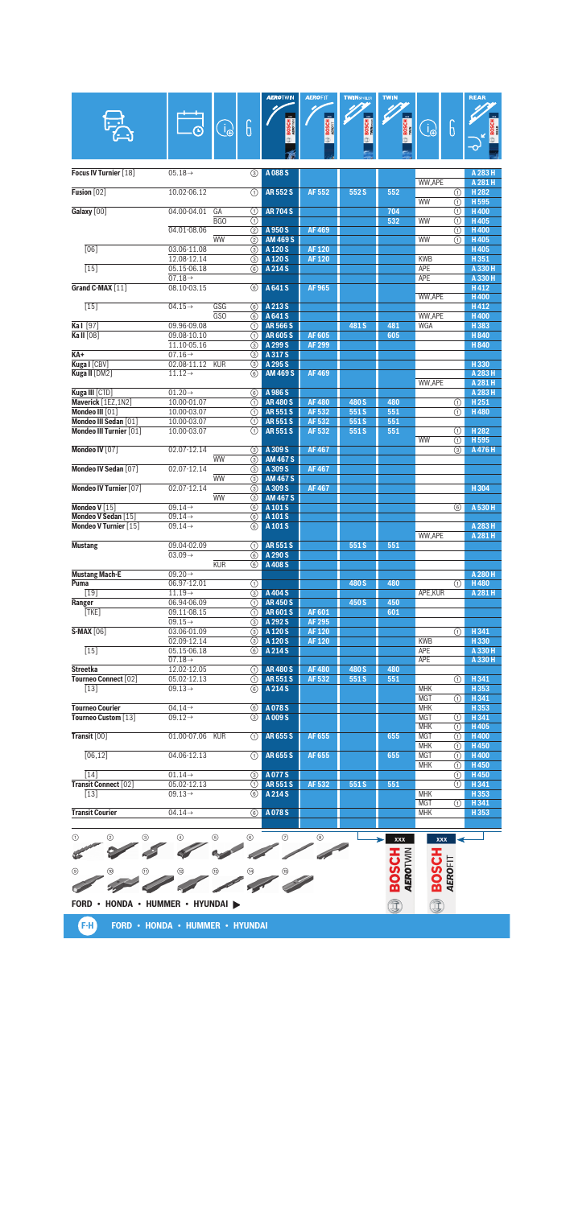|                                              |                                            |                          | <b>AEROTWIN</b>                | <b>AEROFIT</b> | <b>TWINSPOILER</b> | <b>TWIN</b>                     |                          |                 | <b>REAR</b>                 |
|----------------------------------------------|--------------------------------------------|--------------------------|--------------------------------|----------------|--------------------|---------------------------------|--------------------------|-----------------|-----------------------------|
|                                              |                                            | G<br>$\bigoplus_{i=1}^n$ |                                | <b>BOSCH</b>   | <b>BOSCH</b>       | <b>BOSCH</b>                    | $\bigcirc$               | 6               | <b>BOSCI</b>                |
|                                              |                                            |                          |                                |                |                    |                                 |                          |                 |                             |
|                                              |                                            |                          |                                |                |                    |                                 |                          |                 |                             |
| Focus IV Turnier [18]                        | $05.18 \rightarrow$                        | ⊚                        | A088 <sub>S</sub>              |                |                    |                                 |                          |                 | A 283 H                     |
| Fusion [02]                                  | 10.02-06.12                                | ⋒                        | <b>AR552S</b>                  | <b>AF552</b>   | 552S               | 552                             | WW.APE                   | ⋒               | A 281 H<br>H <sub>282</sub> |
| Galaxy [00]                                  | 04.00-04.01                                | GA<br>⋒                  | <b>AR704S</b>                  |                |                    | 704                             | <b>WW</b>                | ⊕<br>⊕          | H 595<br><b>H400</b>        |
|                                              |                                            | BGO<br>⋒                 |                                |                |                    | 532                             | WW                       | ⋒               | H405                        |
|                                              | 04.01-08.06                                | (2)<br><b>WW</b><br>(2)  | A 950 S<br><b>AM 469 S</b>     | <b>AF469</b>   |                    |                                 | WW                       | ⋒<br>⋒          | H400<br>H405                |
| $\overline{[06]}$                            | 03.06-11.08                                | (3)                      | A 120 S                        | <b>AF120</b>   |                    |                                 |                          |                 | H405                        |
| $\overline{15}$                              | 12.08-12.14<br>05.15-06.18                 | ③<br>6                   | A 120 S<br>A 214 S             | <b>AF120</b>   |                    |                                 | <b>KWB</b><br><b>APE</b> |                 | H351<br>A 330 H             |
|                                              | $07.18 \rightarrow$                        |                          |                                |                |                    |                                 | <b>APE</b>               |                 | A 330 H                     |
| Grand C-MAX [11]                             | 08.10-03.15                                | 6                        | A 641 S                        | AF 965         |                    |                                 | WW.APE                   |                 | H412<br>H400                |
| $\overline{15}$                              | $04.15 \rightarrow$                        | GSG<br>6                 | A 213 S                        |                |                    |                                 |                          |                 | H412                        |
| Ka   [97]                                    | 09.96-09.08                                | GSO<br>6<br>⋒            | A 641 S<br><b>AR566S</b>       |                | 481 <sub>S</sub>   | 481                             | WW,APE<br>WGA            |                 | H400<br>H383                |
| Ka II [08]                                   | 09.08-10.10                                | ⋒                        | <b>AR605S</b>                  | <b>AF 605</b>  |                    | 605                             |                          |                 | H840                        |
|                                              | 11.10-05.16                                | ③                        | A 299 S                        | <b>AF 299</b>  |                    |                                 |                          |                 | H840                        |
| $KA+$<br>Kuga I [CBV]                        | $07.16 \rightarrow$<br>02.08-11.12         | 3<br><b>KUR</b><br>3     | A 317 S<br>A 295 S             |                |                    |                                 |                          |                 | H330                        |
| Kuga II [DM2]                                | $11.12 \rightarrow$                        | 6                        | <b>AM 469 S</b>                | <b>AF469</b>   |                    |                                 |                          |                 | A 283 H                     |
|                                              |                                            |                          |                                |                |                    |                                 | <b>WW.APE</b>            |                 | A 281 H                     |
| Kuga III [CTD]<br>Maverick [1EZ,1N2]         | $01.20 \rightarrow$<br>10.00-01.07         | 6<br>⋒                   | A 986 S<br><b>AR480S</b>       | <b>AF480</b>   | 480 S              | 480                             |                          |                 | A 283 H<br>H251             |
| Mondeo III [01]                              | 10.00-03.07                                | ⋒                        | <b>AR551S</b>                  | AF 532         | 551S               | 551                             |                          | $^{\circ}$<br>⋒ | H480                        |
| Mondeo III Sedan [01]                        | 10.00-03.07                                | ⋒                        | <b>AR551S</b>                  | AF 532         | 551S               | 551                             |                          |                 |                             |
| Mondeo III Turnier [01]                      | 10.00-03.07                                | ⋒                        | <b>AR551S</b>                  | AF 532         | 551S               | 551                             |                          | ⋒               | H <sub>282</sub>            |
| Mondeo IV [07]                               | 02.07-12.14                                | 3                        | A 309 S                        | <b>AF467</b>   |                    |                                 | WW                       | ⋒<br>③          | H 595<br>A 476 H            |
|                                              |                                            | <b>WW</b><br>3           | <b>AM 467 S</b>                |                |                    |                                 |                          |                 |                             |
| Mondeo IV Sedan [07]                         | 02.07-12.14                                | 3                        | A 309 S                        | <b>AF467</b>   |                    |                                 |                          |                 |                             |
| Mondeo IV Turnier [07]                       | 02.07-12.14                                | <b>WW</b><br>③<br>③      | <b>AM 467 S</b><br>A 309 S     | <b>AF467</b>   |                    |                                 |                          |                 | H304                        |
|                                              |                                            | <b>WW</b><br>③           | <b>AM 467 S</b>                |                |                    |                                 |                          |                 |                             |
| Mondeo V [15]                                | $09.14 \rightarrow$                        | 6                        | A 101 S                        |                |                    |                                 |                          | 6               | A 530 H                     |
| Mondeo V Sedan [15]<br>Mondeo V Turnier [15] | $09.14 \rightarrow$<br>$09.14 \rightarrow$ | 6<br>6                   | A 101 S<br>A 101 S             |                |                    |                                 |                          |                 | A 283 H                     |
|                                              |                                            |                          |                                |                |                    |                                 | <b>WW.APE</b>            |                 | A 281 H                     |
| <b>Mustang</b>                               | 09.04-02.09                                | ⋒                        | <b>AR551S</b>                  |                | 551S               | 551                             |                          |                 |                             |
|                                              | $03.09 \rightarrow$                        | 6<br><b>KUR</b>          | A 290 S<br>A 408 S             |                |                    |                                 |                          |                 |                             |
| <b>Mustang Mach-E</b>                        | $09.20 \rightarrow$                        | ⊛                        |                                |                |                    |                                 |                          |                 | A 280 H                     |
| Puma                                         | 06.97-12.01                                | $\left( 1\right)$        |                                |                | 480 S              | 480                             |                          | (1)             | <b>H480</b>                 |
| $[19]$                                       | $11.19\rightarrow$                         | 3                        | A 404 S                        |                |                    |                                 | APE, KUR                 |                 | A 281 H                     |
| Ranger<br>[TKE]                              | 06.94-06.09<br>09.11-08.15                 | (1)<br>⊕                 | <b>AR450S</b><br><b>AR601S</b> | AF 601         | 450 S              | 450<br>601                      |                          |                 |                             |
|                                              | $09.15 \rightarrow$                        | ⊚                        | A 292 S                        | AF 295         |                    |                                 |                          |                 |                             |
| <b>S-MAX [06]</b>                            | 03.06-01.09                                | (3)                      | A 120 S                        | AF 120         |                    |                                 |                          | O               | H341                        |
| $[15]$                                       | 02.09-12.14<br>05.15-06.18                 | ⊚<br>6                   | A 120 S<br>A 214 S             | <b>AF120</b>   |                    |                                 | <b>KWB</b><br>APE        |                 | H330<br>A 330 H             |
|                                              | $07.18 \rightarrow$                        |                          |                                |                |                    |                                 | <b>APE</b>               |                 | A 330 H                     |
| <b>Streetka</b>                              | 12.02-12.05                                | ⋒                        | <b>AR480S</b>                  | <b>AF480</b>   | 480 S              | 480                             |                          |                 |                             |
| Tourneo Connect [02]<br>$[13]$               | 05.02-12.13<br>$09.13 \rightarrow$         | ⋒<br>6                   | <b>AR551S</b><br>A 214 S       | AF 532         | 551S               | 551                             | <b>MHK</b>               | ⋒               | H341<br>H353                |
|                                              |                                            |                          |                                |                |                    |                                 | <b>MGT</b>               | (1)             | H341                        |
| <b>Tourneo Courier</b>                       | $04.14 \rightarrow$                        | 6                        | A078S                          |                |                    |                                 | <b>MHK</b>               |                 | H353                        |
| Tourneo Custom [13]                          | $09.12 \rightarrow$                        | $\circled{3}$            | A 009 S                        |                |                    |                                 | <b>MGT</b><br><b>MHK</b> | ⋒               | H341<br>H405                |
| Transit [00]                                 | 01.00-07.06 KUR                            | ①                        | <b>AR655S</b>                  | AF 655         |                    | 655                             | <b>MGT</b>               | ⊕<br>⊕          | <b>H400</b>                 |
|                                              |                                            |                          |                                |                |                    |                                 | <b>MHK</b>               | ⋒               | H450                        |
| [06, 12]                                     | 04.06-12.13                                | ⋒                        | AR655S                         | AF 655         |                    | 655                             | <b>MGT</b><br><b>MHK</b> | ⊕<br>⋒          | H400<br>H450                |
| [14]                                         | $01.14 \rightarrow$                        | 3                        | A077S                          |                |                    |                                 |                          | ⊙               | H450                        |
| Transit Connect [02]                         | 05.02-12.13                                | ⋒                        | <b>AR551S</b>                  | AF 532         | 551S               | 551                             |                          | ⋒               | H341                        |
| $[13]$                                       | $09.13 \rightarrow$                        | (6)                      | A 214 S                        |                |                    |                                 | <b>MHK</b><br><b>MGT</b> |                 | H353                        |
| <b>Transit Courier</b>                       | $04.14 \rightarrow$                        | 6                        | A078S                          |                |                    |                                 | <b>MHK</b>               | ⊕               | H 341<br>H353               |
|                                              |                                            |                          |                                |                |                    |                                 |                          |                 |                             |
| ⊕<br>②<br>③                                  | 4                                          | (5)<br>6                 | ℗                              | ◉              |                    | xxx                             | <b>XXX</b>               |                 |                             |
|                                              |                                            |                          |                                |                |                    |                                 |                          |                 |                             |
|                                              |                                            |                          |                                |                |                    | <b>HJSCR</b><br><b>AEROTWIN</b> | <b>HJSCR</b>             |                 |                             |
| ◉                                            |                                            | ⑭                        |                                |                |                    |                                 |                          | AEROFIT         |                             |
|                                              |                                            |                          |                                |                |                    |                                 |                          |                 |                             |
| FORD . HONDA . HUMMER . HYUNDAI              |                                            |                          |                                |                |                    |                                 |                          |                 |                             |
|                                              |                                            |                          |                                |                |                    | Î                               | I                        |                 |                             |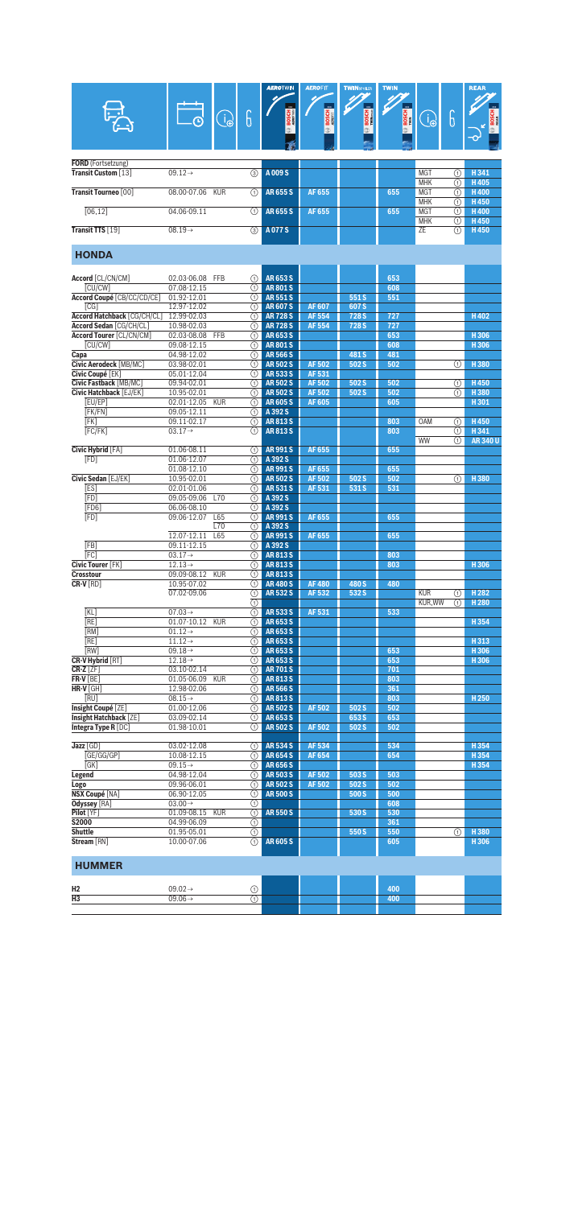| G<br><b>BOSCH</b><br>6<br><b>BOSCH</b><br><b>BOSCH</b><br>$\bigcirc$<br>ျှ<br><b>BOSCH</b><br><b>FORD</b> (Fortsetzung)<br>Transit Custom [13]<br>$09.12 \rightarrow$<br>$\circled{3}$<br>A009S<br><b>MGT</b><br>H341<br>⋒<br><b>MHK</b><br>H405<br>⋒<br>Transit Tourneo [00]<br>08.00-07.06<br><b>KUR</b><br>∩<br>AR655S<br>AF 655<br>655<br><b>MGT</b><br>⋒<br><b>H400</b><br><b>MHK</b><br>H450<br>⋒<br>[06, 12]<br>04.06-09.11<br><b>AR655S</b><br>AF 655<br><b>MGT</b><br>H400<br>∩<br>655<br>⋒<br><b>MHK</b><br>H450<br>⋒<br>Transit TTS [19]<br>3<br>A077S<br>ZE<br>H450<br>$08.19\rightarrow$<br>⋒<br><b>HONDA</b><br><b>AR653S</b><br>653<br>Accord [CL/CN/CM]<br>02.03-06.08 FFB<br>(1)<br>[CU/CW]<br>07.08-12.15<br><b>AR801S</b><br>608<br>⋒<br>Accord Coupé [CB/CC/CD/CE]<br>01.92-12.01<br><b>AR551S</b><br>551S<br>551<br>⋒<br>12.97-12.02<br><b>AR607S</b><br><b>AF607</b><br>607 S<br>[CG]<br>⋒<br>Accord Hatchback [CG/CH/CL]<br>12.99-02.03<br><b>AR728S</b><br><b>AF 554</b><br>728 S<br>727<br>H402<br>⋒<br>Accord Sedan [CG/CH/CL]<br>10.98-02.03<br><b>AR728S</b><br><b>AF 554</b><br>728 S<br>727<br>⋒<br>Accord Tourer [CL/CN/CM]<br><b>AR653S</b><br>653<br>02.03-08.08<br><b>FFB</b><br>⋒<br>H306<br>[CU/CW]<br>09.08-12.15<br>608<br>H306<br>⋒<br><b>AR801S</b><br>04.98-12.02<br>⋒<br><b>AR566S</b><br>481 S<br>481<br>Capa<br>03.98-02.01<br><b>AR502S</b><br><b>AF502</b><br>502 S<br>502<br>H380<br>Civic Aerodeck [MB/MC]<br>⋒<br>⋒<br>Civic Coupé [EK]<br>05.01-12.04<br><b>AR533S</b><br>AF 531<br>⋒<br>Civic Fastback [MB/MC]<br><b>AR502S</b><br><b>AF502</b><br>H450<br>09.94-02.01<br>⋒<br>502 S<br>502<br>⋒<br>Civic Hatchback [EJ/EK]<br>10.95-02.01<br><b>AF502</b><br>502 S<br>502<br>H380<br><b>AR502S</b><br>⋒<br>⋒<br>[EU/EP]<br>02.01-12.05<br><b>AR605S</b><br><b>AF605</b><br>605<br>H301<br><b>KUR</b><br>⋒<br>[FK/FN]<br>09.05-12.11<br>⋒<br>A 392 S<br>[FK]<br>09.11-02.17<br><b>AR813S</b><br>803<br>OAM<br>H450<br>⋒<br>⋒<br>[FC/FK]<br>$03.17 \rightarrow$<br><b>AR813S</b><br>H341<br>803<br>⋒<br>(1)<br><b>WW</b><br><b>AR340U</b><br>⋒<br>Civic Hybrid [FA]<br>01.06-08.11<br><b>AR991S</b><br>AF 655<br>655<br>⋒<br>[FD]<br>01.06-12.07<br>⋒<br>A 392 S<br>01.08-12.10<br>⋒<br><b>AR991S</b><br>AF 655<br>655<br>Civic Sedan [EJ/EK]<br><b>AR502S</b><br>502 S<br>H380<br>10.95-02.01<br>⋒<br>AF 502<br>502<br>⋒<br>[ES]<br>02.01-01.06<br><b>AR531S</b><br>AF 531<br>531 S<br>531<br>⋒<br>[FD]<br>09.05-09.06<br>A 392 S<br>L70<br>⋒<br>[FD6]<br>06.06-08.10<br>A 392 S<br>⋒<br>[FD]<br>09.06-12.07<br><b>AR991S</b><br>AF 655<br>L65<br>⋒<br>655<br>L70<br>⋒<br>A 392 S<br>12.07-12.11<br><b>AF655</b><br>655<br>L65<br>⋒<br><b>AR991S</b><br>[FB]<br>A 392 S<br>09.11-12.15<br>⋒<br>[FC]<br>$03.17 \rightarrow$<br><b>AR813S</b><br>⋒<br>803<br>Civic Tourer [FK]<br><b>AR813S</b><br>$12.13\rightarrow$<br>(T)<br>803<br>H306<br><b>Crosstour</b><br>09.09-08.12<br><b>KUR</b><br>⋒<br><b>AR813S</b><br>⋒<br>CR-V [RD]<br>10.95-07.02<br><b>AR480S</b><br><b>AF480</b><br>480 S<br>480<br>AR 532 S<br><b>KUR</b><br>07.02-09.06<br>AF 532<br>532 S<br>H 282<br>⊕<br>(1)<br>$\circledR$<br>KUR, WW<br>H <sub>280</sub><br>⋒<br>$\overline{(\text{f})}$<br>$07.03 \rightarrow$<br>AR 533 S<br>AF 531<br>533<br>[KL]<br>[RE]<br>01.07-10.12<br><b>KUR</b><br>AR653S<br>H354<br>⊕<br>[RM]<br>$01.12 \rightarrow$<br>AR653S<br>⋒<br>[RE]<br>$11.12 \rightarrow$<br>AR653S<br>H313<br>⊕<br>[RW]<br>$09.18 \rightarrow$<br>AR653S<br>653<br>⊕<br>H306<br><b>CR-V Hybrid [RT]</b><br>$12.18 \rightarrow$<br>AR653S<br>653<br>⋒<br>H306<br>$CR-Z[ZF]$<br>$03.10 - 02.14$<br><b>AR701S</b><br>701<br>⋒<br>$FR-V[BE]$<br>01.05-06.09<br><b>KUR</b><br><b>AR813S</b><br>803<br>⋒<br>$HR-V$ [GH]<br>12.98-02.06<br><b>AR566S</b><br>361<br>⋒<br>[RU]<br>$\overline{(\text{f})}$<br>$08.15 \rightarrow$<br>AR813S<br>803<br>H <sub>250</sub><br>Insight Coupé [ZE]<br><b>AR502S</b><br><b>AF502</b><br>502 S<br>502<br>01.00-12.06<br>⊕<br>Insight Hatchback [ZE]<br>03.09-02.14<br>AR653S<br>653 S<br>653<br>⊕<br>Integra Type R [DC]<br>01.98-10.01<br><b>AR502S</b><br>502 S<br>502<br>⋒<br>AF 502<br>Jazz [GD]<br>03.02-12.08<br><b>AR534S</b><br>AF 534<br>534<br>H354<br>⋒<br>GE/GG/GP<br>10.08-12.15<br><b>AR654S</b><br>AF 654<br>654<br>⋒<br>H354<br>[GK]<br>$09.15 \rightarrow$<br>⋒<br><b>AR656S</b><br>H354<br><b>AR503S</b><br><b>AF502</b><br>503 S<br>503<br>Legend<br>04.98-12.04<br>⋒<br><b>AR502S</b><br>AF 502<br>502 S<br>502<br>Logo<br>09.96-06.01<br>⋒<br><b>NSX Coupé [NA]</b><br>06.90-12.05<br>⊕<br><b>AR500S</b><br>500 S<br>500<br>Odyssey [RA]<br>$03.00 \rightarrow$<br>608<br>⋒<br>$\overline{\circ}$<br>Pilot [YF]<br>01.09-08.15<br><b>AR550S</b><br>530<br><b>KUR</b><br>530 S<br><b>S2000</b><br>04.99-06.09<br>⊕<br>361<br><b>Shuttle</b><br>550<br>H380<br>01.95-05.01<br>$\odot$<br>550 S<br>⊕<br>$\overline{(\text{f})}$<br>Stream [RN]<br>10.00-07.06<br><b>AR605S</b><br>H306<br>605<br><b>HUMMER</b> |    |                     |             |                         |     |  |  |
|-------------------------------------------------------------------------------------------------------------------------------------------------------------------------------------------------------------------------------------------------------------------------------------------------------------------------------------------------------------------------------------------------------------------------------------------------------------------------------------------------------------------------------------------------------------------------------------------------------------------------------------------------------------------------------------------------------------------------------------------------------------------------------------------------------------------------------------------------------------------------------------------------------------------------------------------------------------------------------------------------------------------------------------------------------------------------------------------------------------------------------------------------------------------------------------------------------------------------------------------------------------------------------------------------------------------------------------------------------------------------------------------------------------------------------------------------------------------------------------------------------------------------------------------------------------------------------------------------------------------------------------------------------------------------------------------------------------------------------------------------------------------------------------------------------------------------------------------------------------------------------------------------------------------------------------------------------------------------------------------------------------------------------------------------------------------------------------------------------------------------------------------------------------------------------------------------------------------------------------------------------------------------------------------------------------------------------------------------------------------------------------------------------------------------------------------------------------------------------------------------------------------------------------------------------------------------------------------------------------------------------------------------------------------------------------------------------------------------------------------------------------------------------------------------------------------------------------------------------------------------------------------------------------------------------------------------------------------------------------------------------------------------------------------------------------------------------------------------------------------------------------------------------------------------------------------------------------------------------------------------------------------------------------------------------------------------------------------------------------------------------------------------------------------------------------------------------------------------------------------------------------------------------------------------------------------------------------------------------------------------------------------------------------------------------------------------------------------------------------------------------------------------------------------------------------------------------------------------------------------------------------------------------------------------------------------------------------------------------------------------------------------------------------------------------------------------------------------------------------------------------------------------------------------------------------------------------------------------------------------------------------------------------------------------------------------------------------------------------------------------------------------------------------------------------------------------------------------------------------------------------------------------------------------------------------------------------------------------------------------------------------------------------------------------------------------------------------------------------------------------------------------------------------------------------------------------------------------------------------------------------------------------------------------------------------------------------------------------------------------------|----|---------------------|-------------|-------------------------|-----|--|--|
|                                                                                                                                                                                                                                                                                                                                                                                                                                                                                                                                                                                                                                                                                                                                                                                                                                                                                                                                                                                                                                                                                                                                                                                                                                                                                                                                                                                                                                                                                                                                                                                                                                                                                                                                                                                                                                                                                                                                                                                                                                                                                                                                                                                                                                                                                                                                                                                                                                                                                                                                                                                                                                                                                                                                                                                                                                                                                                                                                                                                                                                                                                                                                                                                                                                                                                                                                                                                                                                                                                                                                                                                                                                                                                                                                                                                                                                                                                                                                                                                                                                                                                                                                                                                                                                                                                                                                                                                                                                                                                                                                                                                                                                                                                                                                                                                                                                                                                                                                                                                 |    |                     |             | $\overline{\mathbf{m}}$ |     |  |  |
|                                                                                                                                                                                                                                                                                                                                                                                                                                                                                                                                                                                                                                                                                                                                                                                                                                                                                                                                                                                                                                                                                                                                                                                                                                                                                                                                                                                                                                                                                                                                                                                                                                                                                                                                                                                                                                                                                                                                                                                                                                                                                                                                                                                                                                                                                                                                                                                                                                                                                                                                                                                                                                                                                                                                                                                                                                                                                                                                                                                                                                                                                                                                                                                                                                                                                                                                                                                                                                                                                                                                                                                                                                                                                                                                                                                                                                                                                                                                                                                                                                                                                                                                                                                                                                                                                                                                                                                                                                                                                                                                                                                                                                                                                                                                                                                                                                                                                                                                                                                                 |    |                     |             |                         |     |  |  |
|                                                                                                                                                                                                                                                                                                                                                                                                                                                                                                                                                                                                                                                                                                                                                                                                                                                                                                                                                                                                                                                                                                                                                                                                                                                                                                                                                                                                                                                                                                                                                                                                                                                                                                                                                                                                                                                                                                                                                                                                                                                                                                                                                                                                                                                                                                                                                                                                                                                                                                                                                                                                                                                                                                                                                                                                                                                                                                                                                                                                                                                                                                                                                                                                                                                                                                                                                                                                                                                                                                                                                                                                                                                                                                                                                                                                                                                                                                                                                                                                                                                                                                                                                                                                                                                                                                                                                                                                                                                                                                                                                                                                                                                                                                                                                                                                                                                                                                                                                                                                 |    |                     |             |                         |     |  |  |
|                                                                                                                                                                                                                                                                                                                                                                                                                                                                                                                                                                                                                                                                                                                                                                                                                                                                                                                                                                                                                                                                                                                                                                                                                                                                                                                                                                                                                                                                                                                                                                                                                                                                                                                                                                                                                                                                                                                                                                                                                                                                                                                                                                                                                                                                                                                                                                                                                                                                                                                                                                                                                                                                                                                                                                                                                                                                                                                                                                                                                                                                                                                                                                                                                                                                                                                                                                                                                                                                                                                                                                                                                                                                                                                                                                                                                                                                                                                                                                                                                                                                                                                                                                                                                                                                                                                                                                                                                                                                                                                                                                                                                                                                                                                                                                                                                                                                                                                                                                                                 |    |                     |             |                         |     |  |  |
|                                                                                                                                                                                                                                                                                                                                                                                                                                                                                                                                                                                                                                                                                                                                                                                                                                                                                                                                                                                                                                                                                                                                                                                                                                                                                                                                                                                                                                                                                                                                                                                                                                                                                                                                                                                                                                                                                                                                                                                                                                                                                                                                                                                                                                                                                                                                                                                                                                                                                                                                                                                                                                                                                                                                                                                                                                                                                                                                                                                                                                                                                                                                                                                                                                                                                                                                                                                                                                                                                                                                                                                                                                                                                                                                                                                                                                                                                                                                                                                                                                                                                                                                                                                                                                                                                                                                                                                                                                                                                                                                                                                                                                                                                                                                                                                                                                                                                                                                                                                                 |    |                     |             |                         |     |  |  |
|                                                                                                                                                                                                                                                                                                                                                                                                                                                                                                                                                                                                                                                                                                                                                                                                                                                                                                                                                                                                                                                                                                                                                                                                                                                                                                                                                                                                                                                                                                                                                                                                                                                                                                                                                                                                                                                                                                                                                                                                                                                                                                                                                                                                                                                                                                                                                                                                                                                                                                                                                                                                                                                                                                                                                                                                                                                                                                                                                                                                                                                                                                                                                                                                                                                                                                                                                                                                                                                                                                                                                                                                                                                                                                                                                                                                                                                                                                                                                                                                                                                                                                                                                                                                                                                                                                                                                                                                                                                                                                                                                                                                                                                                                                                                                                                                                                                                                                                                                                                                 |    |                     |             |                         |     |  |  |
|                                                                                                                                                                                                                                                                                                                                                                                                                                                                                                                                                                                                                                                                                                                                                                                                                                                                                                                                                                                                                                                                                                                                                                                                                                                                                                                                                                                                                                                                                                                                                                                                                                                                                                                                                                                                                                                                                                                                                                                                                                                                                                                                                                                                                                                                                                                                                                                                                                                                                                                                                                                                                                                                                                                                                                                                                                                                                                                                                                                                                                                                                                                                                                                                                                                                                                                                                                                                                                                                                                                                                                                                                                                                                                                                                                                                                                                                                                                                                                                                                                                                                                                                                                                                                                                                                                                                                                                                                                                                                                                                                                                                                                                                                                                                                                                                                                                                                                                                                                                                 |    |                     |             |                         |     |  |  |
|                                                                                                                                                                                                                                                                                                                                                                                                                                                                                                                                                                                                                                                                                                                                                                                                                                                                                                                                                                                                                                                                                                                                                                                                                                                                                                                                                                                                                                                                                                                                                                                                                                                                                                                                                                                                                                                                                                                                                                                                                                                                                                                                                                                                                                                                                                                                                                                                                                                                                                                                                                                                                                                                                                                                                                                                                                                                                                                                                                                                                                                                                                                                                                                                                                                                                                                                                                                                                                                                                                                                                                                                                                                                                                                                                                                                                                                                                                                                                                                                                                                                                                                                                                                                                                                                                                                                                                                                                                                                                                                                                                                                                                                                                                                                                                                                                                                                                                                                                                                                 |    |                     |             |                         |     |  |  |
|                                                                                                                                                                                                                                                                                                                                                                                                                                                                                                                                                                                                                                                                                                                                                                                                                                                                                                                                                                                                                                                                                                                                                                                                                                                                                                                                                                                                                                                                                                                                                                                                                                                                                                                                                                                                                                                                                                                                                                                                                                                                                                                                                                                                                                                                                                                                                                                                                                                                                                                                                                                                                                                                                                                                                                                                                                                                                                                                                                                                                                                                                                                                                                                                                                                                                                                                                                                                                                                                                                                                                                                                                                                                                                                                                                                                                                                                                                                                                                                                                                                                                                                                                                                                                                                                                                                                                                                                                                                                                                                                                                                                                                                                                                                                                                                                                                                                                                                                                                                                 |    |                     |             |                         |     |  |  |
|                                                                                                                                                                                                                                                                                                                                                                                                                                                                                                                                                                                                                                                                                                                                                                                                                                                                                                                                                                                                                                                                                                                                                                                                                                                                                                                                                                                                                                                                                                                                                                                                                                                                                                                                                                                                                                                                                                                                                                                                                                                                                                                                                                                                                                                                                                                                                                                                                                                                                                                                                                                                                                                                                                                                                                                                                                                                                                                                                                                                                                                                                                                                                                                                                                                                                                                                                                                                                                                                                                                                                                                                                                                                                                                                                                                                                                                                                                                                                                                                                                                                                                                                                                                                                                                                                                                                                                                                                                                                                                                                                                                                                                                                                                                                                                                                                                                                                                                                                                                                 |    |                     |             |                         |     |  |  |
|                                                                                                                                                                                                                                                                                                                                                                                                                                                                                                                                                                                                                                                                                                                                                                                                                                                                                                                                                                                                                                                                                                                                                                                                                                                                                                                                                                                                                                                                                                                                                                                                                                                                                                                                                                                                                                                                                                                                                                                                                                                                                                                                                                                                                                                                                                                                                                                                                                                                                                                                                                                                                                                                                                                                                                                                                                                                                                                                                                                                                                                                                                                                                                                                                                                                                                                                                                                                                                                                                                                                                                                                                                                                                                                                                                                                                                                                                                                                                                                                                                                                                                                                                                                                                                                                                                                                                                                                                                                                                                                                                                                                                                                                                                                                                                                                                                                                                                                                                                                                 |    |                     |             |                         |     |  |  |
|                                                                                                                                                                                                                                                                                                                                                                                                                                                                                                                                                                                                                                                                                                                                                                                                                                                                                                                                                                                                                                                                                                                                                                                                                                                                                                                                                                                                                                                                                                                                                                                                                                                                                                                                                                                                                                                                                                                                                                                                                                                                                                                                                                                                                                                                                                                                                                                                                                                                                                                                                                                                                                                                                                                                                                                                                                                                                                                                                                                                                                                                                                                                                                                                                                                                                                                                                                                                                                                                                                                                                                                                                                                                                                                                                                                                                                                                                                                                                                                                                                                                                                                                                                                                                                                                                                                                                                                                                                                                                                                                                                                                                                                                                                                                                                                                                                                                                                                                                                                                 |    |                     |             |                         |     |  |  |
|                                                                                                                                                                                                                                                                                                                                                                                                                                                                                                                                                                                                                                                                                                                                                                                                                                                                                                                                                                                                                                                                                                                                                                                                                                                                                                                                                                                                                                                                                                                                                                                                                                                                                                                                                                                                                                                                                                                                                                                                                                                                                                                                                                                                                                                                                                                                                                                                                                                                                                                                                                                                                                                                                                                                                                                                                                                                                                                                                                                                                                                                                                                                                                                                                                                                                                                                                                                                                                                                                                                                                                                                                                                                                                                                                                                                                                                                                                                                                                                                                                                                                                                                                                                                                                                                                                                                                                                                                                                                                                                                                                                                                                                                                                                                                                                                                                                                                                                                                                                                 |    |                     |             |                         |     |  |  |
|                                                                                                                                                                                                                                                                                                                                                                                                                                                                                                                                                                                                                                                                                                                                                                                                                                                                                                                                                                                                                                                                                                                                                                                                                                                                                                                                                                                                                                                                                                                                                                                                                                                                                                                                                                                                                                                                                                                                                                                                                                                                                                                                                                                                                                                                                                                                                                                                                                                                                                                                                                                                                                                                                                                                                                                                                                                                                                                                                                                                                                                                                                                                                                                                                                                                                                                                                                                                                                                                                                                                                                                                                                                                                                                                                                                                                                                                                                                                                                                                                                                                                                                                                                                                                                                                                                                                                                                                                                                                                                                                                                                                                                                                                                                                                                                                                                                                                                                                                                                                 |    |                     |             |                         |     |  |  |
|                                                                                                                                                                                                                                                                                                                                                                                                                                                                                                                                                                                                                                                                                                                                                                                                                                                                                                                                                                                                                                                                                                                                                                                                                                                                                                                                                                                                                                                                                                                                                                                                                                                                                                                                                                                                                                                                                                                                                                                                                                                                                                                                                                                                                                                                                                                                                                                                                                                                                                                                                                                                                                                                                                                                                                                                                                                                                                                                                                                                                                                                                                                                                                                                                                                                                                                                                                                                                                                                                                                                                                                                                                                                                                                                                                                                                                                                                                                                                                                                                                                                                                                                                                                                                                                                                                                                                                                                                                                                                                                                                                                                                                                                                                                                                                                                                                                                                                                                                                                                 |    |                     |             |                         |     |  |  |
|                                                                                                                                                                                                                                                                                                                                                                                                                                                                                                                                                                                                                                                                                                                                                                                                                                                                                                                                                                                                                                                                                                                                                                                                                                                                                                                                                                                                                                                                                                                                                                                                                                                                                                                                                                                                                                                                                                                                                                                                                                                                                                                                                                                                                                                                                                                                                                                                                                                                                                                                                                                                                                                                                                                                                                                                                                                                                                                                                                                                                                                                                                                                                                                                                                                                                                                                                                                                                                                                                                                                                                                                                                                                                                                                                                                                                                                                                                                                                                                                                                                                                                                                                                                                                                                                                                                                                                                                                                                                                                                                                                                                                                                                                                                                                                                                                                                                                                                                                                                                 |    |                     |             |                         |     |  |  |
|                                                                                                                                                                                                                                                                                                                                                                                                                                                                                                                                                                                                                                                                                                                                                                                                                                                                                                                                                                                                                                                                                                                                                                                                                                                                                                                                                                                                                                                                                                                                                                                                                                                                                                                                                                                                                                                                                                                                                                                                                                                                                                                                                                                                                                                                                                                                                                                                                                                                                                                                                                                                                                                                                                                                                                                                                                                                                                                                                                                                                                                                                                                                                                                                                                                                                                                                                                                                                                                                                                                                                                                                                                                                                                                                                                                                                                                                                                                                                                                                                                                                                                                                                                                                                                                                                                                                                                                                                                                                                                                                                                                                                                                                                                                                                                                                                                                                                                                                                                                                 |    |                     |             |                         |     |  |  |
|                                                                                                                                                                                                                                                                                                                                                                                                                                                                                                                                                                                                                                                                                                                                                                                                                                                                                                                                                                                                                                                                                                                                                                                                                                                                                                                                                                                                                                                                                                                                                                                                                                                                                                                                                                                                                                                                                                                                                                                                                                                                                                                                                                                                                                                                                                                                                                                                                                                                                                                                                                                                                                                                                                                                                                                                                                                                                                                                                                                                                                                                                                                                                                                                                                                                                                                                                                                                                                                                                                                                                                                                                                                                                                                                                                                                                                                                                                                                                                                                                                                                                                                                                                                                                                                                                                                                                                                                                                                                                                                                                                                                                                                                                                                                                                                                                                                                                                                                                                                                 |    |                     |             |                         |     |  |  |
|                                                                                                                                                                                                                                                                                                                                                                                                                                                                                                                                                                                                                                                                                                                                                                                                                                                                                                                                                                                                                                                                                                                                                                                                                                                                                                                                                                                                                                                                                                                                                                                                                                                                                                                                                                                                                                                                                                                                                                                                                                                                                                                                                                                                                                                                                                                                                                                                                                                                                                                                                                                                                                                                                                                                                                                                                                                                                                                                                                                                                                                                                                                                                                                                                                                                                                                                                                                                                                                                                                                                                                                                                                                                                                                                                                                                                                                                                                                                                                                                                                                                                                                                                                                                                                                                                                                                                                                                                                                                                                                                                                                                                                                                                                                                                                                                                                                                                                                                                                                                 |    |                     |             |                         |     |  |  |
|                                                                                                                                                                                                                                                                                                                                                                                                                                                                                                                                                                                                                                                                                                                                                                                                                                                                                                                                                                                                                                                                                                                                                                                                                                                                                                                                                                                                                                                                                                                                                                                                                                                                                                                                                                                                                                                                                                                                                                                                                                                                                                                                                                                                                                                                                                                                                                                                                                                                                                                                                                                                                                                                                                                                                                                                                                                                                                                                                                                                                                                                                                                                                                                                                                                                                                                                                                                                                                                                                                                                                                                                                                                                                                                                                                                                                                                                                                                                                                                                                                                                                                                                                                                                                                                                                                                                                                                                                                                                                                                                                                                                                                                                                                                                                                                                                                                                                                                                                                                                 |    |                     |             |                         |     |  |  |
|                                                                                                                                                                                                                                                                                                                                                                                                                                                                                                                                                                                                                                                                                                                                                                                                                                                                                                                                                                                                                                                                                                                                                                                                                                                                                                                                                                                                                                                                                                                                                                                                                                                                                                                                                                                                                                                                                                                                                                                                                                                                                                                                                                                                                                                                                                                                                                                                                                                                                                                                                                                                                                                                                                                                                                                                                                                                                                                                                                                                                                                                                                                                                                                                                                                                                                                                                                                                                                                                                                                                                                                                                                                                                                                                                                                                                                                                                                                                                                                                                                                                                                                                                                                                                                                                                                                                                                                                                                                                                                                                                                                                                                                                                                                                                                                                                                                                                                                                                                                                 |    |                     |             |                         |     |  |  |
|                                                                                                                                                                                                                                                                                                                                                                                                                                                                                                                                                                                                                                                                                                                                                                                                                                                                                                                                                                                                                                                                                                                                                                                                                                                                                                                                                                                                                                                                                                                                                                                                                                                                                                                                                                                                                                                                                                                                                                                                                                                                                                                                                                                                                                                                                                                                                                                                                                                                                                                                                                                                                                                                                                                                                                                                                                                                                                                                                                                                                                                                                                                                                                                                                                                                                                                                                                                                                                                                                                                                                                                                                                                                                                                                                                                                                                                                                                                                                                                                                                                                                                                                                                                                                                                                                                                                                                                                                                                                                                                                                                                                                                                                                                                                                                                                                                                                                                                                                                                                 |    |                     |             |                         |     |  |  |
|                                                                                                                                                                                                                                                                                                                                                                                                                                                                                                                                                                                                                                                                                                                                                                                                                                                                                                                                                                                                                                                                                                                                                                                                                                                                                                                                                                                                                                                                                                                                                                                                                                                                                                                                                                                                                                                                                                                                                                                                                                                                                                                                                                                                                                                                                                                                                                                                                                                                                                                                                                                                                                                                                                                                                                                                                                                                                                                                                                                                                                                                                                                                                                                                                                                                                                                                                                                                                                                                                                                                                                                                                                                                                                                                                                                                                                                                                                                                                                                                                                                                                                                                                                                                                                                                                                                                                                                                                                                                                                                                                                                                                                                                                                                                                                                                                                                                                                                                                                                                 |    |                     |             |                         |     |  |  |
|                                                                                                                                                                                                                                                                                                                                                                                                                                                                                                                                                                                                                                                                                                                                                                                                                                                                                                                                                                                                                                                                                                                                                                                                                                                                                                                                                                                                                                                                                                                                                                                                                                                                                                                                                                                                                                                                                                                                                                                                                                                                                                                                                                                                                                                                                                                                                                                                                                                                                                                                                                                                                                                                                                                                                                                                                                                                                                                                                                                                                                                                                                                                                                                                                                                                                                                                                                                                                                                                                                                                                                                                                                                                                                                                                                                                                                                                                                                                                                                                                                                                                                                                                                                                                                                                                                                                                                                                                                                                                                                                                                                                                                                                                                                                                                                                                                                                                                                                                                                                 |    |                     |             |                         |     |  |  |
|                                                                                                                                                                                                                                                                                                                                                                                                                                                                                                                                                                                                                                                                                                                                                                                                                                                                                                                                                                                                                                                                                                                                                                                                                                                                                                                                                                                                                                                                                                                                                                                                                                                                                                                                                                                                                                                                                                                                                                                                                                                                                                                                                                                                                                                                                                                                                                                                                                                                                                                                                                                                                                                                                                                                                                                                                                                                                                                                                                                                                                                                                                                                                                                                                                                                                                                                                                                                                                                                                                                                                                                                                                                                                                                                                                                                                                                                                                                                                                                                                                                                                                                                                                                                                                                                                                                                                                                                                                                                                                                                                                                                                                                                                                                                                                                                                                                                                                                                                                                                 |    |                     |             |                         |     |  |  |
|                                                                                                                                                                                                                                                                                                                                                                                                                                                                                                                                                                                                                                                                                                                                                                                                                                                                                                                                                                                                                                                                                                                                                                                                                                                                                                                                                                                                                                                                                                                                                                                                                                                                                                                                                                                                                                                                                                                                                                                                                                                                                                                                                                                                                                                                                                                                                                                                                                                                                                                                                                                                                                                                                                                                                                                                                                                                                                                                                                                                                                                                                                                                                                                                                                                                                                                                                                                                                                                                                                                                                                                                                                                                                                                                                                                                                                                                                                                                                                                                                                                                                                                                                                                                                                                                                                                                                                                                                                                                                                                                                                                                                                                                                                                                                                                                                                                                                                                                                                                                 |    |                     |             |                         |     |  |  |
|                                                                                                                                                                                                                                                                                                                                                                                                                                                                                                                                                                                                                                                                                                                                                                                                                                                                                                                                                                                                                                                                                                                                                                                                                                                                                                                                                                                                                                                                                                                                                                                                                                                                                                                                                                                                                                                                                                                                                                                                                                                                                                                                                                                                                                                                                                                                                                                                                                                                                                                                                                                                                                                                                                                                                                                                                                                                                                                                                                                                                                                                                                                                                                                                                                                                                                                                                                                                                                                                                                                                                                                                                                                                                                                                                                                                                                                                                                                                                                                                                                                                                                                                                                                                                                                                                                                                                                                                                                                                                                                                                                                                                                                                                                                                                                                                                                                                                                                                                                                                 |    |                     |             |                         |     |  |  |
|                                                                                                                                                                                                                                                                                                                                                                                                                                                                                                                                                                                                                                                                                                                                                                                                                                                                                                                                                                                                                                                                                                                                                                                                                                                                                                                                                                                                                                                                                                                                                                                                                                                                                                                                                                                                                                                                                                                                                                                                                                                                                                                                                                                                                                                                                                                                                                                                                                                                                                                                                                                                                                                                                                                                                                                                                                                                                                                                                                                                                                                                                                                                                                                                                                                                                                                                                                                                                                                                                                                                                                                                                                                                                                                                                                                                                                                                                                                                                                                                                                                                                                                                                                                                                                                                                                                                                                                                                                                                                                                                                                                                                                                                                                                                                                                                                                                                                                                                                                                                 |    |                     |             |                         |     |  |  |
|                                                                                                                                                                                                                                                                                                                                                                                                                                                                                                                                                                                                                                                                                                                                                                                                                                                                                                                                                                                                                                                                                                                                                                                                                                                                                                                                                                                                                                                                                                                                                                                                                                                                                                                                                                                                                                                                                                                                                                                                                                                                                                                                                                                                                                                                                                                                                                                                                                                                                                                                                                                                                                                                                                                                                                                                                                                                                                                                                                                                                                                                                                                                                                                                                                                                                                                                                                                                                                                                                                                                                                                                                                                                                                                                                                                                                                                                                                                                                                                                                                                                                                                                                                                                                                                                                                                                                                                                                                                                                                                                                                                                                                                                                                                                                                                                                                                                                                                                                                                                 |    |                     |             |                         |     |  |  |
|                                                                                                                                                                                                                                                                                                                                                                                                                                                                                                                                                                                                                                                                                                                                                                                                                                                                                                                                                                                                                                                                                                                                                                                                                                                                                                                                                                                                                                                                                                                                                                                                                                                                                                                                                                                                                                                                                                                                                                                                                                                                                                                                                                                                                                                                                                                                                                                                                                                                                                                                                                                                                                                                                                                                                                                                                                                                                                                                                                                                                                                                                                                                                                                                                                                                                                                                                                                                                                                                                                                                                                                                                                                                                                                                                                                                                                                                                                                                                                                                                                                                                                                                                                                                                                                                                                                                                                                                                                                                                                                                                                                                                                                                                                                                                                                                                                                                                                                                                                                                 |    |                     |             |                         |     |  |  |
|                                                                                                                                                                                                                                                                                                                                                                                                                                                                                                                                                                                                                                                                                                                                                                                                                                                                                                                                                                                                                                                                                                                                                                                                                                                                                                                                                                                                                                                                                                                                                                                                                                                                                                                                                                                                                                                                                                                                                                                                                                                                                                                                                                                                                                                                                                                                                                                                                                                                                                                                                                                                                                                                                                                                                                                                                                                                                                                                                                                                                                                                                                                                                                                                                                                                                                                                                                                                                                                                                                                                                                                                                                                                                                                                                                                                                                                                                                                                                                                                                                                                                                                                                                                                                                                                                                                                                                                                                                                                                                                                                                                                                                                                                                                                                                                                                                                                                                                                                                                                 |    |                     |             |                         |     |  |  |
|                                                                                                                                                                                                                                                                                                                                                                                                                                                                                                                                                                                                                                                                                                                                                                                                                                                                                                                                                                                                                                                                                                                                                                                                                                                                                                                                                                                                                                                                                                                                                                                                                                                                                                                                                                                                                                                                                                                                                                                                                                                                                                                                                                                                                                                                                                                                                                                                                                                                                                                                                                                                                                                                                                                                                                                                                                                                                                                                                                                                                                                                                                                                                                                                                                                                                                                                                                                                                                                                                                                                                                                                                                                                                                                                                                                                                                                                                                                                                                                                                                                                                                                                                                                                                                                                                                                                                                                                                                                                                                                                                                                                                                                                                                                                                                                                                                                                                                                                                                                                 |    |                     |             |                         |     |  |  |
|                                                                                                                                                                                                                                                                                                                                                                                                                                                                                                                                                                                                                                                                                                                                                                                                                                                                                                                                                                                                                                                                                                                                                                                                                                                                                                                                                                                                                                                                                                                                                                                                                                                                                                                                                                                                                                                                                                                                                                                                                                                                                                                                                                                                                                                                                                                                                                                                                                                                                                                                                                                                                                                                                                                                                                                                                                                                                                                                                                                                                                                                                                                                                                                                                                                                                                                                                                                                                                                                                                                                                                                                                                                                                                                                                                                                                                                                                                                                                                                                                                                                                                                                                                                                                                                                                                                                                                                                                                                                                                                                                                                                                                                                                                                                                                                                                                                                                                                                                                                                 |    |                     |             |                         |     |  |  |
|                                                                                                                                                                                                                                                                                                                                                                                                                                                                                                                                                                                                                                                                                                                                                                                                                                                                                                                                                                                                                                                                                                                                                                                                                                                                                                                                                                                                                                                                                                                                                                                                                                                                                                                                                                                                                                                                                                                                                                                                                                                                                                                                                                                                                                                                                                                                                                                                                                                                                                                                                                                                                                                                                                                                                                                                                                                                                                                                                                                                                                                                                                                                                                                                                                                                                                                                                                                                                                                                                                                                                                                                                                                                                                                                                                                                                                                                                                                                                                                                                                                                                                                                                                                                                                                                                                                                                                                                                                                                                                                                                                                                                                                                                                                                                                                                                                                                                                                                                                                                 |    |                     |             |                         |     |  |  |
|                                                                                                                                                                                                                                                                                                                                                                                                                                                                                                                                                                                                                                                                                                                                                                                                                                                                                                                                                                                                                                                                                                                                                                                                                                                                                                                                                                                                                                                                                                                                                                                                                                                                                                                                                                                                                                                                                                                                                                                                                                                                                                                                                                                                                                                                                                                                                                                                                                                                                                                                                                                                                                                                                                                                                                                                                                                                                                                                                                                                                                                                                                                                                                                                                                                                                                                                                                                                                                                                                                                                                                                                                                                                                                                                                                                                                                                                                                                                                                                                                                                                                                                                                                                                                                                                                                                                                                                                                                                                                                                                                                                                                                                                                                                                                                                                                                                                                                                                                                                                 |    |                     |             |                         |     |  |  |
|                                                                                                                                                                                                                                                                                                                                                                                                                                                                                                                                                                                                                                                                                                                                                                                                                                                                                                                                                                                                                                                                                                                                                                                                                                                                                                                                                                                                                                                                                                                                                                                                                                                                                                                                                                                                                                                                                                                                                                                                                                                                                                                                                                                                                                                                                                                                                                                                                                                                                                                                                                                                                                                                                                                                                                                                                                                                                                                                                                                                                                                                                                                                                                                                                                                                                                                                                                                                                                                                                                                                                                                                                                                                                                                                                                                                                                                                                                                                                                                                                                                                                                                                                                                                                                                                                                                                                                                                                                                                                                                                                                                                                                                                                                                                                                                                                                                                                                                                                                                                 |    |                     |             |                         |     |  |  |
|                                                                                                                                                                                                                                                                                                                                                                                                                                                                                                                                                                                                                                                                                                                                                                                                                                                                                                                                                                                                                                                                                                                                                                                                                                                                                                                                                                                                                                                                                                                                                                                                                                                                                                                                                                                                                                                                                                                                                                                                                                                                                                                                                                                                                                                                                                                                                                                                                                                                                                                                                                                                                                                                                                                                                                                                                                                                                                                                                                                                                                                                                                                                                                                                                                                                                                                                                                                                                                                                                                                                                                                                                                                                                                                                                                                                                                                                                                                                                                                                                                                                                                                                                                                                                                                                                                                                                                                                                                                                                                                                                                                                                                                                                                                                                                                                                                                                                                                                                                                                 |    |                     |             |                         |     |  |  |
|                                                                                                                                                                                                                                                                                                                                                                                                                                                                                                                                                                                                                                                                                                                                                                                                                                                                                                                                                                                                                                                                                                                                                                                                                                                                                                                                                                                                                                                                                                                                                                                                                                                                                                                                                                                                                                                                                                                                                                                                                                                                                                                                                                                                                                                                                                                                                                                                                                                                                                                                                                                                                                                                                                                                                                                                                                                                                                                                                                                                                                                                                                                                                                                                                                                                                                                                                                                                                                                                                                                                                                                                                                                                                                                                                                                                                                                                                                                                                                                                                                                                                                                                                                                                                                                                                                                                                                                                                                                                                                                                                                                                                                                                                                                                                                                                                                                                                                                                                                                                 |    |                     |             |                         |     |  |  |
|                                                                                                                                                                                                                                                                                                                                                                                                                                                                                                                                                                                                                                                                                                                                                                                                                                                                                                                                                                                                                                                                                                                                                                                                                                                                                                                                                                                                                                                                                                                                                                                                                                                                                                                                                                                                                                                                                                                                                                                                                                                                                                                                                                                                                                                                                                                                                                                                                                                                                                                                                                                                                                                                                                                                                                                                                                                                                                                                                                                                                                                                                                                                                                                                                                                                                                                                                                                                                                                                                                                                                                                                                                                                                                                                                                                                                                                                                                                                                                                                                                                                                                                                                                                                                                                                                                                                                                                                                                                                                                                                                                                                                                                                                                                                                                                                                                                                                                                                                                                                 |    |                     |             |                         |     |  |  |
|                                                                                                                                                                                                                                                                                                                                                                                                                                                                                                                                                                                                                                                                                                                                                                                                                                                                                                                                                                                                                                                                                                                                                                                                                                                                                                                                                                                                                                                                                                                                                                                                                                                                                                                                                                                                                                                                                                                                                                                                                                                                                                                                                                                                                                                                                                                                                                                                                                                                                                                                                                                                                                                                                                                                                                                                                                                                                                                                                                                                                                                                                                                                                                                                                                                                                                                                                                                                                                                                                                                                                                                                                                                                                                                                                                                                                                                                                                                                                                                                                                                                                                                                                                                                                                                                                                                                                                                                                                                                                                                                                                                                                                                                                                                                                                                                                                                                                                                                                                                                 |    |                     |             |                         |     |  |  |
|                                                                                                                                                                                                                                                                                                                                                                                                                                                                                                                                                                                                                                                                                                                                                                                                                                                                                                                                                                                                                                                                                                                                                                                                                                                                                                                                                                                                                                                                                                                                                                                                                                                                                                                                                                                                                                                                                                                                                                                                                                                                                                                                                                                                                                                                                                                                                                                                                                                                                                                                                                                                                                                                                                                                                                                                                                                                                                                                                                                                                                                                                                                                                                                                                                                                                                                                                                                                                                                                                                                                                                                                                                                                                                                                                                                                                                                                                                                                                                                                                                                                                                                                                                                                                                                                                                                                                                                                                                                                                                                                                                                                                                                                                                                                                                                                                                                                                                                                                                                                 |    |                     |             |                         |     |  |  |
|                                                                                                                                                                                                                                                                                                                                                                                                                                                                                                                                                                                                                                                                                                                                                                                                                                                                                                                                                                                                                                                                                                                                                                                                                                                                                                                                                                                                                                                                                                                                                                                                                                                                                                                                                                                                                                                                                                                                                                                                                                                                                                                                                                                                                                                                                                                                                                                                                                                                                                                                                                                                                                                                                                                                                                                                                                                                                                                                                                                                                                                                                                                                                                                                                                                                                                                                                                                                                                                                                                                                                                                                                                                                                                                                                                                                                                                                                                                                                                                                                                                                                                                                                                                                                                                                                                                                                                                                                                                                                                                                                                                                                                                                                                                                                                                                                                                                                                                                                                                                 |    |                     |             |                         |     |  |  |
|                                                                                                                                                                                                                                                                                                                                                                                                                                                                                                                                                                                                                                                                                                                                                                                                                                                                                                                                                                                                                                                                                                                                                                                                                                                                                                                                                                                                                                                                                                                                                                                                                                                                                                                                                                                                                                                                                                                                                                                                                                                                                                                                                                                                                                                                                                                                                                                                                                                                                                                                                                                                                                                                                                                                                                                                                                                                                                                                                                                                                                                                                                                                                                                                                                                                                                                                                                                                                                                                                                                                                                                                                                                                                                                                                                                                                                                                                                                                                                                                                                                                                                                                                                                                                                                                                                                                                                                                                                                                                                                                                                                                                                                                                                                                                                                                                                                                                                                                                                                                 |    |                     |             |                         |     |  |  |
|                                                                                                                                                                                                                                                                                                                                                                                                                                                                                                                                                                                                                                                                                                                                                                                                                                                                                                                                                                                                                                                                                                                                                                                                                                                                                                                                                                                                                                                                                                                                                                                                                                                                                                                                                                                                                                                                                                                                                                                                                                                                                                                                                                                                                                                                                                                                                                                                                                                                                                                                                                                                                                                                                                                                                                                                                                                                                                                                                                                                                                                                                                                                                                                                                                                                                                                                                                                                                                                                                                                                                                                                                                                                                                                                                                                                                                                                                                                                                                                                                                                                                                                                                                                                                                                                                                                                                                                                                                                                                                                                                                                                                                                                                                                                                                                                                                                                                                                                                                                                 |    |                     |             |                         |     |  |  |
|                                                                                                                                                                                                                                                                                                                                                                                                                                                                                                                                                                                                                                                                                                                                                                                                                                                                                                                                                                                                                                                                                                                                                                                                                                                                                                                                                                                                                                                                                                                                                                                                                                                                                                                                                                                                                                                                                                                                                                                                                                                                                                                                                                                                                                                                                                                                                                                                                                                                                                                                                                                                                                                                                                                                                                                                                                                                                                                                                                                                                                                                                                                                                                                                                                                                                                                                                                                                                                                                                                                                                                                                                                                                                                                                                                                                                                                                                                                                                                                                                                                                                                                                                                                                                                                                                                                                                                                                                                                                                                                                                                                                                                                                                                                                                                                                                                                                                                                                                                                                 |    |                     |             |                         |     |  |  |
|                                                                                                                                                                                                                                                                                                                                                                                                                                                                                                                                                                                                                                                                                                                                                                                                                                                                                                                                                                                                                                                                                                                                                                                                                                                                                                                                                                                                                                                                                                                                                                                                                                                                                                                                                                                                                                                                                                                                                                                                                                                                                                                                                                                                                                                                                                                                                                                                                                                                                                                                                                                                                                                                                                                                                                                                                                                                                                                                                                                                                                                                                                                                                                                                                                                                                                                                                                                                                                                                                                                                                                                                                                                                                                                                                                                                                                                                                                                                                                                                                                                                                                                                                                                                                                                                                                                                                                                                                                                                                                                                                                                                                                                                                                                                                                                                                                                                                                                                                                                                 |    |                     |             |                         |     |  |  |
|                                                                                                                                                                                                                                                                                                                                                                                                                                                                                                                                                                                                                                                                                                                                                                                                                                                                                                                                                                                                                                                                                                                                                                                                                                                                                                                                                                                                                                                                                                                                                                                                                                                                                                                                                                                                                                                                                                                                                                                                                                                                                                                                                                                                                                                                                                                                                                                                                                                                                                                                                                                                                                                                                                                                                                                                                                                                                                                                                                                                                                                                                                                                                                                                                                                                                                                                                                                                                                                                                                                                                                                                                                                                                                                                                                                                                                                                                                                                                                                                                                                                                                                                                                                                                                                                                                                                                                                                                                                                                                                                                                                                                                                                                                                                                                                                                                                                                                                                                                                                 |    |                     |             |                         |     |  |  |
|                                                                                                                                                                                                                                                                                                                                                                                                                                                                                                                                                                                                                                                                                                                                                                                                                                                                                                                                                                                                                                                                                                                                                                                                                                                                                                                                                                                                                                                                                                                                                                                                                                                                                                                                                                                                                                                                                                                                                                                                                                                                                                                                                                                                                                                                                                                                                                                                                                                                                                                                                                                                                                                                                                                                                                                                                                                                                                                                                                                                                                                                                                                                                                                                                                                                                                                                                                                                                                                                                                                                                                                                                                                                                                                                                                                                                                                                                                                                                                                                                                                                                                                                                                                                                                                                                                                                                                                                                                                                                                                                                                                                                                                                                                                                                                                                                                                                                                                                                                                                 |    |                     |             |                         |     |  |  |
|                                                                                                                                                                                                                                                                                                                                                                                                                                                                                                                                                                                                                                                                                                                                                                                                                                                                                                                                                                                                                                                                                                                                                                                                                                                                                                                                                                                                                                                                                                                                                                                                                                                                                                                                                                                                                                                                                                                                                                                                                                                                                                                                                                                                                                                                                                                                                                                                                                                                                                                                                                                                                                                                                                                                                                                                                                                                                                                                                                                                                                                                                                                                                                                                                                                                                                                                                                                                                                                                                                                                                                                                                                                                                                                                                                                                                                                                                                                                                                                                                                                                                                                                                                                                                                                                                                                                                                                                                                                                                                                                                                                                                                                                                                                                                                                                                                                                                                                                                                                                 |    |                     |             |                         |     |  |  |
|                                                                                                                                                                                                                                                                                                                                                                                                                                                                                                                                                                                                                                                                                                                                                                                                                                                                                                                                                                                                                                                                                                                                                                                                                                                                                                                                                                                                                                                                                                                                                                                                                                                                                                                                                                                                                                                                                                                                                                                                                                                                                                                                                                                                                                                                                                                                                                                                                                                                                                                                                                                                                                                                                                                                                                                                                                                                                                                                                                                                                                                                                                                                                                                                                                                                                                                                                                                                                                                                                                                                                                                                                                                                                                                                                                                                                                                                                                                                                                                                                                                                                                                                                                                                                                                                                                                                                                                                                                                                                                                                                                                                                                                                                                                                                                                                                                                                                                                                                                                                 |    |                     |             |                         |     |  |  |
|                                                                                                                                                                                                                                                                                                                                                                                                                                                                                                                                                                                                                                                                                                                                                                                                                                                                                                                                                                                                                                                                                                                                                                                                                                                                                                                                                                                                                                                                                                                                                                                                                                                                                                                                                                                                                                                                                                                                                                                                                                                                                                                                                                                                                                                                                                                                                                                                                                                                                                                                                                                                                                                                                                                                                                                                                                                                                                                                                                                                                                                                                                                                                                                                                                                                                                                                                                                                                                                                                                                                                                                                                                                                                                                                                                                                                                                                                                                                                                                                                                                                                                                                                                                                                                                                                                                                                                                                                                                                                                                                                                                                                                                                                                                                                                                                                                                                                                                                                                                                 |    |                     |             |                         |     |  |  |
|                                                                                                                                                                                                                                                                                                                                                                                                                                                                                                                                                                                                                                                                                                                                                                                                                                                                                                                                                                                                                                                                                                                                                                                                                                                                                                                                                                                                                                                                                                                                                                                                                                                                                                                                                                                                                                                                                                                                                                                                                                                                                                                                                                                                                                                                                                                                                                                                                                                                                                                                                                                                                                                                                                                                                                                                                                                                                                                                                                                                                                                                                                                                                                                                                                                                                                                                                                                                                                                                                                                                                                                                                                                                                                                                                                                                                                                                                                                                                                                                                                                                                                                                                                                                                                                                                                                                                                                                                                                                                                                                                                                                                                                                                                                                                                                                                                                                                                                                                                                                 |    |                     |             |                         |     |  |  |
|                                                                                                                                                                                                                                                                                                                                                                                                                                                                                                                                                                                                                                                                                                                                                                                                                                                                                                                                                                                                                                                                                                                                                                                                                                                                                                                                                                                                                                                                                                                                                                                                                                                                                                                                                                                                                                                                                                                                                                                                                                                                                                                                                                                                                                                                                                                                                                                                                                                                                                                                                                                                                                                                                                                                                                                                                                                                                                                                                                                                                                                                                                                                                                                                                                                                                                                                                                                                                                                                                                                                                                                                                                                                                                                                                                                                                                                                                                                                                                                                                                                                                                                                                                                                                                                                                                                                                                                                                                                                                                                                                                                                                                                                                                                                                                                                                                                                                                                                                                                                 |    |                     |             |                         |     |  |  |
|                                                                                                                                                                                                                                                                                                                                                                                                                                                                                                                                                                                                                                                                                                                                                                                                                                                                                                                                                                                                                                                                                                                                                                                                                                                                                                                                                                                                                                                                                                                                                                                                                                                                                                                                                                                                                                                                                                                                                                                                                                                                                                                                                                                                                                                                                                                                                                                                                                                                                                                                                                                                                                                                                                                                                                                                                                                                                                                                                                                                                                                                                                                                                                                                                                                                                                                                                                                                                                                                                                                                                                                                                                                                                                                                                                                                                                                                                                                                                                                                                                                                                                                                                                                                                                                                                                                                                                                                                                                                                                                                                                                                                                                                                                                                                                                                                                                                                                                                                                                                 |    |                     |             |                         |     |  |  |
|                                                                                                                                                                                                                                                                                                                                                                                                                                                                                                                                                                                                                                                                                                                                                                                                                                                                                                                                                                                                                                                                                                                                                                                                                                                                                                                                                                                                                                                                                                                                                                                                                                                                                                                                                                                                                                                                                                                                                                                                                                                                                                                                                                                                                                                                                                                                                                                                                                                                                                                                                                                                                                                                                                                                                                                                                                                                                                                                                                                                                                                                                                                                                                                                                                                                                                                                                                                                                                                                                                                                                                                                                                                                                                                                                                                                                                                                                                                                                                                                                                                                                                                                                                                                                                                                                                                                                                                                                                                                                                                                                                                                                                                                                                                                                                                                                                                                                                                                                                                                 |    |                     |             |                         |     |  |  |
|                                                                                                                                                                                                                                                                                                                                                                                                                                                                                                                                                                                                                                                                                                                                                                                                                                                                                                                                                                                                                                                                                                                                                                                                                                                                                                                                                                                                                                                                                                                                                                                                                                                                                                                                                                                                                                                                                                                                                                                                                                                                                                                                                                                                                                                                                                                                                                                                                                                                                                                                                                                                                                                                                                                                                                                                                                                                                                                                                                                                                                                                                                                                                                                                                                                                                                                                                                                                                                                                                                                                                                                                                                                                                                                                                                                                                                                                                                                                                                                                                                                                                                                                                                                                                                                                                                                                                                                                                                                                                                                                                                                                                                                                                                                                                                                                                                                                                                                                                                                                 |    |                     |             |                         |     |  |  |
|                                                                                                                                                                                                                                                                                                                                                                                                                                                                                                                                                                                                                                                                                                                                                                                                                                                                                                                                                                                                                                                                                                                                                                                                                                                                                                                                                                                                                                                                                                                                                                                                                                                                                                                                                                                                                                                                                                                                                                                                                                                                                                                                                                                                                                                                                                                                                                                                                                                                                                                                                                                                                                                                                                                                                                                                                                                                                                                                                                                                                                                                                                                                                                                                                                                                                                                                                                                                                                                                                                                                                                                                                                                                                                                                                                                                                                                                                                                                                                                                                                                                                                                                                                                                                                                                                                                                                                                                                                                                                                                                                                                                                                                                                                                                                                                                                                                                                                                                                                                                 |    |                     |             |                         |     |  |  |
|                                                                                                                                                                                                                                                                                                                                                                                                                                                                                                                                                                                                                                                                                                                                                                                                                                                                                                                                                                                                                                                                                                                                                                                                                                                                                                                                                                                                                                                                                                                                                                                                                                                                                                                                                                                                                                                                                                                                                                                                                                                                                                                                                                                                                                                                                                                                                                                                                                                                                                                                                                                                                                                                                                                                                                                                                                                                                                                                                                                                                                                                                                                                                                                                                                                                                                                                                                                                                                                                                                                                                                                                                                                                                                                                                                                                                                                                                                                                                                                                                                                                                                                                                                                                                                                                                                                                                                                                                                                                                                                                                                                                                                                                                                                                                                                                                                                                                                                                                                                                 |    |                     |             |                         |     |  |  |
|                                                                                                                                                                                                                                                                                                                                                                                                                                                                                                                                                                                                                                                                                                                                                                                                                                                                                                                                                                                                                                                                                                                                                                                                                                                                                                                                                                                                                                                                                                                                                                                                                                                                                                                                                                                                                                                                                                                                                                                                                                                                                                                                                                                                                                                                                                                                                                                                                                                                                                                                                                                                                                                                                                                                                                                                                                                                                                                                                                                                                                                                                                                                                                                                                                                                                                                                                                                                                                                                                                                                                                                                                                                                                                                                                                                                                                                                                                                                                                                                                                                                                                                                                                                                                                                                                                                                                                                                                                                                                                                                                                                                                                                                                                                                                                                                                                                                                                                                                                                                 |    |                     |             |                         |     |  |  |
|                                                                                                                                                                                                                                                                                                                                                                                                                                                                                                                                                                                                                                                                                                                                                                                                                                                                                                                                                                                                                                                                                                                                                                                                                                                                                                                                                                                                                                                                                                                                                                                                                                                                                                                                                                                                                                                                                                                                                                                                                                                                                                                                                                                                                                                                                                                                                                                                                                                                                                                                                                                                                                                                                                                                                                                                                                                                                                                                                                                                                                                                                                                                                                                                                                                                                                                                                                                                                                                                                                                                                                                                                                                                                                                                                                                                                                                                                                                                                                                                                                                                                                                                                                                                                                                                                                                                                                                                                                                                                                                                                                                                                                                                                                                                                                                                                                                                                                                                                                                                 |    |                     |             |                         |     |  |  |
|                                                                                                                                                                                                                                                                                                                                                                                                                                                                                                                                                                                                                                                                                                                                                                                                                                                                                                                                                                                                                                                                                                                                                                                                                                                                                                                                                                                                                                                                                                                                                                                                                                                                                                                                                                                                                                                                                                                                                                                                                                                                                                                                                                                                                                                                                                                                                                                                                                                                                                                                                                                                                                                                                                                                                                                                                                                                                                                                                                                                                                                                                                                                                                                                                                                                                                                                                                                                                                                                                                                                                                                                                                                                                                                                                                                                                                                                                                                                                                                                                                                                                                                                                                                                                                                                                                                                                                                                                                                                                                                                                                                                                                                                                                                                                                                                                                                                                                                                                                                                 |    |                     |             |                         |     |  |  |
|                                                                                                                                                                                                                                                                                                                                                                                                                                                                                                                                                                                                                                                                                                                                                                                                                                                                                                                                                                                                                                                                                                                                                                                                                                                                                                                                                                                                                                                                                                                                                                                                                                                                                                                                                                                                                                                                                                                                                                                                                                                                                                                                                                                                                                                                                                                                                                                                                                                                                                                                                                                                                                                                                                                                                                                                                                                                                                                                                                                                                                                                                                                                                                                                                                                                                                                                                                                                                                                                                                                                                                                                                                                                                                                                                                                                                                                                                                                                                                                                                                                                                                                                                                                                                                                                                                                                                                                                                                                                                                                                                                                                                                                                                                                                                                                                                                                                                                                                                                                                 |    |                     |             |                         |     |  |  |
|                                                                                                                                                                                                                                                                                                                                                                                                                                                                                                                                                                                                                                                                                                                                                                                                                                                                                                                                                                                                                                                                                                                                                                                                                                                                                                                                                                                                                                                                                                                                                                                                                                                                                                                                                                                                                                                                                                                                                                                                                                                                                                                                                                                                                                                                                                                                                                                                                                                                                                                                                                                                                                                                                                                                                                                                                                                                                                                                                                                                                                                                                                                                                                                                                                                                                                                                                                                                                                                                                                                                                                                                                                                                                                                                                                                                                                                                                                                                                                                                                                                                                                                                                                                                                                                                                                                                                                                                                                                                                                                                                                                                                                                                                                                                                                                                                                                                                                                                                                                                 |    |                     |             |                         |     |  |  |
|                                                                                                                                                                                                                                                                                                                                                                                                                                                                                                                                                                                                                                                                                                                                                                                                                                                                                                                                                                                                                                                                                                                                                                                                                                                                                                                                                                                                                                                                                                                                                                                                                                                                                                                                                                                                                                                                                                                                                                                                                                                                                                                                                                                                                                                                                                                                                                                                                                                                                                                                                                                                                                                                                                                                                                                                                                                                                                                                                                                                                                                                                                                                                                                                                                                                                                                                                                                                                                                                                                                                                                                                                                                                                                                                                                                                                                                                                                                                                                                                                                                                                                                                                                                                                                                                                                                                                                                                                                                                                                                                                                                                                                                                                                                                                                                                                                                                                                                                                                                                 |    |                     |             |                         |     |  |  |
|                                                                                                                                                                                                                                                                                                                                                                                                                                                                                                                                                                                                                                                                                                                                                                                                                                                                                                                                                                                                                                                                                                                                                                                                                                                                                                                                                                                                                                                                                                                                                                                                                                                                                                                                                                                                                                                                                                                                                                                                                                                                                                                                                                                                                                                                                                                                                                                                                                                                                                                                                                                                                                                                                                                                                                                                                                                                                                                                                                                                                                                                                                                                                                                                                                                                                                                                                                                                                                                                                                                                                                                                                                                                                                                                                                                                                                                                                                                                                                                                                                                                                                                                                                                                                                                                                                                                                                                                                                                                                                                                                                                                                                                                                                                                                                                                                                                                                                                                                                                                 | Н2 | 09.02 $\rightarrow$ | $\circledR$ |                         | 400 |  |  |

**H3 diagrams diagrams diagrams diagrams diagrams diagrams diagrams diagrams diagrams diagrams diagrams diagrams diagrams diagrams diagrams diagrams diagrams diagrams diagrams diagram**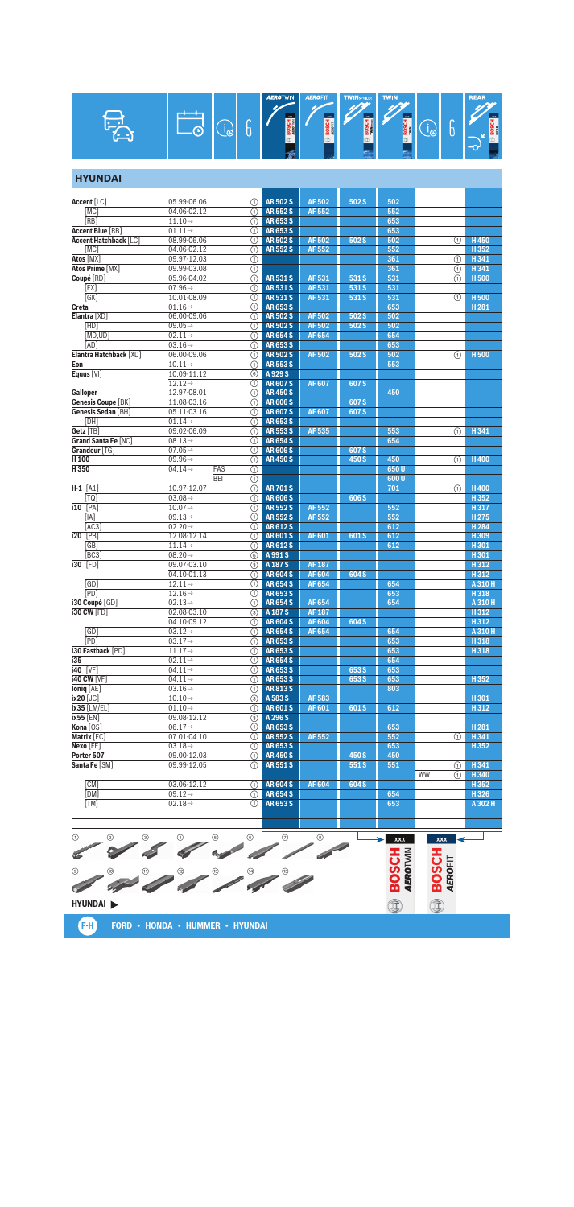

#### **HYUNDAI**

| <b>Accent</b> [LC]           | 05.99-06.06                | (1)                                  | <b>AR502S</b>    | <b>AF502</b>  | 502 S            | 502  |         |                  |
|------------------------------|----------------------------|--------------------------------------|------------------|---------------|------------------|------|---------|------------------|
| [MC]                         | 04.06-02.12                | ⋒                                    | <b>AR552S</b>    | AF 552        |                  | 552  |         |                  |
| [RB]                         | $11.10 \rightarrow$        | ⋒                                    | AR653S           |               |                  | 653  |         |                  |
| <b>Accent Blue [RB]</b>      | $01.11 \rightarrow$        | ⋒                                    | AR653S           |               |                  | 653  |         |                  |
| <b>Accent Hatchback [LC]</b> | 08.99-06.06                | (1)                                  | <b>AR 502 S</b>  | <b>AF502</b>  | 502 S            | 502  | ①       | H450             |
| [MC]                         | 04.06-02.12                | ⋒                                    | <b>AR552S</b>    | <b>AF552</b>  |                  | 552  |         | H352             |
| Atos [MX]                    |                            |                                      |                  |               |                  | 361  |         | H341             |
|                              | 09.97-12.03                | ⋒                                    |                  |               |                  |      | ①       |                  |
| <b>Atos Prime [MX]</b>       | 09.99-03.08                | $\overline{\textcircled{\small{1}}}$ |                  |               |                  | 361  | ⋒       | H341             |
| Coupé [RD]                   | 05.96-04.02                | ⋒                                    | <b>AR531S</b>    | AF 531        | 531 S            | 531  | (1)     | H <sub>500</sub> |
| [FX]                         | $07.96 \rightarrow$        | ⋒                                    | AR 531 S         | AF 531        | 531 S            | 531  |         |                  |
| GK                           | 10.01-08.09                | (1)                                  | AR 531 S         | AF 531        | 531 S            | 531  | ①       | H <sub>500</sub> |
| Creta                        | $01.16\rightarrow$         | ⋒                                    | AR653S           |               |                  | 653  |         | H <sub>281</sub> |
| Elantra [XD]                 | 06.00-09.06                | ⋒                                    | <b>AR502S</b>    | <b>AF502</b>  | 502 S            | 502  |         |                  |
| [HD]                         | 09.05 $\rightarrow$        | ⋒                                    | <b>AR502S</b>    | <b>AF502</b>  | 502 S            | 502  |         |                  |
| [MD.UD]                      | $02.11 \rightarrow$        | ⋒                                    | <b>AR654S</b>    | <b>AF654</b>  |                  | 654  |         |                  |
| [AD]                         | $03.16 \rightarrow$        | ⋒                                    | AR 653 S         |               |                  | 653  |         |                  |
| Elantra Hatchback [XD]       | $06.00 - 09.06$            | (1)                                  | <b>AR 502 S</b>  | AF 502        | 502 S            | 502  | ①       | H <sub>500</sub> |
| Eon                          | $10.11 \rightarrow$        | ⋒                                    | <b>AR553S</b>    |               |                  | 553  |         |                  |
| Equus [VI]                   | 10.09-11.12                | 6                                    | A 929 S          |               |                  |      |         |                  |
|                              | $12.12 \rightarrow$        | ∩                                    | <b>AR607S</b>    | <b>AF607</b>  | 607 <sub>S</sub> |      |         |                  |
| Galloper                     | 12.97-08.01                | ⋒                                    | <b>AR450S</b>    |               |                  | 450  |         |                  |
| <b>Genesis Coupe [BK]</b>    | 11.08-03.16                | ⋒                                    | <b>AR 606 S</b>  |               | 607 S            |      |         |                  |
| Genesis Sedan [BH]           | 05.11-03.16                | (1)                                  | <b>AR607S</b>    | <b>AF607</b>  | 607 <sub>S</sub> |      |         |                  |
| [DH]                         | $01.14\rightarrow$         | ⋒                                    | AR653S           |               |                  |      |         |                  |
| Getz [TB]                    | 09.02-06.09                | ∩                                    | <b>AR553S</b>    | AF 535        |                  | 553  | ①       | H341             |
| Grand Santa Fe [NC]          | $08.13\rightarrow$         | ⋒                                    | <b>AR654S</b>    |               |                  | 654  |         |                  |
| Grandeur [TG]                | $07.05 \rightarrow$        | ⋒                                    | <b>AR606S</b>    |               | 607 <sub>S</sub> |      |         |                  |
| H 100                        | $09.96 \rightarrow$        |                                      |                  |               | 450 S            | 450  |         | <b>H400</b>      |
|                              |                            | ⋒                                    | <b>AR450S</b>    |               |                  |      | ⋒       |                  |
| H350                         | $04.14 \rightarrow$<br>FAS | ⊙                                    |                  |               |                  | 650U |         |                  |
|                              | <b>BEI</b>                 | ⋒                                    |                  |               |                  | 600U |         |                  |
| $H-1$ [A1]                   | 10.97-12.07                | ⋒                                    | <b>AR701S</b>    |               |                  | 701  | ⋒       | H400             |
| [TQ]                         | $03.08 \rightarrow$        | ⋒                                    | <b>AR606S</b>    |               | 606 S            |      |         | H352             |
| <b>i10</b> [PA]              | $10.07 \rightarrow$        | ⋒                                    | <b>AR552S</b>    | <b>AF552</b>  |                  | 552  |         | H317             |
| [IA]                         | $09.13 \rightarrow$        | ⋒                                    | AR 552 S         | <b>AF552</b>  |                  | 552  |         | H <sub>275</sub> |
| [AC3]                        | $02.20 \rightarrow$        | (1)                                  | AR612S           |               |                  | 612  |         | H <sub>284</sub> |
| <b>i20</b> [PB]              | 12.08-12.14                | ⋒                                    | <b>AR601S</b>    | AF 601        | 601S             | 612  |         | H309             |
| [GB]                         | $11.14\rightarrow$         | ∩                                    | AR 612 S         |               |                  | 612  |         | H301             |
| [BC3]                        | $08.20 \rightarrow$        | $\circled{s}$                        | A 991 S          |               |                  |      |         | H301             |
| $130$ [FD]                   | 09.07-03.10                | ③                                    | A 187 S          | <b>AF 187</b> |                  |      |         | H312             |
|                              | 04.10-01.13                | ⋒                                    | <b>AR604S</b>    | <b>AF604</b>  | 604 S            |      |         | H312             |
| [GD]                         | $12.11 \rightarrow$        | (1)                                  | <b>AR654S</b>    | AF 654        |                  | 654  |         | A 310 H          |
| <b>[PD]</b>                  | $12.16 \rightarrow$        | ⋒                                    | AR653S           |               |                  | 653  |         | H318             |
| i30 Coupé [GD]               | $02.13 \rightarrow$        | ⋒                                    | <b>AR654S</b>    | AF 654        |                  | 654  |         | A 310 H          |
| <b>i30 CW [FD]</b>           | 02.08-03.10                | ③                                    | A 187 S          | <b>AF187</b>  |                  |      |         | H312             |
|                              | 04.10-09.12                | ⋒                                    | <b>AR604S</b>    | <b>AF604</b>  | 604 S            |      |         | H312             |
| [GD]                         | $03.12 \rightarrow$        | ⋒                                    | <b>AR654S</b>    | AF 654        |                  | 654  |         | A 310 H          |
| <b>TPD</b>                   | $03.17 \rightarrow$        | (1)                                  | AR 653 S         |               |                  | 653  |         | H318             |
| i30 Fastback [PD]            | $11.17 \rightarrow$        | ⋒                                    | AR653S           |               |                  | 653  |         | H318             |
| i35                          | $02.11 \rightarrow$        | ∩                                    | <b>AR654S</b>    |               |                  | 654  |         |                  |
| <b>i40</b> [VF]              | $04.11 \rightarrow$        | ⋒                                    | AR653S           |               | 653 S            | 653  |         |                  |
| <b>140 CW [VF]</b>           | $04.11 \rightarrow$        | ⋒                                    | AR653S           |               | 653 S            | 653  |         | H 352            |
|                              |                            |                                      |                  |               |                  |      |         |                  |
| <b>Ioniq</b> [AE]            | $03.16 \rightarrow$        |                                      | <b>TE</b> AR813S |               |                  | 803  |         |                  |
| ix20 [JC]                    | $10.10 \rightarrow$        | 3                                    | A 583 S          | AF 583        |                  |      |         | H301             |
| ix35 [LM/EL]                 | $01.10 \rightarrow$        | (1)                                  | <b>AR601S</b>    | <b>AF601</b>  | 601 S            | 612  |         | H312             |
| <b>ix55</b> [EN]             | 09.08-12.12                | ③                                    | A 296 S          |               |                  |      |         |                  |
| Kona [OS]                    | $06.17 \rightarrow$        | ①                                    | AR653S           |               |                  | 653  |         | H <sub>281</sub> |
| Matrix [FC]                  | 07.01-04.10                | ⋒                                    | <b>AR552S</b>    | AF 552        |                  | 552  | ①       | H341             |
| Nexo [FE]                    | $03.18 \rightarrow$        | ⋒                                    | AR653S           |               |                  | 653  |         | H352             |
| Porter 507                   | 09.00-12.03                | (1)                                  | <b>AR450S</b>    |               | 450 S            | 450  |         |                  |
| Santa Fe [SM]                | 09.99-12.05                | (1)                                  | <b>AR551S</b>    |               | 551S             | 551  | (1)     | H341             |
|                              |                            |                                      |                  |               |                  |      | WW<br>① | H 340            |
| [CM]                         | 03.06-12.12                | (1)                                  | <b>AR604S</b>    | <b>AF604</b>  | 604 S            |      |         | H352             |
| [DM]                         | $09.12 \rightarrow$        | ⋒                                    | <b>AR654S</b>    |               |                  | 654  |         | H326             |
| [TM]                         | $02.18 \rightarrow$        | ⋒                                    | AR653S           |               |                  | 653  |         | A 302 H          |
|                              |                            |                                      |                  |               |                  |      |         |                  |
|                              |                            |                                      |                  |               |                  |      |         |                  |
|                              |                            |                                      |                  |               |                  |      |         |                  |
|                              |                            |                                      |                  |               |                  |      |         |                  |



**F-H FORD • HONDA • HUMMER • HYUNDAI**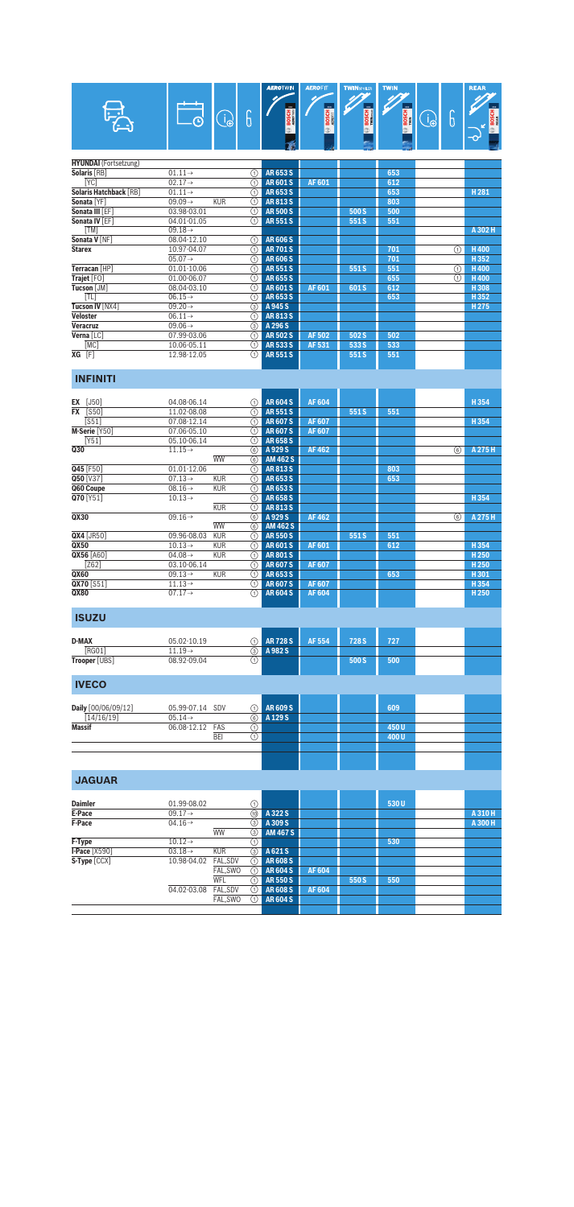|  | œ<br>з. |  |  | o | <b>AEROTWIN</b><br>m<br> | <b>AEROFIT</b><br>m<br>m a | <b>TWINSPOILER TWIN</b><br>m<br>≃ | 3000<br>ᄚ | 49 | ◠<br>Θ | <b>REAR</b><br>m<br>종<br>g<br>분<br>$-\infty$ |
|--|---------|--|--|---|--------------------------|----------------------------|-----------------------------------|-----------|----|--------|----------------------------------------------|
|--|---------|--|--|---|--------------------------|----------------------------|-----------------------------------|-----------|----|--------|----------------------------------------------|

| <b>HYUNDAI</b> (Fortsetzung) |                                   |                   |                 |        |       |     |   |         |
|------------------------------|-----------------------------------|-------------------|-----------------|--------|-------|-----|---|---------|
| Solaris [RB]                 | $01.11 \rightarrow$               | ⋒                 | AR653S          |        |       | 653 |   |         |
| [YC]                         | $02.17 \rightarrow$               | ⋒                 | <b>AR601S</b>   | AF 601 |       | 612 |   |         |
| Solaris Hatchback [RB]       | $01.11 \rightarrow$               | (1)               | AR653S          |        |       | 653 |   | H281    |
| Sonata [YF]                  | $09.09 \rightarrow$<br><b>KUR</b> | ω                 | <b>AR813S</b>   |        |       | 803 |   |         |
| Sonata III [EF]              | 03.98-03.01                       | ⋒                 | <b>AR 500 S</b> |        | 500 S | 500 |   |         |
| Sonata IV [EF]               | 04.01-01.05                       | ⋒                 | <b>AR551S</b>   |        | 551 S | 551 |   |         |
| [TM]                         | $09.18 \rightarrow$               |                   |                 |        |       |     |   | A 302 H |
| Sonata V [NF]                | 08.04-12.10                       | ⋒                 | <b>AR606S</b>   |        |       |     |   |         |
| <b>Starex</b>                | 10.97-04.07                       | ⋒                 | <b>AR701S</b>   |        |       | 701 | ⋒ | H400    |
|                              | $05.07 \rightarrow$               | ⋒                 | <b>AR606S</b>   |        |       | 701 |   | H352    |
| Terracan [HP]                | 01.01-10.06                       | ⋒                 | <b>AR551S</b>   |        | 551 S | 551 | ⋒ | H400    |
| Trajet [FO]                  | 01.00-06.07                       | ⋒                 | <b>AR655S</b>   |        |       | 655 | ⋒ | H400    |
| Tucson [JM]                  | 08.04-03.10                       | ⋒                 | <b>AR601S</b>   | AF 601 | 601 S | 612 |   | H308    |
| [TL]                         | $06.15\rightarrow$                | ⋒                 | AR 653 S        |        |       | 653 |   | H352    |
| <b>Tucson IV [NX4]</b>       | $09.20 \rightarrow$               | ③                 | A 945 S         |        |       |     |   | H275    |
| Veloster                     | $06.11 \rightarrow$               | $\left( 1\right)$ | <b>AR813S</b>   |        |       |     |   |         |
| Veracruz                     | 09.06 $\rightarrow$               | ③                 | A 296 S         |        |       |     |   |         |
| Verna [LC]                   | 07.99-03.06                       | ⋒                 | <b>AR502S</b>   | AF 502 | 502 S | 502 |   |         |
| [MC]                         | 10.06-05.11                       | ⋒                 | <b>AR5335</b>   | AF 531 | 533 S | 533 |   |         |
| $\overline{XG}$ [F]          | 12.98-12.05                       | ⋒                 | <b>AR551S</b>   |        | 551S  | 551 |   |         |
|                              |                                   |                   |                 |        |       |     |   |         |

## **INFINITI**

| <b>EX</b> [J50]    | 04.08-06.14                       | (1) | <b>AR604S</b>   | <b>AF604</b> |      |     |   | H354             |
|--------------------|-----------------------------------|-----|-----------------|--------------|------|-----|---|------------------|
| <b>FX</b> [S50]    | 11.02-08.08                       | ⋒   | <b>AR551S</b>   |              | 551S | 551 |   |                  |
| [ <sub>S51</sub> ] | 07.08-12.14                       | ⋒   | <b>AR607S</b>   | <b>AF607</b> |      |     |   | H354             |
| M-Serie [Y50]      | 07.06-05.10                       | (1) | <b>AR607S</b>   | <b>AF607</b> |      |     |   |                  |
| [Y51]              | 05.10-06.14                       | (1) | <b>AR658S</b>   |              |      |     |   |                  |
| Q30                | $11.15 \rightarrow$               | 6   | A929S           | AF 462       |      |     | 6 | A 275 H          |
|                    | <b>WW</b>                         | 6   | <b>AM 462 S</b> |              |      |     |   |                  |
| Q45 [F50]          | 01.01-12.06                       | ⋒   | <b>AR813S</b>   |              |      | 803 |   |                  |
| Q50 [V37]          | $07.13\rightarrow$<br><b>KUR</b>  | ⋒   | AR653S          |              |      | 653 |   |                  |
| Q60 Coupe          | $08.16 \rightarrow$<br><b>KUR</b> | ⋒   | <b>AR653S</b>   |              |      |     |   |                  |
| Q70 [Y51]          | $10.13\rightarrow$                | ⋒   | <b>AR658S</b>   |              |      |     |   | H354             |
|                    | <b>KUR</b>                        | ⋒   | <b>AR813S</b>   |              |      |     |   |                  |
| QX30               | $09.16 \rightarrow$               | 6   | A929S           | AF 462       |      |     | ⊛ | A 275 H          |
|                    | <b>WW</b>                         | 6   | <b>AM 462 S</b> |              |      |     |   |                  |
| $QX4$ [JR50]       | 09.96-08.03<br><b>KUR</b>         | ⋒   | <b>AR550S</b>   |              | 551S | 551 |   |                  |
| QX50               | $10.13 \rightarrow$<br><b>KUR</b> | ⋒   | <b>AR601S</b>   | AF 601       |      | 612 |   | H354             |
| <b>QX56 [A60]</b>  | 04.08 $\rightarrow$<br><b>KUR</b> | ⋒   | <b>AR801S</b>   |              |      |     |   | H <sub>250</sub> |
| $\overline{Z621}$  | 03.10-06.14                       | ⋒   | <b>AR607S</b>   | AF 607       |      |     |   | H <sub>250</sub> |
| QX60               | $09.13 \rightarrow$<br><b>KUR</b> | ⋒   | AR653S          |              |      | 653 |   | H301             |
| QX70 [S51]         | $11.13\rightarrow$                | ⋒   | <b>AR607S</b>   | AF 607       |      |     |   | H354             |
| QX80               | $07.17 \rightarrow$               | ⋒   | <b>AR604S</b>   | AF 604       |      |     |   | H <sub>250</sub> |
|                    |                                   |     |                 |              |      |     |   |                  |

# **ISUZU**

| <b>D-MAX</b>  | 05.02-10.19       | <b>1</b> AR 728 S | AF 554 | 728 S | 727 |  |
|---------------|-------------------|-------------------|--------|-------|-----|--|
| <b>[RGO1]</b> | $1.19\rightarrow$ | A982S<br>3)       |        |       |     |  |
| Trooper [UBS] | 08.92-09.04       |                   |        | 500 S | 500 |  |

| <b>IVECO</b>        |                    |     |     |          |  |      |  |
|---------------------|--------------------|-----|-----|----------|--|------|--|
| Daily [00/06/09/12] | 05.99-07.14 SDV    |     |     | AR 609 S |  | 609  |  |
| [14/16/19]          | $05.14\rightarrow$ |     | (6) | A 129 S  |  |      |  |
| <b>Massif</b>       | 06.08-12.12 FAS    |     |     |          |  | 450U |  |
|                     |                    | BEI |     |          |  | 400U |  |
|                     |                    |     |     |          |  |      |  |
|                     |                    |     |     |          |  |      |  |
|                     |                    |     |     |          |  |      |  |

# **JAGUAR**

| <b>Daimler</b>     | 01.99-08.02         |            | ⋒    |                 |        |       | 530U |         |
|--------------------|---------------------|------------|------|-----------------|--------|-------|------|---------|
| E-Pace             | $09.17 \rightarrow$ |            | (10) | A 322 S         |        |       |      | A 310 H |
| F-Pace             | $04.16 \rightarrow$ |            | (3)  | A 309 S         |        |       |      | A 300 H |
|                    |                     | <b>WW</b>  | (3)  | <b>AM 467 S</b> |        |       |      |         |
| F-Type             | $10.12 \rightarrow$ |            | (1)  |                 |        |       | 530  |         |
| $I$ -Pace $[X590]$ | $03.18 \rightarrow$ | <b>KUR</b> | ③    | A 621 S         |        |       |      |         |
| S-Type [CCX]       | 10.98-04.02         | FAL.SDV    | (1)  | <b>AR608S</b>   |        |       |      |         |
|                    |                     | FAL, SWO   | (1)  | <b>AR604S</b>   | AF 604 |       |      |         |
|                    |                     | WFL        | (1)  | <b>AR 550 S</b> |        | 550 S | 550  |         |
|                    | 04.02-03.08         | FAL.SDV    | (1)  | <b>AR608S</b>   | AF 604 |       |      |         |
|                    |                     | FAL.SWO    | (1)  | <b>AR604S</b>   |        |       |      |         |
|                    |                     |            |      |                 |        |       |      |         |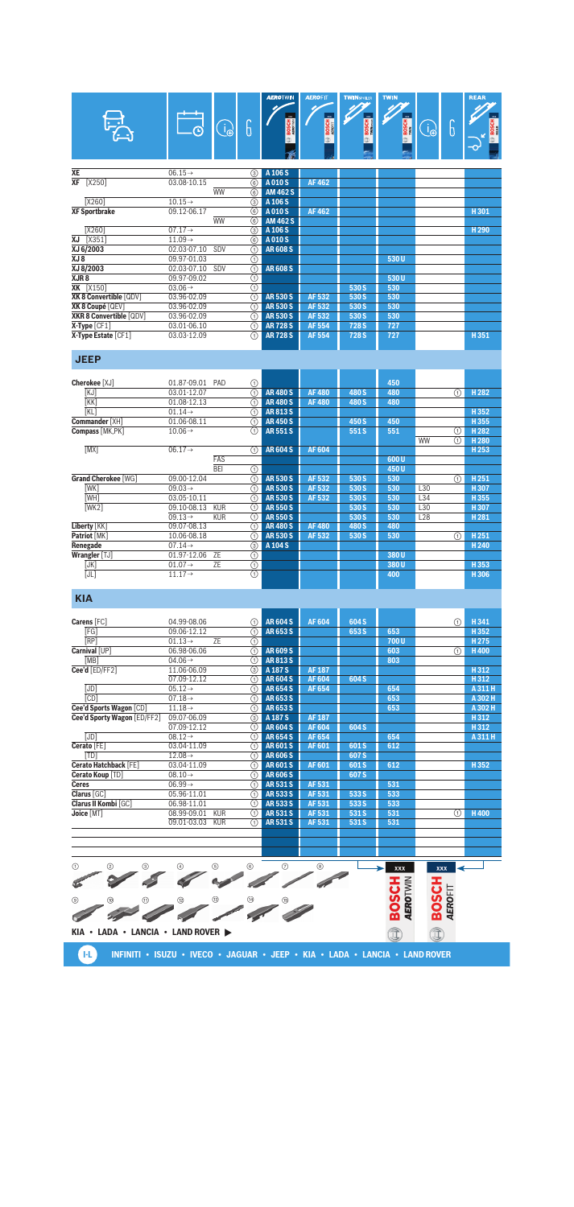|           |                         | ∩                   |           | 6           | <b>AEROTWN</b><br>3000<br><b>BOSCH</b> | <b>AEROFIT</b><br><b>BOSCH</b> | <b>TWINSPOLER</b><br>m.<br><b>BOSCH</b> | <b>TWIN</b><br><b>BOSCH</b> | $\Phi$ | b | <b>REAR</b><br><b>BOSCH</b><br>⊸ |
|-----------|-------------------------|---------------------|-----------|-------------|----------------------------------------|--------------------------------|-----------------------------------------|-----------------------------|--------|---|----------------------------------|
| <b>XE</b> |                         | $06.15 \rightarrow$ |           | (3)         | A 106 S                                |                                |                                         |                             |        |   |                                  |
| <b>XF</b> | [X250]                  | 03.08-10.15         |           | 6           | A010S                                  | <b>AF462</b>                   |                                         |                             |        |   |                                  |
|           |                         |                     | <b>WW</b> | 6           | AM 462 S                               |                                |                                         |                             |        |   |                                  |
|           | [X260]                  | $10.15 \rightarrow$ |           | $\circledS$ | A 106 S                                |                                |                                         |                             |        |   |                                  |
|           | <b>XF Sportbrake</b>    | 09.12-06.17         |           | 6           | A010S                                  | AF 462                         |                                         |                             |        |   | H301                             |
|           |                         |                     | <b>WW</b> | ⊛           | AM 462 S                               |                                |                                         |                             |        |   |                                  |
|           | [X260]                  | $07.17 \rightarrow$ |           | $\circledS$ | A 106 S                                |                                |                                         |                             |        |   | H <sub>290</sub>                 |
| ΧJ        | $[X351]$                | $11.09 \rightarrow$ |           | 6           | A010S                                  |                                |                                         |                             |        |   |                                  |
|           | XJ 6/2003               | 02.03-07.10         | SDV       | ⊕           | <b>AR608S</b>                          |                                |                                         |                             |        |   |                                  |
| XJ 8      |                         | 09.97-01.03         |           | ➀           |                                        |                                |                                         | 530U                        |        |   |                                  |
|           | XJ 8/2003               | 02.03-07.10         | SDV       | ⋔           | <b>AR608S</b>                          |                                |                                         |                             |        |   |                                  |
| XJR8      |                         | 09.97-09.02         |           | ⊕           |                                        |                                |                                         | 530U                        |        |   |                                  |
|           | <b>XK</b> [X150]        | $03.06 \rightarrow$ |           | ⊚           |                                        |                                | 530 S                                   | 530                         |        |   |                                  |
|           | XK 8 Convertible [QDV]  | 03.96-02.09         |           | ⊕           | <b>AR530S</b>                          | AF 532                         | 530 S                                   | 530                         |        |   |                                  |
|           | XK 8 Coupé [QEV]        | 03.96-02.09         |           | ⋒           | <b>AR530S</b>                          | AF 532                         | 530 S                                   | 530                         |        |   |                                  |
|           | XKR 8 Convertible [QDV] | 03.96-02.09         |           | ⋒           | <b>AR530S</b>                          | AF 532                         | 530 S                                   | 530                         |        |   |                                  |
|           | $X$ -Type $[CF1]$       | 03.01-06.10         |           | ⋒           | <b>AR728S</b>                          | AF 554                         | 728 S                                   | 727                         |        |   |                                  |
|           | X-Type Estate [CF1]     | 03.03-12.09         |           | ∩           | <b>AR728S</b>                          | <b>AF554</b>                   | 728 S                                   | 727                         |        |   | H351                             |
|           |                         |                     |           |             |                                        |                                |                                         |                             |        |   |                                  |

## **JEEP**

| Cherokee [XJ]              | 01.87-09.01<br>PAD                | ⊕       |               |              |       | 450  |           |   |                  |
|----------------------------|-----------------------------------|---------|---------------|--------------|-------|------|-----------|---|------------------|
| [KJ]                       | 03.01-12.07                       | ∩       | <b>AR480S</b> | <b>AF480</b> | 480 S | 480  |           | ∩ | H <sub>282</sub> |
| K                          | 01.08-12.13                       | ⋒       | <b>AR480S</b> | <b>AF480</b> | 480 S | 480  |           |   |                  |
| [KL]                       | $01.14\rightarrow$                | ⋒       | <b>AR813S</b> |              |       |      |           |   | H352             |
| <b>Commander XHT</b>       | 01.06-08.11                       | ⋒       | <b>AR450S</b> |              | 450 S | 450  |           |   | H355             |
| Compass [MK, PK]           | $10.06 \rightarrow$               | ∩       | <b>AR551S</b> |              | 551 S | 551  |           | ⊕ | H <sub>282</sub> |
|                            |                                   |         |               |              |       |      | <b>WW</b> | ∩ | H <sub>280</sub> |
| [MX]                       | $06.17 \rightarrow$               | ⋒       | <b>AR604S</b> | <b>AF604</b> |       |      |           |   | H <sub>253</sub> |
|                            | FAS                               |         |               |              |       | 600U |           |   |                  |
|                            | <b>BEI</b>                        | ⊕       |               |              |       | 450U |           |   |                  |
| <b>Grand Cherokee [WG]</b> | 09.00-12.04                       | ⋒       | <b>AR530S</b> | AF 532       | 530 S | 530  |           | ∩ | H251             |
| [WK]                       | $09.03 \rightarrow$               | ⋒       | <b>AR530S</b> | AF 532       | 530 S | 530  | L30       |   | H307             |
| [WH]                       | 03.05-10.11                       | ⋒       | <b>AR530S</b> | AF 532       | 530 S | 530  | L34       |   | H355             |
| [WK2]                      | 09.10-08.13<br><b>KUR</b>         | ⋒       | <b>AR550S</b> |              | 530 S | 530  | L30       |   | H <sub>307</sub> |
|                            | $09.13 \rightarrow$<br><b>KUR</b> | ⋒       | <b>AR550S</b> |              | 530 S | 530  | L28       |   | H <sub>281</sub> |
| Liberty [KK]               | 09.07-08.13                       | ⋒       | <b>AR480S</b> | <b>AF480</b> | 480 S | 480  |           |   |                  |
| Patriot [MK]               | 10.06-08.18                       | ⋒       | <b>AR530S</b> | AF 532       | 530 S | 530  |           | ∩ | H251             |
| Renegade                   | $07.14\rightarrow$                | 3       | A 104 S       |              |       |      |           |   | H <sub>240</sub> |
| Wrangler [TJ]              | 01.97-12.06<br><b>ZE</b>          | ⊕       |               |              |       | 380U |           |   |                  |
| [JK]                       | <b>ZE</b><br>$01.07 \rightarrow$  | $\odot$ |               |              |       | 380U |           |   | H353             |
| [JL]                       | $11.17 \rightarrow$               | $\odot$ |               |              |       | 400  |           |   | H306             |
|                            |                                   |         |               |              |       |      |           |   |                  |

## **KIA**

| Carens [FC]                  | 04.99-08.06                     | ∩           | <b>AR604S</b> | <b>AF604</b> | 604 S |      | ⋒ | H341             |
|------------------------------|---------------------------------|-------------|---------------|--------------|-------|------|---|------------------|
| [FG]                         | 09.06-12.12                     | ⋒           | AR653S        |              | 653 S | 653  |   | H352             |
| <b>TRP1</b>                  | <b>ZE</b><br>$01.13\rightarrow$ | ⋒           |               |              |       | 700U |   | H <sub>275</sub> |
| Carnival [UP]                | 06.98-06.06                     | ⋒           | <b>AR609S</b> |              |       | 603  | ⋒ | H400             |
| [MB]                         | $04.06\rightarrow$              | ⋒           | <b>AR813S</b> |              |       | 803  |   |                  |
| Cee'd [ED/FF2]               | 11.06-06.09                     | ③           | A 187 S       | <b>AF187</b> |       |      |   | H312             |
|                              | 07.09-12.12                     | ⋒           | <b>AR604S</b> | <b>AF604</b> | 604 S |      |   | H312             |
| [JD]                         | $05.12 \rightarrow$             | ⋒           | <b>AR654S</b> | AF 654       |       | 654  |   | A 311 H          |
| <b>CD1</b>                   | $07.18\rightarrow$              | ⋒           | AR653S        |              |       | 653  |   | A 302 H          |
| Cee'd Sports Wagon [CD]      | $11.18 \rightarrow$             | ⋒           | AR653S        |              |       | 653  |   | A 302 H          |
| Cee'd Sporty Wagon [ED/FF2]  | 09.07-06.09                     | $\circledS$ | A 187 S       | <b>AF187</b> |       |      |   | H312             |
|                              | 07.09-12.12                     | ⋒           | <b>AR604S</b> | <b>AF604</b> | 604 S |      |   | H312             |
| [JD]                         | $08.12 \rightarrow$             | ⋒           | <b>AR654S</b> | AF 654       |       | 654  |   | A 311 H          |
| Cerato [FE]                  | 03.04-11.09                     | ⋒           | <b>AR601S</b> | AF 601       | 601 S | 612  |   |                  |
| [TD]                         | $12.08\rightarrow$              | ⋒           | <b>AR606S</b> |              | 607 S |      |   |                  |
| <b>Cerato Hatchback [FE]</b> | 03.04-11.09                     | ⋒           | <b>AR601S</b> | AF 601       | 601S  | 612  |   | H352             |
| Cerato Koup [TD]             | $08.10 \rightarrow$             | ⋒           | <b>AR606S</b> |              | 607 S |      |   |                  |
| <b>Ceres</b>                 | $06.99 \rightarrow$             | ⋒           | <b>AR531S</b> | AF 531       |       | 531  |   |                  |
| Clarus [GC]                  | 05.96-11.01                     | ⋒           | <b>AR5335</b> | AF 531       | 533 S | 533  |   |                  |
| Clarus II Kombi [GC]         | 06.98-11.01                     | ⋒           | AR 533 S      | AF 531       | 533 S | 533  |   |                  |
| Joice [MT]                   | 08.99-09.01<br><b>KUR</b>       | ⋒           | <b>AR531S</b> | AF 531       | 531 S | 531  | ⋒ | H400             |
|                              | 09.01-03.03<br><b>KUR</b>       | ⋒           | <b>AR531S</b> | AF 531       | 531 S | 531  |   |                  |
|                              |                                 |             |               |              |       |      |   |                  |

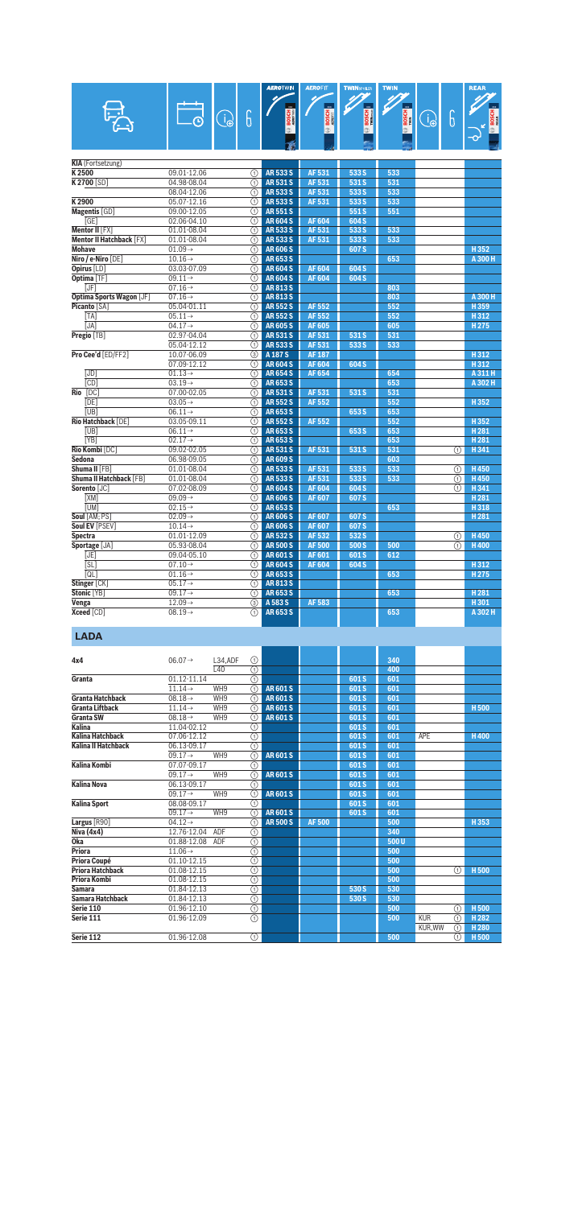|                |                                            |                                            |                                       |               | <b>AEROTWN</b>                 | <b>AEROFIT</b>          | <b>TWINSPOILER</b>      | <b>TWIN</b>  |             |   | <b>REAR</b>      |
|----------------|--------------------------------------------|--------------------------------------------|---------------------------------------|---------------|--------------------------------|-------------------------|-------------------------|--------------|-------------|---|------------------|
|                |                                            |                                            |                                       |               |                                | $\overline{\mathbf{m}}$ | $\overline{\mathbf{m}}$ |              |             |   |                  |
|                |                                            |                                            |                                       |               |                                |                         |                         |              |             |   |                  |
|                |                                            |                                            | $\widehat{\mathbb{d}_{\mathfrak{S}}}$ | 6             | <b>BOSCH</b>                   | <b>BOSCH</b>            | BOSCH<br>Williams       | <b>BOSCH</b> | $\bigoplus$ | 6 | <b>BOSCH</b>     |
|                |                                            |                                            |                                       |               |                                |                         |                         |              |             |   |                  |
|                |                                            |                                            |                                       |               |                                |                         |                         |              |             |   |                  |
|                |                                            |                                            |                                       |               |                                |                         |                         |              |             |   |                  |
|                | <b>KIA</b> (Fortsetzung)                   |                                            |                                       |               |                                |                         |                         |              |             |   |                  |
| K2500          |                                            | 09.01-12.06                                |                                       | ⋒             | <b>AR533S</b>                  | AF 531                  | 533 S                   | 533          |             |   |                  |
|                | <b>K2700 [SD]</b>                          | 04.98-08.04                                |                                       | ∩             | <b>AR531S</b>                  | AF 531                  | 531 S                   | 531          |             |   |                  |
|                |                                            | 08.04-12.06                                |                                       | の             | <b>AR533S</b>                  | AF 531                  | 533 S                   | 533          |             |   |                  |
| K2900          |                                            | 05.07-12.16                                |                                       | ∩             | <b>AR533S</b>                  | AF 531                  | 533 S                   | 533          |             |   |                  |
|                | Magentis [GD]                              | 09.00-12.05                                |                                       | ⋒             | <b>AR551S</b>                  |                         | 551S                    | 551          |             |   |                  |
|                | [GE]                                       | 02.06-04.10                                |                                       | ⋒             | <b>AR604S</b>                  | <b>AF604</b>            | 604 S                   |              |             |   |                  |
|                | Mentor II [FX]<br>Mentor II Hatchback [FX] | 01.01-08.04<br>01.01-08.04                 |                                       | ⋒             | <b>AR533S</b><br><b>AR533S</b> | AF 531<br>AF 531        | 533 S<br>533 S          | 533<br>533   |             |   |                  |
| <b>Mohave</b>  |                                            | $01.09 \rightarrow$                        |                                       | ⋒<br>⋒        | <b>AR 606 S</b>                |                         | 607 S                   |              |             |   | H352             |
|                | Niro / e-Niro [DE]                         | $10.16 \rightarrow$                        |                                       | ⋒             | <b>AR653S</b>                  |                         |                         | 653          |             |   | A 300 H          |
|                | Opirus [LD]                                | 03.03-07.09                                |                                       | ⋒             | <b>AR604S</b>                  | <b>AF604</b>            | 604 S                   |              |             |   |                  |
|                | Optima [TF]                                | $09.11 \rightarrow$                        |                                       | ⋒             | <b>AR604S</b>                  | <b>AF604</b>            | 604 S                   |              |             |   |                  |
|                | <b>IJF</b>                                 | $07.16 \rightarrow$                        |                                       | A             | <b>AR813S</b>                  |                         |                         | 803          |             |   |                  |
|                | <b>Optima Sports Wagon [JF]</b>            | $07.16 \rightarrow$                        |                                       | ⋒             | <b>AR813S</b>                  |                         |                         | 803          |             |   | A 300 H          |
|                | <b>Picanto [SA]</b>                        | 05.04-01.11                                |                                       | の             | <b>AR552S</b>                  | AF 552                  |                         | 552          |             |   | H359             |
|                | [TA]                                       | $05.11 \rightarrow$                        |                                       | (T)           | <b>AR552S</b>                  | <b>AF552</b>            |                         | 552          |             |   | H312             |
|                | [JA]                                       | $04.17 \rightarrow$                        |                                       | ⋒             | <b>AR605S</b>                  | <b>AF605</b>            |                         | 605          |             |   | H275             |
|                | Pregio [TB]                                | 02.97-04.04                                |                                       | ⋒             | AR 531 S                       | AF 531                  | 531 S                   | 531          |             |   |                  |
|                |                                            | 05.04-12.12                                |                                       | ⋒             | <b>AR533S</b>                  | AF 531                  | 533 S                   | 533          |             |   |                  |
|                | Pro Cee'd [ED/FF2]                         | 10.07-06.09                                |                                       | 3             | A 187 S                        | <b>AF187</b>            |                         |              |             |   | H312             |
|                |                                            | 07.09-12.12                                |                                       | ⋒             | <b>AR604S</b>                  | <b>AF604</b>            | 604 S                   |              |             |   | H312             |
|                | [JD]                                       | $01.13 \rightarrow$                        |                                       | ⋒             | <b>AR654S</b>                  | AF 654                  |                         | 654          |             |   | A 311 H          |
|                | [CD]                                       | $03.19 \rightarrow$                        |                                       | ⋒             | AR653S                         |                         |                         | 653          |             |   | A 302 H          |
| Rio [DC]       |                                            | 07.00-02.05                                |                                       | ⊕             | <b>AR531S</b>                  | AF 531                  | 531 S                   | 531          |             |   |                  |
|                | [DE]<br>[UB]                               | $03.05 \rightarrow$<br>$06.11 \rightarrow$ |                                       | ①<br>⋒        | <b>AR552S</b><br><b>AR653S</b> | <b>AF552</b>            | 653 S                   | 552<br>653   |             |   | H352             |
|                | Rio Hatchback [DE]                         | 03.05-09.11                                |                                       | の             | <b>AR552S</b>                  | AF 552                  |                         | 552          |             |   | H352             |
|                | [UB]                                       | $06.11 \rightarrow$                        |                                       | ∩             | <b>AR653S</b>                  |                         | 653 S                   | 653          |             |   | H <sub>281</sub> |
|                | [YB]                                       | $02.17 \rightarrow$                        |                                       | ⋒             | AR653S                         |                         |                         | 653          |             |   | H <sub>281</sub> |
|                | Rio Kombi [DC]                             | 09.02-02.05                                |                                       | ⋒             | <b>AR531S</b>                  | AF 531                  | 531 S                   | 531          |             | ⋒ | H341             |
| Sedona         |                                            | 06.98-09.05                                |                                       | ⋒             | <b>AR609S</b>                  |                         |                         | 603          |             |   |                  |
|                | Shuma II [FB]                              | 01.01-08.04                                |                                       | ⋒             | <b>AR533S</b>                  | AF 531                  | 533 S                   | 533          |             | ⋒ | H450             |
|                | Shuma II Hatchback [FB]                    | 01.01-08.04                                |                                       | ∩             | <b>AR533S</b>                  | AF 531                  | 533 S                   | 533          |             | ⋒ | H450             |
|                | Sorento [JC]                               | 07.02-08.09                                |                                       | ⋒             | <b>AR604S</b>                  | <b>AF604</b>            | 604 S                   |              |             | ⋒ | H341             |
|                | [XM]                                       | $09.09 \rightarrow$                        |                                       | ⊕             | <b>AR606S</b>                  | <b>AF607</b>            | 607 <sub>S</sub>        |              |             |   | H <sub>281</sub> |
|                | <b>TUM1</b>                                | $02.15 \rightarrow$                        |                                       | ∩             | <b>AR653S</b>                  |                         |                         | 653          |             |   | H318             |
|                | Soul [AM; PS]                              | $02.09 \rightarrow$                        |                                       | ⋒             | <b>AR606S</b>                  | <b>AF607</b>            | 607 S                   |              |             |   | H <sub>281</sub> |
|                | Soul EV [PSEV]                             | $10.14 \rightarrow$                        |                                       | ⊕             | <b>AR606S</b>                  | AF 607                  | 607 S                   |              |             |   |                  |
| <b>Spectra</b> |                                            | 01.01-12.09<br>05.93-08.04                 |                                       | ∩             | <b>AR532S</b><br><b>AR500S</b> | AF 532                  | 532 S<br>500 S          |              |             | ⋒ | H450             |
|                | Sportage [JA]<br>[JE]                      | 09.04-05.10                                |                                       | ⋒             | <b>AR601S</b>                  | <b>AF500</b><br>AF 601  | 601S                    | 500<br>612   |             | ⋒ | <b>H400</b>      |
|                | [SL]                                       | $07.10 \rightarrow$                        |                                       | ⋒<br>⋒        | <b>AR604S</b>                  | <b>AF604</b>            | 604 S                   |              |             |   | H312             |
|                | [QL]                                       | $01.16 \rightarrow$                        |                                       | ⋒             | <b>AR653S</b>                  |                         |                         | 653          |             |   | H275             |
|                | Stinger [CK]                               | $05.17 \rightarrow$                        |                                       | ⊕             | AR813S                         |                         |                         |              |             |   |                  |
|                | Stonic [YB]                                | $09.17 \rightarrow$                        |                                       | ⊕             | <b>AR653S</b>                  |                         |                         | 653          |             |   | H281             |
| Venga          |                                            | $12.09 \rightarrow$                        |                                       | $\circled{3}$ | A 583 S                        | AF 583                  |                         |              |             |   | H301             |
|                | <b>Xceed</b> [CD]                          | $08.19 \rightarrow$                        |                                       | ①             | AR653S                         |                         |                         | 653          |             |   | A 302 H          |
|                | <b>LADA</b>                                |                                            |                                       |               |                                |                         |                         |              |             |   |                  |
| 4x4            |                                            | $06.07 \rightarrow$                        | L34,ADF                               | ⊕             |                                |                         |                         | 340          |             |   |                  |
|                |                                            |                                            | L <sub>40</sub>                       | ⊕             |                                |                         |                         | 400          |             |   |                  |
| Granta         |                                            | 01.12-11.14                                |                                       | ⊕             |                                |                         | 601S                    | 601          |             |   |                  |
|                |                                            | $11.14\rightarrow$                         | WH9                                   | ∩             | <b>AR601S</b>                  |                         | 601S                    | 601          |             |   |                  |
|                | <b>Granta Hatchback</b>                    | $08.18 \rightarrow$                        | WH9                                   | ⋒             | <b>AR601S</b>                  |                         | 601S                    | 601          |             |   |                  |

|                            | $11.14\rightarrow$  | WH9 | ⋒          | <b>AR601S</b> |              | 601S  | 601  |            |   |                  |
|----------------------------|---------------------|-----|------------|---------------|--------------|-------|------|------------|---|------------------|
| <b>Granta Hatchback</b>    | $08.18 \rightarrow$ | WH9 | ⋒          | <b>AR601S</b> |              | 601S  | 601  |            |   |                  |
| <b>Granta Liftback</b>     | $11.14\rightarrow$  | WH9 | ⋒          | <b>AR601S</b> |              | 601S  | 601  |            |   | H <sub>500</sub> |
| <b>Granta SW</b>           | $08.18 \rightarrow$ | WH9 | ⋒          | <b>AR601S</b> |              | 601S  | 601  |            |   |                  |
| <b>Kalina</b>              | 11.04-02.12         |     | ∩          |               |              | 601S  | 601  |            |   |                  |
| <b>Kalina Hatchback</b>    | 07.06-12.12         |     | ⊕          |               |              | 601S  | 601  | APE        |   | <b>H400</b>      |
| <b>Kalina II Hatchback</b> | 06.13-09.17         |     | റ          |               |              | 601S  | 601  |            |   |                  |
|                            | $09.17 \rightarrow$ | WH9 | ⋒          | <b>AR601S</b> |              | 601S  | 601  |            |   |                  |
| Kalina Kombi               | 07.07-09.17         |     | ⊕          |               |              | 601S  | 601  |            |   |                  |
|                            | $09.17 \rightarrow$ | WH9 | ⋒          | <b>AR601S</b> |              | 601S  | 601  |            |   |                  |
| <b>Kalina Nova</b>         | 06.13-09.17         |     | ⊕          |               |              | 601S  | 601  |            |   |                  |
|                            | $09.17 \rightarrow$ | WH9 | ⋒          | <b>AR601S</b> |              | 601S  | 601  |            |   |                  |
| <b>Kalina Sport</b>        | 08.08-09.17         |     | ⋒          |               |              | 601S  | 601  |            |   |                  |
|                            | $09.17 \rightarrow$ | WH9 | ⋒          | <b>AR601S</b> |              | 601S  | 601  |            |   |                  |
| Largus [R90]               | $04.12 \rightarrow$ |     | ⋒          | <b>AR500S</b> | <b>AF500</b> |       | 500  |            |   | H353             |
| Niva (4x4)                 | 12.76-12.04         | ADF | ⋒          |               |              |       | 340  |            |   |                  |
| Oka                        | 01.88-12.08         | ADF | ➀          |               |              |       | 500U |            |   |                  |
| <b>Priora</b>              | $11.06\rightarrow$  |     | ⊚          |               |              |       | 500  |            |   |                  |
| Priora Coupé               | 01.10-12.15         |     | ⋒          |               |              |       | 500  |            |   |                  |
| <b>Priora Hatchback</b>    | 01.08-12.15         |     | จ          |               |              |       | 500  |            | ⋒ | H <sub>500</sub> |
| Priora Kombi               | 01.08-12.15         |     | ⊕          |               |              |       | 500  |            |   |                  |
| <b>Samara</b>              | 01.84-12.13         |     | の          |               |              | 530 S | 530  |            |   |                  |
| <b>Samara Hatchback</b>    | 01.84-12.13         |     | ⊕          |               |              | 530 S | 530  |            |   |                  |
| Serie 110                  | 01.96-12.10         |     | ⊚          |               |              |       | 500  |            | ⋒ | H <sub>500</sub> |
| Serie 111                  | 01.96-12.09         |     | $^{\circ}$ |               |              |       | 500  | <b>KUR</b> | ⋒ | H <sub>282</sub> |
|                            |                     |     |            |               |              |       |      | KUR, WW    | ⋒ | H <sub>280</sub> |
| Serie 112                  | 01.96-12.08         |     | (T)        |               |              |       | 500  |            | ⋒ | H <sub>500</sub> |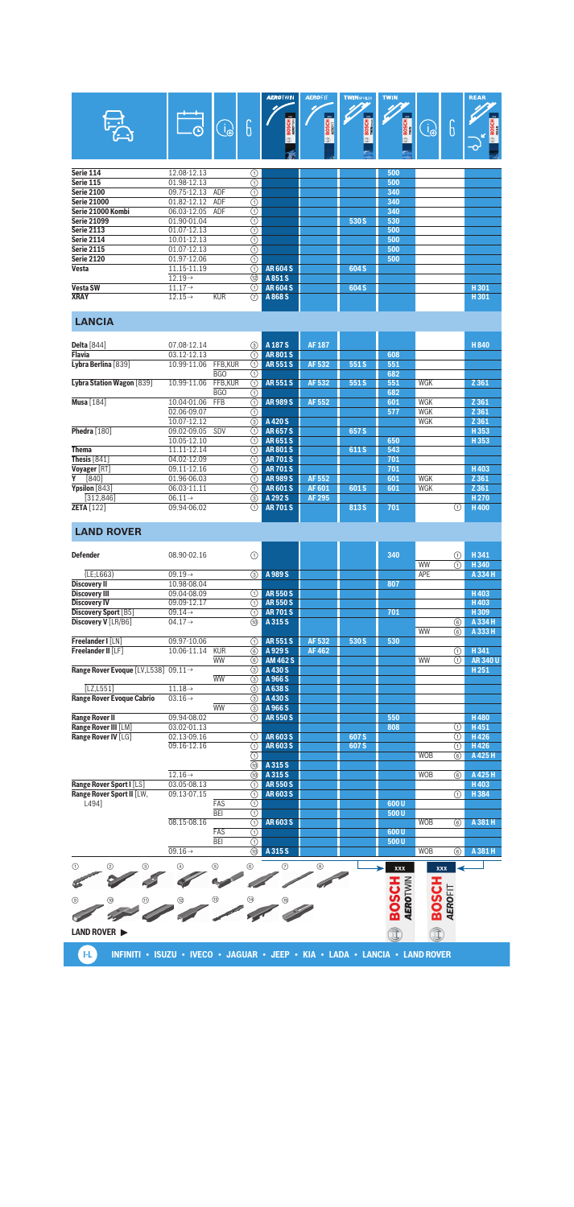| VA.                | $\odot$             | <b>L</b> e | b  | <b>AEROTWIN</b><br>$\infty$<br><b>BOSCH</b><br>œ | <b>AEROFIT</b><br>3000<br><b>BOSCH</b><br>令 | <b>TWINSPOLER</b><br>$\mathbf{m}$<br><b>BOSCH</b> | <b>TWIN</b><br>$\overline{300}$<br><b>BOSCH</b><br>œ<br>e, | ၂၆ | r<br>b | <b>REAR</b><br>m.<br><b>BOSCH</b><br>$\overline{\mathbf{C}}$ |
|--------------------|---------------------|------------|----|--------------------------------------------------|---------------------------------------------|---------------------------------------------------|------------------------------------------------------------|----|--------|--------------------------------------------------------------|
| Serie 114          | 12.08-12.13         |            | ⊕  |                                                  |                                             |                                                   | 500                                                        |    |        |                                                              |
| Serie 115          | 01.98-12.13         |            | ⊕  |                                                  |                                             |                                                   | 500                                                        |    |        |                                                              |
| <b>Serie 2100</b>  | 09.75-12.13         | ADF        | ⊕  |                                                  |                                             |                                                   | 340                                                        |    |        |                                                              |
| <b>Serie 21000</b> | 01.82-12.12         | ADF        | ⊕  |                                                  |                                             |                                                   | 340                                                        |    |        |                                                              |
| Serie 21000 Kombi  | 06.03-12.05         | ADF        | ⊕  |                                                  |                                             |                                                   | 340                                                        |    |        |                                                              |
| <b>Serie 21099</b> | 01.90-01.04         |            | ➀  |                                                  |                                             | 530 S                                             | 530                                                        |    |        |                                                              |
| <b>Serie 2113</b>  | 01.07-12.13         |            | ⊕  |                                                  |                                             |                                                   | 500                                                        |    |        |                                                              |
| Serie 2114         | 10.01-12.13         |            | ⊕  |                                                  |                                             |                                                   | 500                                                        |    |        |                                                              |
| Serie 2115         | 01.07-12.13         |            | ⊕  |                                                  |                                             |                                                   | 500                                                        |    |        |                                                              |
| <b>Serie 2120</b>  | 01.97-12.06         |            | ⊚  |                                                  |                                             |                                                   | 500                                                        |    |        |                                                              |
| Vesta              | 11.15-11.19         |            | ⋒  | <b>AR604S</b>                                    |                                             | 604 S                                             |                                                            |    |        |                                                              |
|                    | $12.19 \rightarrow$ |            | 12 | A851S                                            |                                             |                                                   |                                                            |    |        |                                                              |
| Vesta SW           | $11.17 \rightarrow$ |            | ⋒  | <b>AR604S</b>                                    |                                             | 604 S                                             |                                                            |    |        | H301                                                         |
| XRAY               | $12.15 \rightarrow$ | <b>KUR</b> | 7  | A 868 S                                          |                                             |                                                   |                                                            |    |        | H301                                                         |

## **LANCIA**

| <b>Delta</b> [844]        | 07.08-12.14         |            | (3)           | A 187 S       | <b>AF187</b> |       |     |     | H 840            |
|---------------------------|---------------------|------------|---------------|---------------|--------------|-------|-----|-----|------------------|
| <b>Flavia</b>             | 03.12-12.13         |            | ⋒             | <b>AR801S</b> |              |       | 608 |     |                  |
| Lybra Berlina [839]       | 10.99-11.06         | FFB.KUR    | ∩             | <b>AR551S</b> | AF 532       | 551 S | 551 |     |                  |
|                           |                     | <b>BGO</b> | ⊕             |               |              |       | 682 |     |                  |
| Lybra Station Wagon [839] | 10.99-11.06         | FFB.KUR    | ∩             | <b>AR551S</b> | AF 532       | 551 S | 551 | WGK | Z 361            |
|                           |                     | <b>BGO</b> | ⊕             |               |              |       | 682 |     |                  |
| <b>Musa</b> [184]         | 10.04-01.06         | <b>FFB</b> | ⋒             | <b>AR989S</b> | AF 552       |       | 601 | WGK | Z 361            |
|                           | 02.06-09.07         |            | ⊕             |               |              |       | 577 | WGK | Z 361            |
|                           | 10.07-12.12         |            | $\circled{3}$ | A420 S        |              |       |     | WGK | Z 361            |
| Phedra [180]              | 09.02-09.05         | SDV        | (1)           | <b>AR657S</b> |              | 657 S |     |     | H 353            |
|                           | 10.05-12.10         |            | (1)           | <b>AR651S</b> |              |       | 650 |     | H353             |
| <b>Thema</b>              | 11.11-12.14         |            | (1)           | <b>AR801S</b> |              | 611 S | 543 |     |                  |
| Thesis [841]              | 04.02-12.09         |            | ⋒             | <b>AR701S</b> |              |       | 701 |     |                  |
| Voyager [RT]              | 09.11-12.16         |            | (1)           | <b>AR701S</b> |              |       | 701 |     | H403             |
| $[840]$<br>Υ              | 01.96-06.03         |            | (1)           | <b>AR989S</b> | AF 552       |       | 601 | WGK | Z 361            |
| Ypsilon [843]             | 06.03-11.11         |            | ⋒             | <b>AR601S</b> | AF 601       | 601 S | 601 | WGK | Z 361            |
| [312.846]                 | $06.11 \rightarrow$ |            | ③             | A 292 S       | AF 295       |       |     |     | H <sub>270</sub> |
| <b>ZETA</b> [122]         | 09.94-06.02         |            | ∩             | <b>AR701S</b> |              | 813 S | 701 | ⋒   | H400             |

#### **LAND ROVER**

| <b>Defender</b>                        | 08.90-02.16         | $\bigcirc$                                         |                 |              |                  | 340                      |                         | A                       | H341          |
|----------------------------------------|---------------------|----------------------------------------------------|-----------------|--------------|------------------|--------------------------|-------------------------|-------------------------|---------------|
|                                        |                     |                                                    |                 |              |                  |                          | <b>WW</b>               | $\overline{(\text{f})}$ | H 340         |
| (E; L663)                              | $09.19 \rightarrow$ | (3)                                                | A 989 S         |              |                  |                          | APE                     |                         | A 334 H       |
| <b>Discovery II</b>                    | 10.98-08.04         |                                                    |                 |              |                  | 807                      |                         |                         |               |
| <b>Discovery III</b>                   | 09.04-08.09         | (T)                                                | <b>AR550S</b>   |              |                  |                          |                         |                         | H403          |
| <b>Discovery IV</b>                    | 09.09-12.17         | ∩                                                  | <b>AR550S</b>   |              |                  |                          |                         |                         | H403          |
| Discovery Sport [B5]                   | $09.14 \rightarrow$ | ∩                                                  | <b>AR701S</b>   |              |                  | 701                      |                         |                         | H309          |
| Discovery V [LR/B6]                    | $04.17 \rightarrow$ | (10)                                               | A 315 S         |              |                  |                          |                         | 6                       | A 334 H       |
|                                        |                     |                                                    |                 |              |                  |                          | <b>WW</b>               | 6                       | A 333 H       |
| Freelander I [LN]                      | 09.97-10.06         | ∩                                                  | <b>AR551S</b>   | AF 532       | 530 S            | 530                      |                         |                         |               |
| Freelander II [LF]                     | 10.06-11.14         | KUR<br>$\overline{6}$                              | A 929 S         | <b>AF462</b> |                  |                          |                         | ⋒                       | H 341         |
|                                        |                     | <b>WW</b><br>6                                     | <b>AM 462 S</b> |              |                  |                          | <b>WW</b>               | $\overline{(\text{f})}$ | <b>AR340U</b> |
| Range Rover Evoque [LV, L538] 09.11 -> |                     | $\circledS$                                        | A 430 S         |              |                  |                          |                         |                         | H251          |
|                                        |                     | <b>WW</b><br>$\overline{(\mathbf{3})}$             | A 966 S         |              |                  |                          |                         |                         |               |
| <b>ILZ.L5511</b>                       | $11.18 \rightarrow$ | (3)                                                | A 638 S         |              |                  |                          |                         |                         |               |
| <b>Range Rover Evoque Cabrio</b>       | $03.16 \rightarrow$ | $\overline{(\overline{3})}$                        | A 430 S         |              |                  |                          |                         |                         |               |
|                                        |                     | <b>WW</b><br>$\circled{3}$                         | A 966 S         |              |                  |                          |                         |                         |               |
| <b>Range Rover II</b>                  | 09.94-08.02         | (                                                  | <b>AR550S</b>   |              |                  | 550                      |                         |                         | <b>H480</b>   |
| Range Rover III [LM]                   | 03.02-01.13         |                                                    |                 |              |                  | 808                      |                         | A                       | H451          |
| Range Rover IV [LG]                    | 02.13-09.16         | ⋒                                                  | <b>AR603S</b>   |              | 607 S            |                          |                         | ⋒                       | H426          |
|                                        | 09.16-12.16         | $\odot$                                            | <b>AR603S</b>   |              | 607 <sub>S</sub> |                          |                         | ⋒                       | H426          |
|                                        |                     | $\bigcap$                                          |                 |              |                  |                          | <b>WOB</b>              | 6                       | A 425 H       |
|                                        |                     | $\overline{\omega}$                                | A 315 S         |              |                  |                          |                         |                         |               |
|                                        | $12.16 \rightarrow$ | (10)                                               | A 315 S         |              |                  |                          | <b>WOB</b>              | (6)                     | A 425 H       |
| Range Rover Sport I [LS]               | 03.05-08.13         | ∩                                                  | <b>AR550S</b>   |              |                  |                          |                         |                         | H403          |
| Range Rover Sport II [LW,              | 09.13-07.15         | $\circledcirc$                                     | <b>AR603S</b>   |              |                  |                          |                         | ⋒                       | H 384         |
| L4941                                  |                     | FAS<br>$\overline{\odot}$                          |                 |              |                  | 600U                     |                         |                         |               |
|                                        |                     | <b>BEI</b><br>$\overline{\odot}$                   |                 |              |                  | 500U                     |                         |                         |               |
|                                        | 08.15-08.16         | $\overline{\circ}$                                 | <b>AR603S</b>   |              |                  |                          | <b>WOB</b>              | 6                       | A 381 H       |
|                                        |                     | <b>FAS</b><br>$\overline{\odot}$                   |                 |              |                  | 600U                     |                         |                         |               |
|                                        |                     | <b>BEI</b><br>$\overline{\textcircled{\small{1}}}$ |                 |              |                  | 500U                     |                         |                         |               |
|                                        | $09.16 \rightarrow$ | $\overline{(\overline{10})}$                       | A 315 S         |              |                  |                          | <b>WOB</b>              | $\overline{6)}$         | A 381 H       |
| (1)<br>(2)<br>③                        | $\circled{4}$       | (5)<br>6                                           | $\circled7$     | 8            |                  | xxx                      | <b>XXX</b>              |                         |               |
|                                        |                     |                                                    |                 |              |                  | Ŧ                        |                         |                         |               |
|                                        |                     |                                                    |                 |              |                  |                          |                         |                         |               |
| ⊚                                      | $^{\circledR}$      | ൹<br>14)                                           |                 |              |                  |                          |                         |                         |               |
|                                        |                     |                                                    |                 |              |                  | <b>AEROTWIN</b><br>BOSCI | <b>BOSCH</b><br>AEROFIT |                         |               |
|                                        |                     |                                                    |                 |              |                  |                          |                         |                         |               |
| LAND ROVER >                           |                     |                                                    |                 |              |                  | Î                        | Î                       |                         |               |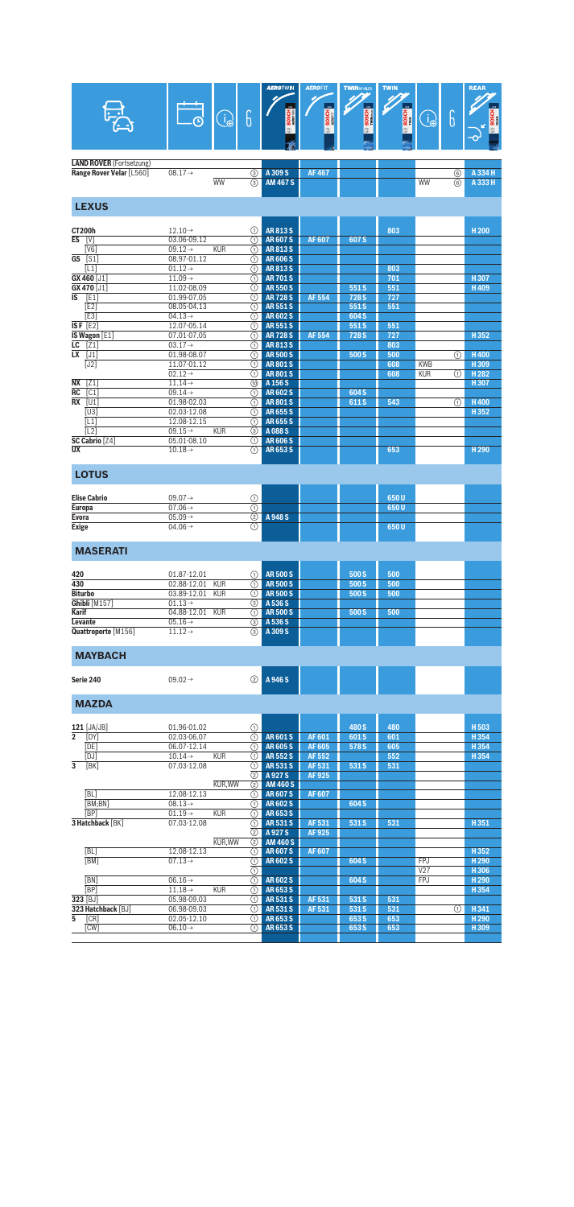|                                        |                                            |                |                                                | <b>AEROTWIN</b>                    | <b>AEROFIT</b><br>$\overline{\mathbf{m}}$ | <b>TWINSPOLER</b> | <b>TWIN</b>  |                 |        | <b>REAR</b>              |
|----------------------------------------|--------------------------------------------|----------------|------------------------------------------------|------------------------------------|-------------------------------------------|-------------------|--------------|-----------------|--------|--------------------------|
|                                        |                                            | $\bigcirc$     | 6                                              | <b>BOSCH</b>                       | <b>BOSCH</b>                              | <b>BOSCH</b>      | <b>BOSCH</b> | $\bigoplus$     | 6      | <b>BOSCI</b>             |
| <b>LAND ROVER</b> (Fortsetzung)        |                                            |                |                                                |                                    |                                           |                   |              |                 |        |                          |
| Range Rover Velar [L560]               | $08.17 \rightarrow$                        | <b>WW</b>      | ③<br>(3)                                       | A 309 S<br><b>AM 467 S</b>         | <b>AF467</b>                              |                   |              | WW              | ⊛<br>6 | A 334 H<br>A 333 H       |
| <b>LEXUS</b>                           |                                            |                |                                                |                                    |                                           |                   |              |                 |        |                          |
| <b>CT200h</b>                          | $12.10 \rightarrow$                        |                | ⊕                                              | <b>AR813S</b>                      |                                           |                   | 803          |                 |        | H <sub>200</sub>         |
| <b>ES</b><br>[V]<br>[ <sub>V</sub> 6]  | 03.06-09.12<br>$09.12 \rightarrow$         | <b>KUR</b>     | ⊕<br>⋒                                         | <b>AR607S</b><br><b>AR813S</b>     | <b>AF607</b>                              | 607 S             |              |                 |        |                          |
| $GS$ [S1]                              | 08.97-01.12                                |                | ⋒                                              | <b>AR606S</b>                      |                                           |                   |              |                 |        |                          |
| [L1]<br>$GX 460$ [J1]                  | $01.12 \rightarrow$<br>$11.09\rightarrow$  |                | ∩<br>⋒                                         | <b>AR813S</b><br><b>AR701S</b>     |                                           |                   | 803<br>701   |                 |        | H307                     |
| GX 470 [J1]                            | 11.02-08.09                                |                | ⋒                                              | <b>AR550S</b>                      |                                           | 551S              | 551          |                 |        | H409                     |
| IS<br>[E1]<br>[E2]                     | 01.99-07.05<br>08.05-04.13                 |                | ⋒<br>⋒                                         | <b>AR728S</b><br><b>AR551S</b>     | <b>AF 554</b>                             | 728 S<br>551S     | 727<br>551   |                 |        |                          |
| $\overline{[E3]}$                      | $04.13\rightarrow$                         |                | ⋒                                              | <b>AR602S</b>                      |                                           | 604 S             |              |                 |        |                          |
| ISF $[E2]$<br>IS Wagon [E1]            | 12.07-05.14<br>07.01-07.05                 |                | ⊕<br>⋒                                         | <b>AR551S</b><br><b>AR728S</b>     | AF 554                                    | 551S<br>728 S     | 551<br>727   |                 |        | H352                     |
| ĹС.<br>[21]                            | $03.17 \rightarrow$                        |                | ⋒                                              | AR813S                             |                                           |                   | 803          |                 |        |                          |
| $\overline{\text{LX}$ [J1]<br>[J2]     | 01.98-08.07<br>11.07-01.12                 |                | ⊕<br>⋒                                         | <b>AR500S</b><br><b>AR801S</b>     |                                           | 500 S             | 500<br>608   | <b>KWB</b>      | ⋒      | <b>H400</b><br>H309      |
|                                        | $02.12 \rightarrow$                        |                | ⋒                                              | <b>AR801S</b>                      |                                           |                   | 608          | <b>KUR</b>      | ⋒      | H <sub>282</sub>         |
| <b>NX</b><br>[21]<br><b>RC</b><br>[C1] | $11.14 \rightarrow$<br>$09.14 \rightarrow$ |                | ന                                              | A 156 S<br><b>AR602S</b>           |                                           | 604 S             |              |                 |        | H307                     |
| $RX$ $ U1$                             | 01.98-02.03                                |                | ⋒<br>⋒                                         | <b>AR801S</b>                      |                                           | 611S              | 543          |                 | ⋒      | H400                     |
| [U3]                                   | 02.03-12.08                                |                | ⋒                                              | <b>AR655S</b>                      |                                           |                   |              |                 |        | H352                     |
| [L1]<br>$\overline{[L2]}$              | 12.08-12.15<br>$09.15 \rightarrow$         | <b>KUR</b>     | ⋒<br>$\overline{(\mathbf{3})}$                 | <b>AR655S</b><br>A088S             |                                           |                   |              |                 |        |                          |
| SC Cabrio [Z4]<br><b>UX</b>            | 05.01-08.10<br>$10.18 \rightarrow$         |                | ⊕<br>⋒                                         | <b>AR606S</b><br><b>AR653S</b>     |                                           |                   | 653          |                 |        | H <sub>290</sub>         |
| <b>LOTUS</b>                           |                                            |                |                                                |                                    |                                           |                   |              |                 |        |                          |
| <b>Elise Cabrio</b>                    | $09.07 \rightarrow$                        |                | ➀                                              |                                    |                                           |                   | 650U         |                 |        |                          |
| <b>Europa</b>                          | $07.06 \rightarrow$                        |                | ∩                                              |                                    |                                           |                   | 650U         |                 |        |                          |
| <b>Evora</b><br><b>Exige</b>           | $05.09 \rightarrow$<br>$04.06\rightarrow$  |                | $\bar{\circledcirc}$                           | A 948 S                            |                                           |                   | 650U         |                 |        |                          |
|                                        |                                            |                |                                                |                                    |                                           |                   |              |                 |        |                          |
| <b>MASERATI</b>                        |                                            |                |                                                |                                    |                                           |                   |              |                 |        |                          |
| 420                                    | 01.87-12.01                                |                | ⊕                                              | <b>AR500S</b>                      |                                           | 500 S             | 500          |                 |        |                          |
| 430                                    | 02.88-12.01 KUR                            |                |                                                | (1) AR 500 S                       |                                           | 500 <sub>S</sub>  | 500          |                 |        |                          |
| <b>Biturbo</b><br>Ghibli [M157]        | 03.89-12.01<br>$01.13 \rightarrow$         | <b>KUR</b>     | (1)                                            | <b>AR500S</b><br><b>3</b> A 536 S  |                                           | 500 S             | 500          |                 |        |                          |
| <b>Karif</b>                           | 04.88-12.01                                | <b>KUR</b>     | ⊙                                              | <b>AR 500 S</b>                    |                                           | 500 S             | 500          |                 |        |                          |
| Levante<br>Quattroporte [M156]         | $05.16 \rightarrow$<br>$11.12 \rightarrow$ |                | ⊚<br>3                                         | A 536 S<br>A 309 S                 |                                           |                   |              |                 |        |                          |
|                                        |                                            |                |                                                |                                    |                                           |                   |              |                 |        |                          |
| <b>MAYBACH</b>                         |                                            |                |                                                |                                    |                                           |                   |              |                 |        |                          |
| Serie 240                              | $09.02 \rightarrow$                        |                | (2)                                            | A 946 S                            |                                           |                   |              |                 |        |                          |
| <b>MAZDA</b>                           |                                            |                |                                                |                                    |                                           |                   |              |                 |        |                          |
| $121$ [JA/JB]                          | 01.96-01.02                                |                | ⋒                                              |                                    |                                           | 480 S             | 480          |                 |        | H503                     |
| $\overline{2}$<br>[DY]<br>[DE]         | 02.03-06.07<br>06.07-12.14                 |                | $\odot$<br>⊕                                   | <b>AR601S</b><br><b>AR605S</b>     | AF 601<br>AF 605                          | 601S<br>578 S     | 601<br>605   |                 |        | H354<br>H 354            |
| [DJ]                                   | $10.14 \rightarrow$                        | <b>KUR</b>     | ∩                                              | <b>AR552S</b>                      | AF 552                                    |                   | 552          |                 |        | H 354                    |
| 3<br>[BK]                              | 07.03-12.08                                |                | ⊕<br>(2)                                       | <b>AR531S</b><br>A927 <sub>S</sub> | AF 531<br>AF925                           | 531 S             | 531          |                 |        |                          |
|                                        |                                            | <b>KUR, WW</b> | ②                                              | <b>AM 460 S</b>                    |                                           |                   |              |                 |        |                          |
| <b>FBL1</b><br>[BM;BN]                 | 12.08-12.13<br>$08.13 \rightarrow$         |                | ⊙  <br>⊕                                       | <b>AR607S</b><br>AR 602 S          | AF 607                                    | 604 S             |              |                 |        |                          |
| FBP                                    | $01.19 \rightarrow$                        | <b>KUR</b>     | ⊙ ∣                                            | AR653S                             |                                           |                   |              |                 |        |                          |
| 3 Hatchback [BK]                       | 07.03-12.08                                |                | ⊙  <br>(2)                                     | AR 531 S<br>A927 S                 | AF 531<br>AF925                           | 531 S             | 531          |                 |        | H351                     |
|                                        |                                            | KUR, WW        | (2)                                            | <b>AM 460 S</b>                    |                                           |                   |              |                 |        |                          |
| [BL]<br>[BM]                           | 12.08-12.13<br>$07.13 \rightarrow$         |                | ⊕<br>⊕                                         | <b>AR607S</b><br><b>AR602S</b>     | <b>AF607</b>                              | 604 S             |              | FPJ             |        | H352<br>H <sub>290</sub> |
|                                        |                                            |                | ⋒                                              |                                    |                                           |                   |              | V <sub>27</sub> |        | H306                     |
| [BN]<br>[BP]                           | $06.16 \rightarrow$<br>$11.18\rightarrow$  | <b>KUR</b>     | $\overline{\textcircled{\scriptsize{1}}}$<br>① | AR 602 S<br>AR653S                 |                                           | 604 S             |              | FPJ             |        | H <sub>290</sub><br>H354 |
| $323$ [BJ]                             | 05.98-09.03                                |                | $\odot$                                        | AR 531 S                           | AF 531                                    | 531 S             | 531          |                 |        |                          |
| 323 Hatchback [BJ]<br>5<br>[CR]        | 06.98-09.03<br>02.05-12.10                 |                | $\odot$<br>⊕                                   | <b>AR531S</b><br>AR 653 S          | AF 531                                    | 531 S<br>653 S    | 531<br>653   |                 | ⋒      | H341<br>H <sub>290</sub> |
| [CW]                                   | $06.10 \rightarrow$                        |                | ⋒                                              | AR 653 S                           |                                           | 653 S             | 653          |                 |        | H309                     |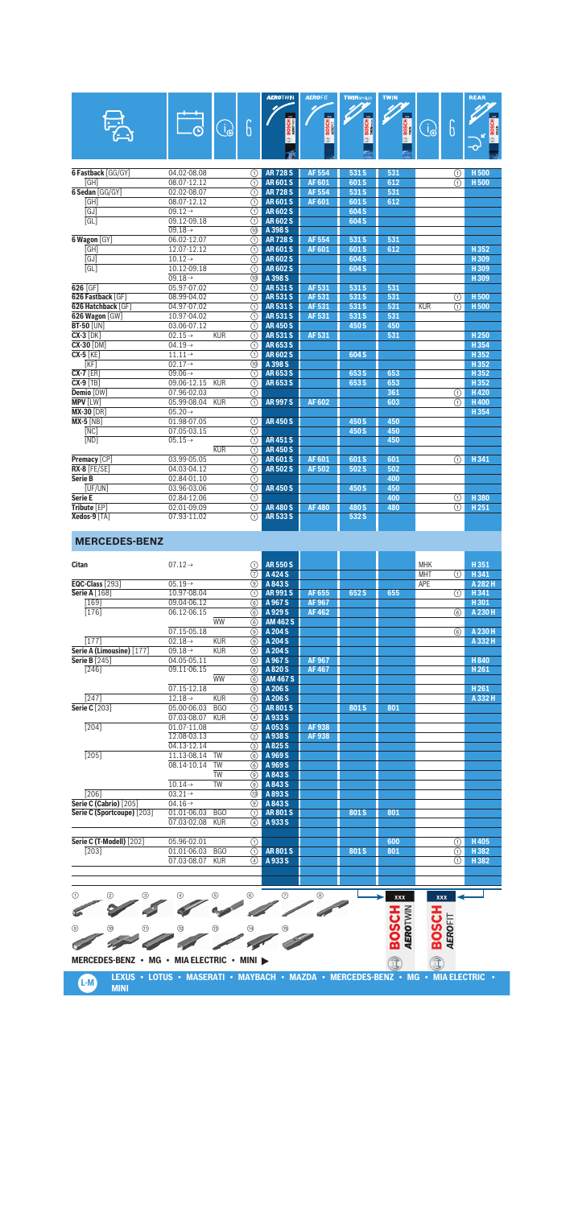|                           |                     |            |                                      | <b>AEROTWIN</b> | <b>AEROFIT</b> | <b>TWINSPOLER</b> | <b>TWIN</b>  |             |                         | <b>REAR</b>      |
|---------------------------|---------------------|------------|--------------------------------------|-----------------|----------------|-------------------|--------------|-------------|-------------------------|------------------|
|                           |                     |            |                                      |                 |                | ሪ<br>             |              |             |                         |                  |
|                           | ËJ                  | $\bigodot$ | 6                                    | <b>BOSCH</b>    | <b>BOSCH</b>   | <b>BOSCH</b>      | <b>BOSCH</b> | $\bigoplus$ | 6                       | <b>BOSCH</b>     |
|                           |                     |            |                                      | ff)             | o.             | $\bar{a}$         |              |             |                         |                  |
|                           |                     |            |                                      |                 |                |                   |              |             |                         |                  |
|                           |                     |            |                                      |                 |                |                   |              |             |                         |                  |
| <b>6 Fastback [GG/GY]</b> | 04.02-08.08         |            | ⋒                                    | <b>AR728S</b>   | <b>AF554</b>   | 531 S             | 531          |             | ⋒                       | <b>H500</b>      |
| [GH]                      | 08.07-12.12         |            | ∩                                    | <b>AR601S</b>   | <b>AF601</b>   | 601S              | 612          |             | ∩                       | H <sub>500</sub> |
| 6 Sedan [GG/GY]           | 02.02-08.07         |            | $\overline{(\text{f})}$              | <b>AR728S</b>   | <b>AF 554</b>  | 531 S             | 531          |             |                         |                  |
| GHI                       | 08.07-12.12         |            | $\circledR$                          | <b>AR601S</b>   | <b>AF601</b>   | 601 <sub>S</sub>  | 612          |             |                         |                  |
| GJ                        | $09.12 \rightarrow$ |            | ⋒                                    | <b>AR602S</b>   |                | 604 S             |              |             |                         |                  |
| $\overline{GL}$           | 09.12-09.18         |            | $\overline{(\text{f})}$              | <b>AR602S</b>   |                | 604 S             |              |             |                         |                  |
|                           | $09.18 \rightarrow$ |            | @                                    | A 398 S         |                |                   |              |             |                         |                  |
| 6 Wagon [GY]              | 06.02-12.07         |            | ⋒                                    | <b>AR728S</b>   | <b>AF 554</b>  | 531 S             | 531          |             |                         |                  |
| [GH]                      | 12.07-12.12         |            | $\overline{(\text{f})}$              | <b>AR601S</b>   | AF 601         | 601S              | 612          |             |                         | H352             |
| GJ                        | $10.12 \rightarrow$ |            | ⋒                                    | <b>AR602S</b>   |                | 604 S             |              |             |                         | H 309            |
| <b>TGL1</b>               | 10.12-09.18         |            | $\overline{\textcircled{\small{1}}}$ | <b>AR602S</b>   |                | 604 S             |              |             |                         | H309             |
|                           | $09.18 \rightarrow$ |            | $\overline{r}$                       | A 398 S         |                |                   |              |             |                         | H 309            |
| 626 [GF]                  | 05.97-07.02         |            | $\overline{(\text{f})}$              | <b>AR531S</b>   | AF 531         | 531 S             | 531          |             |                         |                  |
| 626 Fastback [GF]         | 08.99-04.02         |            | $\overline{(\text{f})}$              | <b>AR531S</b>   | <b>AF531</b>   | 531 S             | 531          |             | ⋒                       | <b>H500</b>      |
| 626 Hatchback [GF]        | 04.97-07.02         |            | ⋒                                    | <b>AR531S</b>   | AF 531         | 531 S             | 531          | KUR         | ⋒                       | <b>H500</b>      |
| 626 Wagon [GW]            | 10.97-04.02         |            | $\overline{(\text{f})}$              | <b>AR531S</b>   | AF 531         | 531 S             | 531          |             |                         |                  |
| <b>BT-50 [UN]</b>         | 03.06-07.12         |            | ⋒                                    | <b>AR450S</b>   |                | 450 S             | 450          |             |                         |                  |
| $CX-3$ [DK]               | $02.15 \rightarrow$ | <b>KUR</b> | の                                    | <b>AR531S</b>   | <b>AF531</b>   |                   | 531          |             |                         | H <sub>250</sub> |
| <b>CX-30 [DM]</b>         | $04.19 \rightarrow$ |            | $\overline{(\text{f})}$              | <b>AR653S</b>   |                |                   |              |             |                         | H 354            |
| $CX-5$ $KE$               | $11.11 \rightarrow$ |            | $\overline{(\text{f})}$              | <b>AR602S</b>   |                | 604 S             |              |             |                         | H352             |
| KFI                       | $02.17 \rightarrow$ |            | (10)                                 | A 398 S         |                |                   |              |             |                         | H 352            |
| $CX-7$ [ER]               | $09.06 \rightarrow$ |            | $\overline{(\text{f})}$              | <b>AR653S</b>   |                | 653 S             | 653          |             |                         | H352             |
| $CX-9$ [TB]               | 09.06-12.15         | <b>KUR</b> | ᠗                                    | AR653S          |                | 653 S             | 653          |             |                         | H 352            |
| Demio [DW]                | 07.96-02.03         |            | ⋒                                    |                 |                |                   | 361          |             | ⋒                       | H420             |
| <b>MPV [LW]</b>           | 05.99-08.04         | KUR        | $\overline{\mathbb{O}}$              | <b>AR997S</b>   | <b>AF 602</b>  |                   | 603          |             | ⋒                       | <b>H400</b>      |
| <b>MX-30 [DR]</b>         | $05.20 \rightarrow$ |            |                                      |                 |                |                   |              |             |                         | H 354            |
| <b>MX-5 [NB]</b>          | 01.98-07.05         |            | の                                    | <b>AR450S</b>   |                | 450 S             | 450          |             |                         |                  |
| NCI                       | 07.05-03.15         |            | $\overline{(\text{a})}$              |                 |                | 450 S             | 450          |             |                         |                  |
| [ND]                      | $05.15 \rightarrow$ |            | ∩                                    | <b>AR451S</b>   |                |                   | 450          |             |                         |                  |
|                           |                     | <b>KUR</b> | $\overline{(\text{a})}$              | <b>AR450S</b>   |                |                   |              |             |                         |                  |
| Premacy [CP]              | 03.99-05.05         |            | ⋒                                    | <b>AR601S</b>   | AF 601         | 601S              | 601          |             | $\overline{(\text{f})}$ | H 341            |
| RX-8 [FE/SE]              | 04.03-04.12         |            | $\circledR$                          | <b>AR502S</b>   | AF 502         | 502 S             | 502          |             |                         |                  |
| Serie B                   | $02.84 - 01.10$     |            | $\overline{(\text{f})}$              |                 |                |                   | 400          |             |                         |                  |
| <b>TUF/UNT</b>            | 03.96-03.06         |            | $\overline{(\text{f})}$              | <b>AR450S</b>   |                | 450 S             | 450          |             |                         |                  |
| Serie E                   | 02.84-12.06         |            | $\overline{(\text{f})}$              |                 |                |                   | 400          |             | ⋒                       | H380             |
| Tribute [EP]              | 02.01-09.09         |            | $\overline{\Omega}$                  | <b>AR480S</b>   | <b>AF480</b>   | 480 S             | 480          |             | ⋒                       | H 251            |
| Xedos-9 [TA]              | 07.93-11.02         |            | ⋒                                    | AR 533 S        |                | 532 S             |              |             |                         |                  |

#### **MERCEDES-BENZ**

| <b>Citan</b>                                         | $07.12 \rightarrow$ |                  | ⋒                          | <b>AR550S</b>            |              |       |     | <b>MHK</b> |   | H351             |
|------------------------------------------------------|---------------------|------------------|----------------------------|--------------------------|--------------|-------|-----|------------|---|------------------|
|                                                      |                     |                  | ত্র                        | A 424 S                  |              |       |     | <b>MHT</b> | ⋒ | H 341            |
| EQC-Class [293]                                      | $05.19 \rightarrow$ |                  | $\overline{(\mathcal{G})}$ | A 843 S                  |              |       |     | APE        |   | A 282 H          |
| <b>Serie A [168]</b>                                 | 10.97-08.04         |                  | ⋒                          | <b>AR991S</b>            | AF 655       | 652 S | 655 |            | ⋒ | H 341            |
| $\overline{169}$                                     | 09.04-06.12         |                  | 6                          | A 967 S                  | <b>AF967</b> |       |     |            |   | H301             |
| [176]                                                | 06.12-06.15         |                  | 6                          | A 929 S                  | <b>AF462</b> |       |     |            | 6 | A 230 H          |
|                                                      |                     | <b>WW</b>        | 6                          | <b>AM 462 S</b>          |              |       |     |            |   |                  |
|                                                      | 07.15-05.18         |                  | 0                          | A 204 S                  |              |       |     |            | 6 | A 230 H          |
| [177]                                                | $02.18 \rightarrow$ | <b>KUR</b>       | (ඉ)                        | A 204 S                  |              |       |     |            |   | A 332 H          |
| Serie A (Limousine) [177]                            | $09.18 \rightarrow$ | <b>KUR</b>       | (ඉ)                        | A 204 S                  |              |       |     |            |   |                  |
| <b>Serie B</b> [245]                                 | 04.05-05.11         |                  | 6                          | A 967 S                  | <b>AF967</b> |       |     |            |   | H840             |
| $\overline{[246]}$                                   | 09.11-06.15         |                  | 6                          | A 820 S                  | <b>AF467</b> |       |     |            |   | H <sub>261</sub> |
|                                                      |                     | <b>WW</b>        | (6)                        | <b>AM 467 S</b>          |              |       |     |            |   |                  |
|                                                      | 07.15-12.18         |                  | $\overline{(\mathcal{G})}$ | A 206 S                  |              |       |     |            |   | H <sub>261</sub> |
| [247]                                                | $12.18 \rightarrow$ | <b>KUR</b>       | $\circledcirc$             | A 206 S                  |              |       |     |            |   | A 332 H          |
| <b>Serie C</b> [203]                                 | 05.00-06.03         | B <sub>G</sub> O | ⋒                          | <b>AR801S</b>            |              | 801S  | 801 |            |   |                  |
|                                                      | 07.03-08.07         | <b>KUR</b>       | 4                          | A 933 S                  |              |       |     |            |   |                  |
| $\overline{[204]}$                                   | 01.07-11.08         |                  | (2)                        | A053S                    | AF 938       |       |     |            |   |                  |
|                                                      | 12.08-03.13         |                  | (2)                        | A 938 S                  | AF 938       |       |     |            |   |                  |
|                                                      | 04.13-12.14         |                  | 3                          | A 825 S                  |              |       |     |            |   |                  |
| $\overline{[205]}$                                   | 11.13-08.14         | <b>TW</b>        | 6                          | A 969 S                  |              |       |     |            |   |                  |
|                                                      | 08.14-10.14         | <b>TW</b>        | 6                          | A 969 S                  |              |       |     |            |   |                  |
|                                                      |                     | <b>TW</b>        | 0                          | A 843 S                  |              |       |     |            |   |                  |
|                                                      | $10.14 \rightarrow$ | <b>TW</b>        | $\overline{(\mathcal{G})}$ | A 843 S                  |              |       |     |            |   |                  |
| $\overline{12061}$                                   | $03.21 \rightarrow$ |                  | (13)                       | A 893 S                  |              |       |     |            |   |                  |
| Serie C (Cabrio) [205]                               | $04.16 \rightarrow$ |                  | $\circledcirc$             | A 843 S                  |              |       |     |            |   |                  |
| Serie C (Sportcoupe) [203]                           | 01.01-06.03         | <b>BGO</b>       | ⋒                          | <b>AR801S</b>            |              | 801S  | 801 |            |   |                  |
|                                                      | 07.03-02.08         | <b>KUR</b>       | 4                          | A933S                    |              |       |     |            |   |                  |
|                                                      |                     |                  |                            |                          |              |       |     |            |   |                  |
| Serie C (T-Modell) [202]                             | 05.96-02.01         |                  | ∩                          |                          |              |       | 600 |            | ⋒ | H405             |
| [203]                                                | 01.01-06.03         | <b>BGO</b>       | ①                          | <b>AR801S</b>            |              | 801S  | 801 |            | ⋒ | H 382            |
|                                                      | 07.03-08.07         | <b>KUR</b>       | 4                          | A 933 S                  |              |       |     |            | ⋒ | H 382            |
|                                                      |                     |                  |                            |                          |              |       |     |            |   |                  |
|                                                      |                     |                  |                            |                          |              |       |     |            |   |                  |
| $\overline{\phantom{1}}$<br>$\overline{\phantom{a}}$ |                     |                  |                            | $\overline{\phantom{1}}$ |              |       |     |            |   |                  |

1 4 2 5 3 6 7 8 **BOSCH BOSCH** é 9 !; UN UP UL UJ U+ **MERCEDES-BENZ • MG • MIA ELECTRIC • MINI**

**L-M LEXUS • LOTUS • MASERATI • MAYBACH • MAZDA • MERCEDES-BENZ • MG • MIA ELECTRIC •**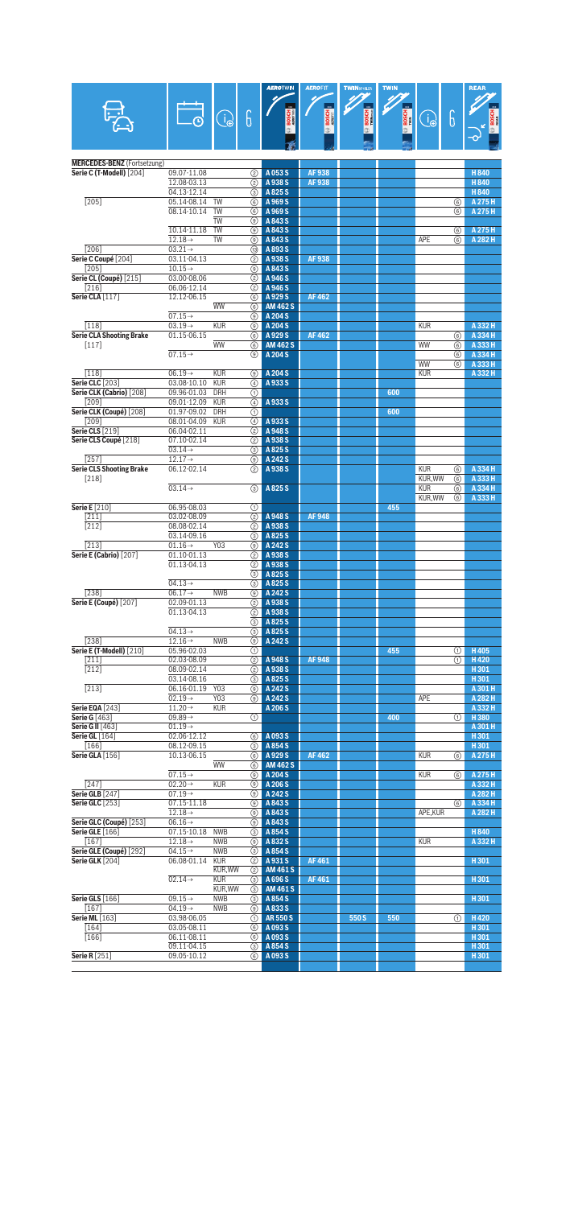|                                                                |                                            |                          | 6                   |                             | <b>BOSCH</b> | BOSCH : | <b>BOSCH</b> |                             | 6        |                    |
|----------------------------------------------------------------|--------------------------------------------|--------------------------|---------------------|-----------------------------|--------------|---------|--------------|-----------------------------|----------|--------------------|
|                                                                |                                            | $\bigoplus_{i=1}^n$      |                     |                             |              |         |              | B                           |          | Б<br>21            |
|                                                                |                                            |                          |                     |                             |              |         |              |                             |          |                    |
|                                                                |                                            |                          |                     |                             |              |         |              |                             |          |                    |
| <b>MERCEDES-BENZ</b> (Fortsetzung)<br>Serie C (T-Modell) [204] |                                            |                          |                     |                             | AF 938       |         |              |                             |          |                    |
|                                                                | 09.07-11.08<br>12.08-03.13                 |                          | (2)<br>(2)          | A053S<br>A 938 S            | AF938        |         |              |                             |          | H840<br>H840       |
|                                                                | 04.13-12.14                                |                          | ③                   | A825S                       |              |         |              |                             |          | H 840              |
| $\overline{[205]}$                                             | 05.14-08.14<br>08.14-10.14                 | TW<br><b>TW</b>          | 6<br>(6)            | A 969 S<br>A 969 S          |              |         |              |                             | 6<br>6   | A 275 H<br>A 275 H |
|                                                                |                                            | <b>TW</b>                | (ூ)                 | A 843 S                     |              |         |              |                             |          |                    |
|                                                                | 10.14-11.18                                | <b>TW</b>                | ⊙                   | A 843 S                     |              |         |              |                             | 6        | A 275 H            |
| [206]                                                          | $12.18 \rightarrow$<br>$03.21 \rightarrow$ | <b>TW</b>                | ⊙<br>13)            | A 843 S<br>A893S            |              |         |              | APE                         | 6        | A 282 H            |
| Serie C Coupé [204]                                            | 03.11-04.13                                |                          | (2)                 | A 938 S                     | AF 938       |         |              |                             |          |                    |
| $[205]$                                                        | $10.15 \rightarrow$                        |                          | (ூ)                 | A 843 S                     |              |         |              |                             |          |                    |
| Serie CL (Coupé) [215]<br>$[216]$                              | 03.00-08.06<br>06.06-12.14                 |                          | (2)<br>(2)          | A 946 S<br>A 946 S          |              |         |              |                             |          |                    |
| Serie CLA [117]                                                | 12.12-06.15                                |                          | 6                   | A 929 S                     | AF 462       |         |              |                             |          |                    |
|                                                                |                                            | <b>WW</b>                | 6                   | <b>AM 462 S</b>             |              |         |              |                             |          |                    |
| $[118]$                                                        | $07.15 \rightarrow$<br>$03.19 \rightarrow$ | <b>KUR</b>               | ⊙)<br>⊙             | A 204 S<br>A 204 S          |              |         |              | <b>KUR</b>                  |          | A 332 H            |
| <b>Serie CLA Shooting Brake</b>                                | 01.15-06.15                                |                          | (6)                 | A 929 S                     | <b>AF462</b> |         |              |                             | 6        | A 334 H            |
| $[117]$                                                        |                                            | <b>WW</b>                | 6                   | <b>AM 462 S</b>             |              |         |              | WW                          | 6        | A 333 H            |
|                                                                | $07.15 \rightarrow$                        |                          | ⊙)                  | A 204 S                     |              |         |              | WW                          | 6<br>(6) | A 334 H<br>A 333 H |
| $[118]$                                                        | $06.19 \rightarrow$                        | <b>KUR</b>               | ⊚                   | A 204 S                     |              |         |              | <b>KUR</b>                  |          | A 332 H            |
| <b>Serie CLC</b> [203]                                         | 03.08-10.10                                | <b>KUR</b>               | $\circled{4}$       | A933S                       |              |         |              |                             |          |                    |
| Serie CLK (Cabrio) [208]<br>[209]                              | 09.96-01.03<br>09.01-12.09                 | <b>DRH</b><br><b>KUR</b> | ⋒<br>$\overline{a}$ | A933S                       |              |         | 600          |                             |          |                    |
| Serie CLK (Coupé) [208]                                        | 01.97-09.02                                | <b>DRH</b>               | ⋒                   |                             |              |         | 600          |                             |          |                    |
| [209]                                                          | 08.01-04.09                                | <b>KUR</b>               | 4                   | A 933 S                     |              |         |              |                             |          |                    |
| <b>Serie CLS [219]</b><br>Serie CLS Coupé [218]                | 06.04-02.11<br>07.10-02.14                 |                          | (2)<br>(2)          | A 948 S<br>A 938 S          |              |         |              |                             |          |                    |
|                                                                | $03.14 \rightarrow$                        |                          | (3)                 | A825S                       |              |         |              |                             |          |                    |
| $[257]$                                                        | $12.17 \rightarrow$                        |                          | (9)                 | A 242 S                     |              |         |              |                             |          |                    |
| <b>Serie CLS Shooting Brake</b><br>$[218]$                     | 06.12-02.14                                |                          | (2)                 | A938S                       |              |         |              | <b>KUR</b><br><b>KUR.WW</b> | 6<br>6   | A 334 H<br>A 333 H |
|                                                                | $03.14 \rightarrow$                        |                          | $\circled{3}$       | A825S                       |              |         |              | <b>KUR</b>                  | 6        | A 334 H            |
|                                                                |                                            |                          |                     |                             |              |         | 455          | KUR, WW                     | (6)      | A 333 H            |
| <b>Serie E</b> [210]<br>$[211]$                                | 06.95-08.03<br>03.02-08.09                 |                          | ⋒<br>(2)            | A 948 S                     | <b>AF948</b> |         |              |                             |          |                    |
| $\overline{[212]}$                                             | 08.08-02.14                                |                          | ②                   | A 938 S                     |              |         |              |                             |          |                    |
|                                                                | 03.14-09.16                                |                          | 3                   | A825S<br>A 242 S            |              |         |              |                             |          |                    |
| $[213]$<br>Serie E (Cabrio) [207]                              | $01.16 \rightarrow$<br>01.10-01.13         | Y03                      | ⊙)<br>(2)           | A 938 S                     |              |         |              |                             |          |                    |
|                                                                | 01.13-04.13                                |                          | (2)                 | A 938 S                     |              |         |              |                             |          |                    |
|                                                                | $04.13\rightarrow$                         |                          | ③<br>3              | A825S<br>A825S              |              |         |              |                             |          |                    |
| $\overline{[238]}$                                             | $06.17 \rightarrow$                        | <b>NWB</b>               | (ூ)                 | A 242 S                     |              |         |              |                             |          |                    |
| <b>Serie E (Coupé)</b> [207]                                   | 02.09-01.13                                |                          | (2)                 | A 938 S                     |              |         |              |                             |          |                    |
|                                                                | 01.13-04.13                                |                          | 3                   | 2 A 938 S<br>A825S          |              |         |              |                             |          |                    |
|                                                                | $04.13 \rightarrow$                        |                          | 3                   | A825S                       |              |         |              |                             |          |                    |
| [238]                                                          | $12.16 \rightarrow$                        | <b>NWB</b>               | (9)                 | A 242 S                     |              |         |              |                             |          |                    |
| Serie E (T-Modell) [210]<br>$[211]$                            | 05.96-02.03<br>02.03-08.09                 |                          | ⊕<br>(2)            | A 948 S                     | <b>AF948</b> |         | 455          |                             | ⊕<br>⋒   | H405<br>H420       |
| $[212]$                                                        | 08.09-02.14                                |                          | (2)                 | A 938 S                     |              |         |              |                             |          | H301               |
|                                                                | 03.14-08.16                                |                          | 3)                  | A825S                       |              |         |              |                             |          | H301               |
| $[213]$                                                        | 06.16-01.19<br>$02.19 \rightarrow$         | Y03<br>Y03               | (9)<br>⊙            | A 242 S<br>A 242 S          |              |         |              | <b>APE</b>                  |          | A 301 H<br>A 282 H |
| <b>Serie EQA [243]</b>                                         | $11.20 \rightarrow$                        | <b>KUR</b>               |                     | A 206 S                     |              |         |              |                             |          | A 332 H            |
| <b>Serie G [463]</b>                                           | 09.89 $\rightarrow$                        |                          | ⊕                   |                             |              |         | 400          |                             | ⊕        | H380               |
| Serie G II [463]<br><b>Serie GL</b> [164]                      | $01.19\rightarrow$<br>02.06-12.12          |                          | 6)                  | A 093 S                     |              |         |              |                             |          | A 301 H<br>H301    |
| $[166]$                                                        | 08.12-09.15                                |                          | (3)                 | A 854 S                     |              |         |              |                             |          | H301               |
| Serie GLA [156]                                                | 10.13-06.15                                | <b>WW</b>                | (6)                 | A 929 S<br><b>AM 462 S</b>  | AF 462       |         |              | <b>KUR</b>                  | 6        | A 275 H            |
|                                                                | $07.15 \rightarrow$                        |                          | $\circ$<br>(9)      | A 204 S                     |              |         |              | <b>KUR</b>                  | 6        | A 275 H            |
| $[247]$                                                        | $02.20 \rightarrow$                        | <b>KUR</b>               | $\circledcirc$      | A 206 S                     |              |         |              |                             |          | A 332 H            |
| <b>Serie GLB</b> [247]<br><b>Serie GLC</b> [253]               | $07.19 \rightarrow$<br>07.15-11.18         |                          | (9)                 | <b>3</b> A 242 S<br>A 843 S |              |         |              |                             | (6)      | A 282 H<br>A 334 H |
|                                                                | $12.18 \rightarrow$                        |                          | (9)                 | A 843 S                     |              |         |              | APE, KUR                    |          | A 282 H            |
| Serie GLC (Coupé) [253]                                        | $06.16 \rightarrow$                        |                          | ◉                   | A 843 S                     |              |         |              |                             |          |                    |
| <b>Serie GLE</b> [166]<br>$[167]$                              | 07.15-10.18<br>$12.18 \rightarrow$         | <b>NWB</b><br><b>NWB</b> | 3<br>(9)            | A 854 S<br>A832S            |              |         |              | <b>KUR</b>                  |          | H840<br>A 332 H    |
| Serie GLE (Coupé) [292]                                        | $04.15 \rightarrow$                        | <b>NWB</b>               | 3                   | A 854 S                     |              |         |              |                             |          |                    |
| <b>Serie GLK</b> [204]                                         | 06.08-01.14                                | <b>KUR</b>               | (2)                 | A931S                       | <b>AF461</b> |         |              |                             |          | H301               |
|                                                                | $02.14 \rightarrow$                        | KUR, WW<br><b>KUR</b>    | $\circled{2}$<br>⊚  | <b>AM 461 S</b><br>A 696 S  | AF461        |         |              |                             |          | H301               |
|                                                                |                                            | KUR, WW                  | 3                   | <b>AM 461 S</b>             |              |         |              |                             |          |                    |
| Serie GLS [166]<br>$[167]$                                     | 09.15 $\rightarrow$<br>$04.19 \rightarrow$ | <b>NWB</b><br><b>NWB</b> | (3)<br>(9)          | A 854 S<br>A833S            |              |         |              |                             |          | H301               |
| <b>Serie ML</b> [163]                                          | 03.98-06.05                                |                          | (1)                 | <b>AR550S</b>               |              | 550 S   | 550          |                             | ①        | H420               |
| $[164]$                                                        | 03.05-08.11                                |                          | 6                   | A 093 S                     |              |         |              |                             |          | H301               |
| $[166]$                                                        | 06.11-08.11<br>09.11-04.15                 |                          | ⑥<br>3              | A093S<br>A 854 S            |              |         |              |                             |          | H301<br>H301       |
| <b>Serie R</b> [251]                                           | 09.05-10.12                                |                          | (6)                 | A093S                       |              |         |              |                             |          | H301               |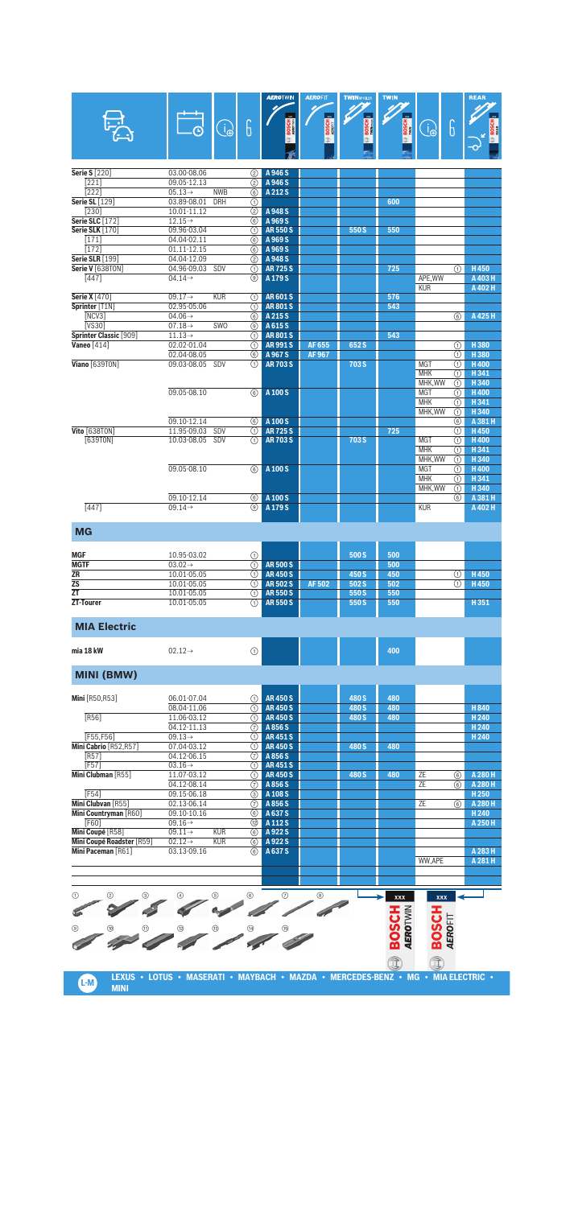|                                       |                                    |            |          | <b>AEROTWIN</b>                | <b>AEROFIT</b> | <b>TWINSPOILER</b> | <b>TWIN</b>                     |                        |                                                | <b>REAR</b>                 |
|---------------------------------------|------------------------------------|------------|----------|--------------------------------|----------------|--------------------|---------------------------------|------------------------|------------------------------------------------|-----------------------------|
|                                       |                                    |            |          |                                |                |                    |                                 |                        |                                                |                             |
|                                       |                                    | $\bigodot$ | 6        |                                | <b>BOSCH</b>   | BOSCH<br>Military  | $\circledcirc$ BOSCH            | $\bigodot$             | $\boldsymbol{\theta}$                          | <b>BOSCH</b>                |
|                                       |                                    |            |          |                                |                |                    |                                 |                        |                                                |                             |
|                                       |                                    |            |          |                                |                |                    |                                 |                        |                                                |                             |
|                                       |                                    |            |          |                                |                |                    |                                 |                        |                                                |                             |
| <b>Serie S</b> [220]                  | 03.00-08.06                        |            | (2)      | A 946 S                        |                |                    |                                 |                        |                                                |                             |
| $[221]$<br>$[222]$                    | 09.05-12.13<br>$05.13 \rightarrow$ | <b>NWB</b> | (2)<br>6 | A 946 S<br>A 212 S             |                |                    |                                 |                        |                                                |                             |
| Serie SL [129]                        | 03.89-08.01                        | <b>DRH</b> | ⋒        |                                |                |                    | 600                             |                        |                                                |                             |
| $[230]$                               | 10.01-11.12                        |            | (2)      | A 948 S                        |                |                    |                                 |                        |                                                |                             |
| <b>Serie SLC</b> [172]                | $12.15 \rightarrow$                |            | (6)      | A 969 S                        |                |                    |                                 |                        |                                                |                             |
| <b>Serie SLK [170]</b>                | 09.96-03.04                        |            | ∩        | <b>AR550S</b>                  |                | 550S               | 550                             |                        |                                                |                             |
| $[171]$<br>$\overline{[172]}$         | 04.04-02.11<br>01.11-12.15         |            | 6<br>6   | A 969 S<br>A 969 S             |                |                    |                                 |                        |                                                |                             |
| <b>Serie SLR [199]</b>                | 04.04-12.09                        |            | (2)      | A 948 S                        |                |                    |                                 |                        |                                                |                             |
| Serie V [638T0N]                      | 04.96-09.03                        | SDV        | ⋒        | <b>AR725S</b>                  |                |                    | 725                             |                        | ⋒                                              | H450                        |
| $[447]$                               | $04.14 \rightarrow$                |            | ⊙)       | A 179 S                        |                |                    |                                 | APE, WW                |                                                | A 403 H                     |
|                                       |                                    |            |          |                                |                |                    |                                 | <b>KUR</b>             |                                                | A 402 H                     |
| <b>Serie X</b> [470]                  | $09.17 \rightarrow$                | <b>KUR</b> | ⋒        | <b>AR601S</b>                  |                |                    | 576                             |                        |                                                |                             |
| Sprinter [T1N]                        | 02.95-05.06                        |            | ⊕        | <b>AR801S</b>                  |                |                    | 543                             |                        |                                                |                             |
| [NCV3]                                | 04.06 $\rightarrow$                |            | 6        | A 215 S                        |                |                    |                                 |                        | 6                                              | A 425 H                     |
| [VS30]<br>Sprinter Classic [909]      | $07.18 \rightarrow$                | SWO        | ⊙<br>⋒   | A 615 S<br><b>AR801S</b>       |                |                    | 543                             |                        |                                                |                             |
| <b>Vaneo</b> [414]                    | $11.13\rightarrow$<br>02.02-01.04  |            | ∩        | <b>AR991S</b>                  | AF 655         | 652S               |                                 |                        | ⋒                                              | H380                        |
|                                       | 02.04-08.05                        |            | (6)      | A 967 S                        | AF 967         |                    |                                 |                        | ⋒                                              | H380                        |
| Viano [639TON]                        | 09.03-08.05                        | SDV        | ⋒        | <b>AR703S</b>                  |                | 703 S              |                                 | <b>MGT</b>             | ⋒                                              | <b>H400</b>                 |
|                                       |                                    |            |          |                                |                |                    |                                 | <b>MHK</b>             | ⋒                                              | H341                        |
|                                       |                                    |            |          |                                |                |                    |                                 | MHK, WW                | ⋒                                              | H 340                       |
|                                       | 09.05-08.10                        |            | 6        | A 100 S                        |                |                    |                                 | <b>MGT</b>             | ⋒                                              | H400                        |
|                                       |                                    |            |          |                                |                |                    |                                 | <b>MHK</b>             | ⋒                                              | H341                        |
|                                       |                                    |            |          |                                |                |                    |                                 | MHK, WW                | ⋒                                              | H340                        |
|                                       | 09.10-12.14                        |            | 6        | A 100 S                        |                |                    |                                 |                        | 6                                              | A 381 H                     |
| Vito [638TON]                         | 11.95-09.03                        | SDV        | ⋒        | <b>AR725S</b>                  |                |                    | 725                             |                        | ⋒                                              | H450                        |
| [639T0N]                              | 10.03-08.05                        | SDV        | ⋒        | <b>AR 703 S</b>                |                | 703 S              |                                 | <b>MGT</b>             | ⋒                                              | H400                        |
|                                       |                                    |            |          |                                |                |                    |                                 | <b>MHK</b><br>MHK, WW  | ⋒<br>⋒                                         | H341<br>H340                |
|                                       | 09.05-08.10                        |            | 6        | A 100 S                        |                |                    |                                 | <b>MGT</b>             | ⋒                                              | H400                        |
|                                       |                                    |            |          |                                |                |                    |                                 | <b>MHK</b>             | ⋒                                              | H341                        |
|                                       |                                    |            |          |                                |                |                    |                                 | MHK, WW                | (1)                                            | H340                        |
|                                       | 09.10-12.14                        |            | 6        | A 100 S                        |                |                    |                                 |                        | (6)                                            | A 381 H                     |
| $\overline{[447]}$                    | $\overline{09.14}$ $\rightarrow$   |            | ⊙)       | A 179 S                        |                |                    |                                 | <b>KUR</b>             |                                                | A 402 H                     |
|                                       |                                    |            |          |                                |                |                    |                                 |                        |                                                |                             |
| <b>MG</b>                             |                                    |            |          |                                |                |                    |                                 |                        |                                                |                             |
|                                       |                                    |            |          |                                |                |                    |                                 |                        |                                                |                             |
|                                       |                                    |            |          |                                |                |                    |                                 |                        |                                                |                             |
| <b>MGF</b><br><b>MGTF</b>             | 10.95-03.02<br>$03.02 \rightarrow$ |            | ⊕<br>⋒   | <b>AR500S</b>                  |                | 500 S              | 500<br>500                      |                        |                                                |                             |
| ZR                                    | 10.01-05.05                        |            | ⋒        | <b>AR450S</b>                  |                | 450 S              | 450                             |                        | ⋒                                              | H450                        |
| $\overline{zs}$                       | 10.01-05.05                        |            | ⋒        | <b>AR502S</b>                  | AF 502         | 502 S              | 502                             |                        | ⋒                                              | H450                        |
| $\overline{z}$ T                      | 10.01-05.05                        |            | $\circ$  | <b>AR550S</b>                  |                | 550 S              | 550                             |                        |                                                |                             |
| <b>ZT-Tourer</b>                      | 10.01-05.05                        |            | ⊕        | <b>AR550S</b>                  |                | 550 S              | 550                             |                        |                                                | H351                        |
|                                       |                                    |            |          |                                |                |                    |                                 |                        |                                                |                             |
| <b>MIA Electric</b>                   |                                    |            |          |                                |                |                    |                                 |                        |                                                |                             |
|                                       |                                    |            |          |                                |                |                    |                                 |                        |                                                |                             |
| mia 18 kW                             | $02.12 \rightarrow$                |            | ⊕        |                                |                |                    | 400                             |                        |                                                |                             |
|                                       |                                    |            |          |                                |                |                    |                                 |                        |                                                |                             |
| MINI (BMW)                            |                                    |            |          |                                |                |                    |                                 |                        |                                                |                             |
|                                       |                                    |            |          |                                |                |                    |                                 |                        |                                                |                             |
|                                       |                                    |            |          |                                |                |                    |                                 |                        |                                                |                             |
| Mini [R50, R53]                       | 06.01-07.04                        |            | ⋒        | <b>AR450S</b>                  |                | 480 S              | 480                             |                        |                                                |                             |
| [R56]                                 | 08.04-11.06<br>11.06-03.12         |            | ⋒<br>⋒   | <b>AR450S</b><br><b>AR450S</b> |                | 480 S<br>480 S     | 480<br>480                      |                        |                                                | H840<br>H <sub>240</sub>    |
|                                       | 04.12-11.13                        |            | 7        | A 856 S                        |                |                    |                                 |                        |                                                | H <sub>240</sub>            |
| [F55,F56]                             | $09.13 \rightarrow$                |            | (1)      | <b>AR451S</b>                  |                |                    |                                 |                        |                                                | H <sub>240</sub>            |
| Mini Cabrio [R52,R57]                 | 07.04-03.12                        |            | ⋒        | <b>AR450S</b>                  |                | 480 S              | 480                             |                        |                                                |                             |
| [R57]                                 | 04.12-06.15                        |            | 7        | A 856 S                        |                |                    |                                 |                        |                                                |                             |
| $[$ F57]                              | $03.16 \rightarrow$                |            | ⊕        | <b>AR451S</b>                  |                |                    |                                 |                        |                                                |                             |
| Mini Clubman [R55]                    | 11.07-03.12                        |            | ⋒        | <b>AR450S</b>                  |                | 480 S              | 480                             | ZE                     | 6                                              | A 280 H                     |
|                                       | 04.12-08.14                        |            | 7        | A 856 S                        |                |                    |                                 | ΖE                     | 6                                              | A 280 H                     |
| F54                                   | 09.15-06.18                        |            | ⊚        | A 108 S                        |                |                    |                                 |                        |                                                | H <sub>250</sub>            |
| Mini Clubvan [R55]                    | 02.13-06.14                        |            | 7        | A856S                          |                |                    |                                 | ΖE                     | (6)                                            | A 280 H                     |
| Mini Countryman [R60]<br><b>[F60]</b> | 09.10-10.16<br>$09.16 \rightarrow$ |            | ⑥        | A 637 S<br>A 112 S             |                |                    |                                 |                        |                                                | H <sub>240</sub><br>A 250 H |
| Mini Coupé [R58]                      | 09.11 $\rightarrow$                | <b>KUR</b> | 12)<br>⊛ | A922S                          |                |                    |                                 |                        |                                                |                             |
| Mini Coupé Roadster [R59]             | $02.12 \rightarrow$                | <b>KUR</b> | 6        | A922S                          |                |                    |                                 |                        |                                                |                             |
| Mini Paceman [R61]                    | 03.13-09.16                        |            | 6        | A 637 S                        |                |                    |                                 |                        |                                                | A 283 H                     |
|                                       |                                    |            |          |                                |                |                    |                                 | WW,APE                 |                                                | A 281 H                     |
|                                       |                                    |            |          |                                |                |                    |                                 |                        |                                                |                             |
|                                       |                                    |            |          |                                |                |                    |                                 |                        |                                                |                             |
| ⊕<br>☺<br>⊚                           | ④                                  | ⑤          | ◉        | ℗                              | ◉              |                    | xxx                             |                        | $\boldsymbol{X} \boldsymbol{X} \boldsymbol{X}$ |                             |
|                                       |                                    |            |          |                                |                |                    |                                 |                        |                                                |                             |
|                                       |                                    |            |          |                                |                |                    |                                 |                        |                                                |                             |
| ◉                                     |                                    |            |          |                                |                |                    |                                 |                        |                                                |                             |
|                                       |                                    |            |          |                                |                |                    | <b>AEROTWIN</b><br><b>HDSOB</b> | <b>HDSOB</b>           | <b>AEROFIT</b>                                 |                             |
|                                       |                                    |            |          |                                |                |                    |                                 |                        |                                                |                             |
|                                       |                                    |            |          |                                |                |                    | î                               | $\widehat{\mathbb{I}}$ |                                                |                             |
|                                       |                                    |            |          |                                |                |                    |                                 |                        |                                                |                             |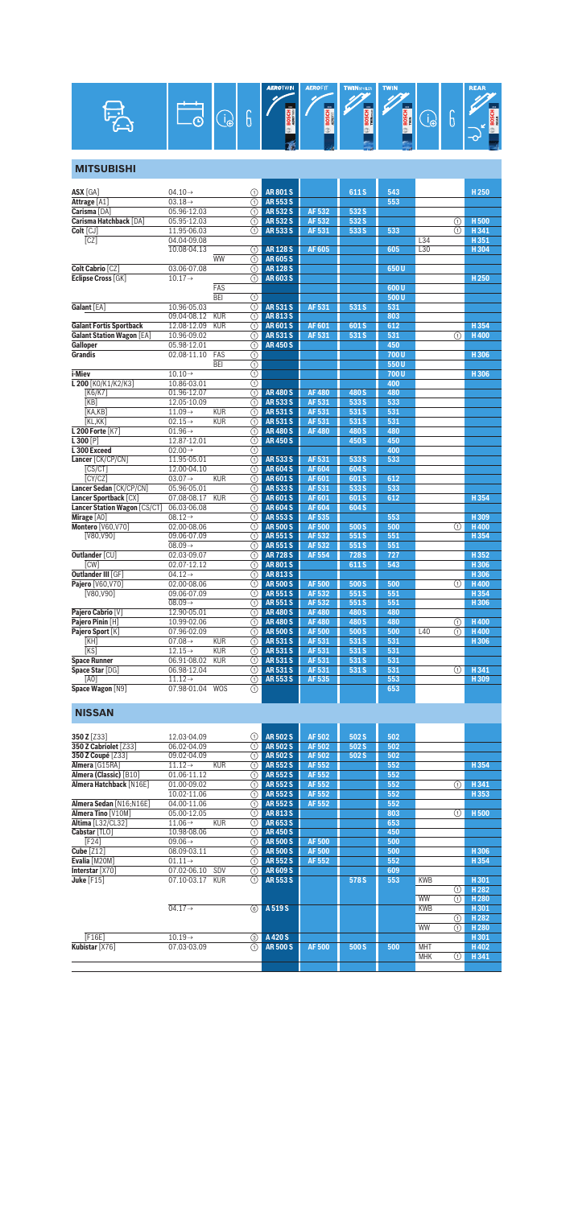| ⌒<br>Ιm<br>ο<br>╺ | <b>AEROTWIN</b><br>3000<br>Ξš<br>  60 국 | <b>AEROFIT</b><br>m<br>÷<br><b>Des</b> | <b>TWINSPOLER</b><br>$\overline{\mathbf{m}}$<br>ωFI | <b>TWIN</b><br>$\overline{333}$<br>≘<br>1961 |  | ⌒<br>Θ | <b>REAR</b><br>m<br><b>BOSCH</b><br>$-\alpha$ |
|-------------------|-----------------------------------------|----------------------------------------|-----------------------------------------------------|----------------------------------------------|--|--------|-----------------------------------------------|
|-------------------|-----------------------------------------|----------------------------------------|-----------------------------------------------------|----------------------------------------------|--|--------|-----------------------------------------------|

## **MITSUBISHI**

| <b>ASX</b> [GA]                     | $04.10 \rightarrow$                | ⋒                                 | <b>AR801S</b> |                              | 611 S            | 543        |          | H <sub>250</sub> |
|-------------------------------------|------------------------------------|-----------------------------------|---------------|------------------------------|------------------|------------|----------|------------------|
| Attrage [A1]                        | $03.18 \rightarrow$                | ⋒                                 | <b>AR553S</b> |                              |                  | 553        |          |                  |
| Carisma [DA]                        | 05.96-12.03                        | ⋒                                 | <b>AR532S</b> | <b>AF532</b>                 | 532 S            |            |          |                  |
| Carisma Hatchback [DA]              | 05.95-12.03                        | ⋒                                 | <b>AR532S</b> | AF 532                       | 532 S            |            | ⋒        | <b>H500</b>      |
| Colt [CJ]                           | 11.95-06.03                        | ⋒                                 | <b>AR533S</b> | AF 531                       | 533 S            | 533        | ⋒        | H341             |
| $\overline{[CZ]}$                   | 04.04-09.08                        |                                   |               |                              |                  |            | L34      | H351             |
|                                     | 10.08-04.13                        | ⋒                                 | <b>AR128S</b> | <b>AF605</b>                 |                  | 605        | L30      | H 304            |
|                                     |                                    | <b>WW</b><br>⋒                    | <b>AR605S</b> |                              |                  |            |          |                  |
| Colt Cabrio [CZ]                    | 03.06-07.08                        | $\overline{\Omega}$               | <b>AR128S</b> |                              |                  | 650U       |          |                  |
| Eclipse Cross [GK]                  | $10.17 \rightarrow$                | ⋒                                 | <b>AR603S</b> |                              |                  |            |          | H <sub>250</sub> |
|                                     |                                    | <b>FAS</b>                        |               |                              |                  | 600 U      |          |                  |
|                                     |                                    | <b>BEI</b><br>⊕                   |               |                              |                  | 500U       |          |                  |
| Galant [EA]                         | 10.96-05.03                        | ⋒                                 | <b>AR531S</b> | <b>AF531</b>                 | 531 S            | 531        |          |                  |
|                                     | 09.04-08.12                        | <b>KUR</b><br>⋒                   | <b>AR813S</b> |                              |                  | 803        |          |                  |
| <b>Galant Fortis Sportback</b>      | 12.08-12.09                        | $\overline{\Omega}$<br><b>KUR</b> | <b>AR601S</b> | AF 601                       | 601S             | 612        |          | H 354            |
| <b>Galant Station Wagon [EA]</b>    | 10.96-09.02                        | ⋒                                 | <b>AR531S</b> | AF 531                       | 531 S            | 531        | ⋒        | <b>H400</b>      |
| Galloper                            | 05.98-12.01                        | ∩                                 | <b>AR450S</b> |                              |                  | 450        |          |                  |
| <b>Grandis</b>                      | 02.08-11.10                        | ⊕<br>FAS                          |               |                              |                  | 700U       |          | H306             |
|                                     |                                    | <b>BEI</b><br>$^{\circ}$          |               |                              |                  | 550U       |          |                  |
| i-Miev                              | $10.10 \rightarrow$                | $^{\circ}$                        |               |                              |                  | 700 U      |          | H306             |
| L 200 [KO/K1/K2/K3]                 | 10.86-03.01                        | ⊕                                 |               |                              |                  | 400        |          |                  |
| [K6/K7]                             | 01.96-12.07                        | ⋒                                 | <b>AR480S</b> | <b>AF480</b>                 | 480 S            | 480        |          |                  |
| [KB]                                | 12.05-10.09                        | ⋒                                 | <b>AR533S</b> | AF 531                       | 533 S            | 533        |          |                  |
| [KA, KB]                            | $11.09 \rightarrow$                | の<br><b>KUR</b>                   | <b>AR531S</b> | AF 531                       | 531 S            | 531        |          |                  |
| <b>[KL.KK]</b>                      | $02.15 \rightarrow$                | KUR<br>⋒                          | <b>AR531S</b> | AF 531                       | 531 S            | 531        |          |                  |
| L 200 Forte [K7]                    | $01.96 \rightarrow$                | ⋒                                 | <b>AR480S</b> | <b>AF480</b>                 | 480 S            | 480        |          |                  |
| $L300$ [P]                          | 12.87-12.01                        | の                                 | <b>AR450S</b> |                              | 450 S            | 450        |          |                  |
| L300 Exceed                         | $02.00 \rightarrow$                | ⋒                                 |               |                              |                  | 400        |          |                  |
| Lancer [CK/CP/CN]                   | 11.95-05.01                        | ⋒                                 | <b>AR533S</b> | <b>AF531</b>                 | 533 S            | 533        |          |                  |
| CST                                 | 12.00-04.10                        | の                                 | <b>AR604S</b> | <b>AF604</b>                 | 604 S            |            |          |                  |
| [CY/CZ]                             | $03.07 \rightarrow$                | <b>KUR</b><br>⋒                   | <b>AR601S</b> | <b>AF601</b>                 | 601S             | 612        |          |                  |
| Lancer Sedan [CK/CP/CN]             | 05.96-05.01                        | ⋒                                 | <b>AR533S</b> | AF 531                       | 533S             | 533        |          |                  |
| Lancer Sportback [CX]               | 07.08-08.17                        | <b>KUR</b><br>の                   | <b>AR601S</b> | AF 601                       | 601 <sub>S</sub> | 612        |          | H354             |
| <b>Lancer Station Wagon [CS/CT]</b> | 06.03-06.08                        | ⋒                                 | <b>AR604S</b> | <b>AF604</b>                 | 604 S            |            |          |                  |
| Mirage [A0]                         | $08.12 \rightarrow$                | ⋒                                 | <b>AR553S</b> | AF 535                       |                  | 553        |          | H309             |
| Montero [V60, V70]                  | 02.00-08.06                        | の                                 | <b>AR500S</b> | <b>AF 500</b>                | 500 S            | 500        | ∩        | <b>H400</b>      |
| [V80.V90]                           | 09.06-07.09                        | ⋒                                 | <b>AR551S</b> | AF 532                       | 551S             | 551        |          | H354             |
|                                     | $08.09 \rightarrow$                | ⋒                                 | <b>AR551S</b> | AF 532                       | 551S             | 551        |          |                  |
| <b>Outlander [CU]</b>               | 02.03-09.07                        | の                                 | <b>AR728S</b> | <b>AF 554</b>                | 728 <sub>S</sub> | 727        |          | H352             |
| <b>CW1</b>                          | 02.07-12.12                        | ⋒                                 | <b>AR801S</b> |                              | 611 <sub>S</sub> | 543        |          | H 306            |
| Outlander III [GF]                  | $04.12 \rightarrow$                | ⋒                                 | <b>AR813S</b> |                              |                  |            |          | H306             |
| Pajero [V60, V70]                   | 02.00-08.06                        | の                                 | <b>AR500S</b> | <b>AF500</b>                 | 500S             | 500        | ∩        | <b>H400</b>      |
| <b>IV80.V901</b>                    | 09.06-07.09                        | ⋒                                 | <b>AR551S</b> | AF 532                       | 551 S            | 551        |          | H 354            |
|                                     | $08.09 \rightarrow$                | ⋒                                 | <b>AR551S</b> | AF 532                       | 551S             | 551        |          | H306             |
| Pajero Cabrio [V]                   | 12.90-05.01                        | の                                 | <b>AR480S</b> | <b>AF480</b>                 | 480 S            | 480        |          |                  |
| Pajero Pinin [H]                    | 10.99-02.06                        | ⋒                                 | <b>AR480S</b> | <b>AF480</b>                 | 480 S            | 480        | ⋒        | <b>H400</b>      |
| Pajero Sport [K]                    | 07.96-02.09                        | ⋒                                 | <b>AR500S</b> | <b>AF500</b>                 | 500 S            | 500        | L40<br>⋒ | <b>H400</b>      |
| KHI                                 | 07.08 $\rightarrow$                | <b>KUR</b><br>の                   | <b>AR531S</b> | <b>AF531</b>                 | 531 S            | 531        |          | H 306            |
| <b>IKS</b>                          | $12.15 \rightarrow$                | <b>KUR</b><br>⋒                   | <b>AR531S</b> | AF 531                       | 531 S            | 531        |          |                  |
| <b>Space Runner</b>                 | 06.91-08.02                        | <b>KUR</b><br>⋒                   | <b>AR531S</b> | AF 531                       | 531S             | 531        |          |                  |
| Space Star [DG]                     | 06.98-12.04                        | ⋒                                 | <b>AR531S</b> | <b>AF531</b><br><b>AF535</b> | 531 S            | 531        | ⋒        | H341             |
| <b>[AO]</b><br>Space Wagon [N9]     | $11.12 \rightarrow$<br>07.98-01.04 | ⋒<br><b>WOS</b>                   | <b>AR553S</b> |                              |                  | 553<br>653 |          | H309             |
|                                     |                                    | ⋒                                 |               |                              |                  |            |          |                  |
|                                     |                                    |                                   |               |                              |                  |            |          |                  |

#### **NISSAN**

| 350 Z [Z33]             | 12.03-04.09                       | ⋒                       | <b>AR502S</b> | AF 502       | 502 S | 502 |            |   |                  |
|-------------------------|-----------------------------------|-------------------------|---------------|--------------|-------|-----|------------|---|------------------|
| 350 Z Cabriolet [Z33]   | 06.02-04.09                       | ⊕                       | <b>AR502S</b> | <b>AF502</b> | 502 S | 502 |            |   |                  |
| 350 Z Coupé [Z33]       | 09.02-04.09                       | ⋒                       | <b>AR502S</b> | AF 502       | 502 S | 502 |            |   |                  |
| Almera [G15RA]          | <b>KUR</b><br>$11.12 \rightarrow$ | ⋒                       | <b>AR552S</b> | AF 552       |       | 552 |            |   | H354             |
| Almera (Classic) [B10]  | 01.06-11.12                       | ⋒                       | <b>AR552S</b> | AF 552       |       | 552 |            |   |                  |
| Almera Hatchback [N16E] | 01.00-09.02                       | ⋒                       | <b>AR552S</b> | AF 552       |       | 552 |            | ⋒ | H341             |
|                         | 10.02-11.06                       | ⋒                       | <b>AR552S</b> | AF 552       |       | 552 |            |   | H353             |
| Almera Sedan [N16;N16E] | 04.00-11.06                       | ⋒                       | <b>AR552S</b> | AF 552       |       | 552 |            |   |                  |
| Almera Tino [V10M]      | 05.00-12.05                       | ⋒                       | AR8135        |              |       | 803 |            | ⋒ | H <sub>500</sub> |
| Altima [L32/CL32]       | $11.06 \rightarrow$<br><b>KUR</b> | ⋒                       | AR653S        |              |       | 653 |            |   |                  |
| Cabstar [TLO]           | 10.98-08.06                       | ⋒                       | <b>AR450S</b> |              |       | 450 |            |   |                  |
| <b>F241</b>             | $09.06 \rightarrow$               | ⋒                       | <b>AR500S</b> | <b>AF500</b> |       | 500 |            |   |                  |
| <b>Cube [Z12]</b>       | 08.09-03.11                       | ⋒                       | <b>AR500S</b> | <b>AF500</b> |       | 500 |            |   | H306             |
| Evalia [M20M]           | $01.11 \rightarrow$               | ⋒                       | <b>AR552S</b> | AF 552       |       | 552 |            |   | H354             |
| Interstar [X70]         | 07.02-06.10<br>SDV                | ⋒                       | <b>AR609S</b> |              |       | 609 |            |   |                  |
| Juke $[F15]$            | 07.10-03.17<br><b>KUR</b>         | $\overline{(\text{f})}$ | <b>AR553S</b> |              | 578 S | 553 | <b>KWB</b> |   | H301             |
|                         |                                   |                         |               |              |       |     |            | ⋒ | H <sub>282</sub> |
|                         |                                   |                         |               |              |       |     | <b>WW</b>  | ∩ | H <sub>280</sub> |
|                         | $04.17 \rightarrow$               | $\circledcirc$          | A 519 S       |              |       |     | <b>KWB</b> |   | H301             |
|                         |                                   |                         |               |              |       |     |            | ⋒ | H <sub>282</sub> |
|                         |                                   |                         |               |              |       |     | WW         | ⊕ | H <sub>280</sub> |
| [F16E]                  | $10.19 \rightarrow$               | 3                       | A 420 S       |              |       |     |            |   | H301             |
| Kubistar [X76]          | 07.03-03.09                       | ∩                       | <b>AR500S</b> | <b>AF500</b> | 500 S | 500 | <b>MHT</b> |   | H402             |
|                         |                                   |                         |               |              |       |     | <b>MHK</b> | ⋒ | H341             |
|                         |                                   |                         |               |              |       |     |            |   |                  |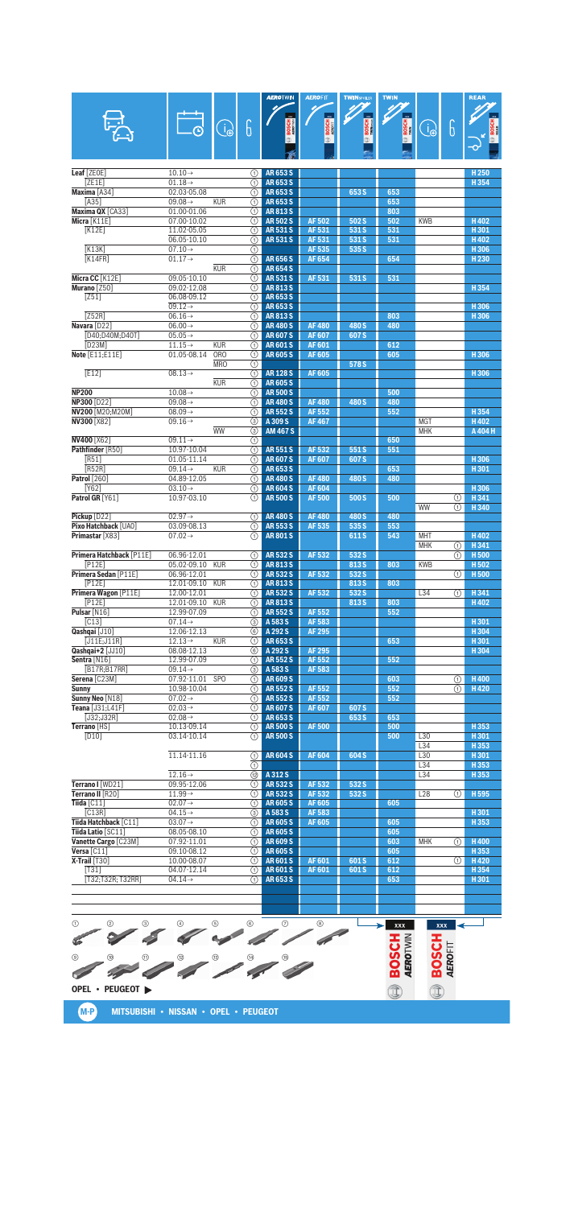|                                         |                                            |            |                                           | <b>AEROTWIN</b>                    | <b>AEROFIT</b>               | <b>TWINSPOLER</b> | <b>TWIN</b>       |                 |                | <b>REAR</b>              |
|-----------------------------------------|--------------------------------------------|------------|-------------------------------------------|------------------------------------|------------------------------|-------------------|-------------------|-----------------|----------------|--------------------------|
|                                         |                                            |            |                                           |                                    |                              | $\frac{1}{2}$     |                   |                 |                |                          |
|                                         |                                            | $\bigcirc$ | 6                                         | <b>BOSCH</b>                       | <b>BOSCH</b>                 | <b>BOSCH</b>      | $\circledR$ BOSCH | $\bigoplus$     | 6              |                          |
|                                         |                                            |            |                                           |                                    |                              |                   |                   |                 |                |                          |
|                                         |                                            |            |                                           |                                    |                              |                   |                   |                 |                |                          |
| Leaf [ZEOE]<br>[ZE1E]                   | $10.10 \rightarrow$<br>$01.18 \rightarrow$ |            | ⋒<br>⋒                                    | <b>AR653S</b><br><b>AR653S</b>     |                              |                   |                   |                 |                | H <sub>250</sub><br>H354 |
| Maxima [A34]                            | 02.03-05.08                                |            | $\overline{\textcircled{\small{1}}}$      | <b>AR653S</b>                      |                              | 653 S             | 653               |                 |                |                          |
| [A35]                                   | 09.08 $\rightarrow$                        | <b>KUR</b> | ⊕                                         | <b>AR653S</b>                      |                              |                   | 653               |                 |                |                          |
| Maxima QX [CA33]                        | 01.00-01.06                                |            | ⊕                                         | AR813S                             |                              |                   | 803               |                 |                |                          |
| Micra [K11E]<br>K12E                    | 07.00-10.02<br>11.02-05.05                 |            | ⋒<br>⊕                                    | <b>AR502S</b><br><b>AR531S</b>     | <b>AF502</b><br>AF 531       | 502 S<br>531 S    | 502<br>531        | <b>KWB</b>      |                | H402<br>H301             |
|                                         | 06.05-10.10                                |            | ⋒                                         | <b>AR531S</b>                      | AF 531                       | 531 S             | 531               |                 |                | H402                     |
| K13K                                    | $07.10 \rightarrow$                        |            | ⊕                                         |                                    | AF 535                       | 535 S             |                   |                 |                | H306                     |
| K14FR                                   | $01.17 \rightarrow$                        |            | $\overline{(\text{f})}$                   | <b>AR656S</b>                      | <b>AF654</b>                 |                   | 654               |                 |                | H <sub>230</sub>         |
| Micra CC [K12E]                         | 09.05-10.10                                | <b>KUR</b> | ⊕<br>⊕                                    | <b>AR654S</b><br><b>AR531S</b>     | AF 531                       | 531S              | 531               |                 |                |                          |
| Murano [Z50]                            | 09.02-12.08                                |            | ⋒                                         | <b>AR813S</b>                      |                              |                   |                   |                 |                | H354                     |
| [251]                                   | 06.08-09.12                                |            | ⋒                                         | AR653S                             |                              |                   |                   |                 |                |                          |
|                                         | $09.12 \rightarrow$                        |            | $\overline{(\text{f})}$                   | <b>AR653S</b>                      |                              |                   |                   |                 |                | H306                     |
| [Z52R]<br>Navara [D22]                  | $06.16 \rightarrow$                        |            | ⊕                                         | <b>AR813S</b>                      | <b>AF480</b>                 | 480 S             | 803<br>480        |                 |                | H306                     |
| [D40;D40M;D40T]                         | 06.00 $\rightarrow$<br>$05.05 \rightarrow$ |            | ⊕<br>∩                                    | <b>AR480S</b><br><b>AR607S</b>     | <b>AF607</b>                 | 607 S             |                   |                 |                |                          |
| ID23M1                                  | $11.15 \rightarrow$                        | <b>KUR</b> | ⊕                                         | <b>AR601S</b>                      | <b>AF601</b>                 |                   | 612               |                 |                |                          |
| Note [E11:E11E]                         | 01.05-08.14                                | <b>ORO</b> | ⋒                                         | <b>AR605S</b>                      | AF 605                       |                   | 605               |                 |                | H306                     |
|                                         |                                            | <b>MRO</b> | ⊕                                         |                                    |                              | 578 S             |                   |                 |                |                          |
| E12                                     | $08.13 \rightarrow$                        | <b>KUR</b> | $\overline{(\text{f})}$<br>⊕              | <b>AR 128 S</b><br><b>AR605S</b>   | AF 605                       |                   |                   |                 |                | H306                     |
| <b>NP200</b>                            | $10.08 \rightarrow$                        |            | ⊕                                         | <b>AR500S</b>                      |                              |                   | 500               |                 |                |                          |
| NP300 [D22]                             | $09.08 \rightarrow$                        |            | ⋒                                         | <b>AR480S</b>                      | <b>AF480</b>                 | 480 S             | 480               |                 |                |                          |
| NV200 [M20;M20M]                        | $08.09 \rightarrow$                        |            | ⋒                                         | <b>AR552S</b>                      | <b>AF552</b>                 |                   | 552               |                 |                | H354                     |
| <b>NV300 [X82]</b>                      | $09.16 \rightarrow$                        | <b>WW</b>  | $\overline{\circ}$                        | A 309 S                            | <b>AF467</b>                 |                   |                   | <b>MGT</b>      |                | H402                     |
| <b>NV400 [X62]</b>                      | $09.11 \rightarrow$                        |            | ⊚<br>$\odot$                              | <b>AM 467 S</b>                    |                              |                   | 650               | <b>MHK</b>      |                | A 404 H                  |
| Pathfinder [R50]                        | 10.97-10.04                                |            | $\overline{(\text{f})}$                   | <b>AR551S</b>                      | <b>AF 532</b>                | 551S              | 551               |                 |                |                          |
| [RS1]                                   | 01.05-11.14                                |            | ⊕                                         | <b>AR607S</b>                      | <b>AF607</b>                 | 607 <sub>S</sub>  |                   |                 |                | H306                     |
| [R52R]                                  | $09.14 \rightarrow$                        | <b>KUR</b> | ∩                                         | <b>AR653S</b>                      |                              |                   | 653               |                 |                | H 301                    |
| <b>Patrol</b> [260]<br>[Y62]            | 04.89-12.05<br>$03.10 \rightarrow$         |            | ⊕<br>$\overline{\textcircled{\small{1}}}$ | <b>AR480S</b><br><b>AR604S</b>     | <b>AF480</b><br><b>AF604</b> | 480 S             | 480               |                 |                | H306                     |
| Patrol GR [Y61]                         | 10.97-03.10                                |            | ⋒                                         | <b>AR500S</b>                      | <b>AF500</b>                 | 500 S             | 500               |                 | ①              | H 341                    |
|                                         |                                            |            |                                           |                                    |                              |                   |                   | <b>WW</b>       | ⋒              | H 340                    |
| Pickup [D22]                            | $02.97 \rightarrow$                        |            | ⋒                                         | <b>AR480S</b>                      | <b>AF480</b>                 | 480 S             | 480               |                 |                |                          |
| Pixo Hatchback [UA0]<br>Primastar [X83] | 03.09-08.13<br>$07.02 \rightarrow$         |            | ⋒<br>⋒                                    | <b>AR553S</b><br><b>AR801S</b>     | AF 535                       | 535 S             | 553<br>543        | <b>MHT</b>      |                | H402                     |
|                                         |                                            |            |                                           |                                    |                              | 611S              |                   | <b>MHK</b>      | ⋒              | H341                     |
| Primera Hatchback [P11E]                | 06.96-12.01                                |            | ⊕                                         | <b>AR532S</b>                      | AF 532                       | 532 S             |                   |                 | ⋒              | H <sub>500</sub>         |
| [P12E]                                  | 05.02-09.10                                | <b>KUR</b> | G)                                        | AR813S                             |                              | 813 S             | 803               | <b>KWB</b>      |                | H 502                    |
| Primera Sedan [P11E]                    | 06.96-12.01                                |            | ⋒                                         | <b>AR532S</b>                      | AF 532                       | 532 S             |                   |                 | ⋒              | H <sub>500</sub>         |
| [P12E]<br>Primera Wagon [P11E]          | 12.01-09.10<br>12.00-12.01                 | <b>KUR</b> | A                                         | <b>AR813S</b><br><b>1</b> AR 532 S | AF 532                       | 813 S<br>532 S    | 803               | L34             | $\circledcirc$ | H 341                    |
| [P12E]                                  | 12.01-09.10                                | <b>KUR</b> | $\overline{(\text{f})}$                   | <b>AR813S</b>                      |                              | 813 S             | 803               |                 |                | H402                     |
| Pulsar [N16]                            | 12.99-07.09                                |            | $\odot$                                   | <b>AR552S</b>                      | AF 552                       |                   | 552               |                 |                |                          |
| $\overline{[C13]}$                      | $07.14 \rightarrow$                        |            | ⊚                                         | A 583 S                            | AF 583                       |                   |                   |                 |                | H301                     |
| Qashqai [J10]<br>$[J11E;J11R]$          | 12.06-12.13<br>$12.13\rightarrow$          | <b>KUR</b> | 6)                                        | A 292 S<br>AR 653 S                | AF 295                       |                   | 653               |                 |                | H304<br>H301             |
| Qashqai+2 [JJ10]                        | 08.08-12.13                                |            | ⊕<br>(6)                                  | A 292 S                            | <b>AF 295</b>                |                   |                   |                 |                | H304                     |
| Sentra [N16]                            | 12.99-07.09                                |            | ⊕                                         | <b>AR552S</b>                      | AF 552                       |                   | 552               |                 |                |                          |
| [B17R; B17RR]                           | $09.14 \rightarrow$                        |            | 3                                         | A 583 S                            | AF 583                       |                   |                   |                 |                |                          |
| Serena [C23M]                           | 07.92-11.01                                | <b>SPO</b> | ①                                         | AR 609 S                           |                              |                   | 603               |                 | O              | H400                     |
| Sunny<br>Sunny Neo [N18]                | 10.98-10.04<br>$07.02 \rightarrow$         |            | $\odot$<br>$\odot$                        | <b>AR552S</b><br>AR 552 S          | AF 552<br>AF 552             |                   | 552<br>552        |                 | (1)            | H420                     |
| Teana [J31;L41F]                        | $02.03 \rightarrow$                        |            | ⊕                                         | <b>AR607S</b>                      | AF 607                       | 607S              |                   |                 |                |                          |
| [J32;J32R]                              | $02.08 \rightarrow$                        |            | ⊕                                         | AR653S                             |                              | 653 S             | 653               |                 |                |                          |
| Terrano [HS]                            | 10.13-09.14                                |            | O                                         | <b>AR 500 S</b>                    | <b>AF500</b>                 |                   | 500               |                 |                | H 353                    |
| [D10]                                   | 03.14-10.14                                |            | ⋒                                         | <b>AR500S</b>                      |                              |                   | 500               | L30<br>L34      |                | H301<br>H353             |
|                                         | 11.14-11.16                                |            | $\circ$                                   | <b>AR604S</b>                      | <b>AF604</b>                 | 604 S             |                   | L30             |                | H301                     |
|                                         |                                            |            | ⊕                                         |                                    |                              |                   |                   | L34             |                | H353                     |
|                                         | $12.16 \rightarrow$                        |            | ඖ                                         | A 312 S                            |                              |                   |                   | L34             |                | H 353                    |
| Terrano I [WD21]<br>Terrano II [R20]    | 09.95-12.06<br>$11.99 \rightarrow$         |            | ⊕                                         | AR 532 S<br>AR 532 S               | AF 532<br>AF 532             | 532 S<br>532 S    |                   | L <sub>28</sub> |                | H 595                    |
| Tiida $[C11]$                           | $02.07 \rightarrow$                        |            | ∩<br>$\odot$                              | <b>AR605S</b>                      | AF 605                       |                   | 605               |                 | ①              |                          |
| [C13R]                                  | $04.15 \rightarrow$                        |            | 3                                         | A 583 S                            | AF 583                       |                   |                   |                 |                | H301                     |
| Tiida Hatchback [C11]                   | $03.07 \rightarrow$                        |            | ∩                                         | <b>AR605S</b>                      | AF 605                       |                   | 605               |                 |                | H353                     |
| Tiida Latio [SC11]                      | 08.05-08.10                                |            | ∩                                         | <b>AR605S</b>                      |                              |                   | 605               |                 |                |                          |
| Vanette Cargo [C23M]<br>Versa $[CI1]$   | 07.92-11.01<br>09.10-08.12                 |            | ⊕<br>⊕                                    | AR 609 S<br>AR 605 S               |                              |                   | 603<br>605        | <b>MHK</b>      | ⋒              | H400<br>H353             |
| $X-Trail$ [T30]                         | 10.00-08.07                                |            | (1)                                       | <b>AR601S</b>                      | AF 601                       | 601S              | 612               |                 | (1)            | H420                     |
| [T31]                                   | 04.07-12.14                                |            | $\odot$                                   | <b>AR601S</b>                      | AF 601                       | 601S              | 612               |                 |                | H354                     |
| [T32;T32R; T32RR]                       | $04.14 \rightarrow$                        |            | ⋒                                         | AR 653 S                           |                              |                   | 653               |                 |                | H301                     |
|                                         |                                            |            |                                           |                                    |                              |                   |                   |                 |                |                          |
|                                         |                                            |            |                                           |                                    |                              |                   |                   |                 |                |                          |

**EDOSCH & BOSCH** 1 4 2 5 3 6 7 8 €  $\mathscr{D} \mathscr{D} \mathscr{D} \mathscr{D} \mathscr{D} \mathscr{D}$ **Contract Contract Contract Contract Contract Contract Contract Contract Contract Contract Contract Contract Contract Contract Contract Contract Contract Contract Contract Contract Contract Contract Contract Contract Contr**  $\overline{A}$ **OPEL • PEUGEOT**  đ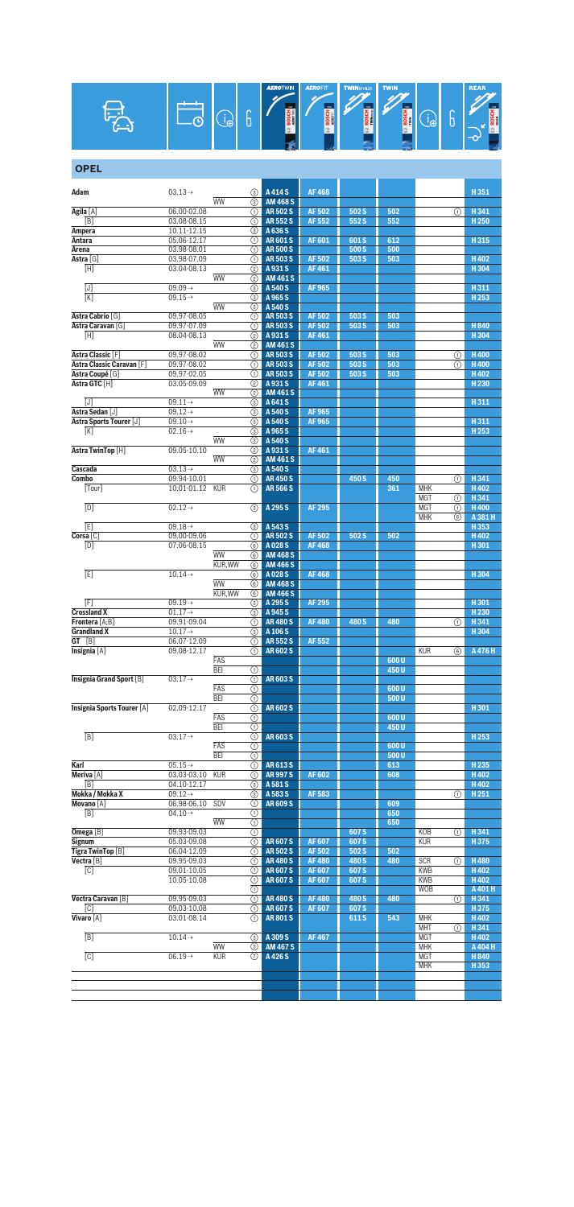

| <b>OPEL</b>                                  |                                            |               |                               |                                |                              |                          |            |                   |         |                          |
|----------------------------------------------|--------------------------------------------|---------------|-------------------------------|--------------------------------|------------------------------|--------------------------|------------|-------------------|---------|--------------------------|
| Adam                                         | $03.13\rightarrow$                         |               | $\circled{3}$                 | A 414 S                        | <b>AF468</b>                 |                          |            |                   |         | H351                     |
|                                              |                                            | <b>WW</b>     | 3                             | <b>AM 468 S</b>                |                              |                          |            |                   |         |                          |
| Agila [A]<br>[B]                             | 06.00-02.08<br>03.08-08.15                 |               | (1)<br>⋒                      | <b>AR502S</b><br><b>AR552S</b> | <b>AF502</b><br>AF 552       | 502S<br>552S             | 502<br>552 |                   | $\odot$ | H341<br>H <sub>250</sub> |
| Ampera                                       | 10.11-12.15                                |               | 3                             | A 636 S                        |                              |                          |            |                   |         |                          |
| Antara                                       | 05.06-12.17                                |               | (1)                           | <b>AR601S</b>                  | AF 601                       | 601S                     | 612        |                   |         | H315                     |
| Arena                                        | 03.98-08.01                                |               | ⋒                             | <b>AR500S</b>                  |                              | 500 S                    | 500        |                   |         |                          |
| Astra [G]<br>$\overline{[H]}$                | 03.98-07.09<br>03.04-08.13                 |               | ⋒<br>(2)                      | <b>AR503S</b><br>A 931 S       | <b>AF502</b><br>AF461        | 503 S                    | 503        |                   |         | H402<br>H304             |
|                                              |                                            | <b>WW</b>     | ②                             | <b>AM 461 S</b>                |                              |                          |            |                   |         |                          |
| [J]                                          | $09.09 \rightarrow$                        |               | 3                             | A 540 S                        | <b>AF965</b>                 |                          |            |                   |         | H311                     |
| [K]                                          | $09.15 \rightarrow$                        |               | 3                             | A 965 S                        |                              |                          |            |                   |         | H253                     |
|                                              |                                            | <b>WW</b>     | ⊚                             | A 540 S                        |                              |                          |            |                   |         |                          |
| Astra Cabrio [G]<br>Astra Caravan [G]        | 09.97-08.05<br>09.97-07.09                 |               | ⋒<br>⋒                        | <b>AR503S</b><br><b>AR503S</b> | <b>AF502</b><br>AF 502       | 503 S<br>503 S           | 503<br>503 |                   |         | H840                     |
| [H]                                          | 08.04-08.13                                |               | ②                             | A931S                          | AF461                        |                          |            |                   |         | H304                     |
|                                              |                                            | <b>WW</b>     | (2)                           | <b>AM 461 S</b>                |                              |                          |            |                   |         |                          |
| Astra Classic [F]                            | 09.97-08.02                                |               | (1)                           | <b>AR503S</b>                  | AF 502                       | 503 S                    | 503        |                   | ⋒       | H400                     |
| Astra Classic Caravan [F]<br>Astra Coupé [G] | 09.97-08.02<br>09.97-02.05                 |               | ⋒<br>⋒                        | <b>AR503S</b><br><b>AR503S</b> | <b>AF502</b><br><b>AF502</b> | 503 S<br>503 S           | 503<br>503 |                   | ⋒       | H400<br>H402             |
| Astra GTC [H]                                | 03.05-09.09                                |               | (2)                           | A 931 S                        | AF461                        |                          |            |                   |         | H <sub>230</sub>         |
|                                              |                                            | <b>WW</b>     | ②                             | <b>AM 461 S</b>                |                              |                          |            |                   |         |                          |
| ſЛ                                           | $09.11 \rightarrow$                        |               | ⊚                             | A 641 S                        |                              |                          |            |                   |         | H311                     |
| Astra Sedan [J]                              | $09.12 \rightarrow$                        |               | 3                             | A 540 S                        | AF 965                       |                          |            |                   |         |                          |
| Astra Sports Tourer [J]<br>[K]               | $09.10 \rightarrow$<br>$02.16 \rightarrow$ |               | ⊚<br>3                        | A 540 S<br>A 965 S             | AF 965                       |                          |            |                   |         | H311<br>H253             |
|                                              |                                            | <b>WW</b>     | (3)                           | A 540 S                        |                              |                          |            |                   |         |                          |
| Astra TwinTop [H]                            | 09.05-10.10                                |               | ②                             | A 931 S                        | <b>AF461</b>                 |                          |            |                   |         |                          |
|                                              |                                            | <b>WW</b>     | (2)                           | <b>AM 461 S</b>                |                              |                          |            |                   |         |                          |
| Cascada<br>Combo                             | $03.13 \rightarrow$<br>09.94-10.01         |               | ③                             | A 540 S                        |                              | 450 S                    | 450        |                   |         | H341                     |
| [Tour]                                       | 10.01-01.12 KUR                            |               | ⋒<br>⋒                        | <b>AR450S</b><br><b>AR566S</b> |                              |                          | 361        | <b>MHK</b>        | ⋒       | H402                     |
|                                              |                                            |               |                               |                                |                              |                          |            | <b>MGT</b>        | ⋒       | H341                     |
| [D]                                          | $02.12 \rightarrow$                        |               | $\circled{3}$                 | A 295 S                        | <b>AF 295</b>                |                          |            | <b>MGT</b>        | ⋒       | <b>H400</b>              |
|                                              |                                            |               |                               |                                |                              |                          |            | <b>MHK</b>        | 6       | A 381 H                  |
| [E]<br>Corsa <sup>[C]</sup>                  | $09.18 \rightarrow$<br>09.00-09.06         |               | $\circled{3}$<br>⋒            | A 543 S<br><b>AR502S</b>       | <b>AF502</b>                 | 502 S                    | 502        |                   |         | H353<br>H402             |
| [D]                                          | 07.06-08.15                                |               | 6                             | A028S                          | <b>AF468</b>                 |                          |            |                   |         | H301                     |
|                                              |                                            | <b>WW</b>     | (6)                           | <b>AM 468 S</b>                |                              |                          |            |                   |         |                          |
|                                              |                                            | <b>KUR.WW</b> | 6                             | <b>AM 466 S</b>                |                              |                          |            |                   |         |                          |
| [E]                                          | $10.14\rightarrow$                         | <b>WW</b>     | 6                             | A028S<br><b>AM 468 S</b>       | <b>AF468</b>                 |                          |            |                   |         | H304                     |
|                                              |                                            | <b>KUR.WW</b> | 6<br>6)                       | <b>AM 466 S</b>                |                              |                          |            |                   |         |                          |
| [F]                                          | $09.19 \rightarrow$                        |               | ③                             | A 295 S                        | <b>AF 295</b>                |                          |            |                   |         | H301                     |
| <b>Crossland X</b>                           | $01.17 \rightarrow$                        |               | 3                             | A 945 S                        |                              |                          |            |                   |         | H <sub>230</sub>         |
| Frontera [A:B]                               | 09.91-09.04                                |               | ⋒                             | <b>AR480S</b>                  | <b>AF480</b>                 | 480 S                    | 480        |                   | ⊕       | H341                     |
| <b>Grandland X</b><br>$GT$ [B]               | $10.17 \rightarrow$<br>06.07-12.09         |               | ⊚<br>(1)                      | A 106 S<br><b>AR552S</b>       | AF 552                       |                          |            |                   |         | H 304                    |
| Insignia [A]                                 | 09.08-12.17                                |               | ⋒                             | <b>AR602S</b>                  |                              |                          |            | <b>KUR</b>        | 6       | A 476 H                  |
|                                              |                                            | FAS           |                               |                                |                              |                          | 600U       |                   |         |                          |
|                                              |                                            | <b>BEI</b>    | $\overline{\circ}$            |                                |                              |                          | 450U       |                   |         |                          |
| <b>Insignia Grand Sport [B]</b>              | $03.17 \rightarrow$                        | FAS           | $\overline{(\text{f})}$       | <b>AR603S</b>                  |                              |                          | 600U       |                   |         |                          |
|                                              |                                            | BEI           | $\odot$<br>$\overline{\odot}$ |                                |                              |                          | 500U       |                   |         |                          |
| <b>Insignia Sports Tourer [A]</b>            | 02.09-12.17                                |               | $\overline{(\text{f})}$       | <b>AR602S</b>                  |                              |                          |            |                   |         | H301                     |
|                                              |                                            | FAS           | ⊕                             |                                |                              |                          | 600U       |                   |         |                          |
|                                              |                                            | <b>BEI</b>    | $\overline{\odot}$            |                                |                              |                          | 450U       |                   |         |                          |
| [B]                                          | $03.17 \rightarrow$                        | FAS           | $\overline{\odot}$<br>$\odot$ | AR 603 S                       |                              |                          | 600U       |                   |         | H253                     |
|                                              |                                            | <b>BEI</b>    | ⋒                             |                                |                              |                          | 500U       |                   |         |                          |
| Karl                                         | $05.15 \rightarrow$                        |               | ⋒                             | AR613S                         |                              |                          | 613        |                   |         | H <sub>235</sub>         |
| Meriva [A]                                   | 03.03-03.10                                | <b>KUR</b>    | ⋒                             | <b>AR997S</b>                  | AF 602                       |                          | 608        |                   |         | H402                     |
| [B]<br>Mokka / Mokka X                       | 04.10-12.17<br>$09.12 \rightarrow$         |               | (3)<br>⊚                      | A 581 S<br>A 583 S             | AF 583                       |                          |            |                   | ⊕       | H402<br>H251             |
| Movano [A]                                   | 06.98-06.10                                | SDV           | ⊕                             | <b>AR609S</b>                  |                              |                          | 609        |                   |         |                          |
| [B]                                          | $04.10 \rightarrow$                        |               | ⊕                             |                                |                              |                          | 650        |                   |         |                          |
|                                              |                                            | <b>WW</b>     | $\overline{\odot}$            |                                |                              |                          | 650        |                   |         |                          |
| Omega [B]                                    | 09.93-09.03                                |               | ⊕                             |                                |                              | 607S<br>607 <sub>S</sub> |            | KOB<br><b>KUR</b> | ⋒       | H341                     |
| <b>Signum</b><br><b>Tigra TwinTop [B]</b>    | 05.03-09.08<br>06.04-12.09                 |               | ⊕<br>⊕                        | <b>AR607S</b><br><b>AR502S</b> | <b>AF607</b><br>AF 502       | 502S                     | 502        |                   |         | H375                     |
| Vectra [B]                                   | 09.95-09.03                                |               | ⊕                             | <b>AR480S</b>                  | <b>AF480</b>                 | 480 S                    | 480        | <b>SCR</b>        | ⋒       | H480                     |
| [C]                                          | 09.01-10.05                                |               | ⋒                             | <b>AR607S</b>                  | <b>AF607</b>                 | 607 S                    |            | <b>KWB</b>        |         | H402                     |
|                                              | 10.05-10.08                                |               | $\circledcirc$                | <b>AR607S</b>                  | AF 607                       | 607 S                    |            | <b>KWB</b>        |         | H402                     |
| Vectra Caravan [B]                           | 09.95-09.03                                |               | ∩<br>⋒                        | <b>AR480S</b>                  | <b>AF480</b>                 | 480 S                    | 480        | <b>WOB</b>        | ⊕       | A 401 H<br>H341          |
| lC.                                          | 09.03-10.08                                |               | ⋒                             | <b>AR607S</b>                  | AF 607                       | 607 S                    |            |                   |         | H375                     |
| Vivaro [A]                                   | 03.01-08.14                                |               | ⋒                             | <b>AR801S</b>                  |                              | 611 S                    | 543        | <b>MHK</b>        |         | H402                     |
|                                              |                                            |               |                               |                                |                              |                          |            | <b>MHT</b>        | ⊕       | H341                     |
| [B]                                          | $10.14 \rightarrow$                        | WW            | (3)<br>$\circled{3}$          | A 309 S<br><b>AM 467 S</b>     | <b>AF467</b>                 |                          |            | <b>MGT</b><br>MHK |         | H402<br>A 404 H          |
| [C]                                          | $06.19 \rightarrow$                        | <b>KUR</b>    | $\circled7$                   | A 426 S                        |                              |                          |            | <b>MGT</b>        |         | H840                     |
|                                              |                                            |               |                               |                                |                              |                          |            | <b>MHK</b>        |         | H353                     |
|                                              |                                            |               |                               |                                |                              |                          |            |                   |         |                          |
|                                              |                                            |               |                               |                                |                              |                          |            |                   |         |                          |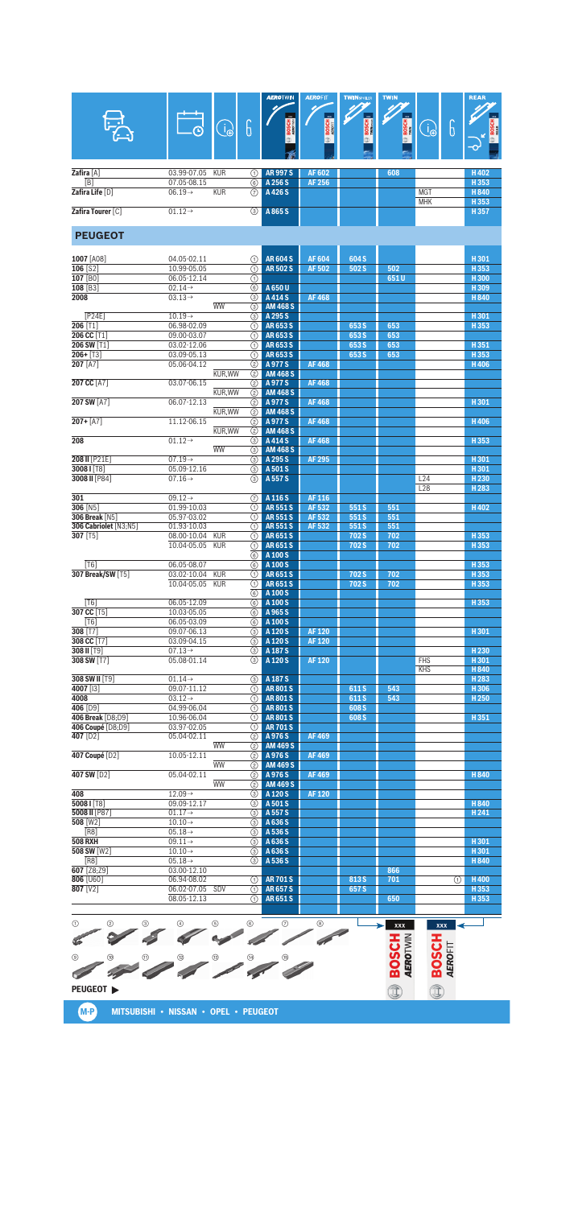| M-P N | : MITSUBISHI • NISSAN • OPEL • PEUGEOT |  |  |
|-------|----------------------------------------|--|--|
|       |                                        |  |  |

| $\odot$          | (2) | $\circledcirc$ |   | $\circledcirc$ | 6           | ⊙           | 8 | <b>XXX</b> | <b>XXX</b> |  |
|------------------|-----|----------------|---|----------------|-------------|-------------|---|------------|------------|--|
|                  |     | m              |   |                |             |             |   | ⇁          |            |  |
| $^{\circ}$       | @   | $^{\circledR}$ | ℗ | $\circledR$    | $\circledR$ | $\circledR$ |   |            |            |  |
| G                |     |                |   |                |             |             |   | п          | ı.<br>G    |  |
| <b>PEUGEOT</b> ▶ |     |                |   |                |             |             |   |            |            |  |

|                             |                                |                 |                            |               |       |      | <b>MHK</b> | H353             |
|-----------------------------|--------------------------------|-----------------|----------------------------|---------------|-------|------|------------|------------------|
| Zafira Tourer [C]           | $01.12 \rightarrow$            | $\circled{3}$   | A 865 S                    |               |       |      |            | H357             |
| <b>PEUGEOT</b>              |                                |                 |                            |               |       |      |            |                  |
|                             |                                |                 |                            |               |       |      |            |                  |
| 1007 [A08]                  | 04.05-02.11                    | ∩               | <b>AR604S</b>              | <b>AF604</b>  | 604 S |      |            | H301             |
| 106 [S2]                    | 10.99-05.05                    | ⋒               | <b>AR502S</b>              | AF 502        | 502 S | 502  |            | H353             |
| 107 [BO]                    | 06.05-12.14                    | ⋒               |                            |               |       | 651U |            | H300             |
| 108 [B3]                    | $02.14 \rightarrow$            | 6               | A 650 U                    |               |       |      |            | H309             |
| 2008                        | $03.13 \rightarrow$            | ③               | A 414 S                    | <b>AF468</b>  |       |      |            | H840             |
|                             | <b>WW</b>                      | ③               | <b>AM 468 S</b>            |               |       |      |            |                  |
| [P24E]                      | $10.19 \rightarrow$            | ⊚               | A 295 S                    |               |       |      |            | H301             |
| 206 [T1]                    | 06.98-02.09                    | ⋒               | AR653S                     |               | 653 S | 653  |            | H353             |
| 206 CC [T1]                 | 09.00-03.07                    | ⋒               | AR653S                     |               | 653 S | 653  |            |                  |
| 206 SW [T1]                 | 03.02-12.06                    | (1)             | AR653S                     |               | 653 S | 653  |            | H351             |
| $206 + [T3]$                | 03.09-05.13                    | ⋒               | AR653S                     |               | 653 S | 653  |            | H353             |
| 207 [A7]                    | 05.06-04.12                    | (2)             | A 977 S                    | <b>AF468</b>  |       |      |            | H406             |
|                             | KUR, WW                        | ②               | <b>AM 468 S</b>            |               |       |      |            |                  |
| 207 CC [A7]                 | 03.07-06.15                    | ②               | A 977 S                    | <b>AF468</b>  |       |      |            |                  |
|                             | KUR, WW                        | ②               | <b>AM 468 S</b>            |               |       |      |            |                  |
| 207 SW [A7]                 | 06.07-12.13                    | (2)             | A 977 S                    | <b>AF468</b>  |       |      |            | H301             |
| $207 + [A7]$                | <b>KUR.WW</b>                  | ②               | <b>AM 468 S</b><br>A 977 S | <b>AF468</b>  |       |      |            |                  |
|                             | 11.12-06.15                    | (2)             | <b>AM 468 S</b>            |               |       |      |            | H406             |
| 208                         | KUR, WW<br>$01.12 \rightarrow$ | ②               |                            |               |       |      |            | H353             |
|                             | <b>WW</b>                      | ③               | A414S                      | <b>AF468</b>  |       |      |            |                  |
|                             | $07.19 \rightarrow$            | $\circled{3}$   | <b>AM 468 S</b><br>A 295 S | <b>AF 295</b> |       |      |            | H301             |
| 208 II [P21E]<br>30081 [78] | 05.09-12.16                    | (3)<br>3        |                            |               |       |      |            | H301             |
| 3008 II [P84]               | $07.16 \rightarrow$            | $\circled{3}$   | A 501 S<br>A 557 S         |               |       |      | L24        | H <sub>230</sub> |
|                             |                                |                 |                            |               |       |      | L28        | H <sub>283</sub> |
| 301                         | $09.12 \rightarrow$            | (7)             | A 116 S                    | <b>AF116</b>  |       |      |            |                  |
| 306 [N5]                    | 01.99-10.03                    | ⋒               | AR 551 S                   | AF 532        | 551S  | 551  |            | H402             |
| 306 Break [N5]              | 05.97-03.02                    | (1)             | <b>AR551S</b>              | AF 532        | 551S  | 551  |            |                  |
| 306 Cabriolet [N3;N5]       | 01.93-10.03                    | ⋒               | <b>AR551S</b>              | AF 532        | 551S  | 551  |            |                  |
| 307 [T5]                    | 08.00-10.04<br><b>KUR</b>      | ⋒               | <b>AR651S</b>              |               | 702 S | 702  |            | H353             |
|                             | 10.04-05.05<br><b>KUR</b>      | ⊕               | <b>AR651S</b>              |               | 702S  | 702  |            | H353             |
|                             |                                | $\overline{6)}$ | A 100 S                    |               |       |      |            |                  |
| [T6]                        | 06.05-08.07                    | $\circledcirc$  | A 100 S                    |               |       |      |            | H 353            |
| 307 Break/SW [T5]           | 03.02-10.04<br><b>KUR</b>      | (1)             | <b>AR651S</b>              |               | 702 S | 702  |            | H353             |
|                             | 10.04-05.05<br><b>KUR</b>      | ⋒               | <b>AR651S</b>              |               | 702 S | 702  |            | H353             |
|                             |                                | 6               | A 100 S                    |               |       |      |            |                  |
| [T6]                        | 06.05-12.09                    | 6               | A 100 S                    |               |       |      |            | H353             |
| 307 CC [T5]                 | 10.03-05.05                    | 6               | A 965 S                    |               |       |      |            |                  |
| [T6]                        | 06.05-03.09                    | $\circledcirc$  | A 100 S                    |               |       |      |            |                  |
| $308$ [T7]                  | 09.07-06.13                    | (3)             | A 120 S                    | <b>AF120</b>  |       |      |            | H301             |
| 308 CC [T7]                 | 03.09-04.15                    | 3               | A 120 S                    | <b>AF120</b>  |       |      |            |                  |
| 308 II [T9]                 | $07.13 \rightarrow$            | 3               | A 187 S                    |               |       |      |            | H <sub>230</sub> |
| 308 SW [T7]                 | 05.08-01.14                    | $\circled{3}$   | A 120 S                    | <b>AF120</b>  |       |      | <b>FHS</b> | H301             |
|                             |                                |                 |                            |               |       |      | <b>KHS</b> | H840             |
| 308 SW II [T9]              | $01.14 \rightarrow$            | $\circled{3}$   | A 187 S                    |               |       |      |            | H 283            |
| 4007 [13]                   | 09.07-11.12                    | ⋒               | <b>AR801S</b>              |               | 611 S | 543  |            | H306             |
| 4008                        | $03.12 \rightarrow$            | ⋒               | <b>AR801S</b>              |               | 611 S | 543  |            | H <sub>250</sub> |
| 406 [D9]                    | 04.99-06.04                    | (1)             | <b>AR801S</b>              |               | 608 S |      |            |                  |
| 406 Break [D8:D9]           | 10.96-06.04                    | ∩               | <b>AR801S</b>              |               | 608 S |      |            | H351             |
| 406 Coupé [D8:D9]           | 03.97-02.05                    | ⋒               | <b>AR701S</b>              |               |       |      |            |                  |
| 407 [D2]                    | 05.04-02.11<br><b>WW</b>       | ②               | A976S                      | <b>AF469</b>  |       |      |            |                  |
|                             |                                | (2)             | <b>AM 469 S</b>            |               |       |      |            |                  |
| 407 Coupé [D2]              | 10.05-12.11<br><b>WW</b>       | $\circled{2}$   | A976S                      | <b>AF469</b>  |       |      |            |                  |
| 407 SW [D2]                 | 05.04-02.11                    | (2)             | <b>AM 469 S</b>            | <b>AF469</b>  |       |      |            | H 840            |
|                             | <b>WW</b>                      | (2)<br>(2)      | A976S<br><b>AM 469 S</b>   |               |       |      |            |                  |
| 408                         | $12.09 \rightarrow$            | $\circled{3}$   | A 120 S                    | <b>AF120</b>  |       |      |            |                  |
| 5008   [T8]                 | 09.09-12.17                    | (3)             | A 501 S                    |               |       |      |            | H840             |
| 5008 II [P87]               | $01.17 \rightarrow$            | 3               | A 557 S                    |               |       |      |            | H <sub>241</sub> |
| 508 [W2]                    | $10.10 \rightarrow$            | $\circled{3}$   | A 636 S                    |               |       |      |            |                  |
| [R8]                        | $05.18 \rightarrow$            | 3               | A 536 S                    |               |       |      |            |                  |
| <b>508 RXH</b>              | $09.11 \rightarrow$            | ⊚               | A 636 S                    |               |       |      |            | H301             |
| 508 SW [W2]                 | $10.10 \rightarrow$            | 3               | A 636 S                    |               |       |      |            | H301             |
| [RA]                        | $05.18 \rightarrow$            | 3               | A 536 S                    |               |       |      |            | H840             |
| 607 [Z8;Z9]                 | 03.00-12.10                    |                 |                            |               |       | 866  |            |                  |
| 806 [U60]                   | 06.94-08.02                    | (1)             | <b>AR701S</b>              |               | 813 S | 701  | ⋒          | H400             |
| 807 [V2]                    | 06.02-07.05<br>SDV             | O               | <b>AR657S</b>              |               | 657 S |      |            | H 353            |
|                             | 08.05-12.13                    | ⋒               | AR651S                     |               |       | 650  |            | H353             |
|                             |                                |                 |                            |               |       |      |            |                  |
|                             |                                |                 |                            |               |       |      |            |                  |

|                   | O.                  | $\Theta$   | Ū  | <b>AEROTWIN</b><br>3000<br><b>BOSCH</b> | <b>AEROFIT</b><br>3000<br><b>BOSCH</b> | <b>TWINSPOLER</b><br>$\overline{\mathbf{m}}$<br><b>BOSCH</b> | <b>TWIN</b><br>3000<br>뚕<br>8Ē | $\Theta$   | b | <b>REAR</b><br><b>DO</b><br>Ŧ.<br>$\mathbf{\infty}$ |
|-------------------|---------------------|------------|----|-----------------------------------------|----------------------------------------|--------------------------------------------------------------|--------------------------------|------------|---|-----------------------------------------------------|
|                   |                     |            |    |                                         |                                        |                                                              |                                |            |   |                                                     |
| Zafira [A]        | 03.99-07.05         | <b>KUR</b> | ٦. | <b>AR 997 S</b>                         | AF 602                                 |                                                              | 608                            |            |   | H402                                                |
| [B]               | 07.05-08.15         |            | 6  | A 256 S                                 | AF 256                                 |                                                              |                                |            |   | H 353                                               |
| Zafira Life [D]   | $06.19\rightarrow$  | <b>KUR</b> | 7  | A 426 S                                 |                                        |                                                              |                                | <b>MGT</b> |   | H 840                                               |
|                   |                     |            |    |                                         |                                        |                                                              |                                | <b>MHK</b> |   | H 353                                               |
| Zafira Tourer [C] | $01.12 \rightarrow$ |            | ⊚  | A 865 S                                 |                                        |                                                              |                                |            |   | H 357                                               |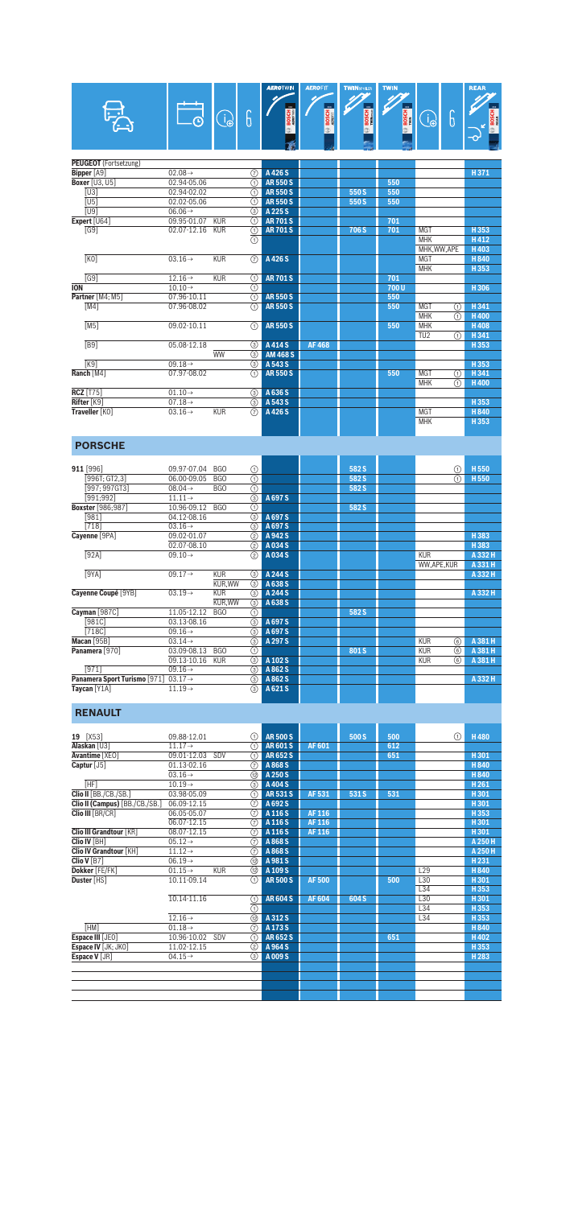|                              |                     |            |                                      | $_{\rm xx}$     | $_{\rm xx}$  |                       |       |                     |                                      |                      |
|------------------------------|---------------------|------------|--------------------------------------|-----------------|--------------|-----------------------|-------|---------------------|--------------------------------------|----------------------|
|                              | ⊕                   | B          | G                                    | <b>BOSCH</b>    | <b>BOSCH</b> | BOSCH E<br>$^{\circ}$ | BOSCH | $\bigoplus_{i=1}^n$ | 6                                    | <b>BOSCH</b>         |
|                              |                     |            |                                      |                 |              |                       |       |                     |                                      | $\overline{\bullet}$ |
| <b>PEUGEOT</b> (Fortsetzung) |                     |            |                                      |                 |              |                       |       |                     |                                      |                      |
| Bipper [A9]                  | $02.08 \rightarrow$ |            | $\circled7$                          | A 426 S         |              |                       |       |                     |                                      | H371                 |
| <b>Boxer</b> [U3, U5]        | 02.94-05.06         |            | ⋒                                    | <b>AR550S</b>   |              |                       | 550   |                     |                                      |                      |
| TU31                         | 02.94-02.02         |            | ⋒                                    | <b>AR550S</b>   |              | 550 S                 | 550   |                     |                                      |                      |
| $\overline{U}$               | 02.02-05.06         |            | ⋒                                    | <b>AR550S</b>   |              | 550 S                 | 550   |                     |                                      |                      |
| <b>TU91</b>                  | $06.06 \rightarrow$ |            | $\overline{(\mathbf{3})}$            | A 225 S         |              |                       |       |                     |                                      |                      |
| Expert [U64]                 | 09.95-01.07         | <b>KUR</b> | ര                                    | <b>AR701S</b>   |              |                       | 701   |                     |                                      |                      |
| [G9]                         | 02.07-12.16         | <b>KUR</b> | ⊕                                    | <b>AR701S</b>   |              | 706 S                 | 701   | <b>MGT</b>          |                                      | H353                 |
|                              |                     |            | $\overline{\odot}$                   |                 |              |                       |       | <b>MHK</b>          |                                      | H412                 |
|                              |                     |            |                                      |                 |              |                       |       | MHK, WW, APE        |                                      | <b>H403</b>          |
| [K0]                         | $03.16 \rightarrow$ | <b>KUR</b> | (7)                                  | A 426 S         |              |                       |       | <b>MGT</b>          |                                      | H 840                |
|                              |                     |            |                                      |                 |              |                       |       | <b>MHK</b>          |                                      | H353                 |
| $\overline{G91}$             | $12.16 \rightarrow$ | <b>KUR</b> | ⊕                                    | <b>AR701S</b>   |              |                       | 701   |                     |                                      |                      |
| <b>ION</b>                   | $10.10 \rightarrow$ |            | $\overline{\textcircled{\small{1}}}$ |                 |              |                       | 700U  |                     |                                      | H 306                |
| Partner [M4; M5]             | 07.96-10.11         |            | ⋒                                    | <b>AR550S</b>   |              |                       | 550   |                     |                                      |                      |
| $\overline{[M4]}$            | 07.96-08.02         |            | ⋒                                    | <b>AR550S</b>   |              |                       | 550   | <b>MGT</b>          | $\overline{\textcircled{\small{1}}}$ | H 341                |
|                              |                     |            |                                      |                 |              |                       |       | <b>MHK</b>          | ⋒                                    | H400                 |
| [M5]                         | 09.02-10.11         |            | ∩                                    | <b>AR550S</b>   |              |                       | 550   | <b>MHK</b>          |                                      | H408                 |
|                              |                     |            |                                      |                 |              |                       |       | TU <sub>2</sub>     | ⋒                                    | H 341                |
| FB91                         | 05.08-12.18         |            | ⊚                                    | A414S           | <b>AF468</b> |                       |       |                     |                                      | H 353                |
|                              |                     | <b>WW</b>  | $\overline{\circ}$                   | <b>AM 468 S</b> |              |                       |       |                     |                                      |                      |
| K9                           | $09.18 \rightarrow$ |            | $\circledS$                          | A 543 S         |              |                       |       |                     |                                      | H 353                |
| Ranch [M4]                   | 07.97-08.02         |            | ∩                                    | <b>AR550S</b>   |              |                       | 550   | <b>MGT</b>          | ⋒                                    | H 341                |
|                              |                     |            |                                      |                 |              |                       |       | <b>MHK</b>          | A                                    | H400                 |
| <b>RCZ</b> [T75]             | $01.10 \rightarrow$ |            | 3                                    | A 636 S         |              |                       |       |                     |                                      |                      |
| Rifter [K9]                  | $07.18 \rightarrow$ |            | $\circledS$                          | A 543 S         |              |                       |       |                     |                                      | H 353                |
| Traveller [KO]               | $03.16 \rightarrow$ | <b>KUR</b> | $\overline{(\overline{z})}$          | A 426 S         |              |                       |       | <b>MGT</b>          |                                      | H 840                |
|                              |                     |            |                                      |                 |              |                       |       | <b>MHK</b>          |                                      | H 353                |

**AEROTWIN AEROFIT TWINSFOILER TWIN** 

REAR

## **PORSCHE**

| 911 [996]                    | 09.97-07.04         | <b>BGO</b> | ⊕                                         |         | 582 S |            | ⋒ | H <sub>550</sub> |
|------------------------------|---------------------|------------|-------------------------------------------|---------|-------|------------|---|------------------|
| [996T; GT2,3]                | 06.00-09.05         | BGO        | ⊕                                         |         | 582 S |            | ⋒ | H <sub>550</sub> |
| $[997; 997G$ T3]             | $08.04\rightarrow$  | <b>BGO</b> | ⊕                                         |         | 582 S |            |   |                  |
| [991;992]                    | $11.11 \rightarrow$ |            | $\circledS$                               | A 697 S |       |            |   |                  |
| <b>Boxster</b> [986;987]     | 10.96-09.12         | <b>BGO</b> | ⋒                                         |         | 582 S |            |   |                  |
| [981]                        | 04.12-08.16         |            | $\overline{\circ}$                        | A 697 S |       |            |   |                  |
| $[718]$                      | $03.16 \rightarrow$ |            | ③                                         | A 697 S |       |            |   |                  |
| Cayenne [9PA]                | 09.02-01.07         |            | $\circled{2}$                             | A 942 S |       |            |   | H383             |
|                              | 02.07-08.10         |            | ②                                         | A034S   |       |            |   | H383             |
| [92A]                        | $09.10 \rightarrow$ |            | $\overline{2}$                            | A034S   |       | <b>KUR</b> |   | A 332 H          |
|                              |                     |            |                                           |         |       | WW,APE,KUR |   | A 331 H          |
| [9YA]                        | $09.17 \rightarrow$ | <b>KUR</b> | ③                                         | A 244 S |       |            |   | A 332 H          |
|                              |                     | KUR.WW     | 3                                         | A 638 S |       |            |   |                  |
| Cayenne Coupé [9YB]          | $03.19 \rightarrow$ | <b>KUR</b> | ③                                         | A 244 S |       |            |   | A 332 H          |
|                              |                     | KUR.WW     | ⊚                                         | A 638 S |       |            |   |                  |
| Cayman [987C]                | 11.05-12.12         | BGO        | ⊕                                         |         | 582 S |            |   |                  |
| [981C]                       | $03.13 - 08.16$     |            | 3                                         | A 697 S |       |            |   |                  |
| [718C]                       | $09.16 \rightarrow$ |            | ③                                         | A 697 S |       |            |   |                  |
| Macan [95B]                  | $03.14\rightarrow$  |            | ③                                         | A 297 S |       | <b>KUR</b> | ⊛ | A 381 H          |
| Panamera [970]               | 03.09-08.13         | <b>BGO</b> | ⊕                                         |         | 801 S | <b>KUR</b> | ⊛ | A 381 H          |
|                              | 09.13-10.16         | <b>KUR</b> | $\overline{\textcircled{\scriptsize{3}}}$ | A 102 S |       | <b>KUR</b> | 6 | A 381 H          |
| [971]                        | $09.16 \rightarrow$ |            | ③                                         | A 862 S |       |            |   |                  |
| Panamera Sport Turismo [971] | $03.17 \rightarrow$ |            | $\circledS$                               | A 862 S |       |            |   | A 332 H          |
| Taycan [Y1A]                 | $11.19\rightarrow$  |            | ⊚                                         | A 621 S |       |            |   |                  |
|                              |                     |            |                                           |         |       |            |   |                  |

# **RENAULT**

| $[X53]$<br>19                  | 09.88-12.01         | ⋒                                         | <b>AR500S</b> |              | 500 S | 500 | ⋒   | <b>H480</b>      |
|--------------------------------|---------------------|-------------------------------------------|---------------|--------------|-------|-----|-----|------------------|
| Alaskan [U3]                   | $11.17 \rightarrow$ | ∩                                         | <b>AR601S</b> | AF 601       |       | 612 |     |                  |
| Avantime [XEO]                 | 09.01-12.03         | SDV<br>⋒                                  | AR652S        |              |       | 651 |     | H301             |
| Captur [J5]                    | 01.13-02.16         | $\overline{(\overline{r})}$               | A 868 S       |              |       |     |     | <b>H840</b>      |
|                                | $03.16 \rightarrow$ | 12                                        | A 250 S       |              |       |     |     | H840             |
| [HF]                           | $10.19 \rightarrow$ | ⊚                                         | A 404 S       |              |       |     |     | H <sub>261</sub> |
| Clio II [BB./CB./SB.]          | 03.98-05.09         | ⋒                                         | <b>AR531S</b> | AF 531       | 531 S | 531 |     | H301             |
| Clio II (Campus) [BB./CB./SB.] | 06.09-12.15         | 7                                         | A 692 S       |              |       |     |     | H301             |
| Clio III [BR/CR]               | 06.05-05.07         | 7                                         | A 116 S       | AF 116       |       |     |     | H353             |
|                                | 06.07-12.15         | $\overline{(\overline{7})}$               | A 116 S       | <b>AF116</b> |       |     |     | H301             |
| <b>Clio III Grandtour [KR]</b> | $08.07 - 12.15$     | (7)                                       | A 116 S       | AF 116       |       |     |     | H301             |
| Clio IV [BH]                   | $05.12 \rightarrow$ | 7                                         | A 868 S       |              |       |     |     | A 250 H          |
| <b>Clio IV Grandtour [KH]</b>  | $11.12 \rightarrow$ | $\overline{(\overline{7})}$               | A 868 S       |              |       |     |     | A 250 H          |
| Clio V $[B7]$                  | $06.19\rightarrow$  | $\circledR$                               | A981S         |              |       |     |     | H <sub>231</sub> |
| Dokker [FE/FK]                 | $01.15 \rightarrow$ | <b>KUR</b><br>12                          | A 109 S       |              |       |     | L29 | H840             |
| Duster [HS]                    | 10.11-09.14         | ⋒                                         | <b>AR500S</b> | <b>AF500</b> |       | 500 | L30 | H301             |
|                                |                     |                                           |               |              |       |     | L34 | H353             |
|                                | 10.14-11.16         | ⊕                                         | <b>AR604S</b> | AF 604       | 604 S |     | L30 | H301             |
|                                |                     | $\overline{(\text{f})}$                   |               |              |       |     | L34 | H353             |
|                                | $12.16 \rightarrow$ | $\overline{\textcircled{\scriptsize{2}}}$ | A 312 S       |              |       |     | L34 | H353             |
| [HM]                           | $01.18\rightarrow$  | 7                                         | A 173 S       |              |       |     |     | H840             |
| Espace III [JE0]               | 10.96-10.02         | SDV<br>⋒                                  | <b>AR652S</b> |              |       | 651 |     | H402             |
| Espace IV [JK; JK0]            | 11.02-12.15         | (2)                                       | A 964 S       |              |       |     |     | H353             |
| Espace V [JR]                  | $04.15 \rightarrow$ | (3)                                       | A009S         |              |       |     |     | H 283            |
|                                |                     |                                           |               |              |       |     |     |                  |
|                                |                     |                                           |               |              |       |     |     |                  |
|                                |                     |                                           |               |              |       |     |     |                  |
|                                |                     |                                           |               |              |       |     |     |                  |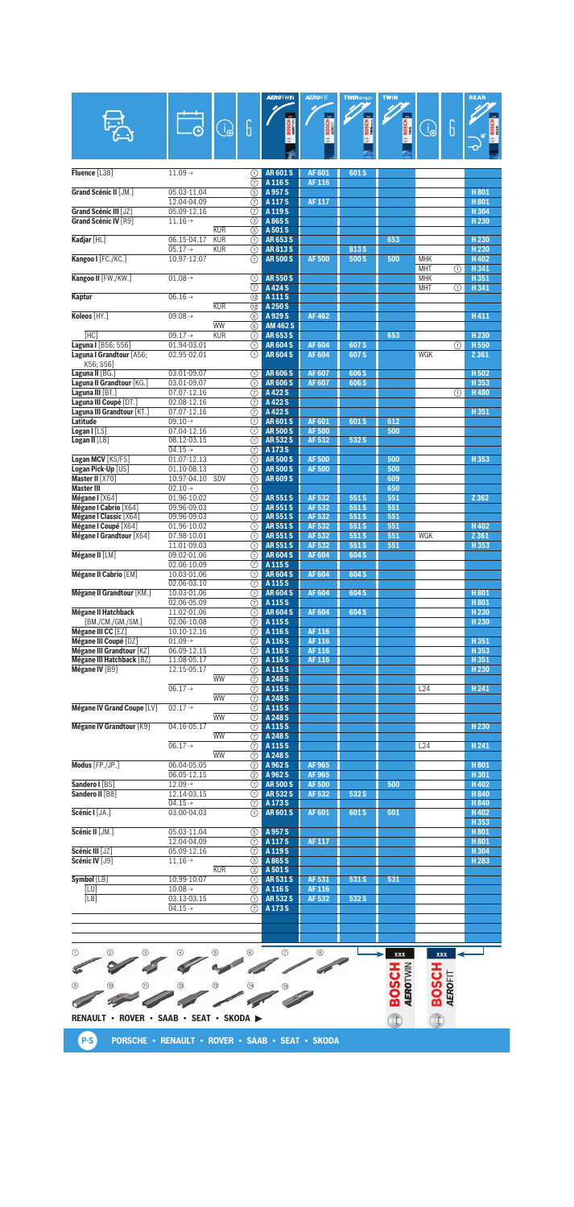|                                                 |                                    |                         |                             | <b>AEROTWIN</b>                         | <b>AEROFIT</b>   | <b>TWINSPOILER</b>             | <b>TWIN</b>  |                          |   | <b>REAR</b>              |
|-------------------------------------------------|------------------------------------|-------------------------|-----------------------------|-----------------------------------------|------------------|--------------------------------|--------------|--------------------------|---|--------------------------|
|                                                 |                                    |                         |                             |                                         |                  |                                |              |                          |   |                          |
|                                                 |                                    |                         | $\overline{6}$              | $\overline{\mathbf{m}}$<br><b>BOSCH</b> | <b>BOSCH</b>     | <u>m.</u><br>BOSCH<br>Wilheren |              |                          | 6 |                          |
|                                                 |                                    | $\bigoplus_{i=1}^n$     |                             |                                         |                  |                                | <b>BOSCH</b> | B                        |   |                          |
|                                                 |                                    |                         |                             |                                         |                  |                                |              |                          |   |                          |
|                                                 |                                    |                         |                             |                                         |                  |                                |              |                          |   |                          |
| Fluence [L38]                                   | $11.09 \rightarrow$                |                         | (1)                         | <b>AR601S</b>                           | AF 601           | 601S                           |              |                          |   |                          |
|                                                 |                                    |                         | (7)                         | A 116 S                                 | AF 116           |                                |              |                          |   |                          |
| Grand Scénic II [JM.]                           | 05.03-11.04                        |                         | 5                           | A 957 S                                 |                  |                                |              |                          |   | H801                     |
|                                                 | 12.04-04.09                        |                         | 7)                          | A 117 S                                 | <b>AF117</b>     |                                |              |                          |   | H801                     |
| Grand Scénic III [JZ]<br>Grand Scénic IV [R9]   | 05.09-12.16<br>$11.16 \rightarrow$ |                         | ℗<br>3                      | A 119 S<br>A 865 S                      |                  |                                |              |                          |   | H304<br>H <sub>230</sub> |
|                                                 |                                    | <b>KUR</b>              | ③                           | A 501 S                                 |                  |                                |              |                          |   |                          |
| Kadjar [HL]                                     | 06.15-04.17                        | <b>KUR</b>              | ⋒                           | AR653S                                  |                  |                                | 653          |                          |   | H <sub>230</sub>         |
|                                                 | $05.17 \rightarrow$                | <b>KUR</b>              | ⋒                           | <b>AR813S</b>                           |                  | 813 S                          |              |                          |   | H <sub>230</sub>         |
| Kangoo I [FC./KC.]                              | 10.97-12.07                        |                         | ⋒                           | <b>AR 500 S</b>                         | <b>AF500</b>     | 500 S                          | 500          | <b>MHK</b><br><b>MHT</b> |   | H402                     |
| Kangoo II [FW./KW.]                             | $01.08 \rightarrow$                |                         | ①                           | <b>AR550S</b>                           |                  |                                |              | <b>MHK</b>               | ⋒ | H341<br>H351             |
|                                                 |                                    |                         | $\circled7$                 | A424S                                   |                  |                                |              | <b>MHT</b>               | ⋒ | H341                     |
| Kaptur                                          | $06.16 \rightarrow$                |                         | <b>①</b>                    | A 111 S                                 |                  |                                |              |                          |   |                          |
|                                                 |                                    | <b>KUR</b>              | 12)                         | A 250 S                                 |                  |                                |              |                          |   |                          |
| Koleos [HY.]                                    | $09.08 \rightarrow$                |                         | 6)                          | A929S                                   | <b>AF462</b>     |                                |              |                          |   | H411                     |
| [HC]                                            | $09.17 \rightarrow$                | <b>WW</b><br><b>KUR</b> | 6<br>⋒                      | <b>AM 462 S</b><br>AR653S               |                  |                                | 653          |                          |   | H <sub>230</sub>         |
| Laguna I [B56; 556]                             | 01.94-03.01                        |                         | ⋒                           | <b>AR604S</b>                           | <b>AF604</b>     | 607 S                          |              |                          | ⋒ | H 550                    |
| Laguna I Grandtour [A56;                        | 02.95-02.01                        |                         | ⋒                           | <b>AR604S</b>                           | AF 604           | 607 S                          |              | WGK                      |   | Z 361                    |
| K56; S56]                                       |                                    |                         |                             |                                         |                  |                                |              |                          |   |                          |
| Laguna II [BG.]                                 | 03.01-09.07                        |                         | ⋒                           | <b>AR606S</b>                           | <b>AF607</b>     | 606 S                          |              |                          |   | H <sub>502</sub>         |
| Laguna II Grandtour [KG.]                       | 03.01-09.07                        |                         | ⋒                           | <b>AR606S</b>                           | AF 607           | 606 S                          |              |                          |   | H353                     |
| Laguna III [BT.]<br>Laguna III Coupé [DT.]      | 07.07-12.16<br>02.08-12.16         |                         | 7<br>7)                     | A 422 S<br>A422S                        |                  |                                |              |                          | ⋒ | <b>H480</b>              |
| Laguna III Grandtour [KT.]                      | 07.07-12.16                        |                         | 7                           | A 422 S                                 |                  |                                |              |                          |   | H351                     |
| Latitude                                        | $09.10 \rightarrow$                |                         | ⋒                           | <b>AR601S</b>                           | AF 601           | 601S                           | 612          |                          |   |                          |
| Logan I [LS]                                    | 07.04-12.16                        |                         | ⋒                           | <b>AR500S</b>                           | <b>AF500</b>     |                                | 500          |                          |   |                          |
| Logan II $[L8]$                                 | 08.12-03.15                        |                         | ⊕                           | <b>AR532S</b>                           | AF 532           | 532 S                          |              |                          |   |                          |
| Logan MCV [KS/FS]                               | $04.15 \rightarrow$<br>01.07-12.13 |                         | 7<br>⋒                      | A 173 S<br><b>AR500S</b>                | <b>AF500</b>     |                                | 500          |                          |   | H353                     |
| Logan Pick-Up [US]                              | 01.10-08.13                        |                         | ⋒                           | <b>AR500S</b>                           | <b>AF500</b>     |                                | 500          |                          |   |                          |
| Master II [X70]                                 | 10.97-04.10                        | SDV                     | ⋒                           | <b>AR609S</b>                           |                  |                                | 609          |                          |   |                          |
| <b>Master III</b>                               | $02.10 \rightarrow$                |                         | ⋒                           |                                         |                  |                                | 650          |                          |   |                          |
| Mégane I [X64]                                  | 01.96-10.02                        |                         | ⊕                           | <b>AR551S</b>                           | AF 532           | 551S                           | 551          |                          |   | Z 362                    |
| Mégane I Cabrio [X64]<br>Mégane I Classic [X64] | 09.96-09.03                        |                         | ⋒                           | <b>AR551S</b>                           | AF 532           | 551S                           | 551          |                          |   |                          |
| Mégane I Coupé [X64]                            | 09.96-09.03<br>01.96-10.02         |                         | ⋒<br>⋒                      | <b>AR551S</b><br><b>AR551S</b>          | AF 532<br>AF 532 | 551S<br>551S                   | 551<br>551   |                          |   | H402                     |
| Mégane I Grandtour [X64]                        | 07.98-10.01                        |                         | ⋒                           | <b>AR551S</b>                           | AF 532           | 551S                           | 551          | WGK                      |   | Z 361                    |
|                                                 | 11.01-09.03                        |                         | ⋒                           | <b>AR551S</b>                           | AF 532           | 551S                           | 551          |                          |   | H353                     |
| Mégane II [LM]                                  | 09.02-01.06                        |                         | ⊕                           | <b>AR604S</b>                           | <b>AF604</b>     | 604 S                          |              |                          |   |                          |
|                                                 | 02.06-10.09                        |                         | 7                           | A 115 S                                 |                  |                                |              |                          |   |                          |
| Mégane II Cabrio [EM]                           | 10.03-01.06<br>02.06-03.10         |                         | ⋒<br>$\overline{\odot}$     | <b>AR604S</b><br>A 115 S                | <b>AF604</b>     | 604 S                          |              |                          |   |                          |
| Mégane II Grandtour [KM.]                       | 10.03-01.06                        |                         | ⋒                           | <b>AR604S</b>                           | AF 604           | 604 S                          |              |                          |   | H801                     |
|                                                 | 02.06-05.09                        |                         | ⊙                           | A 115 S                                 |                  |                                |              |                          |   | H801                     |
| Mégane II Hatchback                             | 11.02-01.06                        |                         | ⋒                           | <b>AR604S</b>                           | AF 604           | 604 S                          |              |                          |   | H <sub>230</sub>         |
| [BM./CM./GM./SM.]                               | 02.06-10.08                        |                         | 7                           | A 115 S                                 |                  |                                |              |                          |   | H <sub>230</sub>         |
| Mégane III CC [EZ]<br>Mégane III Coupé [DZ]     | 10.10-12.16<br>$01.09 \rightarrow$ |                         | 7<br>7                      | A 116 S<br>A 116 S                      | AF 116<br>AF 116 |                                |              |                          |   | H351                     |
| Mégane III Grandtour [KZ]                       | 06.09-12.15                        |                         | 7)                          | A 116 S                                 | AF 116           |                                |              |                          |   | H353                     |
| Mégane III Hatchback [BZ]                       | 11.08-05.17                        |                         | $\overline{(\overline{7})}$ | A 116 S                                 | AF 116           |                                |              |                          |   | H351                     |
| Mégane IV [B9]                                  | 12.15-05.17                        |                         | ℗                           | A 115 S                                 |                  |                                |              |                          |   | H <sub>230</sub>         |
|                                                 |                                    | WW                      | ℗                           | A 248 S                                 |                  |                                |              |                          |   |                          |
|                                                 | $06.17 \rightarrow$                | <b>WW</b>               | 7                           | A 115 S<br>A 248 S                      |                  |                                |              | L24                      |   | H <sub>241</sub>         |
| Mégane IV Grand Coupe [LV]                      | $02.17 \rightarrow$                |                         | ℗<br>(7)                    | A 115 S                                 |                  |                                |              |                          |   |                          |
|                                                 |                                    | <b>WW</b>               | ℗                           | A 248 S                                 |                  |                                |              |                          |   |                          |
| Mégane IV Grandtour [K9]                        | 04.16-05.17                        |                         | ℗                           | A 115 S                                 |                  |                                |              |                          |   | H <sub>230</sub>         |
|                                                 |                                    | WW                      | ℗                           | A 248 S                                 |                  |                                |              |                          |   |                          |
|                                                 | $06.17 \rightarrow$                | <b>WW</b>               | 7                           | A 115 S<br>A 248 S                      |                  |                                |              | L24                      |   | H <sub>241</sub>         |
| Modus [FP./JP.]                                 | 06.04-05.05                        |                         | 7<br>(2)                    | A 962 S                                 | AF 965           |                                |              |                          |   | H801                     |
|                                                 | 06.05-12.15                        |                         | (2)                         | A 962 S                                 | AF 965           |                                |              |                          |   | H301                     |
| Sandero I [BS]                                  | $12.09 \rightarrow$                |                         | ⊕                           | <b>AR500S</b>                           | <b>AF500</b>     |                                | 500          |                          |   | H402                     |
| Sandero II [B8]                                 | 12.14-03.15                        |                         | ⊕                           | AR 532 S                                | AF 532           | 532 S                          |              |                          |   | H840                     |
| Scénic I [JA.]                                  | $04.15 \rightarrow$                |                         | $\circled7$                 | A 173 S                                 |                  |                                |              |                          |   | H840                     |
|                                                 | 03.00-04.03                        |                         | ⋒                           | <b>AR601S</b>                           | AF 601           | 601S                           | 601          |                          |   | H402<br>H353             |
| Scénic II [JM.]                                 | 05.03-11.04                        |                         | $\circled{5}$               | A 957 S                                 |                  |                                |              |                          |   | H801                     |
|                                                 | 12.04-04.09                        |                         | ⊙                           | A 117 S                                 | <b>AF117</b>     |                                |              |                          |   | H801                     |
| Scénic III [JZ]                                 | 05.09-12.16                        |                         | ℗                           | A 119 S                                 |                  |                                |              |                          |   | H304                     |
| Scénic IV [J9]                                  | $11.16 \rightarrow$                |                         | 3                           | A 865 S                                 |                  |                                |              |                          |   | H 283                    |
| Symbol [LB]                                     | 10.99-10.07                        | <b>KUR</b>              | ⊚<br>⋒                      | A 501 S<br>AR 531 S                     | AF 531           | 531 S                          | 531          |                          |   |                          |
| [LU]                                            | $10.08 \rightarrow$                |                         | (7)                         | A 116 S                                 | AF 116           |                                |              |                          |   |                          |
| [L8]                                            | 03.13-03.15                        |                         | ⊙                           | AR 532 S                                | AF 532           | 532 S                          |              |                          |   |                          |
|                                                 | $04.15 \rightarrow$                |                         | 7                           | A 173 S                                 |                  |                                |              |                          |   |                          |
|                                                 |                                    |                         |                             |                                         |                  |                                |              |                          |   |                          |
|                                                 |                                    |                         |                             |                                         |                  |                                |              |                          |   |                          |
|                                                 |                                    |                         |                             |                                         |                  |                                |              |                          |   |                          |

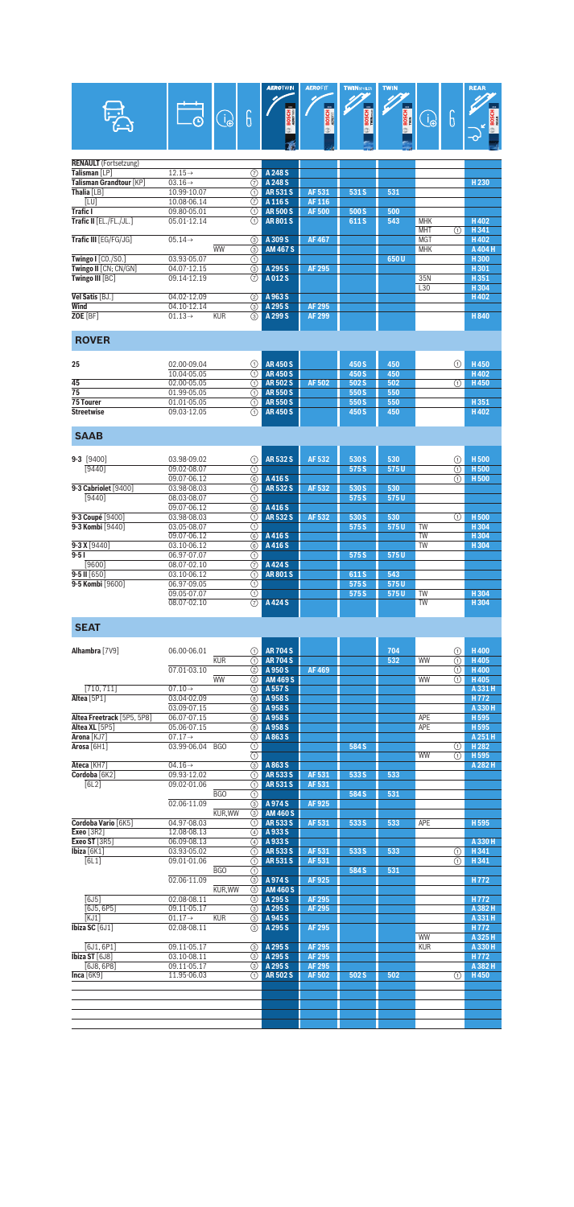|                                              |                                   |                           | <b>AEROTWIN</b><br>$_{\rm xx}$ | <b>AEROFIT</b>   | <b>TWINSPOLER</b> | <b>TWIN</b>       |                          |        | <b>REAR</b>                          |
|----------------------------------------------|-----------------------------------|---------------------------|--------------------------------|------------------|-------------------|-------------------|--------------------------|--------|--------------------------------------|
|                                              | $\bigodot$                        | 6                         | <b>BOSCH</b>                   | <b>BOSCH</b>     | BOSCH<br>IWIN2008 | <b>BOSCH</b><br>đ | B                        | 6      | <b>BOSCI</b>                         |
| <b>RENAULT</b> (Fortsetzung)                 |                                   |                           |                                |                  |                   |                   |                          |        |                                      |
| Talisman [LP]                                | $12.15\rightarrow$                | ℗                         | A 248 S                        |                  |                   |                   |                          |        |                                      |
| Talisman Grandtour [KP]                      | $03.16 \rightarrow$               | 7                         | A 248 S                        |                  |                   |                   |                          |        | H <sub>230</sub>                     |
| Thalia [LB]<br>[LU]                          | 10.99-10.07<br>10.08-06.14        | ⋒<br>$\circled7$          | <b>AR531S</b><br>A 116 S       | AF 531<br>AF 116 | 531 S             | 531               |                          |        |                                      |
| <b>Trafic I</b>                              | 09.80-05.01                       | ⋒                         | <b>AR500S</b>                  | <b>AF500</b>     | 500 S             | 500               |                          |        |                                      |
| Trafic II [EL./FL./JL.]                      | 05.01-12.14                       | ⋒                         | <b>AR801S</b>                  |                  | 611 S             | 543               | <b>MHK</b>               |        | H402                                 |
| Trafic III [EG/FG/JG]                        | $05.14 \rightarrow$               | ③                         | A 309 S                        | <b>AF467</b>     |                   |                   | <b>MHT</b><br><b>MGT</b> | ⋒      | H341<br>H402                         |
|                                              | <b>WW</b>                         | $\overline{(\mathbf{3})}$ | <b>AM 467 S</b>                |                  |                   |                   | <b>MHK</b>               |        | A 404 H                              |
| Twingo I [CO./SO.]<br>Twingo II [CN; CN/GN]  | 03.93-05.07<br>04.07-12.15        | ⊕<br>⊚                    | A 295 S                        | <b>AF 295</b>    |                   | 650U              |                          |        | H300<br>H301                         |
| Twingo III [BC]                              | 09.14-12.19                       | 7                         | A012S                          |                  |                   |                   | 35N                      |        | H351                                 |
| Vel Satis [BJ.]                              |                                   |                           |                                |                  |                   |                   | L30                      |        | H304                                 |
| Wind                                         | 04.02-12.09<br>04.10-12.14        | (2)<br>③                  | A 963 S<br>A 295 S             | <b>AF 295</b>    |                   |                   |                          |        | H402                                 |
| ZOE [BF]                                     | $01.13 \rightarrow$<br><b>KUR</b> | $\circledS$               | A 299 S                        | <b>AF 299</b>    |                   |                   |                          |        | H840                                 |
|                                              |                                   |                           |                                |                  |                   |                   |                          |        |                                      |
| <b>ROVER</b>                                 |                                   |                           |                                |                  |                   |                   |                          |        |                                      |
| 25                                           | 02.00-09.04                       | ⋒                         | <b>AR450S</b>                  |                  | 450 S             | 450               |                          | ⋒      | H450                                 |
|                                              | 10.04-05.05                       | ⋒                         | <b>AR450S</b>                  |                  | 450 S             | 450               |                          |        | H402                                 |
| 45<br>$\overline{75}$                        | 02.00-05.05<br>01.99-05.05        | ⋒<br>⋒                    | <b>AR502S</b><br><b>AR550S</b> | AF 502           | 502 S<br>550 S    | 502<br>550        |                          | ⋒      | H450                                 |
| <b>75 Tourer</b>                             | 01.01-05.05                       | ⊕                         | <b>AR550S</b>                  |                  | 550 S             | 550               |                          |        | H351                                 |
| <b>Streetwise</b>                            | 09.03-12.05                       | ⋒                         | <b>AR450S</b>                  |                  | 450 S             | 450               |                          |        | H402                                 |
| <b>SAAB</b>                                  |                                   |                           |                                |                  |                   |                   |                          |        |                                      |
|                                              |                                   |                           |                                |                  |                   |                   |                          |        |                                      |
| $9-3$ [9400]                                 | 03.98-09.02                       | ⋒                         | <b>AR532S</b>                  | AF 532           | 530 S             | 530               |                          | ⋒      | H <sub>500</sub>                     |
| [9440]                                       | 09.02-08.07                       | ⋒                         |                                |                  | 575 S             | 575U              |                          | ⋒      | <b>H500</b>                          |
| 9-3 Cabriolet [9400]                         | 09.07-06.12<br>03.98-08.03        | $\circledS$<br>⋒          | A 416 S<br><b>AR532S</b>       | AF 532           | 530 S             | 530               |                          | ⋒      | H <sub>500</sub>                     |
| [9440]                                       | 08.03-08.07                       | の                         |                                |                  | 575 S             | 575U              |                          |        |                                      |
|                                              | 09.07-06.12                       | 6                         | A 416 S<br><b>AR532S</b>       | AF 532           |                   | 530               |                          |        | H <sub>500</sub>                     |
| 9-3 Coupé [9400]<br>9-3 Kombi [9440]         | 03.98-08.03<br>03.05-08.07        | ⋒<br>⋒                    |                                |                  | 530 S<br>575 S    | 575U              | <b>TW</b>                | ⋒      | H304                                 |
|                                              | 09.07-06.12                       | 6                         | A 416 S                        |                  |                   |                   | <b>TW</b>                |        | H304                                 |
| $9 - 3X[9440]$<br>$9 - 51$                   | 03.10-06.12<br>06.97-07.07        | 6<br>⋒                    | A 416 S                        |                  | 575 S             | 575U              | <b>TW</b>                |        | H304                                 |
| [9600]                                       | 08.07-02.10                       | $\circledR$               | A424 S                         |                  |                   |                   |                          |        |                                      |
| $9 - 5$ II $[650]$                           | 03.10-06.12                       | ⋒                         | <b>AR801S</b>                  |                  | 611 S             | 543               |                          |        |                                      |
| 9-5 Kombi [9600]                             | 06.97-09.05<br>09.05-07.07        | ⋒<br>$\circlearrowleft$   |                                |                  | 575 S<br>575 S    | 575U<br>575U      | TW                       |        | H304                                 |
|                                              | 08.07-02.10                       | 7                         | A 424 S                        |                  |                   |                   | <b>TW</b>                |        | $H_304$                              |
| <b>SEAT</b>                                  |                                   |                           |                                |                  |                   |                   |                          |        |                                      |
| <b>Alhambra</b> [7V9]                        | 06.00-06.01                       | (1)                       | <b>AR 704 S</b>                |                  |                   | 704               |                          | ⋒      | H400                                 |
|                                              | <b>KUR</b>                        | ⋒                         | <b>AR 704 S</b>                |                  |                   | 532               | WW                       | ⋒      | H405                                 |
|                                              | 07.01-03.10                       | ②                         | A 950 S                        | <b>AF469</b>     |                   |                   |                          | ⋒      | H400                                 |
| [710, 711]                                   | WW<br>$07.10 \rightarrow$         | ②<br>(3)                  | <b>AM 469 S</b><br>A 557 S     |                  |                   |                   | WW                       | ⋒      | H405<br>A 331 H                      |
| Altea <sup>[5P1]</sup>                       | 03.04-02.09                       | ⑧                         | A 958 S                        |                  |                   |                   |                          |        | H <sub>772</sub>                     |
|                                              | 03.09-07.15                       | (8) I                     | A 958 S                        |                  |                   |                   |                          |        | A 330 H                              |
| Altea Freetrack [5P5, 5P8]<br>Altea XL [5P5] | 06.07-07.15<br>05.06-07.15        | (8)<br>8                  | A 958 S<br>A 958 S             |                  |                   |                   | APE<br>APE               |        | H <sub>595</sub><br>H <sub>595</sub> |
| Arona [KJ7]                                  | $07.17 \rightarrow$               | ③                         | A 863 S                        |                  |                   |                   |                          |        | A 251 H                              |
| Arosa <sup>[6H1]</sup>                       | 03.99-06.04<br>BGO                | ⊕<br>⋒                    |                                |                  | 584 S             |                   | WW                       | ⊕<br>⋒ | H <sub>282</sub><br>H 595            |
| Ateca [KH7]                                  | $04.16\rightarrow$                | ③                         | A863S                          |                  |                   |                   |                          |        | A 282 H                              |
| Cordoba <sup>[6K2]</sup>                     | 09.93-12.02                       | ⋒                         | AR 533 S                       | AF 531           | 533 S             | 533               |                          |        |                                      |
| [6L2]                                        | 09.02-01.06<br><b>BGO</b>         | ⊕<br>⋒                    | <b>AR531S</b>                  | AF 531           | 584 S             | 531               |                          |        |                                      |
|                                              | 02.06-11.09                       | 3                         | A974S                          | AF925            |                   |                   |                          |        |                                      |
|                                              | KUR, WW                           | ⊚                         | <b>AM 460 S</b>                |                  |                   |                   |                          |        |                                      |
| Cordoba Vario [6K5]<br>Exeo [3R2]            | 04.97-08.03<br>12.08-08.13        | ①  <br>④                  | AR 533 S<br>A933S              | AF 531           | 533 S             | 533               | APE                      |        | H 595                                |
| Exeo ST [3R5]                                | 06.09-08.13                       | ④                         | A933S                          |                  |                   |                   |                          |        | A 330 H                              |
| Ibiza $[6K1]$<br>[6L1]                       | 03.93-05.02<br>09.01-01.06        | (1)<br>⋒                  | AR 533 S<br>AR 531 S           | AF 531<br>AF 531 | 533 S             | 533               |                          | ⋒<br>⋒ | H341<br>H341                         |
|                                              | BGO                               | ⋒                         |                                |                  | 584 S             | 531               |                          |        |                                      |
|                                              | 02.06-11.09                       | ③                         | A974S                          | AF 925           |                   |                   |                          |        | H772                                 |
| [6J5]                                        | KUR, WW<br>02.08-08.11            | ③<br>⊚                    | <b>AM 460 S</b><br>A 295 S     | <b>AF 295</b>    |                   |                   |                          |        | H772                                 |
| [6J5, 6P5]                                   | 09.11-05.17                       | ③                         | A 295 S                        | <b>AF 295</b>    |                   |                   |                          |        | A 382 H                              |
| KJ1                                          | <b>KUR</b><br>$01.17 \rightarrow$ | (3)                       | A 945 S                        |                  |                   |                   |                          |        | A 331 H                              |
| Ibiza SC $[6J1]$                             | 02.08-08.11                       | ③                         | A 295 S                        | AF 295           |                   |                   | WW                       |        | H 772<br>A 325 H                     |
| [6J1, 6P1]                                   | 09.11-05.17                       | (3)                       | A 295 S                        | <b>AF 295</b>    |                   |                   | <b>KUR</b>               |        | A 330 H                              |
| Ibiza ST [6J8]<br>[6J8, 6P8]                 | 03.10-08.11<br>09.11-05.17        | ③  <br>(3)                | A 295 S<br>A 295 S             | AF 295<br>AF 295 |                   |                   |                          |        | H772<br>A 382 H                      |
| Inca $[6K9]$                                 | 11.95-06.03                       | ⋒                         | <b>AR502S</b>                  | AF 502           | 502 S             | 502               |                          | ⋒      | H450                                 |
|                                              |                                   |                           |                                |                  |                   |                   |                          |        |                                      |
|                                              |                                   |                           |                                |                  |                   |                   |                          |        |                                      |
|                                              |                                   |                           |                                |                  |                   |                   |                          |        |                                      |
|                                              |                                   |                           |                                |                  |                   |                   |                          |        |                                      |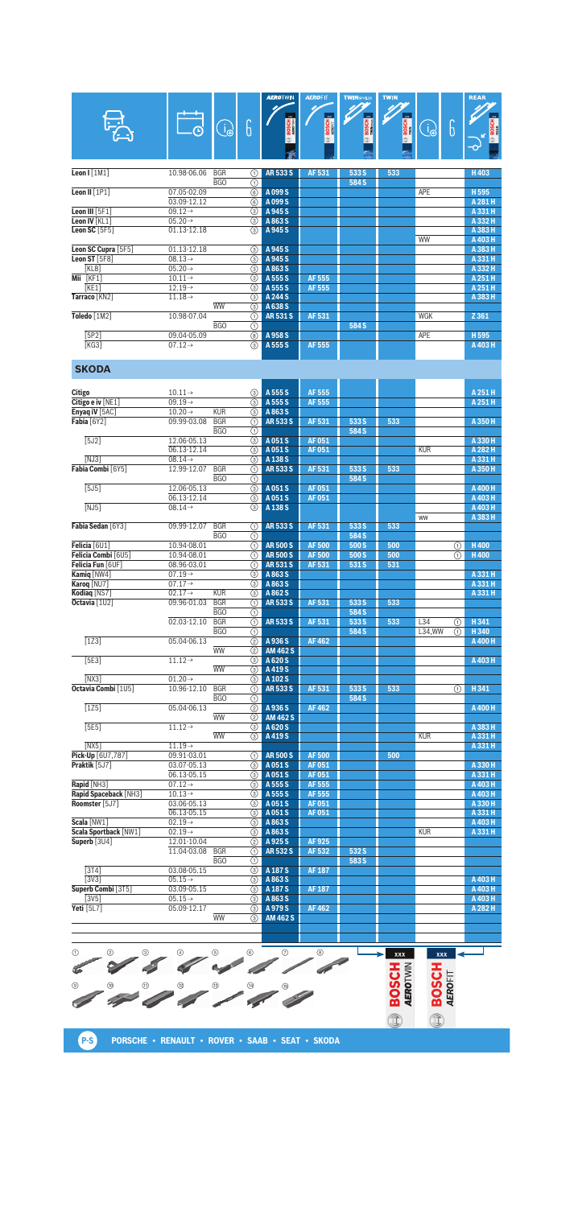| E                                 | $\left(\begin{smallmatrix} 1\ 1\end{smallmatrix}\right)$<br>闲 | 6                         | <b>MENOT AND A</b><br>$\infty$<br><b>BOSCH</b> | <i><b>ALIVIII</b></i><br>$x\alpha$<br><b>BOSCH</b> | <b>INTERNATIONAL PROPERTY</b><br>$\mathbf{m}$<br><b>BOSCH</b> | <b><i><u>I</u></i></b> <i><b>I I I</b></i><br>$\overline{\mathbf{m}}$<br><b>BOSCH</b> | 6<br>ျှ    | nean<br>m<br><b>BOSCH</b><br>$\overline{\mathbf{C}}$ |
|-----------------------------------|---------------------------------------------------------------|---------------------------|------------------------------------------------|----------------------------------------------------|---------------------------------------------------------------|---------------------------------------------------------------------------------------|------------|------------------------------------------------------|
| Leon $I[1M1]$                     | 10.98-06.06<br><b>BGR</b>                                     | (1)                       | <b>AR5335</b>                                  | AF 531                                             | 533 S                                                         | 533                                                                                   |            | H403                                                 |
|                                   | B <sub>G</sub> O                                              | ⋒                         |                                                |                                                    | 584 S                                                         |                                                                                       |            |                                                      |
| Leon II $[1P1]$                   | 07.05-02.09                                                   | $\overline{\circ}$        | A 099 S                                        |                                                    |                                                               |                                                                                       | <b>APE</b> | H 595                                                |
|                                   | 03.09-12.12                                                   | $\circledS$               | A 099 S                                        |                                                    |                                                               |                                                                                       |            | A 281 H                                              |
| Leon III $[5F1]$                  | $09.12 \rightarrow$                                           | ③                         | A 945 S                                        |                                                    |                                                               |                                                                                       |            | A 331 H                                              |
| Leon IV [KL1]                     | $05.20 \rightarrow$                                           | ⊚                         | A863S                                          |                                                    |                                                               |                                                                                       |            | A 332 H                                              |
| Leon SC $[5F5]$                   | 01.13-12.18                                                   | $\overline{(\mathbf{3})}$ | A 945 S                                        |                                                    |                                                               |                                                                                       |            | A 383 H                                              |
|                                   |                                                               |                           |                                                |                                                    |                                                               |                                                                                       | <b>WW</b>  | A 403 H                                              |
| Leon SC Cupra [5F5]               | 01.13-12.18                                                   | ③                         | A 945 S                                        |                                                    |                                                               |                                                                                       |            | A 383 H                                              |
| Leon ST $[5F8]$                   | $08.13\rightarrow$                                            | ⊚                         | A 945 S                                        |                                                    |                                                               |                                                                                       |            | A 331 H                                              |
| KL8                               | $05.20 \rightarrow$                                           | 3                         | A 863 S                                        |                                                    |                                                               |                                                                                       |            | A 332 H                                              |
| $\overline{\mathsf{Mii}}$ $[KF1]$ | $10.11 \rightarrow$                                           | ③                         | A 555 S                                        | AF 555                                             |                                                               |                                                                                       |            | A 251 H                                              |
| KE1                               | $12.19\rightarrow$                                            | ③                         | A 555 S                                        | AF 555                                             |                                                               |                                                                                       |            | A 251 H                                              |
| Tarraco [KN2]                     | $11.18\rightarrow$                                            | ③                         | A 244 S                                        |                                                    |                                                               |                                                                                       |            | A 383 H                                              |
|                                   | <b>WW</b>                                                     | $\overline{(\mathbf{3})}$ | A 638 S                                        |                                                    |                                                               |                                                                                       |            |                                                      |
| Toledo [1M2]                      | 10.98-07.04                                                   | ⋒                         | <b>AR531S</b>                                  | AF 531                                             |                                                               |                                                                                       | WGK        | Z 361                                                |
|                                   | <b>BGO</b>                                                    | ⋔                         |                                                |                                                    | 584 S                                                         |                                                                                       |            |                                                      |
| [5P2]                             | 09.04-05.09                                                   | $\overline{\circ}$        | A 958 S                                        |                                                    |                                                               |                                                                                       | <b>APE</b> | H 595                                                |
| [KG3]                             | $07.12 \rightarrow$                                           | $\overline{(\mathbf{3})}$ | A 555 S                                        | AF 555                                             |                                                               |                                                                                       |            | A 403 H                                              |
|                                   |                                                               |                           |                                                |                                                    |                                                               |                                                                                       |            |                                                      |

## **SKODA**

| <b>Citigo</b>                        | $10.11 \rightarrow$        |                  | 3                                          | A 555 S            | AF 555        |       |     |            |                         | A 251 H            |
|--------------------------------------|----------------------------|------------------|--------------------------------------------|--------------------|---------------|-------|-----|------------|-------------------------|--------------------|
| Citigo e iv [NE1]                    | $09.19 \rightarrow$        |                  | $\circled{3}$                              | A 555 S            | <b>AF 555</b> |       |     |            |                         | A 251 H            |
| Enyaq iV [5AC]                       | $10.20 \rightarrow$        | <b>KUR</b>       | $\circled{3}$                              | A 863 S            |               |       |     |            |                         |                    |
| Fabia [6Y2]                          | 09.99-03.08                | <b>BGR</b>       | ⋒                                          | <b>AR533S</b>      | AF 531        | 533 S | 533 |            |                         | A 350 H            |
|                                      |                            | BGO              | の                                          |                    |               | 584 S |     |            |                         |                    |
| [5J2]                                | 12.06-05.13                |                  | $\circled{3}$                              | A 051 S            | <b>AF051</b>  |       |     |            |                         | A 330 H            |
|                                      | 06.13-12.14                |                  | $\circled{3}$                              | A 051 S            | <b>AF051</b>  |       |     | <b>KUR</b> |                         | A 282 H            |
| [NJ3]                                | $08.14 \rightarrow$        |                  | $\circled{3}$                              | A 138 S            |               |       |     |            |                         | A 331 H            |
| Fabia Combi [6Y5]                    | 12.99-12.07                | <b>BGR</b>       | $\overline{(\text{f})}$                    | <b>AR533S</b>      | <b>AF531</b>  | 533 S | 533 |            |                         | A 350 H            |
|                                      |                            | BGO              | ⋒                                          |                    |               | 584 S |     |            |                         |                    |
| $\overline{5J51}$                    | 12.06-05.13                |                  | $\overline{\circ}$                         | A 051 S            | <b>AF051</b>  |       |     |            |                         | A 400 H            |
|                                      | 06.13-12.14                |                  | $\circled{3}$                              | A 051 S            | <b>AF051</b>  |       |     |            |                         | A 403 H            |
| NJ51                                 | $08.14 \rightarrow$        |                  | $\circled{3}$                              | A 138 S            |               |       |     | ww         |                         | A 403 H<br>A 383 H |
| Fabia Sedan [6Y3]                    | 09.99-12.07                | <b>BGR</b>       | ⊕                                          | <b>AR533S</b>      | AF 531        | 533 S | 533 |            |                         |                    |
|                                      |                            | B <sub>G</sub> O | ⊕                                          |                    |               | 584 S |     |            |                         |                    |
| Felicia <sup>[6U1]</sup>             | 10.94-08.01                |                  | $\overline{(\text{a})}$                    | <b>AR500S</b>      | <b>AF500</b>  | 500 S | 500 |            | ⊕                       | <b>H400</b>        |
| Felicia Combi [6U5]                  | 10.94-08.01                |                  | $\overline{(\mathsf{n})}$                  | <b>AR500S</b>      | <b>AF500</b>  | 500 S | 500 |            | ⋒                       | <b>H400</b>        |
| Felicia Fun [6UF]                    | 08.96-03.01                |                  | $\overline{\odot}$                         | <b>AR531S</b>      | AF 531        | 531 S | 531 |            |                         |                    |
| Kamig [NW4]                          | $07.19 \rightarrow$        |                  | (3)                                        | A 863 S            |               |       |     |            |                         | A 331 H            |
| Karog [NU7]                          | $07.17 \rightarrow$        |                  | ⊚                                          | A 863 S            |               |       |     |            |                         | A 331 H            |
| Kodiaq [NS7]                         | $02.17 \rightarrow$        | <b>KUR</b>       | 3                                          | A 862 S            |               |       |     |            |                         | A 331 H            |
| Octavia [1U2]                        | 09.96-01.03                | <b>BGR</b>       | $\overline{\textcircled{\small{1}}}$       | <b>AR533S</b>      | AF 531        | 533 S | 533 |            |                         |                    |
|                                      |                            | <b>BGO</b>       | ⋒                                          |                    |               | 584 S |     |            |                         |                    |
|                                      | 02.03-12.10                | <b>BGR</b>       | A                                          | <b>AR533S</b>      | AF 531        | 533 S | 533 | L34        | ⋒                       | H341               |
|                                      |                            | <b>BGO</b>       | $\overline{(\text{a})}$                    |                    |               | 584 S |     | L34.WW     | $\overline{(\text{f})}$ | H 340              |
| $\overline{1231}$                    | 05.04-06.13                |                  | (2)                                        | A 936 S            | <b>AF462</b>  |       |     |            |                         | A 400 H            |
|                                      |                            | <b>WW</b>        | $\circled{2}$                              | <b>AM 462 S</b>    |               |       |     |            |                         |                    |
| [5E3]                                | $11.12 \rightarrow$        |                  | ⊚                                          | A 620 S            |               |       |     |            |                         | A 403 H            |
|                                      |                            | <b>WW</b>        | ⊚                                          | A 419 S            |               |       |     |            |                         |                    |
| NX3                                  | $01.20 \rightarrow$        |                  | $\circled{3}$                              | A 102 S            |               |       |     |            |                         |                    |
| Octavia Combi [1U5]                  | 10.96-12.10                | <b>BGR</b>       | ⋒                                          | <b>AR533S</b>      | AF 531        | 533 S | 533 |            | ⋒                       | H 341              |
|                                      |                            | <b>BGO</b>       | $\overline{\odot}$                         |                    |               | 584 S |     |            |                         |                    |
| [125]                                | 05.04-06.13                |                  | (2)                                        | A 936 S            | <b>AF462</b>  |       |     |            |                         | A 400 H            |
|                                      |                            | <b>WW</b>        | ②                                          | <b>AM 462 S</b>    |               |       |     |            |                         |                    |
| [5E5]                                | $11.12 \rightarrow$        |                  | $\circled{3}$                              | A 620 S            |               |       |     |            |                         | A 383 H            |
|                                      |                            | <b>WW</b>        | $\circled{3}$                              | A419S              |               |       |     | <b>KUR</b> |                         | A 331 H            |
| [NX5]                                | $11.19\rightarrow$         |                  |                                            |                    |               |       |     |            |                         | A 331 H            |
| Pick-Up [6U7,787]                    | 09.91-03.01                |                  | G)                                         | <b>AR500S</b>      | <b>AF500</b>  |       | 500 |            |                         |                    |
| Praktik [5J7]                        | 03.07-05.13                |                  | $\circled{3}$                              | A 051 S            | AF 051        |       |     |            |                         | A 330 H            |
|                                      | 06.13-05.15                |                  | $\circled{3}$                              | A 051 S            | <b>AF051</b>  |       |     |            |                         | A 331 H            |
| Rapid [NH3]                          | $07.12 \rightarrow$        |                  | $\circled{3}$                              | A 555 S            | <b>AF555</b>  |       |     |            |                         | A 403 H            |
| Rapid Spaceback [NH3]                | $10.13 \rightarrow$        |                  | $\circled{3}$                              | A 555 S            | <b>AF555</b>  |       |     |            |                         | A 403 H            |
| Roomster [5J7]                       | 03.06-05.13                |                  | $\circled{3}$                              | A 051 S            | <b>AF051</b>  |       |     |            |                         | A 330 H            |
|                                      | 06.13-05.15                |                  | ⊚                                          | A 051 S            | <b>AF051</b>  |       |     |            |                         | A 331 H            |
| Scala [NW1]<br>Scala Sportback [NW1] | $02.19 \rightarrow$        |                  | $\circled{3}$                              | A 863 S            |               |       |     |            |                         | A 403 H            |
| Superb [3U4]                         | $02.19 \rightarrow$        |                  | ③                                          | A 863 S<br>A 925 S | AF 925        |       |     | <b>KUR</b> |                         | A 331 H            |
|                                      | 12.01-10.04<br>11.04-03.08 | <b>BGR</b>       | (2)                                        | <b>AR532S</b>      | <b>AF532</b>  | 532 S |     |            |                         |                    |
|                                      |                            | <b>BGO</b>       | $\odot$                                    |                    |               | 583 S |     |            |                         |                    |
| [3T4]                                | 03.08-05.15                |                  | $\circled{0}$<br>$\overline{(\mathbf{3})}$ | A 187 S            | <b>AF 187</b> |       |     |            |                         |                    |
| [3V3]                                | $05.15 \rightarrow$        |                  | $\circled{3}$                              | A 863 S            |               |       |     |            |                         | A 403 H            |
| Superb Combi [3T5]                   | 03.09-05.15                |                  | $\circled{3}$                              | A 187 S            | <b>AF 187</b> |       |     |            |                         | A 403 H            |
| $\sqrt{3V5}$                         | $05.15 \rightarrow$        |                  | $\overline{(\mathbf{3})}$                  | A 863 S            |               |       |     |            |                         | A 403 H            |
| Yeti [5L7]                           | 05.09-12.17                |                  | $\circled{3}$                              | A 979 S            | <b>AF462</b>  |       |     |            |                         | A 282 H            |
|                                      |                            | <b>WW</b>        | $\circled{3}$                              | <b>AM 462 S</b>    |               |       |     |            |                         |                    |
|                                      |                            |                  |                                            |                    |               |       |     |            |                         |                    |
|                                      |                            |                  |                                            |                    |               |       |     |            |                         |                    |

**EDOSCH EXERCITY** 1 4 2 5 3 6 7 8 **BOSCH** 9 !; UN UP UL UJ U+ C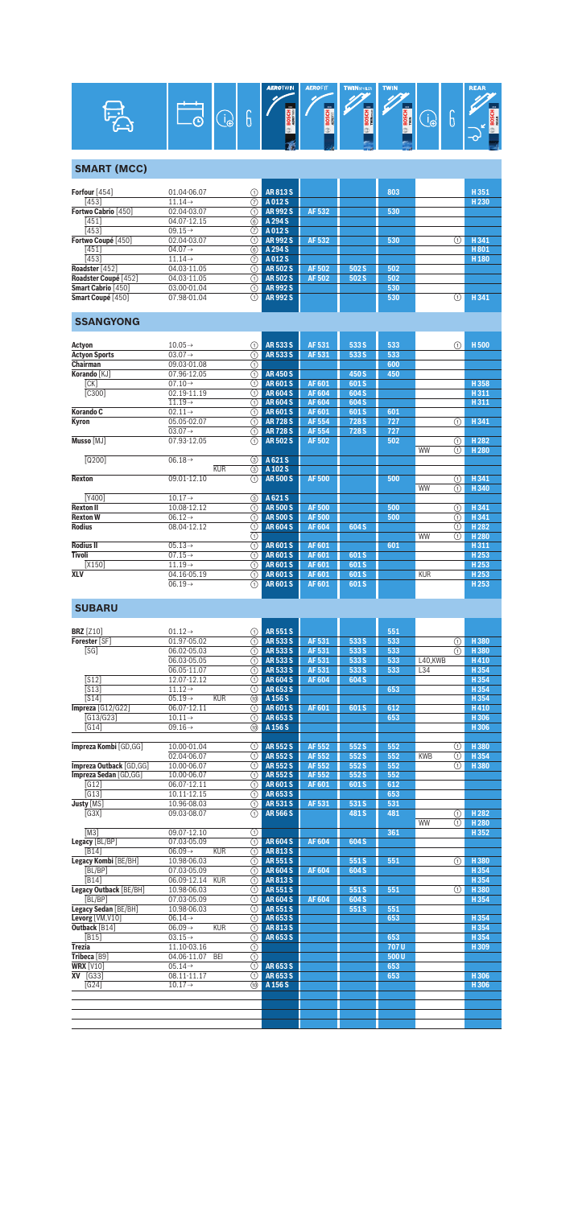| × |  | ÷<br>ω | ₹<br>υ | <b>AEROTWIN</b><br>3000<br>æ z<br>ິສັ<br>മ ₹ | <b>AEROFIT</b><br>m<br>⋒ | <b>TWINSPOLER</b><br>1888<br>ᄚ | <b>TWIN</b><br>3000 | ω | =<br>Θ | <b>REAR</b><br><b>DO</b><br>동<br>볾 |
|---|--|--------|--------|----------------------------------------------|--------------------------|--------------------------------|---------------------|---|--------|------------------------------------|
|---|--|--------|--------|----------------------------------------------|--------------------------|--------------------------------|---------------------|---|--------|------------------------------------|

## **SMART (MCC)**

| <b>AR813S</b><br>803<br>H351<br>01.04-06.07<br>(1)<br>[453]<br>A012 S<br>H <sub>230</sub><br>$11.14\rightarrow$<br>(7)<br>02.04-03.07<br><b>AR992S</b><br>AF 532<br>530<br>1)<br>04.07-12.15<br>[451]<br>A 294 S<br>(6)<br>[453]<br>$09.15 \rightarrow$<br>A 012 S<br>(7)<br><b>AR992S</b><br>AF 532<br>H 341<br>02.04-03.07<br>530<br>(1)<br>ί٦)<br>[451]<br>A 294 S<br>H801<br>$04.07 \rightarrow$<br>(6)<br>[453]<br>$11.14\rightarrow$<br>A012 S<br>H <sub>180</sub><br>(7)<br><b>AR502S</b><br>04.03-11.05<br>AF 502<br>502 S<br>502<br>[1]<br>04.03-11.05<br><b>AR 502 S</b><br>AF 502<br>502 S<br>502<br>(1)<br>AR 992 S<br>03.00-01.04<br>530<br>〔1〕<br><b>AR992S</b><br>H 341<br>07.98-01.04<br>530<br>(1)<br>(1) |                      |  |  |  |  |
|----------------------------------------------------------------------------------------------------------------------------------------------------------------------------------------------------------------------------------------------------------------------------------------------------------------------------------------------------------------------------------------------------------------------------------------------------------------------------------------------------------------------------------------------------------------------------------------------------------------------------------------------------------------------------------------------------------------------------|----------------------|--|--|--|--|
|                                                                                                                                                                                                                                                                                                                                                                                                                                                                                                                                                                                                                                                                                                                            | Forfour $[454]$      |  |  |  |  |
|                                                                                                                                                                                                                                                                                                                                                                                                                                                                                                                                                                                                                                                                                                                            |                      |  |  |  |  |
|                                                                                                                                                                                                                                                                                                                                                                                                                                                                                                                                                                                                                                                                                                                            | Fortwo Cabrio [450]  |  |  |  |  |
|                                                                                                                                                                                                                                                                                                                                                                                                                                                                                                                                                                                                                                                                                                                            |                      |  |  |  |  |
|                                                                                                                                                                                                                                                                                                                                                                                                                                                                                                                                                                                                                                                                                                                            |                      |  |  |  |  |
|                                                                                                                                                                                                                                                                                                                                                                                                                                                                                                                                                                                                                                                                                                                            | Fortwo Coupé [450]   |  |  |  |  |
|                                                                                                                                                                                                                                                                                                                                                                                                                                                                                                                                                                                                                                                                                                                            |                      |  |  |  |  |
|                                                                                                                                                                                                                                                                                                                                                                                                                                                                                                                                                                                                                                                                                                                            |                      |  |  |  |  |
|                                                                                                                                                                                                                                                                                                                                                                                                                                                                                                                                                                                                                                                                                                                            | Roadster [452]       |  |  |  |  |
|                                                                                                                                                                                                                                                                                                                                                                                                                                                                                                                                                                                                                                                                                                                            | Roadster Coupé [452] |  |  |  |  |
|                                                                                                                                                                                                                                                                                                                                                                                                                                                                                                                                                                                                                                                                                                                            | Smart Cabrio [450]   |  |  |  |  |
|                                                                                                                                                                                                                                                                                                                                                                                                                                                                                                                                                                                                                                                                                                                            | Smart Coupé [450]    |  |  |  |  |

# **SSANGYONG**

| Actyon               | $10.05 \rightarrow$ | ⋒   | AR 533 S      | AF 531        | 533 S            | 533 |            | ①           | H <sub>500</sub> |
|----------------------|---------------------|-----|---------------|---------------|------------------|-----|------------|-------------|------------------|
| <b>Actyon Sports</b> | $03.07 \rightarrow$ | ∩   | <b>AR5335</b> | AF 531        | 533 S            | 533 |            |             |                  |
| Chairman             | 09.03-01.08         | ⊕   |               |               |                  | 600 |            |             |                  |
| Korando [KJ]         | 07.96-12.05         | ⋒   | <b>AR450S</b> |               | 450 S            | 450 |            |             |                  |
| C <sub>K</sub>       | $07.10 \rightarrow$ | ⋒   | <b>AR601S</b> | AF 601        | 601S             |     |            |             | H358             |
| $\overline{[C300]}$  | 02.19-11.19         | ∩   | <b>AR604S</b> | <b>AF604</b>  | 604 S            |     |            |             | H311             |
|                      | $11.19\rightarrow$  | ⋒   | <b>AR604S</b> | <b>AF604</b>  | 604 S            |     |            |             | H311             |
| Korando C            | $02.11 \rightarrow$ | ⋒   | <b>AR601S</b> | AF 601        | 601S             | 601 |            |             |                  |
| Kyron                | 05.05-02.07         | ⋒   | <b>AR728S</b> | <b>AF 554</b> | 728 <sub>S</sub> | 727 |            | ⋒           | H341             |
|                      | $03.07 \rightarrow$ | ⋒   | <b>AR728S</b> | <b>AF554</b>  | 728 S            | 727 |            |             |                  |
| Musso [MJ]           | 07.93-12.05         | ∩   | <b>AR502S</b> | AF 502        |                  | 502 |            | ⋒           | H <sub>282</sub> |
|                      |                     |     |               |               |                  |     | <b>WW</b>  | ⋒           | H <sub>280</sub> |
| $\sqrt{Q200}$        | $06.18 \rightarrow$ | 3   | A 621 S       |               |                  |     |            |             |                  |
|                      | <b>KUR</b>          | (3) | A 102 S       |               |                  |     |            |             |                  |
| <b>Rexton</b>        | 09.01-12.10         | ⋒   | <b>AR500S</b> | <b>AF500</b>  |                  | 500 |            | $^{\circ}$  | H 341            |
|                      |                     |     |               |               |                  |     | WW         | $\circledR$ | H 340            |
| <b>TY4001</b>        | $10.17 \rightarrow$ | (3) | A 621 S       |               |                  |     |            |             |                  |
| <b>Rexton II</b>     | 10.08-12.12         | ⋒   | <b>AR500S</b> | <b>AF500</b>  |                  | 500 |            | ⋒           | H341             |
| <b>Rexton W</b>      | $06.12 \rightarrow$ | ∩   | <b>AR500S</b> | <b>AF500</b>  |                  | 500 |            | $\circledR$ | H341             |
| <b>Rodius</b>        | 08.04-12.12         | ⊕   | <b>AR604S</b> | <b>AF604</b>  | 604 S            |     |            | ⋒           | H <sub>282</sub> |
|                      |                     | T   |               |               |                  |     | WW         | ⊕           | H <sub>280</sub> |
| <b>Rodius II</b>     | $05.13 \rightarrow$ | ⋒   | <b>AR601S</b> | AF 601        |                  | 601 |            |             | H311             |
| <b>Tivoli</b>        | $07.15 \rightarrow$ | ∩   | <b>AR601S</b> | AF 601        | 601S             |     |            |             | H <sub>253</sub> |
| [X150]               | $11.19\rightarrow$  | ∩   | <b>AR601S</b> | AF 601        | 601S             |     |            |             | H253             |
| <b>XLV</b>           | 04.16-05.19         | ∩   | <b>AR601S</b> | AF 601        | 601S             |     | <b>KUR</b> |             | H253             |
|                      | $06.19 \rightarrow$ | ⊕   | <b>AR601S</b> | AF 601        | 601S             |     |            |             | H 253            |
|                      |                     |     |               |               |                  |     |            |             |                  |

# **SUBARU**

| <b>BRZ</b> [Z10]        | $01.12 \rightarrow$               | ∩                                    | <b>AR551S</b> |              |       | 551  |                           |                  |
|-------------------------|-----------------------------------|--------------------------------------|---------------|--------------|-------|------|---------------------------|------------------|
| Forester [SF]           | 01.97-05.02                       | ∩                                    | <b>AR5335</b> | AF 531       | 533 S | 533  | $\circledR$               | H 380            |
| [SG]                    | 06.02-05.03                       | ∩                                    | <b>AR533S</b> | AF 531       | 533 S | 533  | (1)                       | H 380            |
|                         | 06.03-05.05                       | ⋒                                    | <b>AR533S</b> | AF 531       | 533 S | 533  | L40.KWB                   | H410             |
|                         | 06.05-11.07                       | ∩                                    | <b>AR533S</b> | AF 531       | 533 S | 533  | L34                       | H 354            |
| $\overline{\text{S}12}$ | 12.07-12.12                       | ∩                                    | <b>AR604S</b> | <b>AF604</b> | 604 S |      |                           | H 354            |
| $\overline{\text{S13}}$ | $11.12 \rightarrow$               | ⋒                                    | AR653S        |              |       | 653  |                           | H 354            |
| [ <sub>S14]</sub>       | $05.19 \rightarrow$<br><b>KUR</b> | @                                    | A 156 S       |              |       |      |                           | H354             |
| Impreza [G12/G22]       | 06.07-12.11                       | ∩                                    | <b>AR601S</b> | <b>AF601</b> | 601 S | 612  |                           | H410             |
| G13/G23]                | $10.11 \rightarrow$               | の                                    | AR653S        |              |       | 653  |                           | H306             |
| [G14]                   | $09.16 \rightarrow$               | ന                                    | A 156 S       |              |       |      |                           | H 306            |
|                         |                                   |                                      |               |              |       |      |                           |                  |
| Impreza Kombi [GD, GG]  | 10.00-01.04                       | ⋒                                    | <b>AR552S</b> | AF 552       | 552 S | 552  | ⋒                         | H380             |
|                         | 02.04-06.07                       | ①                                    | <b>AR552S</b> | AF 552       | 552 S | 552  | <b>KWB</b><br>$\circledR$ | H 354            |
| Impreza Outback [GD.GG] | 10.00-06.07                       | ⋒                                    | <b>AR552S</b> | <b>AF552</b> | 552 S | 552  | (T)                       | H 380            |
| Impreza Sedan [GD, GG]  | 10.00-06.07                       | $\overline{\mathcal{F}}$             | <b>AR552S</b> | <b>AF552</b> | 552 S | 552  |                           |                  |
| $\overline{G12}$        | 06.07-12.11                       | $\circledR$                          | <b>AR601S</b> | AF 601       | 601S  | 612  |                           |                  |
| G <sub>131</sub>        | $10.11 - 12.15$                   | $\overline{\circ}$                   | <b>AR653S</b> |              |       | 653  |                           |                  |
| Justy [MS]              | 10.96-08.03                       | $\overline{\textcircled{\small{1}}}$ | <b>AR531S</b> | AF 531       | 531 S | 531  |                           |                  |
| G3X1                    | 09.03-08.07                       | ∩                                    | <b>AR566S</b> |              | 481 S | 481  | ∩                         | H 282            |
|                         |                                   |                                      |               |              |       |      | <b>WW</b><br>$\bigcap$    | H <sub>280</sub> |
| $\overline{[M3]}$       | 09.07-12.10                       | ⋒                                    |               |              |       | 361  |                           | H 352            |
| Legacy [BL/BP]          | 07.03-05.09                       | $\overline{\Omega}$                  | <b>AR604S</b> | <b>AF604</b> | 604 S |      |                           |                  |
| FB141                   | $06.09 \rightarrow$<br><b>KUR</b> | $^{\circ}$                           | <b>AR813S</b> |              |       |      |                           |                  |
| Legacy Kombi [BE/BH]    | 10.98-06.03                       | ⋒                                    | <b>AR551S</b> |              | 551S  | 551  | $\overline{(\text{f})}$   | H 380            |
| [BL/BP]                 | 07.03-05.09                       | $\overline{\circ}$                   | <b>AR604S</b> | <b>AF604</b> | 604 S |      |                           | H 354            |
| FB141                   | 06.09-12.14<br><b>KUR</b>         | ∩                                    | <b>AR8135</b> |              |       |      |                           | H 354            |
| Legacy Outback [BE/BH]  | 10.98-06.03                       | ⋒                                    | <b>AR551S</b> |              | 551S  | 551  | ∩                         | H 380            |
| [BL/BP]                 | 07.03-05.09                       | ∩                                    | <b>AR604S</b> | <b>AF604</b> | 604 S |      |                           | H 354            |
| Legacy Sedan [BE/BH]    | 10.98-06.03                       | ∩                                    | <b>AR551S</b> |              | 551S  | 551  |                           |                  |
| Levorg [VM, V10]        | $06.14 \rightarrow$               | ⋒                                    | AR653S        |              |       | 653  |                           | H 354            |
| Outback [B14]           | $06.09 \rightarrow$<br><b>KUR</b> | $\circledR$                          | <b>AR813S</b> |              |       |      |                           | H 354            |
| $\overline{[B15]}$      | $03.15 \rightarrow$               | ∩                                    | <b>AR653S</b> |              |       | 653  |                           | H 354            |
| <b>Trezia</b>           | 11.10-03.16                       | $\overline{\odot}$                   |               |              |       | 707U |                           | H 309            |
| Tribeca [B9]            | <b>BEI</b><br>04.06-11.07         | $^{\circ}$                           |               |              |       | 500U |                           |                  |
| <b>WRX [V10]</b>        | $05.14 \rightarrow$               | ⋒                                    | <b>AR653S</b> |              |       | 653  |                           |                  |
| $XV$ [G33]              | 08.11-11.17                       | の                                    | AR653S        |              |       | 653  |                           | H 306            |
| [G24]                   | $10.17 \rightarrow$               | 他                                    | A 156 S       |              |       |      |                           | H 306            |
|                         |                                   |                                      |               |              |       |      |                           |                  |
|                         |                                   |                                      |               |              |       |      |                           |                  |
|                         |                                   |                                      |               |              |       |      |                           |                  |
|                         |                                   |                                      |               |              |       |      |                           |                  |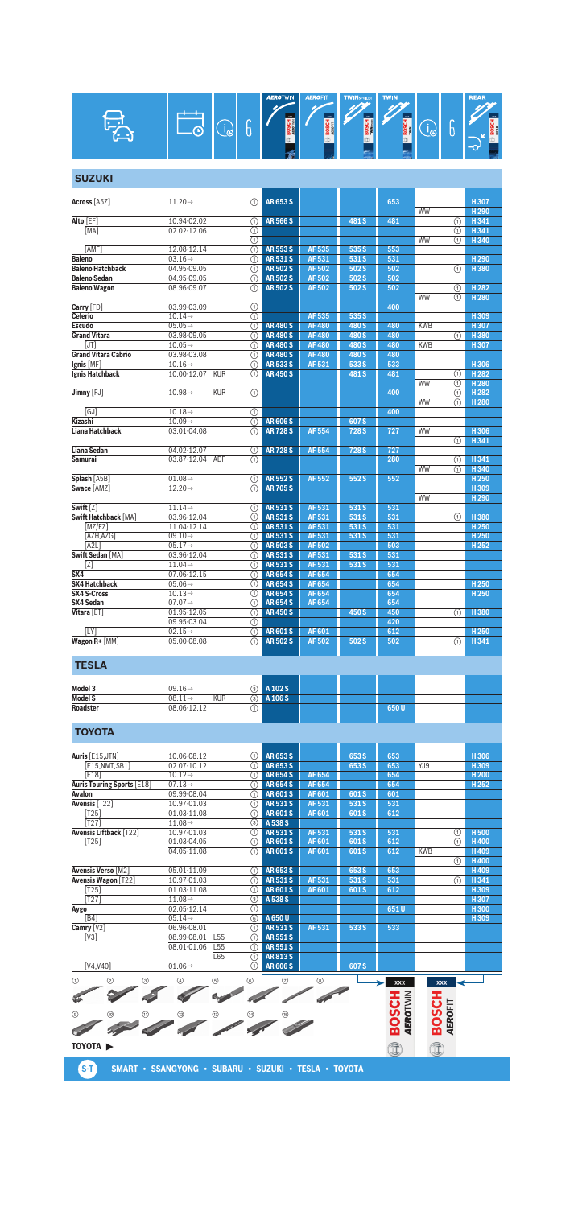|               | Ð | r<br>Ξ<br>υ | <b>AEROTWIN</b><br>m<br><b>BOS</b> | <b>AEROFIT</b><br>m<br><b>BOSCH</b><br>a. | <b>TWINSPOLER</b><br>m<br>ᅗ<br><b>SOS</b><br>$\mathbb{D}$ | <b>TWIN</b><br>m<br>종<br>∞ | ∩<br>Ū | <b>REAR</b><br>$_{\rm m}$<br><b>BOSCH</b><br>D<br>$\mathbf{\infty}$ |
|---------------|---|-------------|------------------------------------|-------------------------------------------|-----------------------------------------------------------|----------------------------|--------|---------------------------------------------------------------------|
| <b>SUZUKI</b> |   |             |                                    |                                           |                                                           |                            |        |                                                                     |

| <b>Across [A5Z]</b>                | $11.20 \rightarrow$                        | ⋒                       | AR 653 S                       |              |                | 653 |            |     | H307                     |
|------------------------------------|--------------------------------------------|-------------------------|--------------------------------|--------------|----------------|-----|------------|-----|--------------------------|
|                                    |                                            |                         |                                |              |                |     | <b>WW</b>  |     | H <sub>290</sub>         |
| Alto [EF]                          | 10.94-02.02                                | (T)                     | <b>AR566S</b>                  |              | 481 S          | 481 |            | ⋒   | H 341                    |
| [MA]                               | 02.02-12.06                                | ⋒                       |                                |              |                |     |            | ⋒   | H 341                    |
|                                    |                                            | $\overline{\circ}$      |                                |              |                |     | <b>WW</b>  | (1) | H 340                    |
| <b>TAMF1</b>                       | 12.08-12.14                                | G)                      | <b>AR553S</b>                  | AF 535       | 535 S          | 553 |            |     |                          |
| Baleno                             | $03.16 \rightarrow$                        | ⋒                       | AR 531 S                       | AF 531       | 531 S          | 531 |            |     | H <sub>290</sub>         |
| <b>Baleno Hatchback</b>            | 04.95-09.05                                | ⋒                       | <b>AR502S</b>                  | AF 502       | 502 S          | 502 |            | ⋒   | H380                     |
| <b>Baleno Sedan</b>                | 04.95-09.05                                | ⋒                       | <b>AR502S</b>                  | AF 502       | 502 S          | 502 |            |     |                          |
| <b>Baleno Wagon</b>                | 08.96-09.07                                | ⋒                       | <b>AR502S</b>                  | AF 502       | 502 S          | 502 |            | ⋒   | H <sub>282</sub>         |
|                                    |                                            |                         |                                |              |                |     | WW         | ⋒   | H <sub>280</sub>         |
| Carry [FD]                         | 03.99-03.09                                | (T)                     |                                |              |                | 400 |            |     |                          |
| Celerio                            | $10.14 \rightarrow$                        | ⋒                       |                                | AF 535       | 535 S          |     |            |     | H309                     |
| <b>Escudo</b>                      | $05.05 \rightarrow$                        | $\overline{(\text{f})}$ | <b>AR480S</b>                  | <b>AF480</b> | 480 S          | 480 | <b>KWB</b> |     | H 307                    |
| <b>Grand Vitara</b>                | 03.98-09.05                                | ⋒                       | <b>AR480S</b>                  | <b>AF480</b> | 480 S          | 480 |            | ⋒   | H 380                    |
| [JT]                               | $10.05 \rightarrow$                        | ⋒                       | <b>AR480S</b>                  | <b>AF480</b> | 480 S          | 480 | <b>KWB</b> |     | H307                     |
| <b>Grand Vitara Cabrio</b>         | 03.98-03.08                                | ⋒                       | <b>AR480S</b>                  | <b>AF480</b> | 480 S          | 480 |            |     |                          |
| $lgnis$ [MF]                       | $10.16 \rightarrow$                        | ∩                       | <b>AR5335</b>                  | AF 531       | 533 S          | 533 |            |     | H 306                    |
| Ignis Hatchback                    | 10.00-12.07<br><b>KUR</b>                  | ⋒                       | <b>AR450S</b>                  |              | 481 S          | 481 |            | G)  | H 282                    |
|                                    |                                            |                         |                                |              |                |     | <b>WW</b>  | ⋒   | H <sub>280</sub>         |
| Jimny [FJ]                         | $10.98 \rightarrow$<br><b>KUR</b>          | $\odot$                 |                                |              |                | 400 |            | ⋒   | H 282                    |
|                                    |                                            |                         |                                |              |                |     | WW         | G)  | H <sub>280</sub>         |
| [GJ]                               | $10.18 \rightarrow$                        | (T)                     |                                |              |                | 400 |            |     |                          |
| Kizashi                            | $10.09 \rightarrow$                        | (T)                     | <b>AR606S</b>                  |              | 607 S          |     |            |     |                          |
| Liana Hatchback                    | 03.01-04.08                                | (T)                     | <b>AR728S</b>                  | <b>AF554</b> | 728 S          | 727 | WW         |     | H306                     |
|                                    |                                            |                         |                                |              |                |     |            | ⋒   | H341                     |
| Liana Sedan                        | 04.02-12.07                                | ①                       | <b>AR728S</b>                  | <b>AF554</b> | 728 S          | 727 |            |     |                          |
| Samurai                            | 03.87-12.04 ADF                            | (1)                     |                                |              |                | 280 |            | ⋒   | H341                     |
|                                    |                                            |                         |                                |              |                |     | <b>WW</b>  | ⋒   | H340                     |
| <b>Splash [A5B]</b><br>Swace [AMZ] | $01.08 \rightarrow$<br>$12.20 \rightarrow$ | ⋒                       | <b>AR552S</b><br><b>AR705S</b> | <b>AF552</b> | 552 S          | 552 |            |     | H <sub>250</sub><br>H309 |
|                                    |                                            | (T)                     |                                |              |                |     | <b>WW</b>  |     | H <sub>290</sub>         |
| Swift [Z]                          | $11.14\rightarrow$                         |                         |                                | AF 531       |                | 531 |            |     |                          |
| Swift Hatchback [MA]               | 03.96-12.04                                | O<br>⋒                  | <b>AR531S</b><br>AR 531 S      | AF 531       | 531 S<br>531 S | 531 |            |     | H380                     |
| [MZ/EZ]                            | 11.04-12.14                                | ⋒                       | AR 531 S                       | AF 531       | 531 S          | 531 |            | G)  | H <sub>250</sub>         |
| [AZH,AZG]                          | $09.10 \rightarrow$                        | ⋒                       | <b>AR531S</b>                  | AF 531       | 531 S          | 531 |            |     | H <sub>250</sub>         |
| [A2L]                              | $05.17 \rightarrow$                        | ⋒                       | <b>AR503S</b>                  | <b>AF502</b> |                | 503 |            |     | H <sub>252</sub>         |
| <b>Swift Sedan [MA]</b>            | 03.96-12.04                                | ⋒                       | <b>AR531S</b>                  | AF 531       | 531 S          | 531 |            |     |                          |
| [Z]                                | $11.04 \rightarrow$                        | ⋒                       | <b>AR531S</b>                  | AF 531       | 531 S          | 531 |            |     |                          |
| $\overline{\text{S}X4}$            | 07.06-12.15                                | ⋒                       | <b>AR654S</b>                  | AF 654       |                | 654 |            |     |                          |
| SX4 Hatchback                      | $05.06 \rightarrow$                        | (1)                     | <b>AR654S</b>                  | AF 654       |                | 654 |            |     | H <sub>250</sub>         |
| <b>SX4 S-Cross</b>                 | $10.13 \rightarrow$                        | ⋒                       | <b>AR654S</b>                  | <b>AF654</b> |                | 654 |            |     | H <sub>250</sub>         |
| SX4 Sedan                          | $07.07 \rightarrow$                        | ⋒                       | <b>AR654S</b>                  | <b>AF654</b> |                | 654 |            |     |                          |
| Vitara [ET]                        | 01.95-12.05                                | ⋒                       | <b>AR450S</b>                  |              | 450 S          | 450 |            | ⊕   | H380                     |
|                                    | 09.95-03.04                                | ⊕                       |                                |              |                | 420 |            |     |                          |
| [LY]                               | $02.15 \rightarrow$                        | ⋒                       | <b>AR601S</b>                  | AF 601       |                | 612 |            |     | H <sub>250</sub>         |
| Wagon R+ [MM]                      | $05.00 - 08.08$                            | ⋒                       | <b>AR502S</b>                  | AF 502       | 502 S          | 502 |            | G)  | H 341                    |
|                                    |                                            |                         |                                |              |                |     |            |     |                          |
|                                    |                                            |                         |                                |              |                |     |            |     |                          |

## **TESLA**

| Model 3         | $09.16 \rightarrow$               | <b>3</b> A 102 S |  |      |  |
|-----------------|-----------------------------------|------------------|--|------|--|
| <b>Model S</b>  | <b>KUR</b><br>$08.11 \rightarrow$ | A 106 S<br>ର ।   |  |      |  |
| <b>Roadster</b> | 08.06-12.12                       |                  |  | 650U |  |

# **TOYOTA**

| Auris [E15, JTN]                  | 10.06-08.12                    | ⋒                        | AR 653 S      |              | 653 S | 653  |            | H306             |
|-----------------------------------|--------------------------------|--------------------------|---------------|--------------|-------|------|------------|------------------|
| [E15,NMT,SB1]                     | 02.07-10.12                    | ⋒                        | AR 653 S      |              | 653 S | 653  | YJ9        | H309             |
| E181                              | $10.12 \rightarrow$            | ω                        | <b>AR654S</b> | AF 654       |       | 654  |            | H <sub>200</sub> |
| <b>Auris Touring Sports [E18]</b> | $07.13\rightarrow$             | ⋒                        | <b>AR654S</b> | <b>AF654</b> |       | 654  |            | H <sub>252</sub> |
| Avalon                            | 09.99-08.04                    | ⋒                        | <b>AR601S</b> | AF 601       | 601S  | 601  |            |                  |
| Avensis $\sqrt{122}$              | 10.97-01.03                    | ⋒                        | <b>AR531S</b> | AF 531       | 531 S | 531  |            |                  |
| T251                              | 01.03-11.08                    | ⋒                        | <b>AR601S</b> | AF 601       | 601 S | 612  |            |                  |
| [T27]                             | $11.08 \rightarrow$            | ③                        | A 538 S       |              |       |      |            |                  |
| <b>Avensis Liftback [T22]</b>     | 10.97-01.03                    | ⋒                        | <b>AR531S</b> | AF 531       | 531 S | 531  | ⊕          | H <sub>500</sub> |
| [T25]                             | 01.03-04.05                    | ∩                        | <b>AR601S</b> | AF 601       | 601S  | 612  | ⋒          | H400             |
|                                   | 04.05-11.08                    | ⋒                        | <b>AR601S</b> | AF 601       | 601 S | 612  | <b>KWB</b> | H409             |
|                                   |                                |                          |               |              |       |      | ⋒          | H400             |
| Avensis Verso [M2]                | 05.01-11.09                    | ∩                        | <b>AR653S</b> |              | 653 S | 653  |            | H409             |
| <b>Avensis Wagon [T22]</b>        | 10.97-01.03                    | ⋒                        | <b>AR531S</b> | AF 531       | 531 S | 531  | ⋒          | H341             |
| T25                               | 01.03-11.08                    | ⋒                        | <b>AR601S</b> | AF 601       | 601 S | 612  |            | H309             |
| $[T27]$                           | $11.08\rightarrow$             | ③                        | A 538 S       |              |       |      |            | H307             |
| Aygo                              | 02.05-12.14                    | ⋒                        |               |              |       | 651U |            | H300             |
| [B4]                              | $05.14 \rightarrow$            | 6                        | A 650 U       |              |       |      |            | H 309            |
| Camry $[V2]$                      | 06.96-08.01                    | ⋒                        | <b>AR531S</b> | AF 531       | 533 S | 533  |            |                  |
| $[V3]$                            | 08.99-08.01<br>L <sub>55</sub> | ⋒                        | AR 551 S      |              |       |      |            |                  |
|                                   | 08.01-01.06<br>L <sub>55</sub> | ⋒                        | <b>AR551S</b> |              |       |      |            |                  |
|                                   | L65                            | ⋒                        | <b>AR813S</b> |              |       |      |            |                  |
| T(14,1140)                        | 0.100                          | $\overline{\phantom{1}}$ | AD COCC.      |              | 0.070 |      |            |                  |

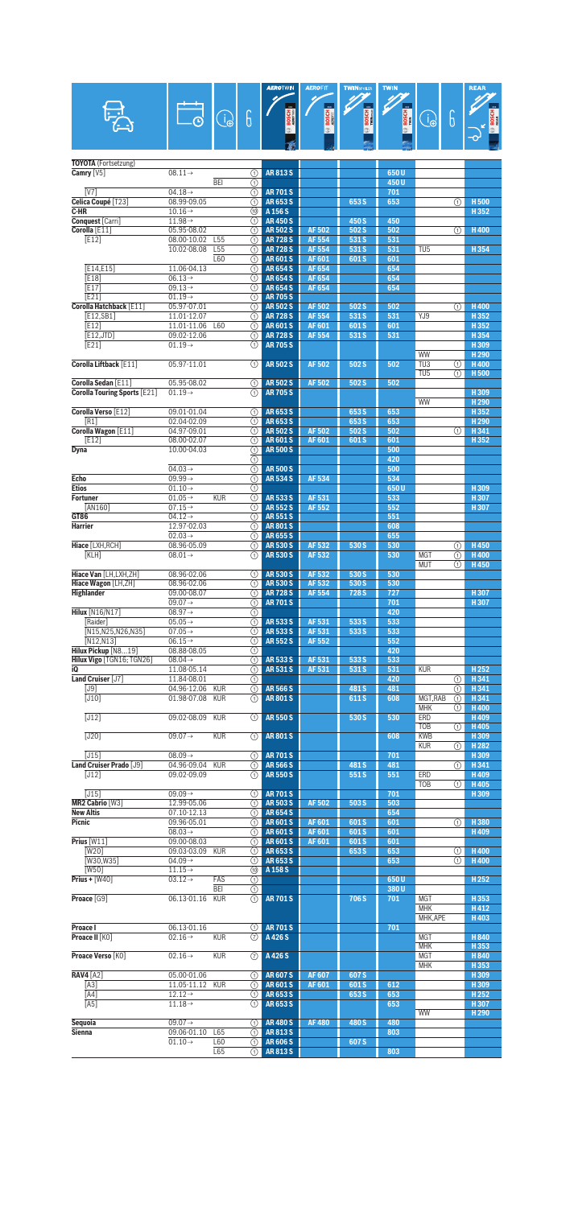|                                               |                                            |                        |                                                | <b>AEROTWIN</b>                  | <b>AEROFIT</b>                 | <b>TWINSPOLER</b> | <b>TWIN</b>  |                                     |                   | <b>REAR</b>                |
|-----------------------------------------------|--------------------------------------------|------------------------|------------------------------------------------|----------------------------------|--------------------------------|-------------------|--------------|-------------------------------------|-------------------|----------------------------|
|                                               |                                            | $\bigodot$             | 6                                              | <b>BOSCH</b>                     | <b>BOSCH</b>                   | <b>BOSCH</b>      | <b>BOSCH</b> | $\bigoplus$                         | 6                 | <b>BOSCH</b>               |
|                                               |                                            |                        |                                                |                                  | œ                              |                   |              |                                     |                   |                            |
| TOYOTA (Fortsetzung)                          |                                            |                        |                                                |                                  |                                |                   |              |                                     |                   |                            |
| Camry $[V5]$                                  | $08.11\rightarrow$                         |                        | ⊕                                              | <b>AR813S</b>                    |                                |                   | 650U         |                                     |                   |                            |
| $\overline{IV71}$                             | $04.18 \rightarrow$                        | BEI                    | ∩<br>⋒                                         | <b>AR701S</b>                    |                                |                   | 450U<br>701  |                                     |                   |                            |
| Celica Coupé [T23]                            | 08.99-09.05                                |                        | ⋒                                              | <b>AR653S</b>                    |                                | 653 S             | 653          |                                     | ⋒                 | <b>H500</b>                |
| C-HR<br>Conquest [Carri]                      | $10.16 \rightarrow$<br>$11.98 \rightarrow$ |                        | ⑩<br>⋒                                         | A 156 S<br><b>AR450S</b>         |                                | 450 S             | 450          |                                     |                   | H352                       |
| Corolla [E11]                                 | 05.95-08.02                                |                        | ⋒                                              | <b>AR502S</b>                    | <b>AF502</b>                   | 502 S             | 502          |                                     | ⋒                 | H400                       |
| <b>FE121</b>                                  | 08.00-10.02<br>10.02-08.08                 | L55<br>L <sub>55</sub> | ⋒<br>⋒                                         | <b>AR728S</b><br><b>AR728S</b>   | <b>AF 554</b><br><b>AF 554</b> | 531 S<br>531 S    | 531<br>531   | TU <sub>5</sub>                     |                   | H354                       |
|                                               |                                            | L60                    | ⋒                                              | <b>AR601S</b>                    | AF 601                         | 601S              | 601          |                                     |                   |                            |
| [E14,E15]<br>E18                              | 11.06-04.13<br>$06.13\rightarrow$          |                        | ⊕<br>⋒                                         | <b>AR654S</b><br><b>AR654S</b>   | AF 654<br>AF 654               |                   | 654<br>654   |                                     |                   |                            |
| [E17]                                         | $09.13 \rightarrow$                        |                        | ⋒                                              | <b>AR654S</b>                    | AF 654                         |                   | 654          |                                     |                   |                            |
| [E21]<br>Corolla Hatchback [E11]              | $01.19 \rightarrow$<br>$05.97 - 07.01$     |                        | ⋒<br>⋒                                         | <b>AR 705 S</b><br><b>AR502S</b> | <b>AF502</b>                   | 502 S             | 502          |                                     | ⋒                 | <b>H400</b>                |
| [E12, SB1]                                    | 11.01-12.07                                |                        | ⋒                                              | <b>AR728S</b>                    | <b>AF 554</b>                  | 531 S             | 531          | YJ9                                 |                   | H352                       |
| [E12]                                         | 11.01-11.06                                | L60                    | ∩                                              | <b>AR601S</b>                    | AF 601                         | 601S              | 601          |                                     |                   | H352                       |
| [E12, JTD]<br>[E21]                           | 09.02-12.06<br>$01.19 \rightarrow$         |                        | ⋒<br>⋒                                         | <b>AR728S</b><br><b>AR 705 S</b> | AF 554                         | 531 S             | 531          |                                     |                   | H354<br>H309               |
|                                               |                                            |                        |                                                |                                  |                                |                   |              | <b>WW</b>                           |                   | H <sub>290</sub>           |
| Corolla Liftback [E11]                        | 05.97-11.01                                |                        | ∩                                              | <b>AR502S</b>                    | <b>AF502</b>                   | 502 S             | 502          | $\overline{TU3}$<br>TU <sub>5</sub> | ⋒<br>⋒            | H400<br>H <sub>500</sub>   |
| Corolla Sedan [E11]                           | 05.95-08.02                                |                        | ⋒                                              | <b>AR502S</b>                    | <b>AF 502</b>                  | 502 S             | 502          |                                     |                   |                            |
| <b>Corolla Touring Sports [E21]</b>           | $01.19\rightarrow$                         |                        | ①                                              | <b>AR 705 S</b>                  |                                |                   |              | WW                                  |                   | H309<br>H <sub>290</sub>   |
| Corolla Verso [E12]                           | 09.01-01.04                                |                        | ⋒                                              | <b>AR653S</b>                    |                                | 653 S             | 653          |                                     |                   | H352                       |
| [R1]<br>Corolla Wagon [E11]                   | 02.04-02.09<br>04.97-09.01                 |                        | ⋒<br>⋒                                         | <b>AR653S</b><br><b>AR502S</b>   | <b>AF502</b>                   | 653 S<br>502 S    | 653<br>502   |                                     | ⋒                 | H <sub>290</sub><br>H341   |
| [E12]                                         | 08.00-02.07                                |                        | ⋒                                              | <b>AR601S</b>                    | AF 601                         | 601S              | 601          |                                     |                   | H352                       |
| Dyna                                          | 10.00-04.03                                |                        | ⊕<br>⋒                                         | <b>AR500S</b>                    |                                |                   | 500          |                                     |                   |                            |
|                                               | $04.03 \rightarrow$                        |                        | ∩                                              | <b>AR500S</b>                    |                                |                   | 420<br>500   |                                     |                   |                            |
| <b>Echo</b>                                   | $09.99 \rightarrow$                        |                        | の                                              | <b>AR534S</b>                    | <b>AF 534</b>                  |                   | 534          |                                     |                   |                            |
| <b>Etios</b><br><b>Fortuner</b>               | $01.10 \rightarrow$<br>$01.05 \rightarrow$ | <b>KUR</b>             | ⋒<br>⋒                                         | <b>AR533S</b>                    | AF 531                         |                   | 650U<br>533  |                                     |                   | H309<br>H307               |
| [AN160]                                       | $07.15\rightarrow$                         |                        | ⋒                                              | <b>AR552S</b>                    | AF 552                         |                   | 552          |                                     |                   | H307                       |
| GT86<br><b>Harrier</b>                        | $04.12 \rightarrow$<br>12.97-02.03         |                        | ⋒<br>⋒                                         | <b>AR551S</b><br><b>AR801S</b>   |                                |                   | 551<br>608   |                                     |                   |                            |
|                                               | $02.03 \rightarrow$                        |                        | ⋒                                              | <b>AR655S</b>                    |                                |                   | 655          |                                     |                   |                            |
| Hiace [LXH, RCH]<br>[KLH]                     | 08.96-05.09<br>$08.01 \rightarrow$         |                        | ⋒<br>①                                         | <b>AR530S</b><br><b>AR530S</b>   | AF 532<br>AF 532               | 530 S             | 530<br>530   | <b>MGT</b>                          | ⋒<br>⋒            | H450<br>H400               |
|                                               |                                            |                        |                                                |                                  |                                |                   |              | <b>MUT</b>                          | $\left( 1\right)$ | H450                       |
| Hiace Van [LH.LXH.ZH]<br>Hiace Wagon [LH, ZH] | 08.96-02.06<br>08.96-02.06                 |                        | ⋒<br>⋒                                         | <b>AR530S</b><br><b>AR530S</b>   | AF 532<br>AF 532               | 530 S<br>530 S    | 530<br>530   |                                     |                   |                            |
| <b>Highlander</b>                             | 09.00-08.07                                |                        | $\overline{\textcircled{\scriptsize{1}}}$      | <b>AR728S</b>                    | <b>AF 554</b>                  | 728 S             | 727          |                                     |                   | H 307                      |
| <b>Hilux</b> [N16/N17]                        | $09.07 \rightarrow$<br>$08.97 \rightarrow$ |                        | ⊕                                              | <b>AR701S</b>                    |                                |                   | 701<br>420   |                                     |                   | H307                       |
| [Raider]                                      | $05.05 \rightarrow$                        |                        | $\odot$<br>∩                                   | <b>AR533S</b>                    | <b>AF531</b>                   | 533 S             | 533          |                                     |                   |                            |
| [N15, N25, N26, N35]                          | $07.05 \rightarrow$                        |                        | ⊕                                              | <b>AR5335</b>                    | AF 531                         | 533 S             | 533          |                                     |                   |                            |
| [N12,N13]<br>Hilux Pickup [N819]              | $06.15 \rightarrow$<br>08.88-08.05         |                        | ⋒<br>⊕                                         | <b>AR552S</b>                    | AF 552                         |                   | 552<br>420   |                                     |                   |                            |
| Hilux Vigo [TGN16: TGN26]                     | $08.04\rightarrow$                         |                        | $\overline{\textcircled{\small{1}}}$           | <b>AR5335</b>                    | AF 531                         | 533 S             | 533          |                                     |                   |                            |
| i0<br>Land Cruiser [J7]                       | 11.08-05.14<br>11.84-08.01                 |                        | ∩<br>⊕                                         | <b>AR531S</b>                    | AF 531                         | 531 S             | 531<br>420   | <b>KUR</b>                          | ⋒                 | H252<br>H341               |
| [J9]                                          | 04.96-12.06                                | <b>KUR</b>             | ⋒                                              | <b>AR566S</b>                    |                                | 481 S             | 481          |                                     | ⋒                 | H 341                      |
| $[J10]$                                       | 01.98-07.08                                | <b>KUR</b>             | ⊕                                              | <b>AR801S</b>                    |                                | 611 S             | 608          | MGT, RAB<br><b>MHK</b>              | ⊕<br>①            | H341<br>H400               |
| $\overline{[J12]}$                            | 09.02-08.09                                | <b>KUR</b>             | ⊕                                              | <b>AR550S</b>                    |                                | 530 S             | 530          | ERD                                 |                   | H409                       |
| $\overline{[J20]}$                            | $09.07 \rightarrow$                        | <b>KUR</b>             | ∩                                              | <b>AR801S</b>                    |                                |                   | 608          | <b>TOB</b><br><b>KWB</b>            | ⋒                 | H405<br>H309               |
|                                               |                                            |                        |                                                |                                  |                                |                   |              | <b>KUR</b>                          | ⋒                 | H <sub>282</sub>           |
| $[J15]$<br>Land Cruiser Prado [J9]            | $08.09 \rightarrow$<br>04.96-09.04         | <b>KUR</b>             | ⊕                                              | <b>AR701S</b><br><b>AR566S</b>   |                                | 481 S             | 701<br>481   |                                     |                   | H309<br>H341               |
| [J12]                                         | 09.02-09.09                                |                        | ⊕<br>(T)                                       | <b>AR550S</b>                    |                                | 551S              | 551          | ERD                                 | ⋒                 | H409                       |
|                                               |                                            |                        |                                                | <b>AR701S</b>                    |                                |                   |              | <b>TOB</b>                          | ①                 | H405                       |
| [J15]<br>MR2 Cabrio [W3]                      | $09.09 \rightarrow$<br>12.99-05.06         |                        | ⋒<br>⋒                                         | <b>AR503S</b>                    | AF 502                         | 503 S             | 701<br>503   |                                     |                   | H309                       |
| <b>New Altis</b>                              | 07.10-12.13                                |                        | ⊕                                              | <b>AR654S</b>                    |                                |                   | 654          |                                     |                   |                            |
| <b>Picnic</b>                                 | 09.96-05.01<br>$08.03 \rightarrow$         |                        | ⋒<br>⊕                                         | <b>AR601S</b><br><b>AR601S</b>   | AF 601<br>AF 601               | 601S<br>601 S     | 601<br>601   |                                     | ⋒                 | H380<br>H409               |
| Prius [W11]                                   | 09.00-08.03                                |                        | ⋒                                              | <b>AR601S</b>                    | AF 601                         | 601S              | 601          |                                     |                   |                            |
| $\sqrt{\text{W20}}$<br><b>TW30, W351</b>      | 09.03-03.09<br>$04.09 \rightarrow$         | <b>KUR</b>             | ⋒<br>⋒                                         | AR653S<br>AR653S                 |                                | 653 S             | 653<br>653   |                                     | ⋒<br>⋒            | <b>H400</b><br><b>H400</b> |
| [W50]                                         | $11.15\rightarrow$                         |                        | @                                              | A 158 S                          |                                |                   |              |                                     |                   |                            |
| Prius + $[W40]$                               | $03.12 \rightarrow$                        | FAS<br><b>BEI</b>      | ⊕<br>$\overline{\textcircled{\scriptsize{1}}}$ |                                  |                                |                   | 650U<br>380U |                                     |                   | H <sub>252</sub>           |
| Proace [G9]                                   | 06.13-01.16                                | <b>KUR</b>             | ∩                                              | <b>AR701S</b>                    |                                | 706 S             | 701          | <b>MGT</b>                          |                   | H353                       |
|                                               |                                            |                        |                                                |                                  |                                |                   |              | <b>MHK</b><br>MHK, APE              |                   | H412<br>H403               |
| Proace I                                      | 06.13-01.16                                |                        | ⊕                                              | <b>AR701S</b>                    |                                |                   | 701          |                                     |                   |                            |
| Proace II [KO]                                | $02.16 \rightarrow$                        | <b>KUR</b>             | $\circled7$                                    | A 426 S                          |                                |                   |              | <b>MGT</b><br><b>MHK</b>            |                   | H840<br>H353               |
| Proace Verso [KO]                             | $02.16 \rightarrow$                        | <b>KUR</b>             | $\circled7$                                    | A426S                            |                                |                   |              | <b>MGT</b>                          |                   | H840                       |
|                                               |                                            |                        |                                                |                                  |                                |                   |              | <b>MHK</b>                          |                   | H353                       |
| <b>RAV4</b> [A2]<br>$[A3]$                    | 05.00-01.06<br>11.05-11.12                 | <b>KUR</b>             | ⊕<br>G)                                        | <b>AR607S</b><br><b>AR601S</b>   | <b>AF607</b><br>AF 601         | 607 S<br>601S     | 612          |                                     |                   | H309<br>H309               |
| [A4]                                          | $12.12 \rightarrow$                        |                        | ⋒                                              | AR653S                           |                                | 653 S             | 653          |                                     |                   | H <sub>252</sub>           |
| [A5]                                          | $11.18 \rightarrow$                        |                        | ∩                                              | AR653S                           |                                |                   | 653          | <b>WW</b>                           |                   | H307<br>H <sub>290</sub>   |
| Sequoia                                       | 09.07 $\rightarrow$                        |                        | ⊕                                              | <b>AR480S</b>                    | <b>AF480</b>                   | 480 S             | 480          |                                     |                   |                            |
| <b>Sienna</b>                                 | 09.06-01.10<br>$01.10 \rightarrow$         | L65<br>L60             | ⋒<br>⊕                                         | AR813S<br><b>AR606S</b>          |                                | 607 S             | 803          |                                     |                   |                            |
|                                               |                                            | L65                    | ∩                                              | <b>AR813S</b>                    |                                |                   | 803          |                                     |                   |                            |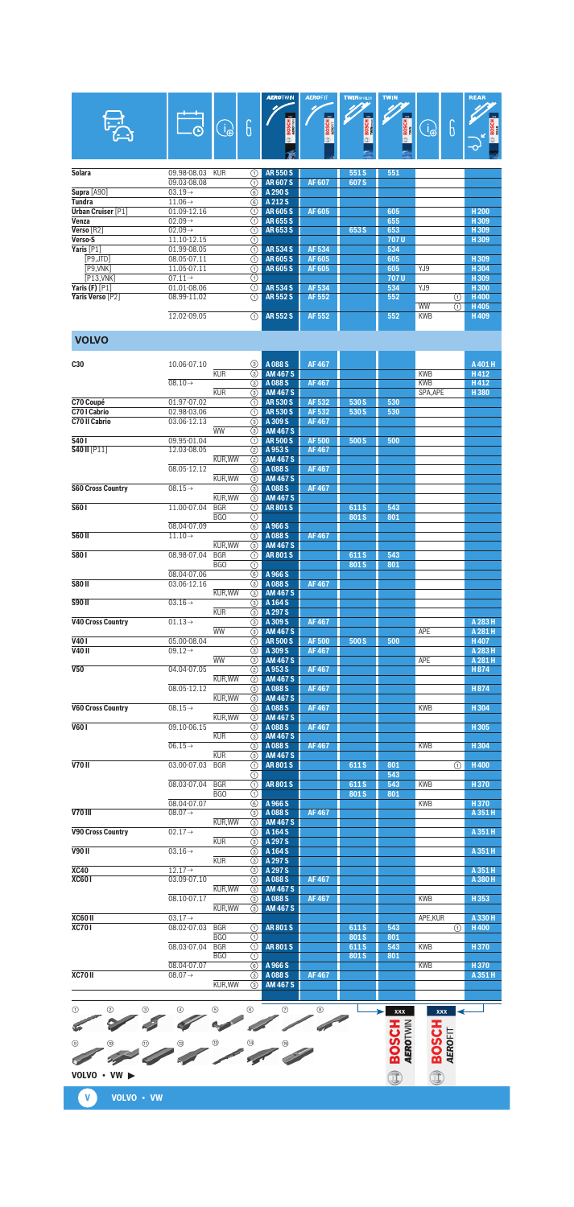|                                    |                                    |                          |                           | <b>AEROTWIN</b>                      | <b>AEROFIT</b> | <b>TWINSPOILER</b> | <b>TWIN</b>                     |                         | <b>REAR</b>              |
|------------------------------------|------------------------------------|--------------------------|---------------------------|--------------------------------------|----------------|--------------------|---------------------------------|-------------------------|--------------------------|
|                                    |                                    |                          |                           |                                      |                |                    |                                 |                         |                          |
|                                    |                                    | $\bigcirc$               | 6                         |                                      | <b>BOSCH</b>   | BOSCH<br>Military  | <b>BOSCH</b>                    | 6<br>$\bigoplus$        | <b>BOSCH</b>             |
|                                    |                                    |                          |                           |                                      |                |                    |                                 |                         |                          |
|                                    |                                    |                          |                           |                                      |                |                    |                                 |                         |                          |
| Solara                             | 09.98-08.03                        | <b>KUR</b>               | ⋒                         | <b>AR550S</b>                        |                | 551S               | 551                             |                         |                          |
| <b>Supra [A90]</b>                 | 09.03-08.08<br>$03.19 \rightarrow$ |                          | ⋒<br>⊛                    | <b>AR607S</b><br>A 290 S             | <b>AF607</b>   | 607 S              |                                 |                         |                          |
| <b>Tundra</b>                      | $11.06 \rightarrow$                |                          | 6                         | A 212 S                              |                |                    |                                 |                         |                          |
| <b>Urban Cruiser [P1]</b><br>Venza | 01.09-12.16<br>$02.09 \rightarrow$ |                          | ⋒<br>(1)                  | <b>AR605S</b><br><b>AR655S</b>       | <b>AF605</b>   |                    | 605<br>655                      |                         | H <sub>200</sub><br>H309 |
| Verso [R2]                         | $02.09 \rightarrow$                |                          | ⋒                         | <b>AR653S</b>                        |                | 653 S              | 653                             |                         | H309                     |
| Verso-S<br>Yaris <sup>[P1]</sup>   | 11.10-12.15<br>01.99-08.05         |                          | ⊕<br>⊚                    | <b>AR534S</b>                        | AF 534         |                    | 707U<br>534                     |                         | H309                     |
| [P9,JTD]                           | 08.05-07.11                        |                          | ⊕                         | <b>AR605S</b>                        | <b>AF605</b>   |                    | 605                             |                         | H309                     |
| [P9, VNK]<br>[P13, VNK]            | 11.05-07.11<br>$07.11 \rightarrow$ |                          | ⊕<br>⋒                    | <b>AR605S</b>                        | AF 605         |                    | 605<br>707U                     | YJ9                     | H 304<br>H309            |
| Yaris (F) $[P1]$                   | 01.01-08.06                        |                          | ⊕                         | <b>AR534S</b>                        | AF 534         |                    | 534                             | YJ9                     | H300                     |
| <b>Yaris Verso [P2]</b>            | 08.99-11.02                        |                          | ∩                         | <b>AR552S</b>                        | AF 552         |                    | 552                             | ⋒<br><b>WW</b><br>①     | H400<br>H405             |
|                                    | 12.02-09.05                        |                          | ⋒                         | <b>AR552S</b>                        | AF 552         |                    | 552                             | <b>KWB</b>              | H409                     |
|                                    |                                    |                          |                           |                                      |                |                    |                                 |                         |                          |
| <b>VOLVO</b>                       |                                    |                          |                           |                                      |                |                    |                                 |                         |                          |
| C30                                | 10.06-07.10                        |                          | $\circled{3}$             | A088 <sub>S</sub>                    | <b>AF467</b>   |                    |                                 |                         | A 401 H                  |
|                                    |                                    | <b>KUR</b>               | ③                         | <b>AM 467 S</b>                      |                |                    |                                 | <b>KWB</b>              | H412                     |
|                                    | $08.10 \rightarrow$                | <b>KUR</b>               | 3<br>3                    | A088 S<br><b>AM 467 S</b>            | <b>AF467</b>   |                    |                                 | <b>KWB</b><br>SPA, APE  | H412<br>H380             |
| C70 Coupé                          | 01.97-07.02                        |                          | (1)                       | <b>AR530S</b>                        | AF 532         | 530 S              | 530                             |                         |                          |
| C70   Cabrio                       | 02.98-03.06                        |                          | ⋒                         | <b>AR530S</b>                        | AF 532         | 530 S              | 530                             |                         |                          |
| C70 II Cabrio                      | 03.06-12.13                        | <b>WW</b>                | ⊚<br>3                    | A 309 S<br><b>AM 467 S</b>           | <b>AF467</b>   |                    |                                 |                         |                          |
| S401                               | 09.95-01.04                        |                          | O                         | <b>AR500S</b>                        | <b>AF500</b>   | 500 S              | 500                             |                         |                          |
| <b>S40 II [P11]</b>                | 12.03-08.05                        | KUR, WW                  | ②<br>(2)                  | A953S<br><b>AM 467 S</b>             | <b>AF467</b>   |                    |                                 |                         |                          |
|                                    | 08.05-12.12                        |                          | ⊚                         | A088S                                | <b>AF467</b>   |                    |                                 |                         |                          |
| <b>S60 Cross Country</b>           | $08.15 \rightarrow$                | KUR, WW                  | ⊚<br>⊚                    | <b>AM 467 S</b><br>A088S             | <b>AF467</b>   |                    |                                 |                         |                          |
|                                    |                                    | KUR, WW                  | ⊚                         | <b>AM 467 S</b>                      |                |                    |                                 |                         |                          |
| 5601                               | 11.00-07.04                        | <b>BGR</b><br><b>BGO</b> | ⋒<br>(1)                  | <b>AR801S</b>                        |                | 611 S<br>801S      | 543<br>801                      |                         |                          |
|                                    | 08.04-07.09                        |                          | 6                         | A 966 S                              |                |                    |                                 |                         |                          |
| <b>S60 II</b>                      | $11.10 \rightarrow$                |                          | ⊚                         | A088S                                | <b>AF467</b>   |                    |                                 |                         |                          |
| S801                               | 08.98-07.04                        | KUR, WW<br><b>BGR</b>    | ⊚<br>⊕                    | <b>AM 467 S</b><br><b>AR801S</b>     |                | 611 S              | 543                             |                         |                          |
|                                    |                                    | BGO                      | ⊕                         |                                      |                | 801S               | 801                             |                         |                          |
| <b>S80 II</b>                      | 08.04-07.06<br>03.06-12.16         |                          | $\overline{6)}$<br>⊚      | A 966 S<br>A088S                     | <b>AF467</b>   |                    |                                 |                         |                          |
|                                    |                                    | KUR, WW                  | ⊚                         | <b>AM 467 S</b>                      |                |                    |                                 |                         |                          |
| <b>S90 II</b>                      | $03.16 \rightarrow$                | <b>KUR</b>               | 3<br>3                    | A 164 S<br>A 297 S                   |                |                    |                                 |                         |                          |
| <b>V40 Cross Country</b>           | $01.13 \rightarrow$                |                          | 3                         | A 309 S                              | <b>AF467</b>   |                    |                                 |                         | A 283 H                  |
| V <sub>40</sub>                    | 05.00-08.04                        | <b>WW</b>                | (3)<br>⋒                  | <b>AM 467 S</b><br><b>AR500S</b>     | <b>AF500</b>   | 500 S              | 500                             | APE                     | A 281 H<br>H407          |
| $\sqrt{40}$ II                     | $09.12 \rightarrow$                |                          | ⊚                         | A 309 S                              | <b>AF467</b>   |                    |                                 |                         | A 283 H                  |
| V50                                | 04.04-07.05                        | <b>WW</b>                | ③                         | <b>AM 467 S</b><br>A 953 S           | <b>AF467</b>   |                    |                                 | APE                     | A 281 H<br>H874          |
|                                    |                                    | <b>KUR.WW</b>            | (2)<br>②                  | <b>AM 467 S</b>                      |                |                    |                                 |                         |                          |
|                                    | 08.05-12.12                        |                          | 3                         | A088S                                | <b>AF467</b>   |                    |                                 |                         | H874                     |
| <b>V60 Cross Country</b>           | $08.15 \rightarrow$                | KUR, WW                  | $\circled{3}$<br>⊚        | <b>AM 467 S</b><br>A088 <sub>S</sub> | <b>AF467</b>   |                    |                                 | <b>KWB</b>              | H304                     |
|                                    |                                    | KUR, WW                  | ⊚                         | <b>AM 467 S</b>                      |                |                    |                                 |                         |                          |
| V60I                               | 09.10-06.15                        | <b>KUR</b>               | ⊚<br>3                    | A 088 S<br><b>AM 467 S</b>           | <b>AF467</b>   |                    |                                 |                         | H305                     |
|                                    | $06.15 \rightarrow$                |                          | (3)                       | A088S                                | <b>AF467</b>   |                    |                                 | <b>KWB</b>              | H304                     |
| $\sqrt{70}$ II                     | 03.00-07.03                        | <b>KUR</b><br><b>BGR</b> | ⊚<br>⊕                    | <b>AM 467 S</b><br><b>AR801S</b>     |                | 611 S              | 801                             | ①                       | H400                     |
|                                    |                                    |                          | ⊕                         |                                      |                |                    | 543                             |                         |                          |
|                                    | 08.03-07.04                        | <b>BGR</b><br>BGO        | $\overline{\odot}$<br>(1) | <b>AR801S</b>                        |                | 611 S<br>801S      | 543<br>801                      | <b>KWB</b>              | H370                     |
|                                    | 08.04-07.07                        |                          | 6                         | A 966 S                              |                |                    |                                 | <b>KWB</b>              | H370                     |
| <b>V70 III</b>                     | $08.07 \rightarrow$                | KUR, WW                  | ⊚<br>③                    | A088S<br><b>AM 467 S</b>             | <b>AF467</b>   |                    |                                 |                         | A 351 H                  |
| <b>V90 Cross Country</b>           | $02.17 \rightarrow$                |                          | ⊚                         | A 164 S                              |                |                    |                                 |                         | A 351 H                  |
| $V90$ II                           | $03.16 \rightarrow$                | <b>KUR</b>               | 3                         | A 297 S<br>A 164 S                   |                |                    |                                 |                         | A 351 H                  |
|                                    |                                    | <b>KUR</b>               | (3)<br>(3)                | A 297 S                              |                |                    |                                 |                         |                          |
| XC40                               | $12.17 \rightarrow$                |                          | 3                         | A 297 S                              |                |                    |                                 |                         | A 351 H                  |
| XC601                              | 03.09-07.10                        | KUR, WW                  | ⊚<br>⊚                    | A088S<br><b>AM 467 S</b>             | <b>AF467</b>   |                    |                                 |                         | A 380 H                  |
|                                    | 08.10-07.17                        |                          | $\circled{3}$             | A 088 S                              | <b>AF467</b>   |                    |                                 | <b>KWB</b>              | H353                     |
| <b>XC60II</b>                      | $03.17 \rightarrow$                | KUR, WW                  | 3                         | <b>AM 467 S</b>                      |                |                    |                                 | APE, KUR                | A 330 H                  |
| <b>XC701</b>                       | 08.02-07.03                        | <b>BGR</b>               | ⋒                         | <b>AR801S</b>                        |                | 611 S              | 543                             | ⋒                       | H400                     |
|                                    | 08.03-07.04                        | <b>BGO</b><br><b>BGR</b> | ⊕<br>⋒                    | <b>AR801S</b>                        |                | 801S<br>611 S      | 801<br>543                      | <b>KWB</b>              | H370                     |
|                                    |                                    | <b>BGO</b>               | ⊕                         |                                      |                | 801S               | 801                             |                         |                          |
| XC70II                             | 08.04-07.07<br>$08.07 \rightarrow$ |                          | 6<br>3                    | A 966 S<br>A088S                     | <b>AF467</b>   |                    |                                 | <b>KWB</b>              | H370<br>A 351 H          |
|                                    |                                    | KUR, WW                  | $\overline{(\mathbf{3})}$ | <b>AM 467 S</b>                      |                |                    |                                 |                         |                          |
|                                    |                                    |                          |                           |                                      |                |                    |                                 |                         |                          |
| ⊚<br>⊕<br>➁                        |                                    | ⊕                        | ◉                         | ⊙                                    | ◉              |                    | xxx                             | <b>XXX</b>              |                          |
|                                    |                                    |                          |                           |                                      |                |                    |                                 |                         |                          |
| ◉                                  | ℗                                  | $\circledR$              |                           |                                      |                |                    |                                 |                         |                          |
|                                    |                                    |                          |                           |                                      |                |                    | <b>AEROTWIN</b><br><b>HDSOB</b> | <b>BOSCH</b><br>AEROFIT |                          |
|                                    |                                    |                          |                           |                                      |                |                    |                                 |                         |                          |

 $\begin{picture}(20,20) \put(0,0){\line(1,0){155}} \put(15,0){\line(1,0){155}} \put(15,0){\line(1,0){155}} \put(15,0){\line(1,0){155}} \put(15,0){\line(1,0){155}} \put(15,0){\line(1,0){155}} \put(15,0){\line(1,0){155}} \put(15,0){\line(1,0){155}} \put(15,0){\line(1,0){155}} \put(15,0){\line(1,0){155}} \put(15,0){\line(1,0){155}} \$ 

 $\begin{picture}(20,20) \put(0,0){\line(1,0){155}} \put(15,0){\line(1,0){155}} \put(15,0){\line(1,0){155}} \put(15,0){\line(1,0){155}} \put(15,0){\line(1,0){155}} \put(15,0){\line(1,0){155}} \put(15,0){\line(1,0){155}} \put(15,0){\line(1,0){155}} \put(15,0){\line(1,0){155}} \put(15,0){\line(1,0){155}} \put(15,0){\line(1,0){155}} \$ 

**V VOLVO • VW**

**VOLVO • VW**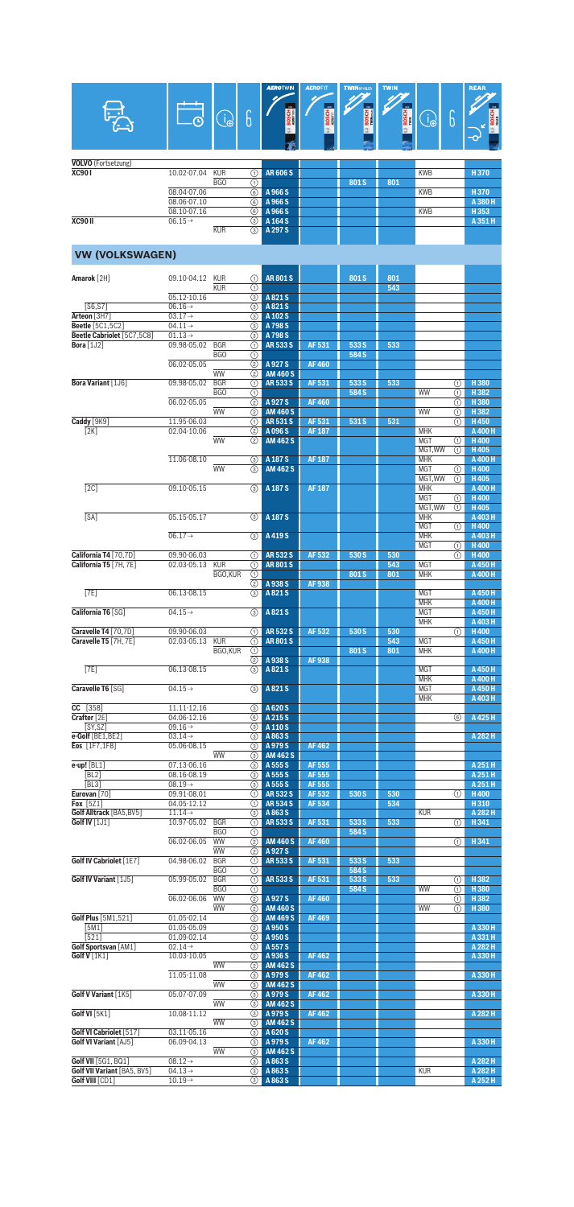|                                                |                                            |                              |                                 | <b>AERO</b> TWIN                 | <b>AEROFIT</b>   | <b>TWINSPOILER</b> | <b>TWIN</b>  |                          |          | <b>REAR</b>            |
|------------------------------------------------|--------------------------------------------|------------------------------|---------------------------------|----------------------------------|------------------|--------------------|--------------|--------------------------|----------|------------------------|
|                                                |                                            |                              | 6                               |                                  |                  | <b>BOSCH</b>       |              |                          |          |                        |
|                                                |                                            | $\bigoplus_{i=1}^n$          |                                 |                                  | <b>BOSCH</b>     |                    | <b>BOSCH</b> | $\bigoplus$              | 6        | <b>BOSC</b>            |
|                                                |                                            |                              |                                 |                                  |                  |                    |              |                          |          |                        |
| <b>VOLVO</b> (Fortsetzung)                     |                                            |                              |                                 |                                  |                  |                    |              |                          |          |                        |
| <b>XC901</b>                                   | 10.02-07.04                                | <b>KUR</b>                   | ⋒                               | <b>AR606S</b>                    |                  |                    |              | <b>KWB</b>               |          | H370                   |
|                                                | 08.04-07.06                                | BGO                          | ①<br>6                          | A 966 S                          |                  | 801S               | 801          | <b>KWB</b>               |          | H370                   |
|                                                | 08.06-07.10                                |                              | 6                               | A 966 S                          |                  |                    |              |                          |          | A 380 H                |
| <b>XC90 II</b>                                 | 08.10-07.16<br>$06.15 \rightarrow$         |                              | 6<br>③                          | A 966 S<br>A 164 S               |                  |                    |              | <b>KWB</b>               |          | H353<br>A 351 H        |
|                                                |                                            | <b>KUR</b>                   | $\circled{3}$                   | A 297 S                          |                  |                    |              |                          |          |                        |
| <b>VW (VOLKSWAGEN)</b>                         |                                            |                              |                                 |                                  |                  |                    |              |                          |          |                        |
|                                                |                                            |                              |                                 |                                  |                  |                    |              |                          |          |                        |
| Amarok [2H]                                    | 09.10-04.12                                | <b>KUR</b><br><b>KUR</b>     | ①                               | <b>AR801S</b>                    |                  | 801S               | 801<br>543   |                          |          |                        |
|                                                | 05.12-10.16                                |                              | ⋒<br>$\circled{3}$              | A821S                            |                  |                    |              |                          |          |                        |
| [S6,S7]<br>Arteon [3H7]                        | $06.16 \rightarrow$<br>$03.17 \rightarrow$ |                              | ③<br>3                          | A821S<br>A 102 S                 |                  |                    |              |                          |          |                        |
| <b>Beetle</b> [5C1,5C2]                        | $04.11 \rightarrow$                        |                              | ⊚                               | A 798 S                          |                  |                    |              |                          |          |                        |
| Beetle Cabriolet [5C7,5C8]<br>Bora $[1J2]$     | $01.13 \rightarrow$<br>09.98-05.02         | <b>BGR</b>                   | ⊚<br>∩                          | A 798 S<br><b>AR533S</b>         | AF 531           | 533 S              | 533          |                          |          |                        |
|                                                |                                            | BGO                          | ⊕                               |                                  |                  | 584 S              |              |                          |          |                        |
|                                                | 06.02-05.05                                | <b>WW</b>                    | (2)<br>➁                        | A 927 S<br><b>AM 460 S</b>       | <b>AF460</b>     |                    |              |                          |          |                        |
| Bora Variant [1J6]                             | 09.98-05.02                                | <b>BGR</b><br>BGO            | ⋒<br>⊕                          | <b>AR533S</b>                    | AF 531           | 533 S<br>584 S     | 533          | WW                       | ⋒<br>⋒   | H380<br>H382           |
|                                                | 06.02-05.05                                |                              | (2)                             | A927S                            | <b>AF460</b>     |                    |              |                          | ⋒        | H380                   |
| Caddy [9K9]                                    | 11.95-06.03                                | <b>WW</b>                    | (2)<br>⋒                        | <b>AM 460 S</b><br><b>AR531S</b> | AF 531           | 531 S              | 531          | WW                       | (1)<br>ന | H382<br>H450           |
| [2K]                                           | 02.04-10.06                                |                              | (2)                             | A 096 S                          | <b>AF 187</b>    |                    |              | <b>MHK</b>               |          | A 400 H                |
|                                                |                                            | <b>WW</b>                    | (2)                             | <b>AM 462 S</b>                  |                  |                    |              | <b>MGT</b><br>MGT.WW     | ⋒<br>⋒   | <b>H400</b><br>H405    |
|                                                | 11.06-08.10                                | <b>WW</b>                    | (3)<br>$\circled{3}$            | A 187 S<br><b>AM 462 S</b>       | <b>AF 187</b>    |                    |              | <b>MHK</b><br><b>MGT</b> | ⊕        | A 400 H<br>H400        |
|                                                |                                            |                              |                                 |                                  |                  |                    |              | MGT.WW                   | ⋒        | H405                   |
| [2C]                                           | 09.10-05.15                                |                              | $\circled{3}$                   | A 187 S                          | <b>AF187</b>     |                    |              | <b>MHK</b><br><b>MGT</b> | ⋒        | A 400 H<br><b>H400</b> |
|                                                |                                            |                              |                                 |                                  |                  |                    |              | MGT.WW                   | ⋒        | H405                   |
| [SA]                                           | 05.15-05.17                                |                              | $\circled{3}$                   | A 187 S                          |                  |                    |              | <b>MHK</b><br><b>MGT</b> | ⋒        | A 403 H<br>H400        |
|                                                | $06.17 \rightarrow$                        |                              | $\circled{3}$                   | A 419 S                          |                  |                    |              | <b>MHK</b><br><b>MGT</b> | ⋒        | A 403 H<br>H400        |
| California T4 [70,7D]                          | 09.90-06.03                                |                              | ⋒                               | <b>AR532S</b>                    | AF 532           | 530 S              | 530          |                          | ①        | H400                   |
| California T5 [7H, 7E]                         | 02.03-05.13                                | <b>KUR</b><br><b>BGO.KUR</b> | ⊕<br>⋒                          | <b>AR801S</b>                    |                  | 801S               | 543<br>801   | <b>MGT</b><br><b>MHK</b> |          | A 450 H<br>A 400 H     |
|                                                |                                            |                              | $\overline{(2)}$                | A 938 S                          | <b>AF938</b>     |                    |              |                          |          |                        |
| [7E]                                           | 06.13-08.15                                |                              | (3)                             | A821S                            |                  |                    |              | <b>MGT</b><br><b>MHK</b> |          | A 450 H<br>A 400 H     |
| California T6 [SG]                             | $04.15 \rightarrow$                        |                              | $\circled{3}$                   | A821S                            |                  |                    |              | <b>MGT</b><br><b>MHK</b> |          | A 450 H<br>A 403 H     |
| Caravelle T4 [70,7D]                           | 09.90-06.03                                |                              | ⋒                               | <b>AR532S</b>                    | AF 532           | 530 S              | 530          |                          | ⋒        | H400                   |
| Caravelle T5 [7H, 7E]                          | 02.03-05.13 KUR                            | BGO,KUR                      | ①<br>$\odot$                    | <b>AR801S</b>                    |                  | 801S               | 543<br>801   | <b>MGT</b><br><b>MHK</b> |          | A 450 H<br>A 400 H     |
|                                                |                                            |                              | তি                              | A 938 S                          | <b>AF938</b>     |                    |              |                          |          |                        |
| [7E]                                           | 06.13-08.15                                |                              | $\circled{3}$                   | A821S                            |                  |                    |              | <b>MGT</b><br><b>MHK</b> |          | A 450 H<br>A 400 H     |
| Caravelle T6 [SG]                              | $04.15 \rightarrow$                        |                              | $\circled{3}$                   | A821S                            |                  |                    |              | <b>MGT</b><br><b>MHK</b> |          | A 450 H<br>A 403 H     |
| CC [358]                                       | 11.11-12.16                                |                              | $\circled{3}$                   | A 620 S                          |                  |                    |              |                          |          |                        |
| Crafter [2E]<br>SY, SZ                         | 04.06-12.16<br>$09.16 \rightarrow$         |                              | (6)<br>$\circled{3}$            | A 215 S<br>A 110 S               |                  |                    |              |                          | 6        | A 425 H                |
| e-Golf [BE1,BE2]                               | $03.14 \rightarrow$                        |                              | ⊚                               | A863S                            |                  |                    |              |                          |          | A 282 H                |
| Eos [1F7,1F8]                                  | 05.06-08.15                                | <b>WW</b>                    | ③<br>$\circled{3}$              | A979S<br><b>AM 462 S</b>         | <b>AF462</b>     |                    |              |                          |          |                        |
| e-up! [BL1]<br>[BL2]                           | 07.13-06.16<br>08.16-08.19                 |                              | $\circled{3}$<br>3              | A 555 S<br>A 555 S               | AF 555<br>AF 555 |                    |              |                          |          | A 251 H<br>A 251 H     |
| [BL3]                                          | $08.19 \rightarrow$                        |                              | ⊚                               | A 555 S                          | AF 555           |                    |              |                          |          | A 251 H                |
| Eurovan [70]<br>Fox [5Z1]                      | 09.91-08.01<br>04.05-12.12                 |                              | ⊕<br>①                          | <b>AR532S</b><br><b>AR534S</b>   | AF 532<br>AF 534 | 530 S              | 530<br>534   |                          | ⋒        | H400<br>H310           |
| Golf Alltrack [BA5, BV5]                       | $11.14 \rightarrow$                        |                              | 3                               | A863S                            |                  |                    |              | <b>KUR</b>               |          | A 282 H                |
| Golf IV [1J1]                                  | 10.97-05.02                                | <b>BGR</b><br>BGO            | (T)<br>⋒                        | <b>AR533S</b>                    | AF 531           | 533 S<br>584 S     | 533          |                          | ⋒        | H341                   |
|                                                | 06.02-06.05                                | <b>WW</b><br><b>WW</b>       | $\overline{a}$<br>$\circled{2}$ | <b>AM 460 S</b><br>A 927 S       | <b>AF460</b>     |                    |              |                          | ⋒        | H341                   |
| Golf IV Cabriolet [1E7]                        | 04.98-06.02                                | <b>BGR</b>                   | ⋒                               | <b>AR5335</b>                    | AF 531           | 533 S              | 533          |                          |          |                        |
| Golf IV Variant [1J5]                          | 05.99-05.02                                | <b>BGO</b><br><b>BGR</b>     | ①<br>⊕                          | <b>AR5335</b>                    | AF 531           | 584 S<br>533 S     | 533          |                          | ⋒        | H 382                  |
|                                                |                                            | BGO                          | ⋒                               |                                  |                  | 584 S              |              | WW                       | ⋒        | H380                   |
|                                                | 06.02-06.06                                | <b>WW</b><br><b>WW</b>       | ②<br>(2)                        | A 927 S<br><b>AM 460 S</b>       | <b>AF460</b>     |                    |              | <b>WW</b>                | ⋒<br>⋒   | H382<br>H380           |
| <b>Golf Plus</b> [5M1,521]<br>[5M1]            | 01.05-02.14<br>01.05-05.09                 |                              | ②<br>(2)                        | <b>AM 469 S</b><br>A 950 S       | <b>AF469</b>     |                    |              |                          |          | A 330 H                |
| [521]                                          | 01.09-02.14                                |                              | (2)                             | A 950 S                          |                  |                    |              |                          |          | A 331 H                |
| <b>Golf Sportsvan [AM1]</b><br>Golf V [1K1]    | $02.14 \rightarrow$<br>10.03-10.05         |                              | $\circled{3}$<br>(2)            | A 557 S<br>A 936 S               | AF 462           |                    |              |                          |          | A 282 H<br>A 330 H     |
|                                                |                                            | <b>WW</b>                    | ②                               | <b>AM 462 S</b>                  |                  |                    |              |                          |          |                        |
|                                                | 11.05-11.08                                | <b>WW</b>                    | ⊚<br>$\circled{3}$              | A979S<br><b>AM 462 S</b>         | AF 462           |                    |              |                          |          | A 330 H                |
| Golf V Variant [1K5]                           | 05.07-07.09                                | WW                           | $\circled{3}$<br>$\circled{3}$  | A 979 S<br><b>AM 462 S</b>       | AF 462           |                    |              |                          |          | A 330 H                |
| Golf VI [5K1]                                  | 10.08-11.12                                |                              | ⊚                               | A979S                            | <b>AF462</b>     |                    |              |                          |          | A 282 H                |
| Golf VI Cabriolet [517]                        | 03.11-05.16                                | <b>WW</b>                    | (3)<br>⊚                        | <b>AM 462 S</b><br>A 620 S       |                  |                    |              |                          |          |                        |
| <b>Golf VI Variant [AJ5]</b>                   | 06.09-04.13                                | <b>WW</b>                    | 3<br>$\circled{3}$              | A 979 S<br><b>AM 462 S</b>       | AF 462           |                    |              |                          |          | A 330 H                |
| <b>Golf VII</b> [5G1, BQ1]                     | $08.12 \rightarrow$                        |                              | $\circled{3}$                   | A 863 S                          |                  |                    |              |                          |          | A 282 H                |
| Golf VII Variant [BA5, BV5]<br>Golf VIII [CD1] | $04.13 \rightarrow$<br>$10.19 \rightarrow$ |                              | (3)<br>$\circled{3}$            | A863S<br>A863S                   |                  |                    |              | <b>KUR</b>               |          | A 282 H<br>A 252 H     |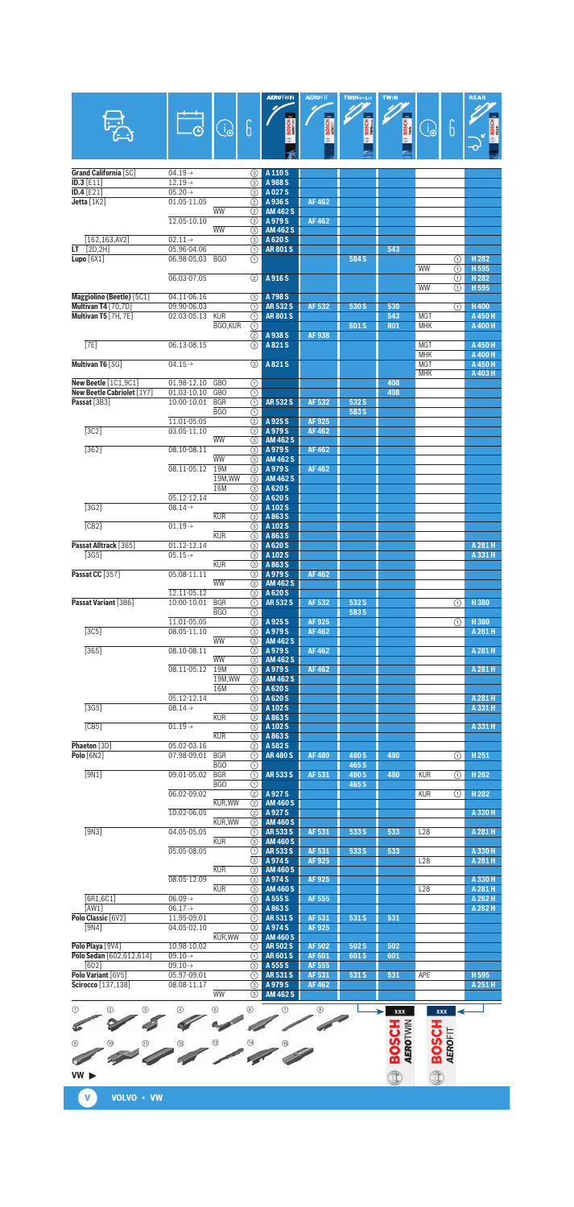|                                   |                                            | $\widehat{\mathcal{A}}$  | 6                              | AERU I WIN                   | <b>ALKULL</b><br><b>BOSCH</b> | <b>I WINSPO</b><br><b>BOSCH</b> | <b>TWIN</b><br><b>BOSCH</b> | B                        | 6                                    | n san                     |
|-----------------------------------|--------------------------------------------|--------------------------|--------------------------------|------------------------------|-------------------------------|---------------------------------|-----------------------------|--------------------------|--------------------------------------|---------------------------|
|                                   |                                            |                          |                                |                              |                               |                                 |                             |                          |                                      |                           |
| <b>Grand California [SC]</b>      | $04.19 \rightarrow$<br>$12.19 \rightarrow$ |                          | $\circled{3}$                  | A 110 S                      |                               |                                 |                             |                          |                                      |                           |
| ID.3 [E11]<br>ID.4 $[E21]$        | $05.20 \rightarrow$                        |                          | $\circled{3}$<br>3             | A 988 S<br>A027 <sub>S</sub> |                               |                                 |                             |                          |                                      |                           |
| Jetta $[1K2]$                     | 01.05-11.05                                |                          | (2)                            | A 936 S                      | AF 462                        |                                 |                             |                          |                                      |                           |
|                                   | 12.05-10.10                                | <b>WW</b>                | (2)<br>3                       | <b>AM 462 S</b><br>A979S     | AF 462                        |                                 |                             |                          |                                      |                           |
|                                   |                                            | <b>WW</b>                | $\circled{3}$                  | <b>AM 462 S</b>              |                               |                                 |                             |                          |                                      |                           |
| [162, 163, AV2]<br>LT $[2D, 2H]$  | $02.11 \rightarrow$<br>05.96-04.06         |                          | 3<br>⊕                         | A 620 S<br><b>AR801S</b>     |                               |                                 | 543                         |                          |                                      |                           |
| Lupo $[6X1]$                      | 06.98-05.03                                | <b>BGO</b>               | ⋒                              |                              |                               | 584 S                           |                             | WW                       | ⋒                                    | H <sub>282</sub>          |
|                                   | 06.03-07.05                                |                          | ②                              | A 916 S                      |                               |                                 |                             |                          | ⋒<br>⋒                               | H 595<br>H <sub>282</sub> |
| Maggiolino (Beetle) [5C1]         | 04.11-06.16                                |                          | $\circled{3}$                  | A 798 S                      |                               |                                 |                             | <b>WW</b>                | ⋒                                    | H 595                     |
| Multivan T4 [70,7D]               | 09.90-06.03                                |                          | ⋒                              | <b>AR532S</b>                | AF 532                        | 530 S                           | 530                         |                          | ⋒                                    | H400                      |
| Multivan T5 [7H, 7E]              | 02.03-05.13                                | <b>KUR</b><br>BGO,KUR    | ⋒                              | <b>AR801S</b>                |                               | 801S                            | 543<br>801                  | <b>MGT</b><br><b>MHK</b> |                                      | A 450 H<br>A 400 H        |
|                                   |                                            |                          | ⊕<br>(2)                       | A 938 S                      | AF938                         |                                 |                             |                          |                                      |                           |
| [7E]                              | 06.13-08.15                                |                          | (3)                            | A821S                        |                               |                                 |                             | <b>MGT</b><br><b>MHK</b> |                                      | A 450 H<br>A 400 H        |
| Multivan T6 [SG]                  | $04.15 \rightarrow$                        |                          | $\circled{3}$                  | A821S                        |                               |                                 |                             | <b>MGT</b>               |                                      | A 450 H                   |
| New Beetle [1C1,9C1]              | 01.98-12.10                                | <b>GBO</b>               | ⊕                              |                              |                               |                                 | 408                         | <b>MHK</b>               |                                      | A 403 H                   |
| New Beetle Cabriolet [1Y7]        | 01.03-10.10                                | <b>GBO</b>               | $\overline{(\mathfrak{h})}$    |                              |                               |                                 | 408                         |                          |                                      |                           |
| Passat [3B3]                      | 10.00-10.01                                | <b>BGR</b><br><b>BGO</b> | O<br>⋒                         | <b>AR532S</b>                | AF 532                        | 532 S<br>583 S                  |                             |                          |                                      |                           |
|                                   | 11.01-05.05                                |                          | (2)                            | A 925 S                      | AF925                         |                                 |                             |                          |                                      |                           |
| [3C2]                             | 03.05-11.10                                | <b>WW</b>                | 3<br>3                         | A979S<br><b>AM 462 S</b>     | AF 462                        |                                 |                             |                          |                                      |                           |
| $[362]$                           | 08.10-08.11                                |                          | 3                              | A979S                        | AF 462                        |                                 |                             |                          |                                      |                           |
|                                   | 08.11-05.12                                | <b>WW</b><br>19M         | $\circled{3}$<br>3             | <b>AM 462 S</b><br>A979S     | AF 462                        |                                 |                             |                          |                                      |                           |
|                                   |                                            | 19M, WW                  | 3                              | <b>AM 462 S</b>              |                               |                                 |                             |                          |                                      |                           |
|                                   | 05.12-12.14                                | <b>16M</b>               | 3<br>3                         | A 620 S<br>A 620 S           |                               |                                 |                             |                          |                                      |                           |
| $\sqrt{3G2}$                      | $08.14 \rightarrow$                        |                          | $\circled{3}$                  | A 102 S                      |                               |                                 |                             |                          |                                      |                           |
| [CB2]                             | $01.19 \rightarrow$                        | <b>KUR</b>               | 3<br>$\circled{3}$             | A863S<br>A 102 S             |                               |                                 |                             |                          |                                      |                           |
| Passat Alltrack [365]             | 01.12-12.14                                | <b>KUR</b>               | (3)<br>3                       | A863S<br>A 620 S             |                               |                                 |                             |                          |                                      | A 281 H                   |
| $[3G5]$                           | $05.15 \rightarrow$                        |                          | 3                              | A 102 S                      |                               |                                 |                             |                          |                                      | A 331 H                   |
| Passat CC [357]                   | 05.08-11.11                                | <b>KUR</b>               | 3<br>(3)                       | A863S<br>A979S               | AF 462                        |                                 |                             |                          |                                      |                           |
|                                   |                                            | <b>WW</b>                | 3                              | <b>AM 462 S</b>              |                               |                                 |                             |                          |                                      |                           |
| Passat Variant [3B6]              | 12.11-05.12<br>10.00-10.01                 | <b>BGR</b>               | 3<br>U.                        | A 620 S<br>AR 532 S          | AF 532                        | 532 S                           |                             |                          | U                                    | H380                      |
|                                   | 11.01-05.05                                | <b>BGO</b>               | ⊕                              | A 925 S                      |                               | 583 S                           |                             |                          |                                      | H380                      |
| [3C5]                             | 08.05-11.10                                |                          | ②<br>3                         | A979S                        | AF 925<br><b>AF462</b>        |                                 |                             |                          | ⋒                                    | A 281 H                   |
| $[365]$                           | 08.10-08.11                                | <b>WW</b>                | (3)<br>3                       | <b>AM 462 S</b><br>A979S     | AF 462                        |                                 |                             |                          |                                      | A 281 H                   |
|                                   |                                            | <b>WW</b>                | 3                              | <b>AM 462 S</b>              |                               |                                 |                             |                          |                                      |                           |
|                                   | 08.11-05.12                                | 19M<br>19M, WW           | ⊚<br>3                         | A979S<br><b>AM 462 S</b>     | AF 462                        |                                 |                             |                          |                                      | A 281 H                   |
|                                   |                                            | <b>16M</b>               | $\circled{3}$                  | A 620 S                      |                               |                                 |                             |                          |                                      |                           |
| $\overline{13G51}$                | 05.12-12.14<br>$08.14 \rightarrow$         |                          | 3<br>3                         | A 620 S<br>A 102 S           |                               |                                 |                             |                          |                                      | A 281 H<br>A 331 H        |
| [CB5]                             | $01.19 \rightarrow$                        | <b>KUR</b>               | $\circled{3}$                  | A863S<br>A 102 S             |                               |                                 |                             |                          |                                      | A 331 H                   |
|                                   |                                            | <b>KUR</b>               | 3<br>3                         | A863S                        |                               |                                 |                             |                          |                                      |                           |
| Phaeton [3D]<br><b>Polo [6N2]</b> | 05.02-03.16<br>07.98-09.01                 | <b>BGR</b>               | (2)<br>O                       | A 582 S<br><b>AR480S</b>     | <b>AF480</b>                  | 480 S                           | 480                         |                          | ⋒                                    | H251                      |
|                                   |                                            | <b>BGO</b>               | ⋒                              |                              |                               | 465 S                           |                             |                          |                                      |                           |
| [9N1]                             | 09.01-05.02                                | <b>BGR</b><br>BGO        | $\overline{(\text{f})}$<br>⊕   | AR 533 S                     | AF 531                        | 480 S<br>465 S                  | 480                         | <b>KUR</b>               | $\overline{\textcircled{\small{1}}}$ | H <sub>282</sub>          |
|                                   | 06.02-09.02                                |                          | ②                              | A 927 S                      |                               |                                 |                             | <b>KUR</b>               | ⋒                                    | H <sub>282</sub>          |
|                                   | 10.02-06.05                                | KUR, WW                  | (2)<br>②                       | <b>AM 460 S</b><br>A 927 S   |                               |                                 |                             |                          |                                      | A 330 H                   |
| [9N3]                             | 04.05-05.05                                | KUR, WW                  | (2)<br>⋒                       | <b>AM 460 S</b><br>AR 533 S  | AF 531                        | 533 S                           | 533                         | L28                      |                                      | A 281 H                   |
|                                   |                                            | <b>KUR</b>               | 3                              | <b>AM 460 S</b>              |                               |                                 |                             |                          |                                      |                           |
|                                   | 05.05-08.05                                |                          | ⋒<br>$\overline{(\mathbf{3})}$ | AR 533 S<br>A974S            | AF 531<br>AF 925              | 533 S                           | 533                         | L <sub>28</sub>          |                                      | A 330 H<br>A 281 H        |
|                                   |                                            | <b>KUR</b>               | (3)                            | <b>AM 460 S</b>              |                               |                                 |                             |                          |                                      |                           |
|                                   | 08.05-12.09                                | <b>KUR</b>               | 3<br>3                         | A974S<br><b>AM 460 S</b>     | AF 925                        |                                 |                             | L28                      |                                      | A 330 H<br>A 281 H        |
| [6R1, 6C1]                        | $06.09 \rightarrow$                        |                          | ⊚                              | A 555 S                      | AF 555                        |                                 |                             |                          |                                      | A 282 H                   |
| [AW1]<br>Polo Classic [6V2]       | $06.17 \rightarrow$<br>11.95-09.01         |                          | ⊚<br>(1)                       | A 863 S<br>AR 531 S          | AF 531                        | 531 S                           | 531                         |                          |                                      | A 282 H                   |
| [9N4]                             | 04.05-02.10                                | KUR, WW                  | ⊚<br>3                         | A 974 S<br><b>AM 460 S</b>   | <b>AF925</b>                  |                                 |                             |                          |                                      |                           |
| Polo Playa [9V4]                  | 10.98-10.02                                |                          | ⋒                              | <b>AR502S</b>                | AF 502                        | 502 S                           | 502                         |                          |                                      |                           |
| Polo Sedan [602,612,614]<br>[602] | $09.10 \rightarrow$<br>$09.10 \rightarrow$ |                          | ⋒<br>⊚                         | <b>AR601S</b><br>A 555 S     | AF 601<br>AF 555              | 601S                            | 601                         |                          |                                      |                           |
| Polo Variant [6V5]                | 05.97-09.01                                |                          | ⋒                              | AR 531 S                     | AF 531                        | 531 S                           | 531                         | APE                      |                                      | H595                      |
| Scirocco [137,138]                | 08.08-11.17                                | WW                       | ⊚<br>3                         | A979S<br><b>AM 462 S</b>     | AF 462                        |                                 |                             |                          |                                      | A 251 H                   |
| ⊕<br>➁<br>◉                       |                                            | (5)                      | 6                              | ⊙                            | ◉                             |                                 |                             |                          |                                      |                           |
|                                   |                                            |                          |                                |                              |                               |                                 | xxx                         | xxx                      |                                      |                           |
|                                   |                                            |                          |                                |                              |                               |                                 |                             |                          |                                      |                           |
| (9)                               |                                            |                          |                                |                              |                               |                                 | <b>BOSCH</b><br>AEROTWIN    | <b>HJSCR</b>             | <b>AEROFIT</b>                       |                           |
|                                   |                                            |                          |                                |                              |                               |                                 |                             |                          |                                      |                           |
| VW                                |                                            |                          |                                |                              |                               |                                 | Î                           | Î                        |                                      |                           |

**VW**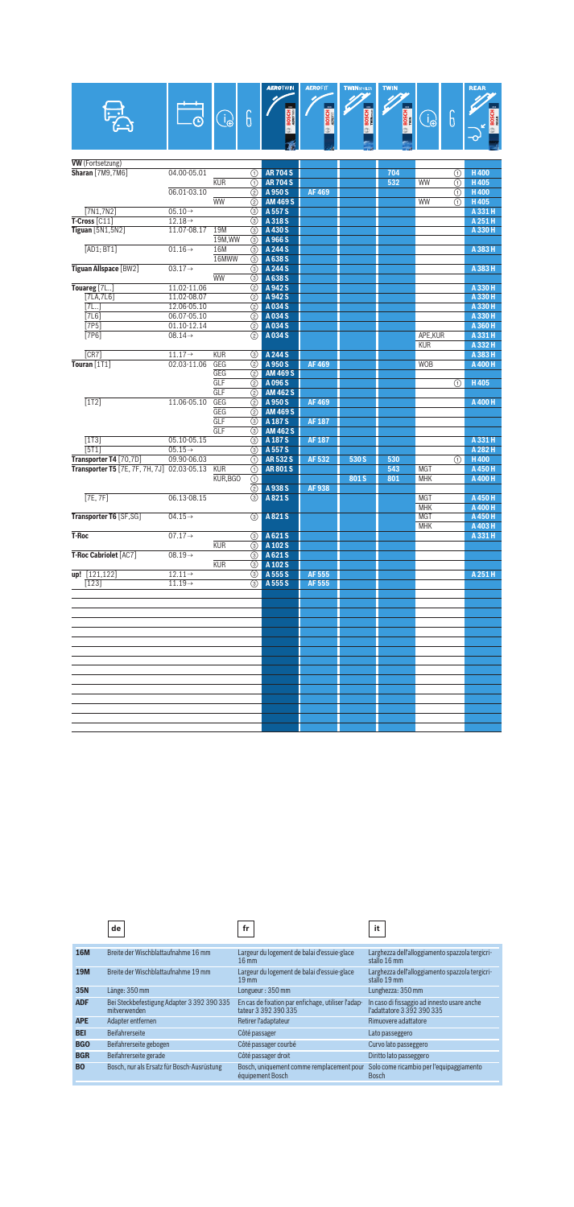|                                             |                            |                        |                    | <b>AEROTWIN</b>            | <b>AEROFIT</b> | <b>TWINSPOLER</b> | <b>TWIN</b>  |                          |                                      | <b>REAR</b>        |
|---------------------------------------------|----------------------------|------------------------|--------------------|----------------------------|----------------|-------------------|--------------|--------------------------|--------------------------------------|--------------------|
|                                             |                            |                        |                    |                            |                |                   |              |                          |                                      |                    |
|                                             |                            |                        |                    |                            |                | <u>m.</u>         |              |                          |                                      |                    |
|                                             |                            | $\bigoplus$            | 6                  |                            | <b>BOSCH</b>   | BOSCH<br>Wilhead  | <b>BOSCH</b> | B                        | 6                                    |                    |
|                                             |                            |                        |                    |                            |                |                   |              |                          |                                      |                    |
|                                             |                            |                        |                    |                            |                |                   |              |                          |                                      |                    |
|                                             |                            |                        |                    |                            |                |                   |              |                          |                                      |                    |
| <b>VW</b> (Fortsetzung)                     |                            |                        |                    |                            |                |                   |              |                          |                                      |                    |
| <b>Sharan</b> [7M9,7M6]                     | 04.00-05.01                |                        | (1)                | <b>AR 704 S</b>            |                |                   | 704          |                          | ⊕                                    | H400               |
|                                             |                            | <b>KUR</b>             | ⋒                  | <b>AR704S</b>              |                |                   | 532          | WW                       | ⋒                                    | H405               |
|                                             | 06.01-03.10                |                        | (2)                | A 950 S                    | <b>AF469</b>   |                   |              |                          | $\overline{\textcircled{\small{1}}}$ | H400               |
| [7N1, 7N2]                                  | $05.10 \rightarrow$        | <b>WW</b>              | ②                  | <b>AM 469 S</b><br>A 557 S |                |                   |              | WW                       | ⋒                                    | H405<br>A 331 H    |
| $T$ -Cross [ $C11$ ]                        | $12.18 \rightarrow$        |                        | ⊚<br>$\circled{3}$ | A 318 S                    |                |                   |              |                          |                                      | A 251 H            |
| Tiguan [5N1,5N2]                            | 11.07-08.17                | 19M                    | ⊚                  | A 430 S                    |                |                   |              |                          |                                      | A 330 H            |
|                                             |                            | 19M, WW                | 3                  | A 966 S                    |                |                   |              |                          |                                      |                    |
| [AD1; BT1]                                  | $01.16 \rightarrow$        | 16M                    | $\circled{3}$      | A 244 S                    |                |                   |              |                          |                                      | A 383 H            |
|                                             |                            | 16MWW                  | 3                  | A 638 S                    |                |                   |              |                          |                                      |                    |
| <b>Tiguan Allspace [BW2]</b>                | $03.17 \rightarrow$        |                        | ⊚                  | A 244 S                    |                |                   |              |                          |                                      | A 383 H            |
|                                             |                            | <b>WW</b>              | ⊚                  | A 638 S                    |                |                   |              |                          |                                      |                    |
| Touareg [7L]                                | 11.02-11.06                |                        | (2)                | A 942 S                    |                |                   |              |                          |                                      | A 330 H            |
| [7LA,7L6]<br>7L.1                           | 11.02-08.07<br>12.06-05.10 |                        | (2)<br>(2)         | A 942 S<br>A 034 S         |                |                   |              |                          |                                      | A 330 H<br>A 330 H |
| [7L6]                                       | 06.07-05.10                |                        | ②                  | A034S                      |                |                   |              |                          |                                      | A 330 H            |
| $[7P5]$                                     | 01.10-12.14                |                        | ②                  | A034S                      |                |                   |              |                          |                                      | A 360 H            |
| [7P6]                                       | $08.14 \rightarrow$        |                        | (2)                | A034S                      |                |                   |              | APE, KUR                 |                                      | A 331 H            |
|                                             |                            |                        |                    |                            |                |                   |              | <b>KUR</b>               |                                      | A 332 H            |
| [CR7]                                       | $11.17 \rightarrow$        | <b>KUR</b>             | $\circled{3}$      | A 244 S                    |                |                   |              |                          |                                      | A 383 H            |
| Touran [1T1]                                | 02.03-11.06                | GEG                    | ②                  | A 950 S                    | <b>AF469</b>   |                   |              | <b>WOB</b>               |                                      | A 400 H            |
|                                             |                            | GEG                    | (2)                | <b>AM 469 S</b>            |                |                   |              |                          |                                      |                    |
|                                             |                            | GLF<br>GLF             | ☺                  | A 096 S<br><b>AM 462 S</b> |                |                   |              |                          | ⊕                                    | H405               |
| $[1T2]$                                     | 11.06-05.10                | GEG                    | ②<br>(2)           | A 950 S                    | <b>AF469</b>   |                   |              |                          |                                      | A 400 H            |
|                                             |                            | GEG                    | (2)                | <b>AM 469 S</b>            |                |                   |              |                          |                                      |                    |
|                                             |                            | GLF                    | 3                  | A 187 S                    | <b>AF 187</b>  |                   |              |                          |                                      |                    |
|                                             |                            | GLF                    | ⊚                  | <b>AM 462 S</b>            |                |                   |              |                          |                                      |                    |
| [1T3]                                       | 05.10-05.15                |                        | ⊚                  | A 187 S                    | <b>AF187</b>   |                   |              |                          |                                      | A 331 H            |
| [5T1]                                       | $05.15 \rightarrow$        |                        | $\circled{3}$      | A 557 S                    |                |                   |              |                          |                                      | A 282 H            |
| Transporter T4 [70,7D]                      | 09.90-06.03                |                        | ⊕                  | <b>AR532S</b>              | AF 532         | 530 S             | 530          |                          | ⋒                                    | H400               |
| Transporter T5 [7E, 7F, 7H, 7J] 02.03-05.13 |                            | <b>KUR</b><br>KUR, BGO | (T)<br>⊕           | <b>AR801S</b>              |                | 801S              | 543<br>801   | <b>MGT</b><br><b>MHK</b> |                                      | A 450 H<br>A 400 H |
|                                             |                            |                        | $\overline{②}$     | A938S                      | AF 938         |                   |              |                          |                                      |                    |
| [7E, 7F]                                    | 06.13-08.15                |                        | ⊚                  | A821S                      |                |                   |              | <b>MGT</b>               |                                      | A 450 H            |
|                                             |                            |                        |                    |                            |                |                   |              | <b>MHK</b>               |                                      | A 400 H            |
| Transporter T6 [SF, SG]                     | $04.15 \rightarrow$        |                        | ⊚                  | A821S                      |                |                   |              | <b>MGT</b>               |                                      | A 450 H            |
|                                             |                            |                        |                    |                            |                |                   |              | <b>MHK</b>               |                                      | A 403 H            |
| T-Roc                                       | $07.17 \rightarrow$        |                        | 3                  | A 621 S                    |                |                   |              |                          |                                      | A 331 H            |
| T-Roc Cabriolet [AC7]                       | $08.19 \rightarrow$        | <b>KUR</b>             | ⊚                  | A 102 S<br>A 621 S         |                |                   |              |                          |                                      |                    |
|                                             |                            | <b>KUR</b>             | ⊚<br>③             | A 102 S                    |                |                   |              |                          |                                      |                    |
| up! [121,122]                               | $12.11 \rightarrow$        |                        | $\overline{\circ}$ | A 555 S                    | AF 555         |                   |              |                          |                                      | A 251 H            |
| [123]                                       | $11.19 \rightarrow$        |                        | $\circledcirc$     | A 555 S                    | AF 555         |                   |              |                          |                                      |                    |
|                                             |                            |                        |                    |                            |                |                   |              |                          |                                      |                    |
|                                             |                            |                        |                    |                            |                |                   |              |                          |                                      |                    |
|                                             |                            |                        |                    |                            |                |                   |              |                          |                                      |                    |
|                                             |                            |                        |                    |                            |                |                   |              |                          |                                      |                    |
|                                             |                            |                        |                    |                            |                |                   |              |                          |                                      |                    |
|                                             |                            |                        |                    |                            |                |                   |              |                          |                                      |                    |
|                                             |                            |                        |                    |                            |                |                   |              |                          |                                      |                    |
|                                             |                            |                        |                    |                            |                |                   |              |                          |                                      |                    |
|                                             |                            |                        |                    |                            |                |                   |              |                          |                                      |                    |
|                                             |                            |                        |                    |                            |                |                   |              |                          |                                      |                    |
|                                             |                            |                        |                    |                            |                |                   |              |                          |                                      |                    |
|                                             |                            |                        |                    |                            |                |                   |              |                          |                                      |                    |
|                                             |                            |                        |                    |                            |                |                   |              |                          |                                      |                    |

|            | de                                                         | fr                                                                         | it                                                                        |
|------------|------------------------------------------------------------|----------------------------------------------------------------------------|---------------------------------------------------------------------------|
| <b>16M</b> | Breite der Wischblattaufnahme 16 mm                        | Largeur du logement de balai d'essuie-glace<br>$16 \text{ mm}$             | Larghezza dell'alloggiamento spazzola tergicri-<br>stallo 16 mm           |
| <b>19M</b> | Breite der Wischblattaufnahme 19 mm                        | Largeur du logement de balai d'essuie-glace<br>$19 \,\mathrm{mm}$          | Larghezza dell'alloggiamento spazzola tergicri-<br>stallo 19 mm           |
| 35N        | Länge: 350 mm                                              | Longueur: 350 mm                                                           | Lunghezza: 350 mm                                                         |
| <b>ADF</b> | Bei Steckbefestigung Adapter 3 392 390 335<br>mitverwenden | En cas de fixation par enfichage, utiliser l'adap-<br>tateur 3 392 390 335 | In caso di fissaggio ad innesto usare anche<br>l'adattatore 3 392 390 335 |
| <b>APE</b> | Adapter entfernen                                          | Retirer l'adaptateur                                                       | Rimuovere adattatore                                                      |
| <b>BEI</b> | <b>Beifahrerseite</b>                                      | Côté passager                                                              | Lato passeggero                                                           |
| <b>BGO</b> | Beifahrerseite gebogen                                     | Côté passager courbé                                                       | Curvo lato passeggero                                                     |
| <b>BGR</b> | Beifahrerseite gerade                                      | Côté passager droit                                                        | Diritto lato passeggero                                                   |
| <b>BO</b>  | Bosch, nur als Ersatz für Bosch-Ausrüstung                 | Bosch, uniquement comme remplacement pour<br>équipement Bosch              | Solo come ricambio per l'equipaggiamento<br><b>Bosch</b>                  |